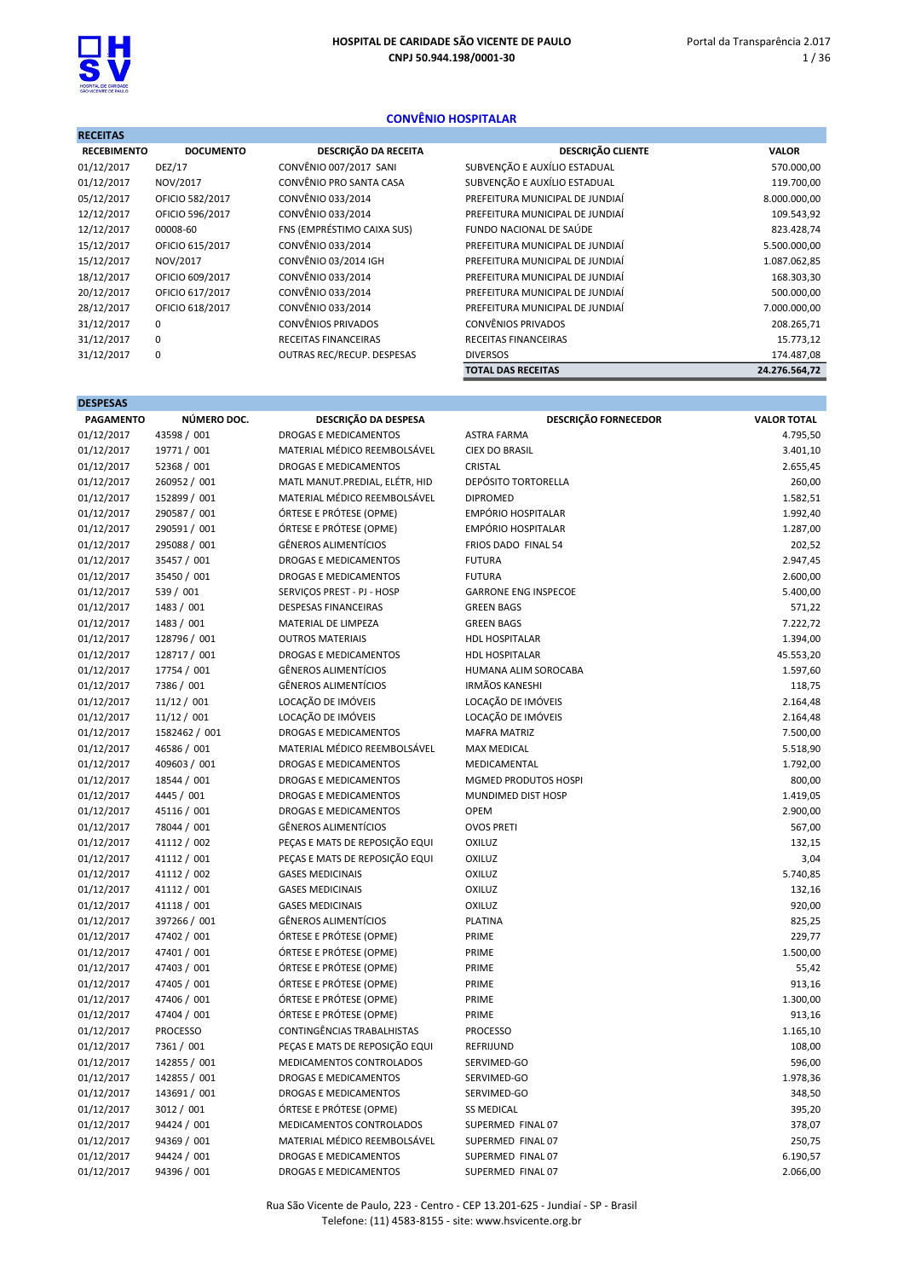

## CONVÊNIO HOSPITALAR

| <b>RECEITAS</b>    |                  |                            |                                 |               |
|--------------------|------------------|----------------------------|---------------------------------|---------------|
| <b>RECEBIMENTO</b> | <b>DOCUMENTO</b> | DESCRIÇÃO DA RECEITA       | <b>DESCRIÇÃO CLIENTE</b>        | <b>VALOR</b>  |
| 01/12/2017         | <b>DEZ/17</b>    | CONVÊNIO 007/2017 SANI     | SUBVENÇÃO E AUXÍLIO ESTADUAL    | 570.000,00    |
| 01/12/2017         | NOV/2017         | CONVÊNIO PRO SANTA CASA    | SUBVENÇÃO E AUXÍLIO ESTADUAL    | 119.700,00    |
| 05/12/2017         | OFICIO 582/2017  | CONVÊNIO 033/2014          | PREFEITURA MUNICIPAL DE JUNDIAÍ | 8.000.000,00  |
| 12/12/2017         | OFICIO 596/2017  | CONVÊNIO 033/2014          | PREFEITURA MUNICIPAL DE JUNDIAÍ | 109.543,92    |
| 12/12/2017         | 00008-60         | FNS (EMPRÉSTIMO CAIXA SUS) | FUNDO NACIONAL DE SAÚDE         | 823.428,74    |
| 15/12/2017         | OFICIO 615/2017  | CONVÊNIO 033/2014          | PREFEITURA MUNICIPAL DE JUNDIAÍ | 5.500.000,00  |
| 15/12/2017         | NOV/2017         | CONVÊNIO 03/2014 IGH       | PREFEITURA MUNICIPAL DE JUNDIAÍ | 1.087.062,85  |
| 18/12/2017         | OFICIO 609/2017  | CONVÊNIO 033/2014          | PREFEITURA MUNICIPAL DE JUNDIAÍ | 168.303,30    |
| 20/12/2017         | OFICIO 617/2017  | CONVÊNIO 033/2014          | PREFEITURA MUNICIPAL DE JUNDIAÍ | 500.000,00    |
| 28/12/2017         | OFICIO 618/2017  | CONVÊNIO 033/2014          | PREFEITURA MUNICIPAL DE JUNDIAÍ | 7.000.000,00  |
| 31/12/2017         | 0                | CONVÊNIOS PRIVADOS         | CONVÊNIOS PRIVADOS              | 208.265,71    |
| 31/12/2017         | 0                | RECEITAS FINANCEIRAS       | RECEITAS FINANCEIRAS            | 15.773,12     |
| 31/12/2017         | 0                | OUTRAS REC/RECUP. DESPESAS | <b>DIVERSOS</b>                 | 174.487,08    |
|                    |                  |                            | <b>TOTAL DAS RECEITAS</b>       | 24.276.564,72 |

| <b>DESPESAS</b>  |                 |                                |                             |                    |
|------------------|-----------------|--------------------------------|-----------------------------|--------------------|
| <b>PAGAMENTO</b> | NÚMERO DOC.     | DESCRIÇÃO DA DESPESA           | <b>DESCRIÇÃO FORNECEDOR</b> | <b>VALOR TOTAL</b> |
| 01/12/2017       | 43598 / 001     | DROGAS E MEDICAMENTOS          | <b>ASTRA FARMA</b>          | 4.795,50           |
| 01/12/2017       | 19771 / 001     | MATERIAL MÉDICO REEMBOLSÁVEL   | <b>CIEX DO BRASIL</b>       | 3.401,10           |
| 01/12/2017       | 52368 / 001     | <b>DROGAS E MEDICAMENTOS</b>   | <b>CRISTAL</b>              | 2.655,45           |
| 01/12/2017       | 260952 / 001    | MATL MANUT.PREDIAL, ELÉTR, HID | <b>DEPÓSITO TORTORELLA</b>  | 260,00             |
| 01/12/2017       | 152899 / 001    | MATERIAL MÉDICO REEMBOLSÁVEL   | <b>DIPROMED</b>             | 1.582,51           |
| 01/12/2017       | 290587 / 001    | ÓRTESE E PRÓTESE (OPME)        | EMPÓRIO HOSPITALAR          | 1.992,40           |
| 01/12/2017       | 290591 / 001    | ÓRTESE E PRÓTESE (OPME)        | <b>EMPÓRIO HOSPITALAR</b>   | 1.287,00           |
| 01/12/2017       | 295088 / 001    | <b>GÊNEROS ALIMENTÍCIOS</b>    | FRIOS DADO FINAL 54         | 202,52             |
| 01/12/2017       | 35457 / 001     | <b>DROGAS E MEDICAMENTOS</b>   | <b>FUTURA</b>               | 2.947,45           |
| 01/12/2017       | 35450 / 001     | DROGAS E MEDICAMENTOS          | <b>FUTURA</b>               | 2.600,00           |
| 01/12/2017       | 539 / 001       | SERVICOS PREST - PJ - HOSP     | <b>GARRONE ENG INSPECOE</b> | 5.400,00           |
| 01/12/2017       | 1483 / 001      | <b>DESPESAS FINANCEIRAS</b>    | <b>GREEN BAGS</b>           | 571,22             |
| 01/12/2017       | 1483 / 001      | MATERIAL DE LIMPEZA            | <b>GREEN BAGS</b>           | 7.222,72           |
| 01/12/2017       | 128796 / 001    | <b>OUTROS MATERIAIS</b>        | <b>HDL HOSPITALAR</b>       | 1.394,00           |
| 01/12/2017       | 128717 / 001    | <b>DROGAS E MEDICAMENTOS</b>   | <b>HDL HOSPITALAR</b>       | 45.553,20          |
| 01/12/2017       | 17754 / 001     | <b>GÊNEROS ALIMENTÍCIOS</b>    | HUMANA ALIM SOROCABA        | 1.597,60           |
| 01/12/2017       | 7386 / 001      | <b>GÊNEROS ALIMENTÍCIOS</b>    | <b>IRMÃOS KANESHI</b>       | 118,75             |
| 01/12/2017       | 11/12 / 001     | LOCAÇÃO DE IMÓVEIS             | LOCAÇÃO DE IMÓVEIS          | 2.164,48           |
| 01/12/2017       | 11/12 / 001     | LOCAÇÃO DE IMÓVEIS             | LOCAÇÃO DE IMÓVEIS          | 2.164,48           |
| 01/12/2017       | 1582462 / 001   | <b>DROGAS E MEDICAMENTOS</b>   | <b>MAFRA MATRIZ</b>         | 7.500,00           |
| 01/12/2017       | 46586 / 001     | MATERIAL MÉDICO REEMBOLSÁVEL   | <b>MAX MEDICAL</b>          | 5.518,90           |
| 01/12/2017       | 409603 / 001    | DROGAS E MEDICAMENTOS          | MEDICAMENTAL                | 1.792,00           |
| 01/12/2017       | 18544 / 001     | <b>DROGAS E MEDICAMENTOS</b>   | MGMED PRODUTOS HOSPI        | 800,00             |
| 01/12/2017       | 4445 / 001      | <b>DROGAS E MEDICAMENTOS</b>   | MUNDIMED DIST HOSP          | 1.419,05           |
| 01/12/2017       | 45116 / 001     | <b>DROGAS E MEDICAMENTOS</b>   | <b>OPEM</b>                 | 2.900,00           |
| 01/12/2017       | 78044 / 001     | <b>GÊNEROS ALIMENTÍCIOS</b>    | <b>OVOS PRETI</b>           | 567,00             |
| 01/12/2017       | 41112 / 002     | PEÇAS E MATS DE REPOSIÇÃO EQUI | OXILUZ                      | 132,15             |
| 01/12/2017       | 41112 / 001     | PEÇAS E MATS DE REPOSIÇÃO EQUI | OXILUZ                      | 3,04               |
| 01/12/2017       | 41112 / 002     | <b>GASES MEDICINAIS</b>        | <b>OXILUZ</b>               | 5.740,85           |
| 01/12/2017       | 41112 / 001     | <b>GASES MEDICINAIS</b>        | OXILUZ                      | 132,16             |
| 01/12/2017       | 41118 / 001     | <b>GASES MEDICINAIS</b>        | OXILUZ                      | 920,00             |
| 01/12/2017       | 397266 / 001    | <b>GÊNEROS ALIMENTÍCIOS</b>    | <b>PLATINA</b>              | 825,25             |
| 01/12/2017       | 47402 / 001     | ÓRTESE E PRÓTESE (OPME)        | PRIME                       | 229,77             |
| 01/12/2017       | 47401 / 001     | ÓRTESE E PRÓTESE (OPME)        | PRIME                       | 1.500,00           |
| 01/12/2017       | 47403 / 001     | ÓRTESE E PRÓTESE (OPME)        | PRIME                       | 55,42              |
| 01/12/2017       | 47405 / 001     | ÓRTESE E PRÓTESE (OPME)        | PRIME                       | 913,16             |
| 01/12/2017       | 47406 / 001     | ÓRTESE E PRÓTESE (OPME)        | PRIME                       | 1.300,00           |
| 01/12/2017       | 47404 / 001     | ÓRTESE E PRÓTESE (OPME)        | PRIME                       | 913,16             |
| 01/12/2017       | <b>PROCESSO</b> | CONTINGÊNCIAS TRABALHISTAS     | <b>PROCESSO</b>             | 1.165,10           |
| 01/12/2017       | 7361 / 001      | PEÇAS E MATS DE REPOSIÇÃO EQUI | REFRIJUND                   | 108,00             |
| 01/12/2017       | 142855 / 001    | MEDICAMENTOS CONTROLADOS       | SERVIMED-GO                 | 596,00             |
| 01/12/2017       | 142855 / 001    | DROGAS E MEDICAMENTOS          | SERVIMED-GO                 | 1.978,36           |
| 01/12/2017       | 143691 / 001    | DROGAS E MEDICAMENTOS          | SERVIMED-GO                 | 348,50             |
| 01/12/2017       | 3012 / 001      | ÓRTESE E PRÓTESE (OPME)        | <b>SS MEDICAL</b>           | 395,20             |
| 01/12/2017       | 94424 / 001     | MEDICAMENTOS CONTROLADOS       | SUPERMED FINAL 07           | 378,07             |
| 01/12/2017       | 94369 / 001     | MATERIAL MÉDICO REEMBOLSÁVEL   | SUPERMED FINAL 07           | 250,75             |
| 01/12/2017       | 94424 / 001     | <b>DROGAS E MEDICAMENTOS</b>   | SUPERMED FINAL 07           | 6.190,57           |
| 01/12/2017       | 94396 / 001     | <b>DROGAS E MEDICAMENTOS</b>   | SUPERMED FINAL 07           | 2.066,00           |
|                  |                 |                                |                             |                    |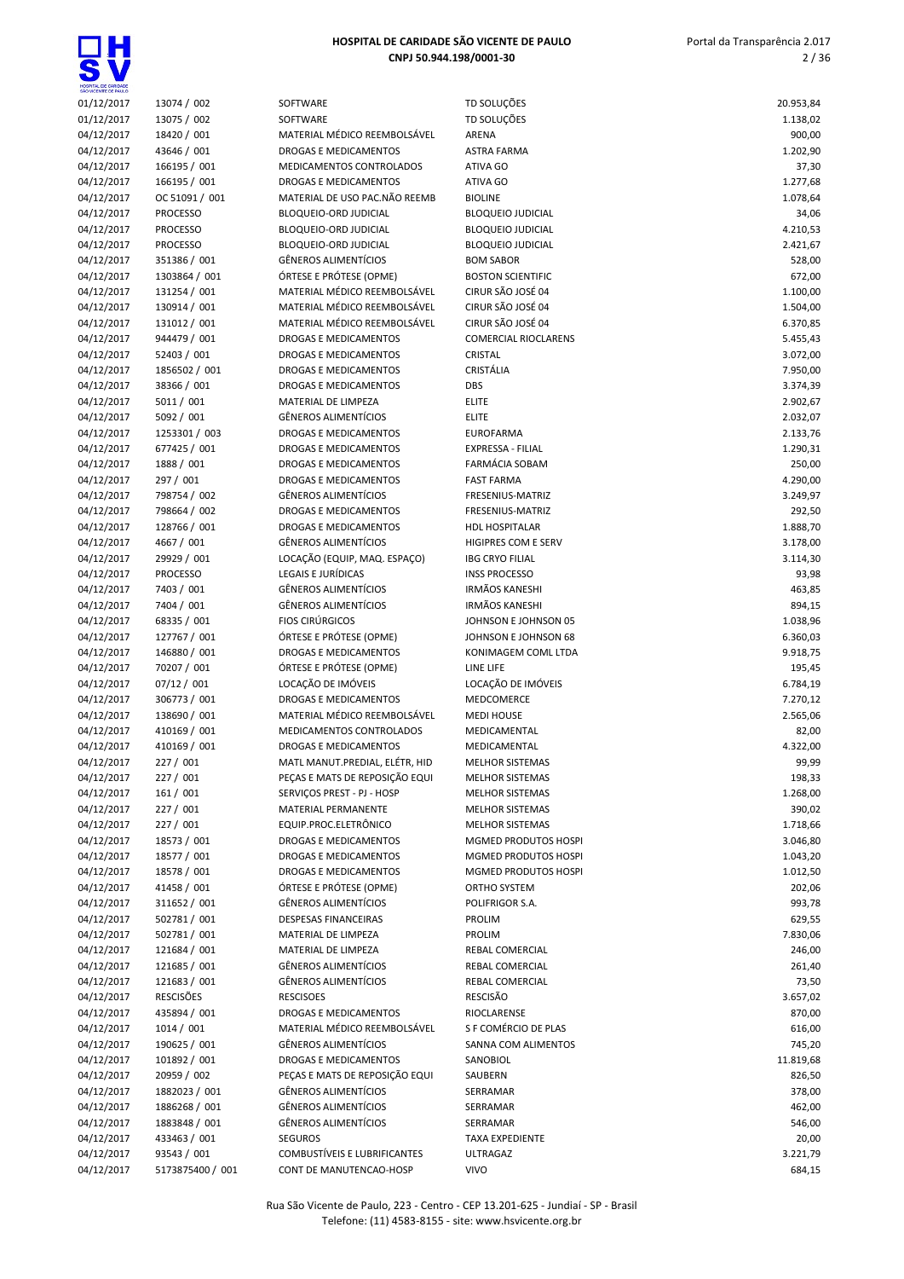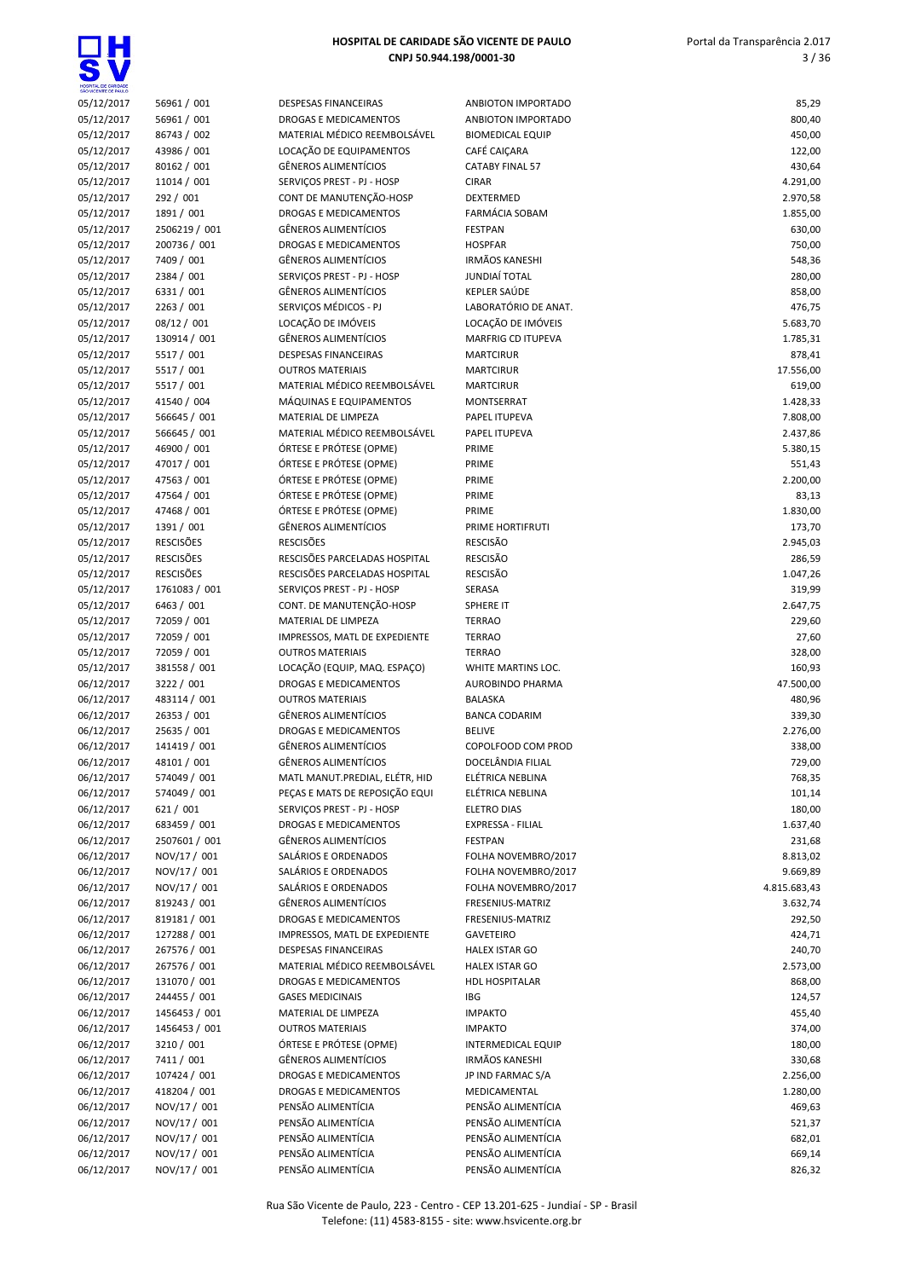

| SÃO VICENTE DE PAULO     |                          |                                                         |                                |                    |
|--------------------------|--------------------------|---------------------------------------------------------|--------------------------------|--------------------|
| 05/12/2017               | 56961 / 001              | DESPESAS FINANCEIRAS                                    | ANBIOTON IMPORTADO             | 85,29              |
| 05/12/2017               | 56961 / 001              | DROGAS E MEDICAMENTOS                                   | ANBIOTON IMPORTADO             | 800,40             |
| 05/12/2017               | 86743 / 002              | MATERIAL MÉDICO REEMBOLSÁVEL                            | <b>BIOMEDICAL EQUIP</b>        | 450,00             |
| 05/12/2017               | 43986 / 001              | LOCAÇÃO DE EQUIPAMENTOS                                 | CAFÉ CAIÇARA                   | 122,00             |
| 05/12/2017               | 80162 / 001              | GÊNEROS ALIMENTÍCIOS                                    | CATABY FINAL 57                | 430,64             |
| 05/12/2017               | 11014 / 001              | SERVIÇOS PREST - PJ - HOSP                              | <b>CIRAR</b>                   | 4.291,00           |
| 05/12/2017               | 292 / 001                | CONT DE MANUTENÇÃO-HOSP                                 | DEXTERMED                      | 2.970,58           |
| 05/12/2017               | 1891 / 001               | <b>DROGAS E MEDICAMENTOS</b>                            | <b>FARMÁCIA SOBAM</b>          | 1.855,00           |
| 05/12/2017               | 2506219 / 001            | <b>GÊNEROS ALIMENTÍCIOS</b>                             | <b>FESTPAN</b>                 | 630,00             |
| 05/12/2017               | 200736 / 001             | <b>DROGAS E MEDICAMENTOS</b>                            | <b>HOSPFAR</b>                 | 750,00             |
| 05/12/2017               | 7409 / 001               | GÊNEROS ALIMENTÍCIOS                                    | <b>IRMÃOS KANESHI</b>          | 548,36             |
| 05/12/2017               | 2384 / 001               | SERVIÇOS PREST - PJ - HOSP                              | JUNDIAÍ TOTAL                  | 280,00             |
| 05/12/2017               | 6331 / 001               | <b>GÊNEROS ALIMENTÍCIOS</b>                             | KEPLER SAÚDE                   | 858,00             |
| 05/12/2017               | 2263 / 001               | SERVIÇOS MÉDICOS - PJ                                   | LABORATÓRIO DE ANAT.           | 476,75             |
| 05/12/2017               | 08/12 / 001              | LOCAÇÃO DE IMÓVEIS                                      | LOCAÇÃO DE IMÓVEIS             | 5.683,70           |
| 05/12/2017               | 130914 / 001             | <b>GÊNEROS ALIMENTÍCIOS</b>                             | <b>MARFRIG CD ITUPEVA</b>      | 1.785,31           |
| 05/12/2017               | 5517 / 001               | <b>DESPESAS FINANCEIRAS</b>                             | <b>MARTCIRUR</b>               | 878,41             |
| 05/12/2017               | 5517 / 001<br>5517 / 001 | <b>OUTROS MATERIAIS</b><br>MATERIAL MÉDICO REEMBOLSÁVEL | <b>MARTCIRUR</b>               | 17.556,00          |
| 05/12/2017<br>05/12/2017 | 41540 / 004              | MÁQUINAS E EQUIPAMENTOS                                 | <b>MARTCIRUR</b><br>MONTSERRAT | 619,00<br>1.428,33 |
| 05/12/2017               | 566645 / 001             | MATERIAL DE LIMPEZA                                     | PAPEL ITUPEVA                  | 7.808,00           |
|                          | 566645 / 001             | MATERIAL MÉDICO REEMBOLSÁVEL                            | PAPEL ITUPEVA                  | 2.437,86           |
| 05/12/2017<br>05/12/2017 | 46900 / 001              | ÓRTESE E PRÓTESE (OPME)                                 | PRIME                          | 5.380,15           |
| 05/12/2017               | 47017 / 001              | ÓRTESE E PRÓTESE (OPME)                                 | PRIME                          | 551,43             |
| 05/12/2017               | 47563 / 001              | ÓRTESE E PRÓTESE (OPME)                                 | PRIME                          | 2.200,00           |
| 05/12/2017               | 47564 / 001              | ÓRTESE E PRÓTESE (OPME)                                 | PRIME                          | 83,13              |
| 05/12/2017               | 47468 / 001              | ÓRTESE E PRÓTESE (OPME)                                 | PRIME                          | 1.830,00           |
| 05/12/2017               | 1391 / 001               | GÊNEROS ALIMENTÍCIOS                                    | PRIME HORTIFRUTI               | 173,70             |
| 05/12/2017               | <b>RESCISÕES</b>         | <b>RESCISÕES</b>                                        | <b>RESCISÃO</b>                | 2.945,03           |
| 05/12/2017               | <b>RESCISÕES</b>         | RESCISÕES PARCELADAS HOSPITAL                           | <b>RESCISÃO</b>                | 286,59             |
| 05/12/2017               | <b>RESCISÕES</b>         | RESCISÕES PARCELADAS HOSPITAL                           | <b>RESCISÃO</b>                | 1.047,26           |
| 05/12/2017               | 1761083 / 001            | SERVIÇOS PREST - PJ - HOSP                              | SERASA                         | 319,99             |
| 05/12/2017               | 6463 / 001               | CONT. DE MANUTENÇÃO-HOSP                                | SPHERE IT                      | 2.647,75           |
| 05/12/2017               | 72059 / 001              | MATERIAL DE LIMPEZA                                     | <b>TERRAO</b>                  | 229,60             |
| 05/12/2017               | 72059 / 001              | IMPRESSOS, MATL DE EXPEDIENTE                           | <b>TERRAO</b>                  | 27,60              |
| 05/12/2017               | 72059 / 001              | <b>OUTROS MATERIAIS</b>                                 | <b>TERRAO</b>                  | 328,00             |
| 05/12/2017               | 381558 / 001             | LOCAÇÃO (EQUIP, MAQ. ESPAÇO)                            | WHITE MARTINS LOC.             | 160,93             |
| 06/12/2017               | 3222 / 001               | <b>DROGAS E MEDICAMENTOS</b>                            | <b>AUROBINDO PHARMA</b>        | 47.500,00          |
| 06/12/2017               | 483114 / 001             | <b>OUTROS MATERIAIS</b>                                 | <b>BALASKA</b>                 | 480,96             |
| 06/12/2017               | 26353 / 001              | <b>GÊNEROS ALIMENTÍCIOS</b>                             | <b>BANCA CODARIM</b>           | 339,30             |
| 06/12/2017               | 25635 / 001              | <b>DROGAS E MEDICAMENTOS</b>                            | <b>BELIVE</b>                  | 2.276,00           |
| 06/12/2017               | 141419 / 001             | <b>GÊNEROS ALIMENTÍCIOS</b>                             | COPOLFOOD COM PROD             | 338,00             |
| 06/12/2017               | 48101 / 001              | <b>GÊNEROS ALIMENTÍCIOS</b>                             | DOCELÂNDIA FILIAL              | 729,00             |
| 06/12/2017               | 574049 / 001             | MATL MANUT.PREDIAL, ELÉTR, HID                          | ELÉTRICA NEBLINA               | 768,35             |
| 06/12/2017               | 574049 / 001             | PECAS E MATS DE REPOSIÇÃO EQUI                          | ELÉTRICA NEBLINA               | 101,14             |
| 06/12/2017               | 621 / 001                | SERVIÇOS PREST - PJ - HOSP                              | <b>ELETRO DIAS</b>             | 180,00             |
| 06/12/2017               | 683459 / 001             | DROGAS E MEDICAMENTOS                                   | EXPRESSA - FILIAL              | 1.637,40           |
| 06/12/2017               | 2507601 / 001            | GÊNEROS ALIMENTÍCIOS                                    | <b>FESTPAN</b>                 | 231,68             |
| 06/12/2017               | NOV/17 / 001             | SALÁRIOS E ORDENADOS                                    | FOLHA NOVEMBRO/2017            | 8.813,02           |
| 06/12/2017               | NOV/17 / 001             | SALÁRIOS E ORDENADOS                                    | FOLHA NOVEMBRO/2017            | 9.669,89           |
| 06/12/2017               | NOV/17 / 001             | SALÁRIOS E ORDENADOS                                    | FOLHA NOVEMBRO/2017            | 4.815.683,43       |
| 06/12/2017               | 819243 / 001             | GÊNEROS ALIMENTÍCIOS                                    | FRESENIUS-MATRIZ               | 3.632,74           |
| 06/12/2017               | 819181 / 001             | DROGAS E MEDICAMENTOS                                   | FRESENIUS-MATRIZ               | 292,50             |
| 06/12/2017               | 127288 / 001             | IMPRESSOS, MATL DE EXPEDIENTE                           | <b>GAVETEIRO</b>               | 424,71             |
| 06/12/2017               | 267576 / 001             | DESPESAS FINANCEIRAS                                    | <b>HALEX ISTAR GO</b>          | 240,70             |
| 06/12/2017               | 267576 / 001             | MATERIAL MÉDICO REEMBOLSÁVEL                            | <b>HALEX ISTAR GO</b>          | 2.573,00           |
| 06/12/2017               | 131070 / 001             | DROGAS E MEDICAMENTOS                                   | <b>HDL HOSPITALAR</b>          | 868,00             |
| 06/12/2017               | 244455 / 001             | <b>GASES MEDICINAIS</b>                                 | IBG                            | 124,57             |
| 06/12/2017               | 1456453 / 001            | MATERIAL DE LIMPEZA                                     | <b>IMPAKTO</b>                 | 455,40             |
| 06/12/2017               | 1456453 / 001            | <b>OUTROS MATERIAIS</b>                                 | <b>IMPAKTO</b>                 | 374,00             |
| 06/12/2017               | 3210 / 001               | ÓRTESE E PRÓTESE (OPME)                                 | <b>INTERMEDICAL EQUIP</b>      | 180,00             |
| 06/12/2017               | 7411 / 001               | GÊNEROS ALIMENTÍCIOS                                    | <b>IRMÃOS KANESHI</b>          | 330,68             |
| 06/12/2017               | 107424 / 001             | DROGAS E MEDICAMENTOS                                   | JP IND FARMAC S/A              | 2.256,00           |
| 06/12/2017               | 418204 / 001             | DROGAS E MEDICAMENTOS                                   | MEDICAMENTAL                   | 1.280,00           |
| 06/12/2017               | NOV/17 / 001             | PENSÃO ALIMENTÍCIA                                      | PENSÃO ALIMENTÍCIA             | 469,63             |
| 06/12/2017               | NOV/17 / 001             | PENSÃO ALIMENTÍCIA                                      | PENSÃO ALIMENTÍCIA             | 521,37             |
| 06/12/2017               | NOV/17 / 001             | PENSÃO ALIMENTÍCIA                                      | PENSÃO ALIMENTÍCIA             | 682,01             |
| 06/12/2017               | NOV/17 / 001             | PENSÃO ALIMENTÍCIA                                      | PENSÃO ALIMENTÍCIA             | 669,14             |
| 06/12/2017               | NOV/17 / 001             | PENSÃO ALIMENTÍCIA                                      | PENSÃO ALIMENTÍCIA             | 826,32             |
|                          |                          |                                                         |                                |                    |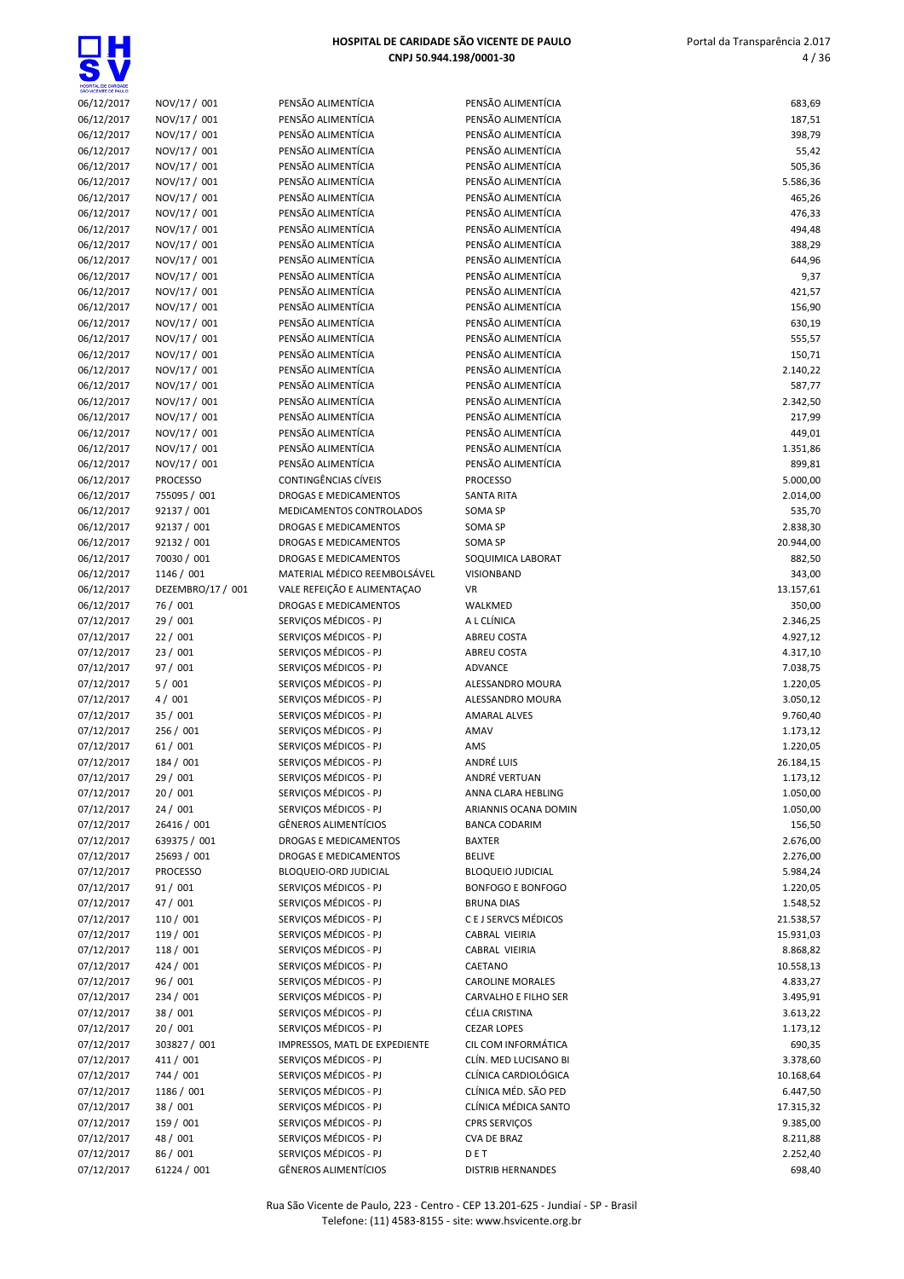$\overline{\mathbf{s}}$ 

| HOSPITAL DE CARIDADE<br>SÃO VICENTE DE PAULO |                   |                                          |                          |           |
|----------------------------------------------|-------------------|------------------------------------------|--------------------------|-----------|
| 06/12/2017                                   | NOV/17 / 001      | PENSÃO ALIMENTÍCIA                       | PENSÃO ALIMENTÍCIA       | 683,69    |
| 06/12/2017                                   | NOV/17 / 001      | PENSÃO ALIMENTÍCIA                       | PENSÃO ALIMENTÍCIA       | 187,51    |
| 06/12/2017                                   | NOV/17 / 001      | PENSÃO ALIMENTÍCIA                       | PENSÃO ALIMENTÍCIA       | 398,79    |
| 06/12/2017                                   | NOV/17 / 001      | PENSÃO ALIMENTÍCIA                       | PENSÃO ALIMENTÍCIA       | 55,42     |
| 06/12/2017                                   | NOV/17 / 001      | PENSÃO ALIMENTÍCIA                       | PENSÃO ALIMENTÍCIA       | 505,36    |
| 06/12/2017                                   | NOV/17 / 001      | PENSÃO ALIMENTÍCIA                       | PENSÃO ALIMENTÍCIA       | 5.586,36  |
| 06/12/2017                                   | NOV/17 / 001      | PENSÃO ALIMENTÍCIA                       | PENSÃO ALIMENTÍCIA       | 465,26    |
| 06/12/2017                                   | NOV/17 / 001      | PENSÃO ALIMENTÍCIA                       | PENSÃO ALIMENTÍCIA       | 476,33    |
| 06/12/2017                                   | NOV/17 / 001      | PENSÃO ALIMENTÍCIA                       | PENSÃO ALIMENTÍCIA       | 494,48    |
| 06/12/2017                                   | NOV/17 / 001      | PENSÃO ALIMENTÍCIA                       | PENSÃO ALIMENTÍCIA       | 388,29    |
| 06/12/2017                                   | NOV/17 / 001      | PENSÃO ALIMENTÍCIA                       | PENSÃO ALIMENTÍCIA       | 644,96    |
| 06/12/2017                                   | NOV/17 / 001      | PENSÃO ALIMENTÍCIA                       | PENSÃO ALIMENTÍCIA       | 9,37      |
| 06/12/2017                                   | NOV/17 / 001      | PENSÃO ALIMENTÍCIA                       | PENSÃO ALIMENTÍCIA       | 421,57    |
| 06/12/2017                                   | NOV/17 / 001      | PENSÃO ALIMENTÍCIA                       | PENSÃO ALIMENTÍCIA       | 156,90    |
| 06/12/2017                                   | NOV/17 / 001      | PENSÃO ALIMENTÍCIA                       | PENSÃO ALIMENTÍCIA       | 630,19    |
| 06/12/2017                                   | NOV/17 / 001      | PENSÃO ALIMENTÍCIA                       | PENSÃO ALIMENTÍCIA       | 555,57    |
| 06/12/2017                                   | NOV/17 / 001      | PENSÃO ALIMENTÍCIA                       | PENSÃO ALIMENTÍCIA       | 150,71    |
| 06/12/2017                                   | NOV/17 / 001      | PENSÃO ALIMENTÍCIA                       | PENSÃO ALIMENTÍCIA       | 2.140,22  |
| 06/12/2017                                   | NOV/17 / 001      | PENSÃO ALIMENTÍCIA                       | PENSÃO ALIMENTÍCIA       | 587,77    |
| 06/12/2017                                   | NOV/17 / 001      | PENSÃO ALIMENTÍCIA                       | PENSÃO ALIMENTÍCIA       | 2.342,50  |
| 06/12/2017                                   | NOV/17 / 001      | PENSÃO ALIMENTÍCIA<br>PENSÃO ALIMENTÍCIA | PENSÃO ALIMENTÍCIA       | 217,99    |
| 06/12/2017                                   | NOV/17 / 001      | PENSÃO ALIMENTÍCIA                       | PENSÃO ALIMENTÍCIA       | 449,01    |
| 06/12/2017                                   | NOV/17 / 001      |                                          | PENSÃO ALIMENTÍCIA       | 1.351,86  |
| 06/12/2017                                   | NOV/17 / 001      | PENSÃO ALIMENTÍCIA                       | PENSÃO ALIMENTÍCIA       | 899,81    |
| 06/12/2017                                   | <b>PROCESSO</b>   | CONTINGÊNCIAS CÍVEIS                     | <b>PROCESSO</b>          | 5.000,00  |
| 06/12/2017                                   | 755095 / 001      | DROGAS E MEDICAMENTOS                    | SANTA RITA               | 2.014,00  |
| 06/12/2017                                   | 92137 / 001       | MEDICAMENTOS CONTROLADOS                 | SOMA SP                  | 535,70    |
| 06/12/2017                                   | 92137 / 001       | DROGAS E MEDICAMENTOS                    | <b>SOMA SP</b>           | 2.838,30  |
| 06/12/2017                                   | 92132 / 001       | DROGAS E MEDICAMENTOS                    | SOMA SP                  | 20.944,00 |
| 06/12/2017                                   | 70030 / 001       | DROGAS E MEDICAMENTOS                    | SOQUIMICA LABORAT        | 882,50    |
| 06/12/2017                                   | 1146 / 001        | MATERIAL MÉDICO REEMBOLSÁVEL             | VISIONBAND               | 343,00    |
| 06/12/2017                                   | DEZEMBRO/17 / 001 | VALE REFEIÇÃO E ALIMENTAÇÃO              | <b>VR</b>                | 13.157,61 |
| 06/12/2017                                   | 76 / 001          | DROGAS E MEDICAMENTOS                    | WALKMED                  | 350,00    |
| 07/12/2017                                   | 29 / 001          | SERVIÇOS MÉDICOS - PJ                    | A L CLÍNICA              | 2.346,25  |
| 07/12/2017                                   | 22/001            | SERVIÇOS MÉDICOS - PJ                    | ABREU COSTA              | 4.927,12  |
| 07/12/2017                                   | 23 / 001          | SERVIÇOS MÉDICOS - PJ                    | <b>ABREU COSTA</b>       | 4.317,10  |
| 07/12/2017                                   | 97 / 001          | SERVIÇOS MÉDICOS - PJ                    | <b>ADVANCE</b>           | 7.038,75  |
| 07/12/2017                                   | 5/001             | SERVIÇOS MÉDICOS - PJ                    | ALESSANDRO MOURA         | 1.220,05  |
| 07/12/2017                                   | 4/001             | SERVICOS MÉDICOS - PJ                    | ALESSANDRO MOURA         | 3.050,12  |
| 07/12/2017                                   | 35 / 001          | SERVIÇOS MÉDICOS - PJ                    | <b>AMARAL ALVES</b>      | 9.760,40  |
| 07/12/2017                                   | 256 / 001         | SERVIÇOS MÉDICOS - PJ                    | AMAV                     | 1.173,12  |
| 07/12/2017                                   | 61 / 001          | SERVIÇOS MÉDICOS - PJ                    | AMS                      | 1.220,05  |
| 07/12/2017                                   | 184 / 001         | SERVICOS MÉDICOS - PJ                    | ANDRÉ LUIS               | 26.184,15 |
| 07/12/2017                                   | 29 / 001          | SERVIÇOS MÉDICOS - PJ                    | ANDRÉ VERTUAN            | 1.173,12  |
| 07/12/2017                                   | 20 / 001          | SERVIÇOS MÉDICOS - PJ                    | ANNA CLARA HEBLING       | 1.050,00  |
| 07/12/2017                                   | 24 / 001          | SERVIÇOS MÉDICOS - PJ                    | ARIANNIS OCANA DOMIN     | 1.050,00  |
| 07/12/2017                                   | 26416 / 001       | GÊNEROS ALIMENTÍCIOS                     | <b>BANCA CODARIM</b>     | 156,50    |
| 07/12/2017                                   | 639375 / 001      | DROGAS E MEDICAMENTOS                    | <b>BAXTER</b>            | 2.676,00  |
| 07/12/2017                                   | 25693 / 001       | DROGAS E MEDICAMENTOS                    | <b>BELIVE</b>            | 2.276,00  |
| 07/12/2017                                   | <b>PROCESSO</b>   | BLOQUEIO-ORD JUDICIAL                    | <b>BLOQUEIO JUDICIAL</b> | 5.984,24  |
| 07/12/2017                                   | 91 / 001          | SERVIÇOS MÉDICOS - PJ                    | <b>BONFOGO E BONFOGO</b> | 1.220,05  |
| 07/12/2017                                   | 47 / 001          | SERVICOS MÉDICOS - PJ                    | <b>BRUNA DIAS</b>        | 1.548,52  |
| 07/12/2017                                   | 110 / 001         | SERVICOS MÉDICOS - PJ                    | C E J SERVCS MÉDICOS     | 21.538,57 |
| 07/12/2017                                   | 119 / 001         | SERVIÇOS MÉDICOS - PJ                    | CABRAL VIEIRIA           | 15.931,03 |
| 07/12/2017                                   | 118 / 001         | SERVICOS MÉDICOS - PJ                    | CABRAL VIEIRIA           | 8.868,82  |
| 07/12/2017                                   | 424 / 001         | SERVIÇOS MÉDICOS - PJ                    | CAETANO                  | 10.558,13 |
| 07/12/2017                                   | 96 / 001          | SERVIÇOS MÉDICOS - PJ                    | <b>CAROLINE MORALES</b>  | 4.833,27  |
| 07/12/2017                                   | 234 / 001         | SERVIÇOS MÉDICOS - PJ                    | CARVALHO E FILHO SER     | 3.495,91  |
| 07/12/2017                                   | 38 / 001          | SERVIÇOS MÉDICOS - PJ                    | CÉLIA CRISTINA           | 3.613,22  |
| 07/12/2017                                   | 20 / 001          | SERVIÇOS MÉDICOS - PJ                    | <b>CEZAR LOPES</b>       | 1.173,12  |
| 07/12/2017                                   | 303827 / 001      | IMPRESSOS, MATL DE EXPEDIENTE            | CIL COM INFORMÁTICA      | 690,35    |
| 07/12/2017                                   | 411 / 001         | SERVIÇOS MÉDICOS - PJ                    | CLÍN. MED LUCISANO BI    | 3.378,60  |
| 07/12/2017                                   | 744 / 001         | SERVIÇOS MÉDICOS - PJ                    | CLÍNICA CARDIOLÓGICA     | 10.168,64 |
| 07/12/2017                                   | 1186 / 001        | SERVIÇOS MÉDICOS - PJ                    | CLÍNICA MÉD. SÃO PED     | 6.447,50  |
| 07/12/2017                                   | 38 / 001          | SERVIÇOS MÉDICOS - PJ                    | CLÍNICA MÉDICA SANTO     | 17.315,32 |
| 07/12/2017                                   | 159 / 001         | SERVIÇOS MÉDICOS - PJ                    | CPRS SERVIÇOS            | 9.385,00  |
| 07/12/2017                                   | 48 / 001          | SERVIÇOS MÉDICOS - PJ                    | CVA DE BRAZ              | 8.211,88  |
| 07/12/2017                                   | 86 / 001          | SERVIÇOS MÉDICOS - PJ                    | DET                      | 2.252,40  |
| 07/12/2017                                   | 61224 / 001       | <b>GÊNEROS ALIMENTÍCIOS</b>              | <b>DISTRIB HERNANDES</b> | 698,40    |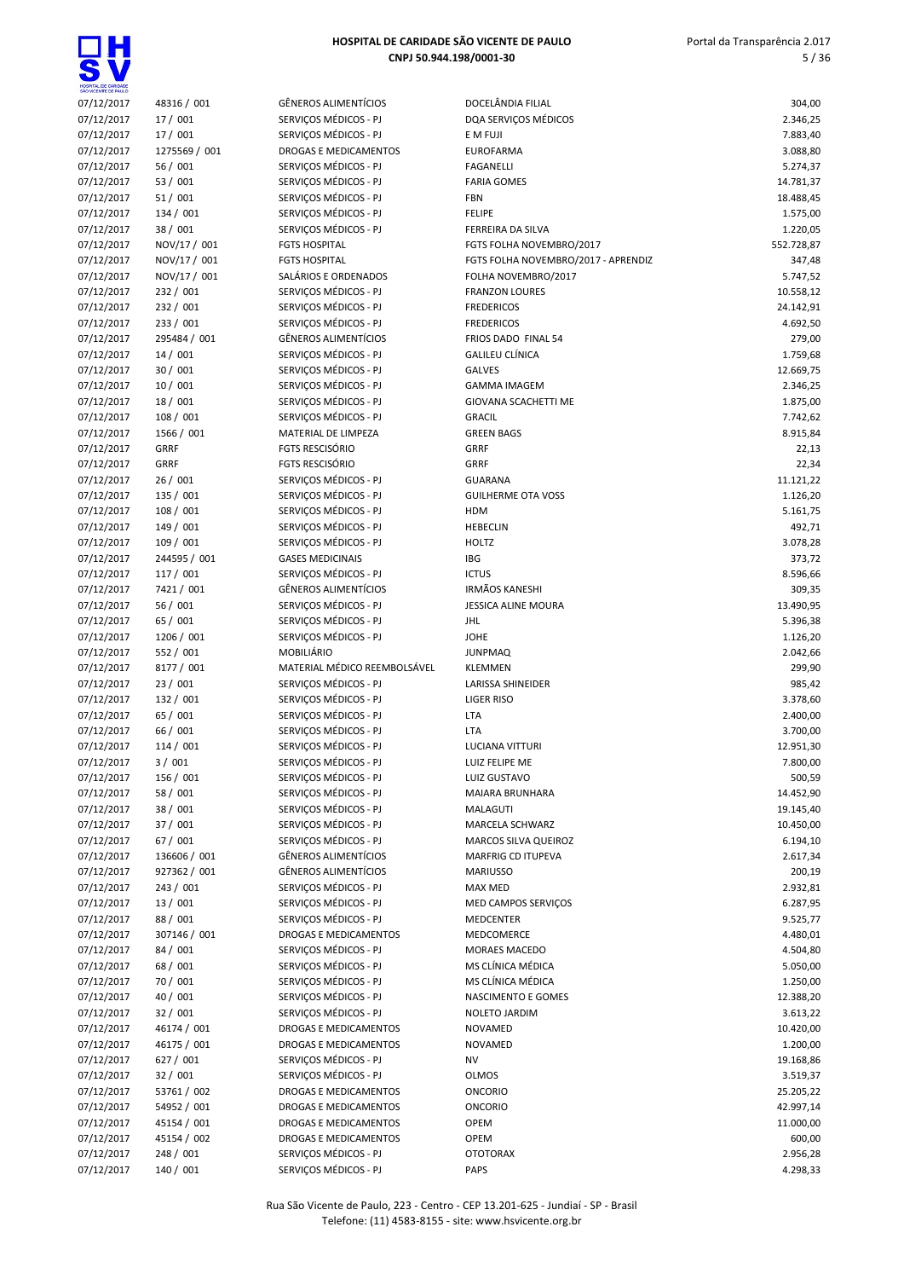$\overline{\bullet}$ 

| HOSPITAL DE CARIDADE<br>SÃO VICENTE DE PAULO |                         |                                                |                                     |                       |
|----------------------------------------------|-------------------------|------------------------------------------------|-------------------------------------|-----------------------|
| 07/12/2017                                   | 48316 / 001             | <b>GÊNEROS ALIMENTÍCIOS</b>                    | DOCELÂNDIA FILIAL                   | 304,00                |
| 07/12/2017                                   | 17 / 001                | SERVIÇOS MÉDICOS - PJ                          | DQA SERVIÇOS MÉDICOS                | 2.346,25              |
| 07/12/2017                                   | 17 / 001                | SERVIÇOS MÉDICOS - PJ                          | E M FUJI                            | 7.883,40              |
| 07/12/2017                                   | 1275569 / 001           | DROGAS E MEDICAMENTOS                          | <b>EUROFARMA</b>                    | 3.088,80              |
| 07/12/2017                                   | 56/001<br>53 / 001      | SERVIÇOS MÉDICOS - PJ                          | <b>FAGANELLI</b>                    | 5.274,37              |
| 07/12/2017                                   |                         | SERVIÇOS MÉDICOS - PJ                          | <b>FARIA GOMES</b>                  | 14.781,37             |
| 07/12/2017<br>07/12/2017                     | 51/001<br>134 / 001     | SERVIÇOS MÉDICOS - PJ<br>SERVIÇOS MÉDICOS - PJ | <b>FBN</b><br><b>FELIPE</b>         | 18.488,45<br>1.575,00 |
| 07/12/2017                                   | 38 / 001                | SERVIÇOS MÉDICOS - PJ                          | <b>FERREIRA DA SILVA</b>            | 1.220,05              |
| 07/12/2017                                   | NOV/17 / 001            | <b>FGTS HOSPITAL</b>                           | FGTS FOLHA NOVEMBRO/2017            | 552.728,87            |
| 07/12/2017                                   | NOV/17 / 001            | <b>FGTS HOSPITAL</b>                           | FGTS FOLHA NOVEMBRO/2017 - APRENDIZ | 347,48                |
| 07/12/2017                                   | NOV/17 / 001            | SALÁRIOS E ORDENADOS                           | FOLHA NOVEMBRO/2017                 | 5.747,52              |
| 07/12/2017                                   | 232 / 001               | SERVIÇOS MÉDICOS - PJ                          | <b>FRANZON LOURES</b>               | 10.558,12             |
| 07/12/2017                                   | 232 / 001               | SERVIÇOS MÉDICOS - PJ                          | <b>FREDERICOS</b>                   | 24.142,91             |
| 07/12/2017                                   | 233 / 001               | SERVIÇOS MÉDICOS - PJ                          | <b>FREDERICOS</b>                   | 4.692,50              |
| 07/12/2017                                   | 295484 / 001            | <b>GÊNEROS ALIMENTÍCIOS</b>                    | FRIOS DADO FINAL 54                 | 279,00                |
| 07/12/2017                                   | 14/001                  | SERVIÇOS MÉDICOS - PJ                          | <b>GALILEU CLÍNICA</b>              | 1.759,68              |
| 07/12/2017                                   | 30/001                  | SERVIÇOS MÉDICOS - PJ                          | <b>GALVES</b>                       | 12.669,75             |
| 07/12/2017                                   | 10/001                  | SERVICOS MÉDICOS - PJ                          | <b>GAMMA IMAGEM</b>                 | 2.346,25              |
| 07/12/2017                                   | 18/001                  | SERVICOS MÉDICOS - PJ                          | GIOVANA SCACHETTI ME                | 1.875,00              |
| 07/12/2017                                   | 108 / 001               | SERVIÇOS MÉDICOS - PJ                          | <b>GRACIL</b>                       | 7.742,62              |
| 07/12/2017                                   | 1566 / 001              | MATERIAL DE LIMPEZA                            | <b>GREEN BAGS</b>                   | 8.915,84              |
| 07/12/2017                                   | GRRF                    | <b>FGTS RESCISÓRIO</b>                         | <b>GRRF</b>                         | 22,13                 |
| 07/12/2017                                   | <b>GRRF</b>             | <b>FGTS RESCISÓRIO</b>                         | <b>GRRF</b>                         | 22,34                 |
| 07/12/2017                                   | 26/001                  | SERVICOS MÉDICOS - PJ                          | <b>GUARANA</b>                      | 11.121,22             |
| 07/12/2017                                   | 135 / 001               | SERVICOS MÉDICOS - PJ                          | <b>GUILHERME OTA VOSS</b>           | 1.126,20              |
| 07/12/2017                                   | 108 / 001               | SERVIÇOS MÉDICOS - PJ                          | <b>HDM</b>                          | 5.161,75              |
| 07/12/2017                                   | 149 / 001               | SERVIÇOS MÉDICOS - PJ                          | <b>HEBECLIN</b>                     | 492,71                |
| 07/12/2017                                   | 109/001                 | SERVIÇOS MÉDICOS - PJ                          | <b>HOLTZ</b>                        | 3.078,28              |
| 07/12/2017                                   | 244595 / 001            | <b>GASES MEDICINAIS</b>                        | <b>IBG</b>                          | 373,72                |
| 07/12/2017                                   | 117 / 001               | SERVIÇOS MÉDICOS - PJ                          | <b>ICTUS</b>                        | 8.596,66              |
| 07/12/2017                                   | 7421 / 001              | <b>GÊNEROS ALIMENTÍCIOS</b>                    | <b>IRMÃOS KANESHI</b>               | 309,35                |
| 07/12/2017                                   | 56 / 001                | SERVIÇOS MÉDICOS - PJ                          | <b>JESSICA ALINE MOURA</b>          | 13.490,95             |
| 07/12/2017                                   | 65 / 001                | SERVIÇOS MÉDICOS - PJ                          | JHL                                 | 5.396,38              |
| 07/12/2017                                   | 1206 / 001              | SERVIÇOS MÉDICOS - PJ<br><b>MOBILIÁRIO</b>     | <b>JOHE</b>                         | 1.126,20              |
| 07/12/2017                                   | 552 / 001<br>8177 / 001 | MATERIAL MÉDICO REEMBOLSÁVEL                   | <b>JUNPMAQ</b><br><b>KLEMMEN</b>    | 2.042,66              |
| 07/12/2017<br>07/12/2017                     | 23/001                  | SERVIÇOS MÉDICOS - PJ                          | <b>LARISSA SHINEIDER</b>            | 299,90<br>985,42      |
| 07/12/2017                                   | 132 / 001               | SERVIÇOS MÉDICOS - PJ                          | LIGER RISO                          | 3.378,60              |
| 07/12/2017                                   | 65 / 001                | SERVICOS MÉDICOS - PJ                          | LTA                                 | 2.400,00              |
| 07/12/2017                                   | 66 / 001                | SERVIÇOS MÉDICOS - PJ                          | LTA                                 | 3.700,00              |
| 07/12/2017                                   | 114/001                 | SERVIÇOS MÉDICOS - PJ                          | <b>LUCIANA VITTURI</b>              | 12.951,30             |
| 07/12/2017                                   | 3/001                   | SERVIÇOS MÉDICOS - PJ                          | LUIZ FELIPE ME                      | 7.800,00              |
| 07/12/2017                                   | 156 / 001               | SERVIÇOS MÉDICOS - PJ                          | LUIZ GUSTAVO                        | 500,59                |
| 07/12/2017                                   | 58 / 001                | SERVIÇOS MÉDICOS - PJ                          | MAIARA BRUNHARA                     | 14.452,90             |
| 07/12/2017                                   | 38 / 001                | SERVIÇOS MÉDICOS - PJ                          | MALAGUTI                            | 19.145,40             |
| 07/12/2017                                   | 37 / 001                | SERVICOS MÉDICOS - PJ                          | MARCELA SCHWARZ                     | 10.450,00             |
| 07/12/2017                                   | 67 / 001                | SERVICOS MÉDICOS - PJ                          | MARCOS SILVA QUEIROZ                | 6.194,10              |
| 07/12/2017                                   | 136606 / 001            | GÊNEROS ALIMENTÍCIOS                           | MARFRIG CD ITUPEVA                  | 2.617,34              |
| 07/12/2017                                   | 927362 / 001            | GÊNEROS ALIMENTÍCIOS                           | <b>MARIUSSO</b>                     | 200,19                |
| 07/12/2017                                   | 243 / 001               | SERVIÇOS MÉDICOS - PJ                          | MAX MED                             | 2.932,81              |
| 07/12/2017                                   | 13/001                  | SERVICOS MÉDICOS - PJ                          | MED CAMPOS SERVIÇOS                 | 6.287,95              |
| 07/12/2017                                   | 88 / 001                | SERVICOS MÉDICOS - PJ                          | MEDCENTER                           | 9.525,77              |
| 07/12/2017                                   | 307146 / 001            | <b>DROGAS E MEDICAMENTOS</b>                   | MEDCOMERCE                          | 4.480,01              |
| 07/12/2017                                   | 84 / 001                | SERVIÇOS MÉDICOS - PJ                          | <b>MORAES MACEDO</b>                | 4.504,80              |
| 07/12/2017                                   | 68 / 001                | SERVIÇOS MÉDICOS - PJ                          | MS CLÍNICA MÉDICA                   | 5.050,00              |
| 07/12/2017                                   | 70 / 001                | SERVIÇOS MÉDICOS - PJ                          | MS CLÍNICA MÉDICA                   | 1.250,00              |
| 07/12/2017                                   | 40 / 001                | SERVIÇOS MÉDICOS - PJ                          | NASCIMENTO E GOMES                  | 12.388,20             |
| 07/12/2017                                   | 32 / 001                | SERVIÇOS MÉDICOS - PJ                          | <b>NOLETO JARDIM</b>                | 3.613,22              |
| 07/12/2017                                   | 46174 / 001             | DROGAS E MEDICAMENTOS                          | <b>NOVAMED</b>                      | 10.420,00             |
| 07/12/2017                                   | 46175 / 001             | DROGAS E MEDICAMENTOS                          | NOVAMED                             | 1.200,00              |
| 07/12/2017                                   | 627/001                 | SERVIÇOS MÉDICOS - PJ                          | NV                                  | 19.168,86             |
| 07/12/2017                                   | 32 / 001                | SERVIÇOS MÉDICOS - PJ                          | OLMOS                               | 3.519,37              |
| 07/12/2017                                   | 53761 / 002             | DROGAS E MEDICAMENTOS                          | <b>ONCORIO</b>                      | 25.205,22             |
| 07/12/2017                                   | 54952 / 001             | DROGAS E MEDICAMENTOS                          | <b>ONCORIO</b>                      | 42.997,14             |
| 07/12/2017                                   | 45154 / 001             | DROGAS E MEDICAMENTOS                          | <b>OPEM</b>                         | 11.000,00             |
| 07/12/2017                                   | 45154 / 002             | DROGAS E MEDICAMENTOS                          | <b>OPEM</b>                         | 600,00                |
| 07/12/2017                                   | 248 / 001               | SERVIÇOS MÉDICOS - PJ                          | <b>OTOTORAX</b>                     | 2.956,28              |
| 07/12/2017                                   | 140 / 001               | SERVIÇOS MÉDICOS - PJ                          | <b>PAPS</b>                         | 4.298,33              |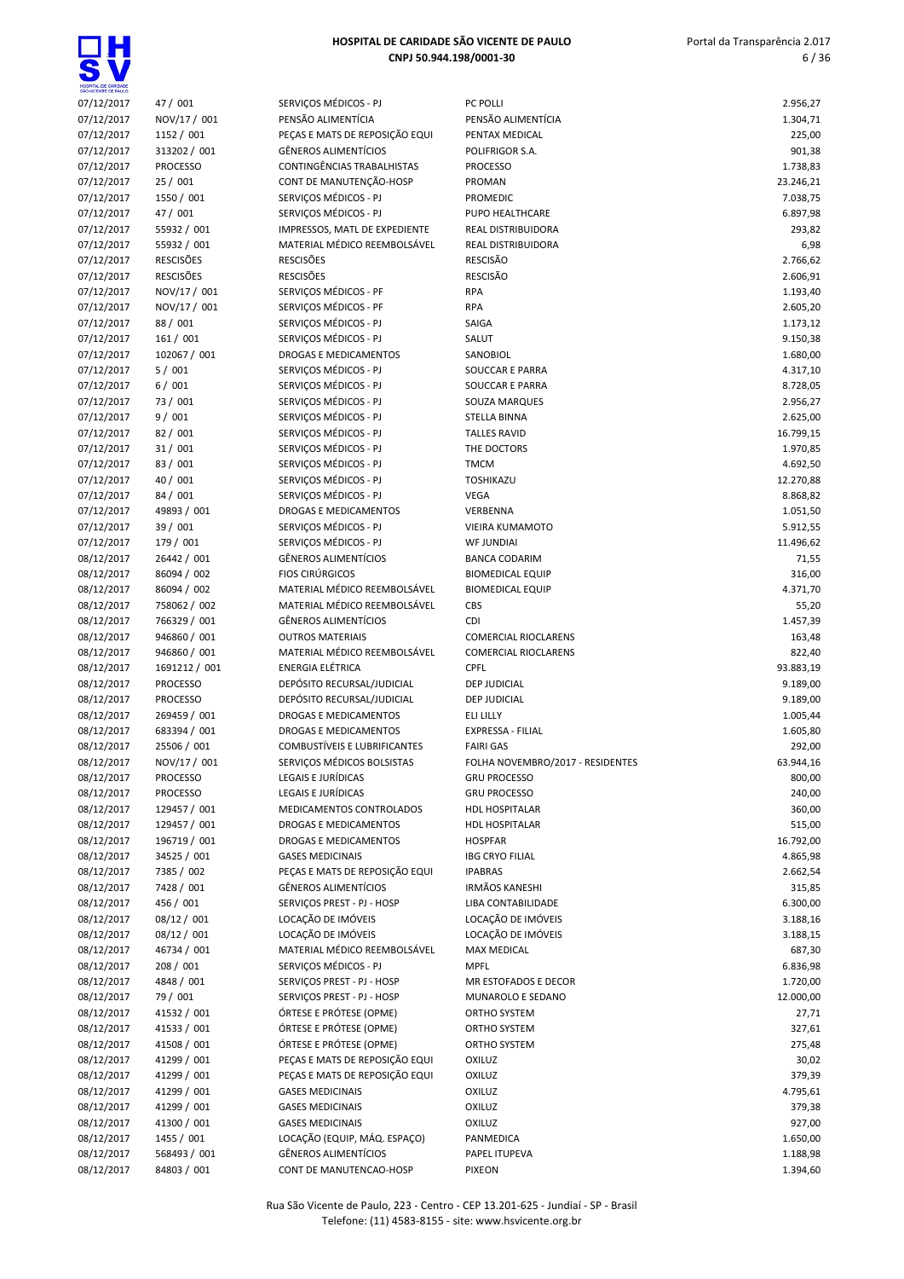

| ERVIÇOS MÉDICOS - PJ                |
|-------------------------------------|
| ENSÃO ALIMENTÍCIA                   |
| EÇAS E MATS DE REPOSIÇÃO EQUI       |
| ÊNEROS ALIMENTÍCIOS                 |
|                                     |
| ONTINGÊNCIAS TRABALHISTAS           |
| ONT DE MANUTENÇÃO-HOSP              |
| ERVIÇOS MÉDICOS - PJ                |
| ERVIÇOS MÉDICOS - PJ                |
|                                     |
| <b>APRESSOS, MATL DE EXPEDIENTE</b> |
| IATERIAL MÉDICO REEMBOLSÁVEL        |
| ESCISÕES                            |
|                                     |
| ESCISÕES                            |
| <b>ERVICOS MÉDICOS - PF</b>         |
| <b>ERVIÇOS MÉDICOS - PF</b>         |
| ERVIÇOS MÉDICOS - PJ                |
|                                     |
| ERVIÇOS MÉDICOS - PJ                |
| ROGAS E MEDICAMENTOS                |
| <b>ERVIÇOS MÉDICOS - PJ</b>         |
| ERVIÇOS MÉDICOS - PJ                |
|                                     |
| ERVIÇOS MÉDICOS - PJ                |
| ERVIÇOS MÉDICOS - PJ                |
| <b>ERVICOS MÉDICOS - PJ</b>         |
| ERVIÇOS MÉDICOS - PJ                |
|                                     |
| ERVIÇOS MÉDICOS - PJ                |
| ERVIÇOS MÉDICOS - PJ                |
| <b>ERVICOS MÉDICOS - PJ</b>         |
|                                     |
| ROGAS E MEDICAMENTOS                |
| <b>ERVICOS MÉDICOS - PJ</b>         |
| ERVIÇOS MÉDICOS - PJ                |
| ÊNEROS ALIMENTÍCIOS                 |
|                                     |
| OS CIRÚRGICOS                       |
| IATERIAL MÉDICO REEMBOLSÁVEL        |
| <b>ATERIAL MÉDICO REEMBOLSÁVEL</b>  |
| ÊNEROS ALIMENTÍCIOS                 |
|                                     |
| UTROS MATERIAIS                     |
| ATERIAL MÉDICO REEMBOLSÁVEL         |
| <b>VERGIA ELÉTRICA</b>              |
| EPÓSITO RECURSAL/JUDICIAL           |
|                                     |
| EPÓSITO RECURSAL/JUDICIAL           |
| ROGAS E MEDICAMENTOS                |
| ROGAS E MEDICAMENTOS                |
| OMBUSTÍVEIS E LUBRIFICANTES         |
|                                     |
| <b>ERVIÇOS MÉDICOS BOLSISTAS</b>    |
| GAIS E JURÍDICAS                    |
| GAIS E JURÍDICAS:                   |
|                                     |
| <b>EDICAMENTOS CONTROLADOS</b>      |
| ROGAS E MEDICAMENTOS                |
| ROGAS E MEDICAMENTOS                |
| <b>ASES MEDICINAIS</b>              |
|                                     |
| ECAS E MATS DE REPOSIÇÃO EQUI       |
| ÊNEROS ALIMENTÍCIOS                 |
| <b>RVIÇOS PREST - PJ - HOSP</b>     |
| )CAÇÃO DE IMÓVEIS                   |
| )CAÇÃO DE IMÓVEIS                   |
|                                     |
| IATERIAL MÉDICO REEMBOLSÁVEL        |
| ERVIÇOS MÉDICOS - PJ                |
| <b>ERVIÇOS PREST - PJ - HOSP</b>    |
|                                     |
| <b>ERVIÇOS PREST - PJ - HOSP</b>    |
| RTESE E PRÓTESE (OPME)              |
| RTESE E PRÓTESE (OPME)              |
| RTESE E PRÓTESE (OPME)              |
|                                     |
| EÇAS E MATS DE REPOSIÇÃO EQUI       |
| EÇAS E MATS DE REPOSIÇÃO EQUI       |
| <b>ASES MEDICINAIS</b>              |
| <b>ASES MEDICINAIS</b>              |
| <b>ASES MEDICINAIS</b>              |
|                                     |
| )CAÇÃO (EQUIP, MÁQ. ESPAÇO)         |
| ÊNEROS ALIMENTÍCIOS                 |
|                                     |

| SHO WOENTE DE PAULO      |                             |                                                 |                                  |                      |
|--------------------------|-----------------------------|-------------------------------------------------|----------------------------------|----------------------|
| 07/12/2017               | 47 / 001                    | SERVIÇOS MÉDICOS - PJ                           | PC POLLI                         | 2.956,27             |
| 07/12/2017               | NOV/17 / 001                | PENSÃO ALIMENTÍCIA                              | PENSÃO ALIMENTÍCIA               | 1.304,71             |
| 07/12/2017               | 1152 / 001                  | PECAS E MATS DE REPOSIÇÃO EQUI                  | PENTAX MEDICAL                   | 225,00               |
| 07/12/2017               | 313202 / 001                | <b>GÊNEROS ALIMENTÍCIOS</b>                     | POLIFRIGOR S.A.                  | 901,38               |
| 07/12/2017               | <b>PROCESSO</b>             | CONTINGÊNCIAS TRABALHISTAS                      | <b>PROCESSO</b>                  | 1.738,83             |
| 07/12/2017               | 25/001                      | CONT DE MANUTENÇÃO-HOSP                         | PROMAN                           | 23.246,21            |
| 07/12/2017               | 1550 / 001                  | SERVICOS MÉDICOS - PJ                           | <b>PROMEDIC</b>                  | 7.038,75             |
| 07/12/2017               | 47 / 001                    | SERVIÇOS MÉDICOS - PJ                           | PUPO HEALTHCARE                  | 6.897,98             |
|                          |                             |                                                 |                                  |                      |
| 07/12/2017               | 55932 / 001                 | IMPRESSOS, MATL DE EXPEDIENTE                   | REAL DISTRIBUIDORA               | 293,82               |
| 07/12/2017               | 55932 / 001                 | MATERIAL MÉDICO REEMBOLSÁVEL                    | REAL DISTRIBUIDORA               | 6,98                 |
| 07/12/2017               | <b>RESCISÕES</b>            | <b>RESCISÕES</b>                                | <b>RESCISÃO</b>                  | 2.766,62             |
| 07/12/2017               | <b>RESCISÕES</b>            | <b>RESCISÕES</b>                                | <b>RESCISÃO</b>                  | 2.606,91             |
| 07/12/2017               | NOV/17 / 001                | SERVIÇOS MÉDICOS - PF                           | <b>RPA</b>                       | 1.193,40             |
| 07/12/2017               | NOV/17 / 001                | SERVIÇOS MÉDICOS - PF                           | <b>RPA</b>                       | 2.605,20             |
| 07/12/2017               | 88 / 001                    | SERVIÇOS MÉDICOS - PJ                           | SAIGA                            | 1.173,12             |
| 07/12/2017               | 161 / 001                   | SERVIÇOS MÉDICOS - PJ                           | SALUT                            | 9.150,38             |
| 07/12/2017               | 102067 / 001                | DROGAS E MEDICAMENTOS                           | SANOBIOL                         | 1.680,00             |
| 07/12/2017               | 5/001                       | SERVIÇOS MÉDICOS - PJ                           | SOUCCAR E PARRA                  | 4.317,10             |
| 07/12/2017               | 6/001                       | SERVIÇOS MÉDICOS - PJ                           | SOUCCAR E PARRA                  | 8.728,05             |
| 07/12/2017               | 73 / 001                    | SERVICOS MÉDICOS - PJ                           | SOUZA MARQUES                    | 2.956,27             |
| 07/12/2017               | 9/001                       | SERVICOS MÉDICOS - PJ                           | <b>STELLA BINNA</b>              | 2.625,00             |
| 07/12/2017               | 82 / 001                    | SERVIÇOS MÉDICOS - PJ                           | <b>TALLES RAVID</b>              | 16.799,15            |
| 07/12/2017               | 31/001                      | SERVIÇOS MÉDICOS - PJ                           | THE DOCTORS                      | 1.970,85             |
| 07/12/2017               | 83 / 001                    | SERVIÇOS MÉDICOS - PJ                           | <b>TMCM</b>                      | 4.692,50             |
| 07/12/2017               | 40 / 001                    | SERVIÇOS MÉDICOS - PJ                           | <b>TOSHIKAZU</b>                 |                      |
|                          |                             |                                                 |                                  | 12.270,88            |
| 07/12/2017               | 84 / 001                    | SERVIÇOS MÉDICOS - PJ                           | <b>VEGA</b>                      | 8.868,82             |
| 07/12/2017               | 49893 / 001                 | DROGAS E MEDICAMENTOS                           | VERBENNA                         | 1.051,50             |
| 07/12/2017               | 39 / 001                    | SERVIÇOS MÉDICOS - PJ                           | VIEIRA KUMAMOTO                  | 5.912,55             |
| 07/12/2017               | 179 / 001                   | SERVIÇOS MÉDICOS - PJ                           | <b>WF JUNDIAI</b>                | 11.496,62            |
| 08/12/2017               | 26442 / 001                 | <b>GÊNEROS ALIMENTÍCIOS</b>                     | <b>BANCA CODARIM</b>             | 71,55                |
| 08/12/2017               | 86094 / 002                 | <b>FIOS CIRÚRGICOS</b>                          | <b>BIOMEDICAL EQUIP</b>          | 316,00               |
| 08/12/2017               | 86094 / 002                 | MATERIAL MÉDICO REEMBOLSÁVEL                    | <b>BIOMEDICAL EQUIP</b>          | 4.371,70             |
| 08/12/2017               | 758062 / 002                | MATERIAL MÉDICO REEMBOLSÁVEL                    | CBS                              | 55,20                |
| 08/12/2017               | 766329 / 001                | <b>GÊNEROS ALIMENTÍCIOS</b>                     | <b>CDI</b>                       | 1.457,39             |
| 08/12/2017               | 946860 / 001                | <b>OUTROS MATERIAIS</b>                         | <b>COMERCIAL RIOCLARENS</b>      | 163,48               |
| 08/12/2017               | 946860 / 001                | MATERIAL MÉDICO REEMBOLSÁVEL                    | <b>COMERCIAL RIOCLARENS</b>      | 822,40               |
| 08/12/2017               | 1691212 / 001               | <b>ENERGIA ELÉTRICA</b>                         | CPFL                             | 93.883,19            |
| 08/12/2017               | <b>PROCESSO</b>             | DEPÓSITO RECURSAL/JUDICIAL                      | <b>DEP JUDICIAL</b>              | 9.189,00             |
|                          |                             |                                                 |                                  |                      |
| 08/12/2017               | <b>PROCESSO</b>             | DEPÓSITO RECURSAL/JUDICIAL                      | <b>DEP JUDICIAL</b>              | 9.189,00             |
| 08/12/2017               | 269459 / 001                | DROGAS E MEDICAMENTOS                           | <b>ELI LILLY</b>                 | 1.005,44             |
| 08/12/2017               | 683394 / 001                | DROGAS E MEDICAMENTOS                           | EXPRESSA - FILIAL                | 1.605,80             |
| 08/12/2017               | 25506 / 001                 | COMBUSTÍVEIS E LUBRIFICANTES                    | <b>FAIRI GAS</b>                 | 292,00               |
| 08/12/2017               | NOV/17 / 001                | SERVICOS MÉDICOS BOLSISTAS                      | FOLHA NOVEMBRO/2017 - RESIDENTES | 63.944,16            |
| 08/12/2017               | PROCESSO                    | LEGAIS E JURÍDICAS                              | <b>GRU PROCESSO</b>              | 800,00               |
| 08/12/2017               | <b>PROCESSO</b>             | LEGAIS E JURÍDICAS                              | <b>GRU PROCESSO</b>              | 240,00               |
| 08/12/2017               | 129457 / 001                | MEDICAMENTOS CONTROLADOS                        | <b>HDL HOSPITALAR</b>            | 360,00               |
| 08/12/2017               | 129457 / 001                | DROGAS E MEDICAMENTOS                           | <b>HDL HOSPITALAR</b>            | 515,00               |
| 08/12/2017               | 196719 / 001                | DROGAS E MEDICAMENTOS                           | <b>HOSPFAR</b>                   | 16.792,00            |
| 08/12/2017               | 34525 / 001                 | <b>GASES MEDICINAIS</b>                         | <b>IBG CRYO FILIAL</b>           | 4.865,98             |
| 08/12/2017               | 7385 / 002                  | PEÇAS E MATS DE REPOSIÇÃO EQUI                  | <b>IPABRAS</b>                   | 2.662,54             |
| 08/12/2017               | 7428 / 001                  | GÊNEROS ALIMENTÍCIOS                            | <b>IRMÃOS KANESHI</b>            | 315,85               |
| 08/12/2017               | 456 / 001                   | SERVIÇOS PREST - PJ - HOSP                      | LIBA CONTABILIDADE               | 6.300,00             |
|                          |                             |                                                 |                                  |                      |
| 08/12/2017               | 08/12 / 001                 | LOCAÇÃO DE IMÓVEIS                              | LOCAÇÃO DE IMÓVEIS               | 3.188,16             |
| 08/12/2017               | 08/12 / 001                 | LOCAÇÃO DE IMÓVEIS                              | LOCAÇÃO DE IMÓVEIS               | 3.188,15             |
| 08/12/2017               | 46734 / 001                 | MATERIAL MÉDICO REEMBOLSÁVEL                    | <b>MAX MEDICAL</b>               | 687,30               |
| 08/12/2017               | 208 / 001                   | SERVICOS MÉDICOS - PJ                           | <b>MPFL</b>                      | 6.836,98             |
| 08/12/2017               | 4848 / 001                  | SERVIÇOS PREST - PJ - HOSP                      | MR ESTOFADOS E DECOR             | 1.720,00             |
| 08/12/2017               | 79 / 001                    | SERVIÇOS PREST - PJ - HOSP                      | MUNAROLO E SEDANO                | 12.000,00            |
| 08/12/2017               | 41532 / 001                 | ÓRTESE E PRÓTESE (OPME)                         | ORTHO SYSTEM                     | 27,71                |
| 08/12/2017               | 41533 / 001                 | ÓRTESE E PRÓTESE (OPME)                         | ORTHO SYSTEM                     | 327,61               |
| 08/12/2017               | 41508 / 001                 | ÓRTESE E PRÓTESE (OPME)                         | ORTHO SYSTEM                     | 275,48               |
| 08/12/2017               | 41299 / 001                 | PEÇAS E MATS DE REPOSIÇÃO EQUI                  | <b>OXILUZ</b>                    | 30,02                |
| 08/12/2017               | 41299 / 001                 | PEÇAS E MATS DE REPOSIÇÃO EQUI                  | <b>OXILUZ</b>                    | 379,39               |
| 08/12/2017               | 41299 / 001                 | <b>GASES MEDICINAIS</b>                         | <b>OXILUZ</b>                    | 4.795,61             |
| 08/12/2017               | 41299 / 001                 | <b>GASES MEDICINAIS</b>                         | <b>OXILUZ</b>                    | 379,38               |
| 08/12/2017               | 41300 / 001                 | <b>GASES MEDICINAIS</b>                         | <b>OXILUZ</b>                    | 927,00               |
|                          | 1455 / 001                  | LOCAÇÃO (EQUIP, MÁQ. ESPAÇO)                    | PANMEDICA                        | 1.650,00             |
| 08/12/2017               |                             |                                                 |                                  |                      |
| 08/12/2017<br>08/12/2017 | 568493 / 001<br>84803 / 001 | GÊNEROS ALIMENTÍCIOS<br>CONT DE MANUTENCAO-HOSP | PAPEL ITUPEVA<br><b>PIXFON</b>   | 1.188,98<br>1.394.60 |
|                          |                             |                                                 |                                  |                      |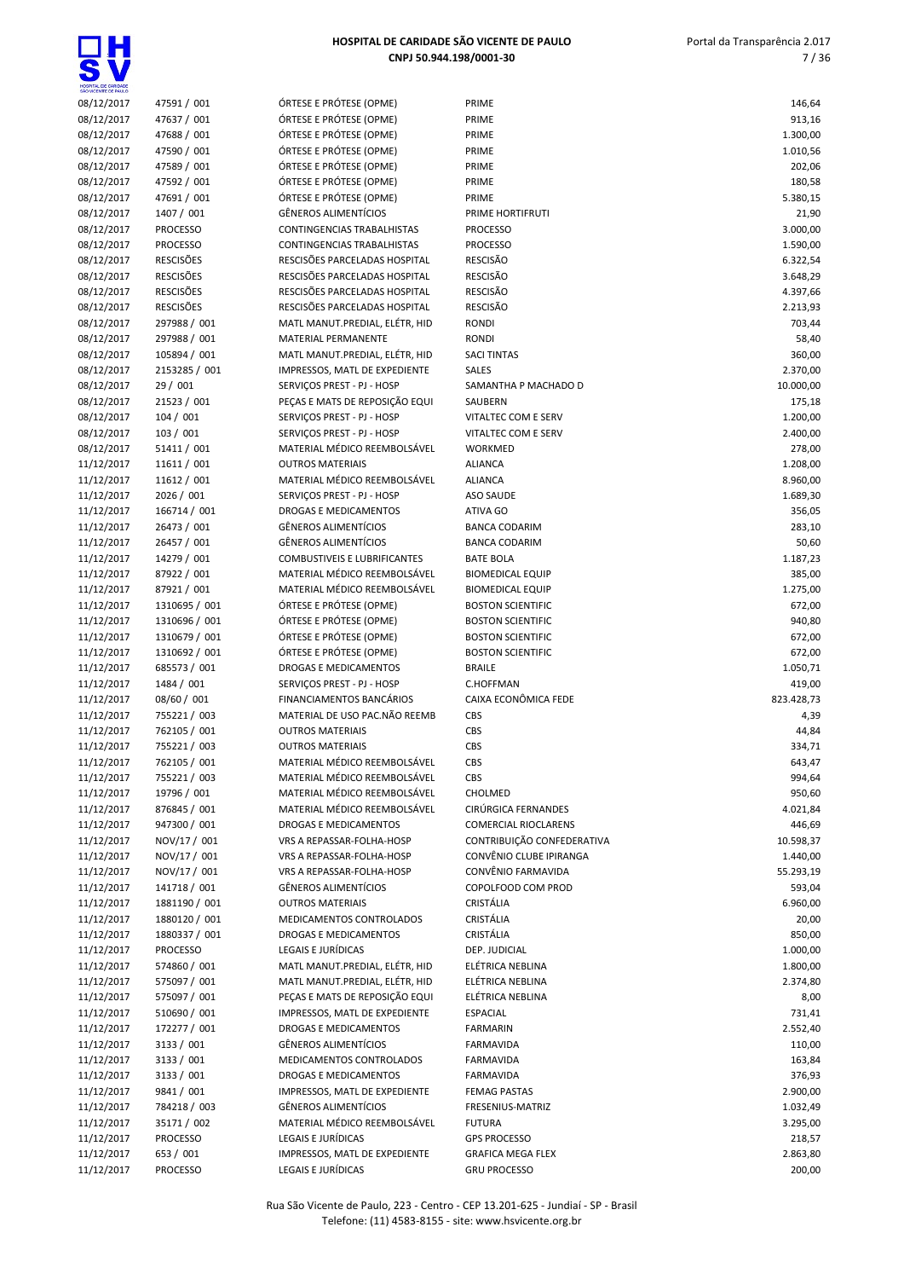

| SÃO VICENTE DE PAULO     |                            |                                                         |                                  |                      |
|--------------------------|----------------------------|---------------------------------------------------------|----------------------------------|----------------------|
| 08/12/2017               | 47591 / 001                | ÓRTESE E PRÓTESE (OPME)                                 | PRIME                            | 146,64               |
| 08/12/2017               | 47637 / 001                | ÓRTESE E PRÓTESE (OPME)                                 | PRIME                            | 913,16               |
| 08/12/2017               | 47688 / 001                | ÓRTESE E PRÓTESE (OPME)                                 | PRIME                            | 1.300,00             |
| 08/12/2017               | 47590 / 001                | ÓRTESE E PRÓTESE (OPME)                                 | PRIME                            | 1.010,56             |
| 08/12/2017<br>08/12/2017 | 47589 / 001<br>47592 / 001 | ÓRTESE E PRÓTESE (OPME)<br>ÓRTESE E PRÓTESE (OPME)      | PRIME<br>PRIME                   | 202,06<br>180,58     |
| 08/12/2017               | 47691 / 001                | ÓRTESE E PRÓTESE (OPME)                                 | PRIME                            | 5.380,15             |
| 08/12/2017               | 1407 / 001                 | <b>GÊNEROS ALIMENTÍCIOS</b>                             | PRIME HORTIFRUTI                 | 21,90                |
| 08/12/2017               | PROCESSO                   | CONTINGENCIAS TRABALHISTAS                              | <b>PROCESSO</b>                  | 3.000,00             |
| 08/12/2017               | <b>PROCESSO</b>            | CONTINGENCIAS TRABALHISTAS                              | <b>PROCESSO</b>                  | 1.590,00             |
| 08/12/2017               | <b>RESCISÕES</b>           | RESCISÕES PARCELADAS HOSPITAL                           | <b>RESCISÃO</b>                  | 6.322,54             |
| 08/12/2017               | <b>RESCISÕES</b>           | RESCISÕES PARCELADAS HOSPITAL                           | <b>RESCISÃO</b>                  | 3.648,29             |
| 08/12/2017               | <b>RESCISÕES</b>           | RESCISÕES PARCELADAS HOSPITAL                           | <b>RESCISÃO</b>                  | 4.397,66             |
| 08/12/2017               | <b>RESCISÕES</b>           | RESCISÕES PARCELADAS HOSPITAL                           | RESCISÃO                         | 2.213,93             |
| 08/12/2017               | 297988 / 001               | MATL MANUT.PREDIAL, ELÉTR, HID                          | <b>RONDI</b>                     | 703,44               |
| 08/12/2017               | 297988 / 001               | MATERIAL PERMANENTE                                     | <b>RONDI</b>                     | 58,40                |
| 08/12/2017               | 105894 / 001               | MATL MANUT.PREDIAL, ELÉTR, HID                          | <b>SACI TINTAS</b>               | 360,00               |
| 08/12/2017               | 2153285 / 001              | IMPRESSOS, MATL DE EXPEDIENTE                           | <b>SALES</b>                     | 2.370,00             |
| 08/12/2017               | 29 / 001                   | SERVIÇOS PREST - PJ - HOSP                              | SAMANTHA P MACHADO D             | 10.000,00            |
| 08/12/2017               | 21523 / 001                | PEÇAS E MATS DE REPOSIÇÃO EQUI                          | SAUBERN                          | 175,18               |
| 08/12/2017               | 104 / 001                  | SERVIÇOS PREST - PJ - HOSP                              | VITALTEC COM E SERV              | 1.200,00             |
| 08/12/2017               | 103 / 001                  | SERVICOS PREST - PJ - HOSP                              | VITALTEC COM E SERV              | 2.400,00             |
| 08/12/2017               | 51411 / 001                | MATERIAL MÉDICO REEMBOLSÁVEL                            | WORKMED                          | 278,00               |
| 11/12/2017<br>11/12/2017 | 11611 / 001<br>11612 / 001 | <b>OUTROS MATERIAIS</b><br>MATERIAL MÉDICO REEMBOLSÁVEL | <b>ALIANCA</b><br><b>ALIANCA</b> | 1.208,00<br>8.960,00 |
| 11/12/2017               | 2026 / 001                 | SERVIÇOS PREST - PJ - HOSP                              | ASO SAUDE                        | 1.689,30             |
| 11/12/2017               | 166714 / 001               | DROGAS E MEDICAMENTOS                                   | ATIVA GO                         | 356,05               |
| 11/12/2017               | 26473 / 001                | <b>GÊNEROS ALIMENTÍCIOS</b>                             | <b>BANCA CODARIM</b>             | 283,10               |
| 11/12/2017               | 26457 / 001                | <b>GÊNEROS ALIMENTÍCIOS</b>                             | <b>BANCA CODARIM</b>             | 50,60                |
| 11/12/2017               | 14279 / 001                | <b>COMBUSTIVEIS E LUBRIFICANTES</b>                     | <b>BATE BOLA</b>                 | 1.187,23             |
| 11/12/2017               | 87922 / 001                | MATERIAL MÉDICO REEMBOLSÁVEL                            | <b>BIOMEDICAL EQUIP</b>          | 385,00               |
| 11/12/2017               | 87921 / 001                | MATERIAL MÉDICO REEMBOLSÁVEL                            | <b>BIOMEDICAL EQUIP</b>          | 1.275,00             |
| 11/12/2017               | 1310695 / 001              | ÓRTESE E PRÓTESE (OPME)                                 | <b>BOSTON SCIENTIFIC</b>         | 672,00               |
| 11/12/2017               | 1310696 / 001              | ÓRTESE E PRÓTESE (OPME)                                 | <b>BOSTON SCIENTIFIC</b>         | 940,80               |
| 11/12/2017               | 1310679 / 001              | ÓRTESE E PRÓTESE (OPME)                                 | <b>BOSTON SCIENTIFIC</b>         | 672,00               |
| 11/12/2017               | 1310692 / 001              | ÓRTESE E PRÓTESE (OPME)                                 | <b>BOSTON SCIENTIFIC</b>         | 672,00               |
| 11/12/2017               | 685573 / 001               | DROGAS E MEDICAMENTOS                                   | <b>BRAILE</b>                    | 1.050,71             |
| 11/12/2017               | 1484 / 001                 | SERVIÇOS PREST - PJ - HOSP                              | C.HOFFMAN                        | 419,00               |
| 11/12/2017               | 08/60 / 001                | FINANCIAMENTOS BANCÁRIOS                                | CAIXA ECONÔMICA FEDE             | 823.428,73           |
| 11/12/2017               | 755221/003                 | MATERIAL DE USO PAC.NÃO REEMB                           | CBS                              | 4,39                 |
| 11/12/2017<br>11/12/2017 | 762105 / 001<br>755221/003 | <b>OUTROS MATERIAIS</b><br><b>OUTROS MATERIAIS</b>      | CBS<br>CBS                       | 44,84<br>334,71      |
| 11/12/2017               | 762105 / 001               | MATERIAL MÉDICO REEMBOLSÁVEL                            | CBS                              | 643,47               |
| 11/12/2017               | 755221/003                 | MATERIAL MÉDICO REEMBOLSÁVEL                            | CBS                              | 994,64               |
| 11/12/2017               | 19796 / 001                | MATERIAL MÉDICO REEMBOLSÁVEL                            | CHOLMED                          | 950,60               |
| 11/12/2017               | 876845 / 001               | MATERIAL MÉDICO REEMBOLSÁVEL                            | CIRÚRGICA FERNANDES              | 4.021,84             |
| 11/12/2017               | 947300 / 001               | DROGAS E MEDICAMENTOS                                   | <b>COMERCIAL RIOCLARENS</b>      | 446,69               |
| 11/12/2017               | NOV/17 / 001               | VRS A REPASSAR-FOLHA-HOSP                               | CONTRIBUIÇÃO CONFEDERATIVA       | 10.598,37            |
| 11/12/2017               | NOV/17 / 001               | VRS A REPASSAR-FOLHA-HOSP                               | CONVÊNIO CLUBE IPIRANGA          | 1.440,00             |
| 11/12/2017               | NOV/17 / 001               | VRS A REPASSAR-FOLHA-HOSP                               | CONVÊNIO FARMAVIDA               | 55.293,19            |
| 11/12/2017               | 141718 / 001               | <b>GÊNEROS ALIMENTÍCIOS</b>                             | COPOLFOOD COM PROD               | 593,04               |
| 11/12/2017               | 1881190 / 001              | <b>OUTROS MATERIAIS</b>                                 | CRISTÁLIA                        | 6.960,00             |
| 11/12/2017               | 1880120 / 001              | MEDICAMENTOS CONTROLADOS                                | CRISTÁLIA                        | 20,00                |
| 11/12/2017               | 1880337 / 001              | DROGAS E MEDICAMENTOS                                   | CRISTÁLIA                        | 850,00               |
| 11/12/2017               | <b>PROCESSO</b>            | LEGAIS E JURÍDICAS                                      | DEP. JUDICIAL                    | 1.000,00             |
| 11/12/2017               | 574860 / 001               | MATL MANUT.PREDIAL, ELÉTR, HID                          | ELÉTRICA NEBLINA                 | 1.800,00             |
| 11/12/2017               | 575097 / 001               | MATL MANUT.PREDIAL, ELÉTR, HID                          | ELÉTRICA NEBLINA                 | 2.374,80             |
| 11/12/2017               | 575097 / 001               | PEÇAS E MATS DE REPOSIÇÃO EQUI                          | ELÉTRICA NEBLINA                 | 8,00                 |
| 11/12/2017               | 510690 / 001               | IMPRESSOS, MATL DE EXPEDIENTE                           | <b>ESPACIAL</b>                  | 731,41               |
| 11/12/2017               | 172277 / 001               | DROGAS E MEDICAMENTOS                                   | <b>FARMARIN</b>                  | 2.552,40             |
| 11/12/2017<br>11/12/2017 | 3133 / 001<br>3133 / 001   | <b>GËNEROS ALIMENTÍCIOS</b><br>MEDICAMENTOS CONTROLADOS | FARMAVIDA<br>FARMAVIDA           | 110,00<br>163,84     |
| 11/12/2017               | 3133 / 001                 | DROGAS E MEDICAMENTOS                                   | FARMAVIDA                        | 376,93               |
| 11/12/2017               | 9841 / 001                 | IMPRESSOS, MATL DE EXPEDIENTE                           | <b>FEMAG PASTAS</b>              | 2.900,00             |
| 11/12/2017               | 784218 / 003               | <b>GÊNEROS ALIMENTÍCIOS</b>                             | FRESENIUS-MATRIZ                 | 1.032,49             |
| 11/12/2017               | 35171 / 002                | MATERIAL MÉDICO REEMBOLSÁVEL                            | <b>FUTURA</b>                    | 3.295,00             |
| 11/12/2017               | <b>PROCESSO</b>            | LEGAIS E JURÍDICAS                                      | <b>GPS PROCESSO</b>              | 218,57               |
| 11/12/2017               | 653 / 001                  | IMPRESSOS, MATL DE EXPEDIENTE                           | <b>GRAFICA MEGA FLEX</b>         | 2.863,80             |
| 11/12/2017               | PROCESSO                   | LEGAIS E JURÍDICAS                                      | <b>GRU PROCESSO</b>              | 200,00               |

| SÃO VICENTE DE PAULO     |                                      |                                                                |                                    |                    |
|--------------------------|--------------------------------------|----------------------------------------------------------------|------------------------------------|--------------------|
| 08/12/2017               | 47591 / 001                          | ÓRTESE E PRÓTESE (OPME)                                        | PRIME                              | 146,64             |
| 08/12/2017               | 47637 / 001                          | ÓRTESE E PRÓTESE (OPME)                                        | PRIME                              | 913,16             |
| 08/12/2017               | 47688 / 001                          | ÓRTESE E PRÓTESE (OPME)                                        | PRIME                              | 1.300,00           |
| 08/12/2017               | 47590 / 001                          | ÓRTESE E PRÓTESE (OPME)                                        | PRIME                              | 1.010,56           |
| 08/12/2017               | 47589 / 001                          | ÓRTESE E PRÓTESE (OPME)                                        | PRIME                              | 202,06             |
| 08/12/2017               | 47592 / 001                          | ÓRTESE E PRÓTESE (OPME)                                        | PRIME                              | 180,58             |
| 08/12/2017               | 47691 / 001                          | ÓRTESE E PRÓTESE (OPME)                                        | PRIME                              | 5.380,15           |
| 08/12/2017               | 1407 / 001                           | GÊNEROS ALIMENTÍCIOS                                           | PRIME HORTIFRUTI                   | 21,90              |
| 08/12/2017               | <b>PROCESSO</b>                      | CONTINGENCIAS TRABALHISTAS                                     | <b>PROCESSO</b>                    | 3.000,00           |
| 08/12/2017               | <b>PROCESSO</b>                      | CONTINGENCIAS TRABALHISTAS                                     | <b>PROCESSO</b>                    | 1.590,00           |
| 08/12/2017               | <b>RESCISÕES</b>                     | RESCISÕES PARCELADAS HOSPITAL                                  | RESCISÃO                           | 6.322,54           |
| 08/12/2017               | <b>RESCISÕES</b>                     | RESCISÕES PARCELADAS HOSPITAL                                  | <b>RESCISÃO</b>                    | 3.648,29           |
| 08/12/2017               | <b>RESCISÕES</b><br><b>RESCISÕES</b> | RESCISÕES PARCELADAS HOSPITAL<br>RESCISÕES PARCELADAS HOSPITAL | <b>RESCISÃO</b><br><b>RESCISÃO</b> | 4.397,66           |
| 08/12/2017<br>08/12/2017 | 297988 / 001                         | MATL MANUT.PREDIAL, ELÉTR, HID                                 | <b>RONDI</b>                       | 2.213,93<br>703,44 |
| 08/12/2017               | 297988 / 001                         | MATERIAL PERMANENTE                                            | <b>RONDI</b>                       | 58,40              |
| 08/12/2017               | 105894 / 001                         | MATL MANUT.PREDIAL, ELÉTR, HID                                 | <b>SACI TINTAS</b>                 | 360,00             |
| 08/12/2017               | 2153285 / 001                        | IMPRESSOS, MATL DE EXPEDIENTE                                  | <b>SALES</b>                       | 2.370,00           |
| 08/12/2017               | 29 / 001                             | SERVIÇOS PREST - PJ - HOSP                                     | SAMANTHA P MACHADO D               | 10.000,00          |
| 08/12/2017               | 21523 / 001                          | PEÇAS E MATS DE REPOSIÇÃO EQUI                                 | SAUBERN                            | 175,18             |
| 08/12/2017               | 104 / 001                            | SERVIÇOS PREST - PJ - HOSP                                     | VITALTEC COM E SERV                | 1.200,00           |
| 08/12/2017               | 103 / 001                            | SERVIÇOS PREST - PJ - HOSP                                     | VITALTEC COM E SERV                | 2.400,00           |
| 08/12/2017               | 51411 / 001                          | MATERIAL MÉDICO REEMBOLSÁVEL                                   | WORKMED                            | 278,00             |
| 11/12/2017               | 11611 / 001                          | <b>OUTROS MATERIAIS</b>                                        | <b>ALIANCA</b>                     | 1.208,00           |
| 11/12/2017               | 11612 / 001                          | MATERIAL MÉDICO REEMBOLSÁVEL                                   | <b>ALIANCA</b>                     | 8.960,00           |
| 11/12/2017               | 2026 / 001                           | SERVICOS PREST - PJ - HOSP                                     | ASO SAUDE                          | 1.689,30           |
| 11/12/2017               | 166714 / 001                         | DROGAS E MEDICAMENTOS                                          | ATIVA GO                           | 356,05             |
| 11/12/2017               | 26473 / 001                          | <b>GÊNEROS ALIMENTÍCIOS</b>                                    | <b>BANCA CODARIM</b>               | 283,10             |
| 11/12/2017               | 26457 / 001                          | <b>GÊNEROS ALIMENTÍCIOS</b>                                    | <b>BANCA CODARIM</b>               | 50,60              |
| 11/12/2017               | 14279 / 001                          | <b>COMBUSTIVEIS E LUBRIFICANTES</b>                            | <b>BATE BOLA</b>                   | 1.187,23           |
| 11/12/2017               | 87922 / 001                          | MATERIAL MÉDICO REEMBOLSÁVEL                                   | <b>BIOMEDICAL EQUIP</b>            | 385,00             |
| 11/12/2017               | 87921 / 001                          | MATERIAL MÉDICO REEMBOLSÁVEL                                   | <b>BIOMEDICAL EQUIP</b>            | 1.275,00           |
| 11/12/2017               | 1310695 / 001                        | ÓRTESE E PRÓTESE (OPME)                                        | <b>BOSTON SCIENTIFIC</b>           | 672,00             |
| 11/12/2017               | 1310696 / 001                        | ÓRTESE E PRÓTESE (OPME)                                        | <b>BOSTON SCIENTIFIC</b>           | 940,80             |
| 11/12/2017               | 1310679 / 001                        | ÓRTESE E PRÓTESE (OPME)                                        | <b>BOSTON SCIENTIFIC</b>           | 672,00             |
| 11/12/2017               | 1310692 / 001                        | ÓRTESE E PRÓTESE (OPME)                                        | <b>BOSTON SCIENTIFIC</b>           | 672,00             |
| 11/12/2017               | 685573 / 001                         | <b>DROGAS E MEDICAMENTOS</b>                                   | <b>BRAILE</b>                      | 1.050,71           |
| 11/12/2017               | 1484 / 001                           | SERVIÇOS PREST - PJ - HOSP                                     | <b>C.HOFFMAN</b>                   | 419,00             |
| 11/12/2017               | 08/60 / 001                          | FINANCIAMENTOS BANCÁRIOS                                       | CAIXA ECONÔMICA FEDE               | 823.428,73         |
| 11/12/2017               | 755221/003                           | MATERIAL DE USO PAC.NÃO REEMB                                  | CBS                                | 4,39               |
| 11/12/2017               | 762105 / 001                         | <b>OUTROS MATERIAIS</b>                                        | CBS                                | 44,84              |
| 11/12/2017               | 755221 / 003                         | <b>OUTROS MATERIAIS</b>                                        | CBS                                | 334,71             |
| 11/12/2017               | 762105 / 001                         | MATERIAL MÉDICO REEMBOLSÁVEL                                   | CBS                                | 643,47             |
| 11/12/2017               | 755221 / 003                         | MATERIAL MÉDICO REEMBOLSÁVEL                                   | <b>CBS</b>                         | 994,64             |
| 11/12/2017               | 19796 / 001                          | MATERIAL MÉDICO REEMBOLSÁVEL                                   | CHOLMED                            | 950,60             |
| 11/12/2017               | 876845 / 001                         | MATERIAL MÉDICO REEMBOLSÁVEL                                   | CIRÚRGICA FERNANDES                | 4.021,84           |
| 11/12/2017               | 947300 / 001                         | <b>DROGAS E MEDICAMENTOS</b>                                   | <b>COMERCIAL RIOCLARENS</b>        | 446,69             |
| 11/12/2017               | NOV/17 / 001                         | VRS A REPASSAR-FOLHA-HOSP                                      | CONTRIBUIÇÃO CONFEDERATIVA         | 10.598,37          |
| 11/12/2017               | NOV/17 / 001                         | VRS A REPASSAR-FOLHA-HOSP                                      | CONVÊNIO CLUBE IPIRANGA            | 1.440,00           |
| 11/12/2017               | NOV/17 / 001                         | VRS A REPASSAR-FOLHA-HOSP                                      | CONVÊNIO FARMAVIDA                 | 55.293,19          |
| 11/12/2017               | 141718 / 001                         | <b>GËNEROS ALIMENTÍCIOS</b>                                    | COPOLFOOD COM PROD                 | 593,04             |
| 11/12/2017               | 1881190 / 001                        | <b>OUTROS MATERIAIS</b>                                        | CRISTÁLIA<br>CRISTÁLIA             | 6.960,00           |
| 11/12/2017<br>11/12/2017 | 1880120 / 001<br>1880337 / 001       | MEDICAMENTOS CONTROLADOS                                       | CRISTÁLIA                          | 20,00              |
| 11/12/2017               | <b>PROCESSO</b>                      | DROGAS E MEDICAMENTOS<br>LEGAIS E JURÍDICAS                    | DEP. JUDICIAL                      | 850,00<br>1.000,00 |
| 11/12/2017               | 574860 / 001                         | MATL MANUT.PREDIAL, ELÉTR, HID                                 | ELÉTRICA NEBLINA                   | 1.800,00           |
| 11/12/2017               | 575097 / 001                         | MATL MANUT.PREDIAL, ELÉTR, HID                                 | ELÉTRICA NEBLINA                   | 2.374,80           |
| 11/12/2017               | 575097 / 001                         | PEÇAS E MATS DE REPOSIÇÃO EQUI                                 | ELÉTRICA NEBLINA                   | 8,00               |
| 11/12/2017               | 510690 / 001                         | IMPRESSOS, MATL DE EXPEDIENTE                                  | <b>ESPACIAL</b>                    | 731,41             |
| 11/12/2017               | 172277 / 001                         | DROGAS E MEDICAMENTOS                                          | <b>FARMARIN</b>                    | 2.552,40           |
| 11/12/2017               | 3133 / 001                           | <b>GËNEROS ALIMENTÍCIOS</b>                                    | FARMAVIDA                          | 110,00             |
| 11/12/2017               | 3133 / 001                           | MEDICAMENTOS CONTROLADOS                                       | FARMAVIDA                          | 163,84             |
| 11/12/2017               | 3133 / 001                           | DROGAS E MEDICAMENTOS                                          | FARMAVIDA                          | 376,93             |
| 11/12/2017               | 9841 / 001                           | IMPRESSOS, MATL DE EXPEDIENTE                                  | <b>FEMAG PASTAS</b>                | 2.900,00           |
| 11/12/2017               | 784218 / 003                         | GÊNEROS ALIMENTÍCIOS                                           | FRESENIUS-MATRIZ                   | 1.032,49           |
| 11/12/2017               | 35171 / 002                          | MATERIAL MÉDICO REEMBOLSÁVEL                                   | <b>FUTURA</b>                      | 3.295,00           |
| 11/12/2017               | <b>PROCESSO</b>                      | LEGAIS E JURÍDICAS                                             | <b>GPS PROCESSO</b>                | 218,57             |
| 11/12/2017               | 653 / 001                            | IMPRESSOS, MATL DE EXPEDIENTE                                  | <b>GRAFICA MEGA FLEX</b>           | 2.863,80           |
| 11/12/2017               | <b>DROCESSO</b>                      | LEGAIS E ILIDÍDICAS                                            | <b>GRILDROCESSO</b>                | 200.00             |

Rua São Vicente de Paulo, 223 - Centro - CEP 13.201-625 - Jundiaí - SP - Brasil Telefone: (11) 4583-8155 - site: www.hsvicente.org.br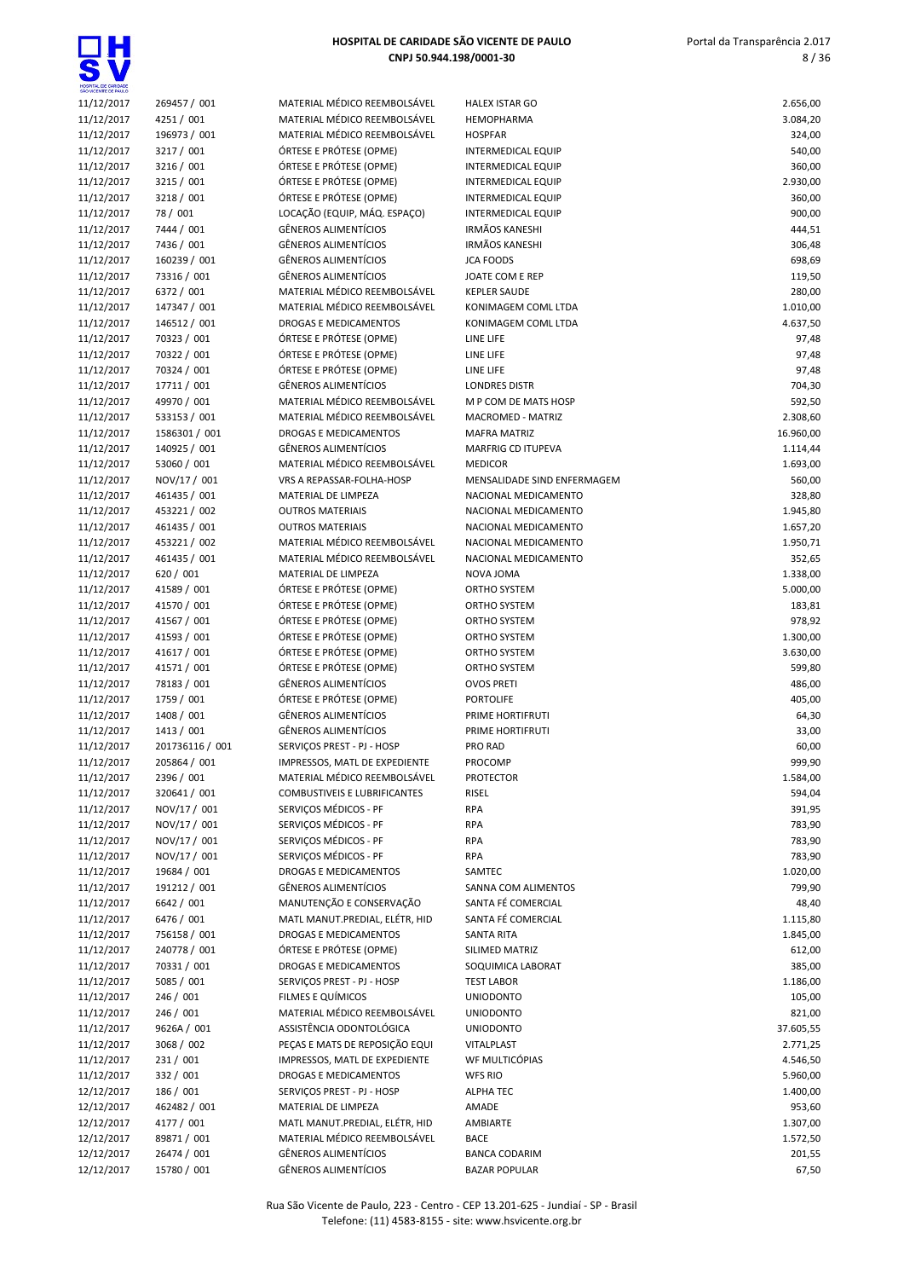

| SÃO VICENTE DE PAULO     |                            |                                                            |                                   |                       |
|--------------------------|----------------------------|------------------------------------------------------------|-----------------------------------|-----------------------|
| 11/12/2017               | 269457 / 001               | MATERIAL MÉDICO REEMBOLSÁVEL                               | <b>HALEX ISTAR GO</b>             | 2.656,00              |
| 11/12/2017               | 4251 / 001                 | MATERIAL MÉDICO REEMBOLSÁVEL                               | HEMOPHARMA                        | 3.084,20              |
| 11/12/2017               | 196973 / 001               | MATERIAL MÉDICO REEMBOLSÁVEL                               | <b>HOSPFAR</b>                    | 324,00                |
| 11/12/2017               | 3217 / 001                 | ÓRTESE E PRÓTESE (OPME)                                    | <b>INTERMEDICAL EQUIP</b>         | 540,00                |
| 11/12/2017               | 3216 / 001                 | ÓRTESE E PRÓTESE (OPME)                                    | <b>INTERMEDICAL EQUIP</b>         | 360,00                |
| 11/12/2017               | 3215 / 001                 | ÓRTESE E PRÓTESE (OPME)                                    | <b>INTERMEDICAL EQUIP</b>         | 2.930,00              |
| 11/12/2017               | 3218 / 001                 | ÓRTESE E PRÓTESE (OPME)                                    | <b>INTERMEDICAL EQUIP</b>         | 360,00                |
| 11/12/2017               | 78 / 001                   | LOCAÇÃO (EQUIP, MÁQ. ESPAÇO)                               | <b>INTERMEDICAL EQUIP</b>         | 900,00                |
| 11/12/2017               | 7444 / 001                 | <b>GÊNEROS ALIMENTÍCIOS</b>                                | <b>IRMÃOS KANESHI</b>             | 444,51                |
| 11/12/2017               | 7436 / 001                 | <b>GÊNEROS ALIMENTÍCIOS</b>                                | <b>IRMÃOS KANESHI</b>             | 306,48                |
| 11/12/2017               | 160239 / 001               | <b>GÊNEROS ALIMENTÍCIOS</b>                                | <b>JCA FOODS</b>                  | 698,69                |
| 11/12/2017               | 73316 / 001                | <b>GÊNEROS ALIMENTÍCIOS</b>                                | JOATE COM E REP                   | 119,50                |
| 11/12/2017               | 6372 / 001                 | MATERIAL MÉDICO REEMBOLSÁVEL                               | <b>KEPLER SAUDE</b>               | 280,00                |
| 11/12/2017               | 147347 / 001               | MATERIAL MÉDICO REEMBOLSÁVEL                               | KONIMAGEM COML LTDA               | 1.010,00              |
| 11/12/2017               | 146512 / 001               | <b>DROGAS E MEDICAMENTOS</b>                               | KONIMAGEM COML LTDA               | 4.637,50              |
| 11/12/2017               | 70323 / 001                | ÓRTESE E PRÓTESE (OPME)                                    | LINE LIFE                         | 97,48                 |
| 11/12/2017               | 70322 / 001                | ÓRTESE E PRÓTESE (OPME)<br>ÓRTESE E PRÓTESE (OPME)         | LINE LIFE                         | 97,48                 |
| 11/12/2017               | 70324 / 001<br>17711 / 001 | <b>GÊNEROS ALIMENTÍCIOS</b>                                | LINE LIFE<br><b>LONDRES DISTR</b> | 97,48                 |
| 11/12/2017<br>11/12/2017 | 49970 / 001                | MATERIAL MÉDICO REEMBOLSÁVEL                               | M P COM DE MATS HOSP              | 704,30<br>592,50      |
| 11/12/2017               | 533153 / 001               | MATERIAL MÉDICO REEMBOLSÁVEL                               | <b>MACROMED - MATRIZ</b>          | 2.308,60              |
| 11/12/2017               | 1586301 / 001              | DROGAS E MEDICAMENTOS                                      | <b>MAFRA MATRIZ</b>               | 16.960,00             |
| 11/12/2017               | 140925 / 001               | <b>GÊNEROS ALIMENTÍCIOS</b>                                | MARFRIG CD ITUPEVA                | 1.114,44              |
| 11/12/2017               | 53060 / 001                | MATERIAL MÉDICO REEMBOLSÁVEL                               | <b>MEDICOR</b>                    | 1.693,00              |
| 11/12/2017               | NOV/17 / 001               | VRS A REPASSAR-FOLHA-HOSP                                  | MENSALIDADE SIND ENFERMAGEM       | 560,00                |
| 11/12/2017               | 461435 / 001               | MATERIAL DE LIMPEZA                                        | NACIONAL MEDICAMENTO              | 328,80                |
| 11/12/2017               | 453221 / 002               | <b>OUTROS MATERIAIS</b>                                    | NACIONAL MEDICAMENTO              | 1.945,80              |
| 11/12/2017               | 461435 / 001               | <b>OUTROS MATERIAIS</b>                                    | NACIONAL MEDICAMENTO              | 1.657,20              |
| 11/12/2017               | 453221 / 002               | MATERIAL MÉDICO REEMBOLSÁVEL                               | NACIONAL MEDICAMENTO              | 1.950,71              |
| 11/12/2017               | 461435 / 001               | MATERIAL MÉDICO REEMBOLSÁVEL                               | NACIONAL MEDICAMENTO              | 352,65                |
| 11/12/2017               | 620 / 001                  | MATERIAL DE LIMPEZA                                        | NOVA JOMA                         | 1.338,00              |
| 11/12/2017               | 41589 / 001                | ÓRTESE E PRÓTESE (OPME)                                    | ORTHO SYSTEM                      | 5.000,00              |
| 11/12/2017               | 41570 / 001                | ÓRTESE E PRÓTESE (OPME)                                    | ORTHO SYSTEM                      | 183,81                |
| 11/12/2017               | 41567 / 001                | ÓRTESE E PRÓTESE (OPME)                                    | ORTHO SYSTEM                      | 978,92                |
| 11/12/2017               | 41593 / 001                | ÓRTESE E PRÓTESE (OPME)                                    | ORTHO SYSTEM                      | 1.300,00              |
| 11/12/2017               | 41617 / 001                | ÓRTESE E PRÓTESE (OPME)                                    | ORTHO SYSTEM                      | 3.630,00              |
| 11/12/2017               | 41571 / 001                | ÓRTESE E PRÓTESE (OPME)                                    | ORTHO SYSTEM                      | 599,80                |
| 11/12/2017               | 78183 / 001                | <b>GÊNEROS ALIMENTÍCIOS</b>                                | <b>OVOS PRETI</b>                 | 486,00                |
| 11/12/2017               | 1759 / 001                 | ÓRTESE E PRÓTESE (OPME)                                    | <b>PORTOLIFE</b>                  | 405,00                |
| 11/12/2017               | 1408 / 001                 | <b>GÊNEROS ALIMENTÍCIOS</b>                                | PRIME HORTIFRUTI                  | 64,30                 |
| 11/12/2017               | 1413 / 001                 | <b>GÊNEROS ALIMENTÍCIOS</b>                                | PRIME HORTIFRUTI                  | 33,00                 |
| 11/12/2017               | 201736116 / 001            | SERVICOS PREST - PJ - HOSP                                 | <b>PRO RAD</b>                    | 60,00                 |
| 11/12/2017               | 205864 / 001               | IMPRESSOS, MATL DE EXPEDIENTE                              | PROCOMP                           | 999,90                |
| 11/12/2017               | 2396 / 001                 | MATERIAL MÉDICO REEMBOLSÁVEL                               | <b>PROTECTOR</b>                  | 1.584,00              |
| 11/12/2017               | 320641 / 001               | <b>COMBUSTIVEIS E LUBRIFICANTES</b>                        | RISEL                             | 594,04                |
| 11/12/2017               | NOV/17 / 001               | SERVIÇOS MÉDICOS - PF                                      | RPA                               | 391,95                |
| 11/12/2017               | NOV/17 / 001               | SERVICOS MÉDICOS - PF                                      | <b>RPA</b>                        | 783,90                |
| 11/12/2017               | NOV/17 / 001               | SERVIÇOS MÉDICOS - PF                                      | RPA                               | 783,90                |
| 11/12/2017               | NOV/17 / 001               | SERVIÇOS MÉDICOS - PF                                      | <b>RPA</b>                        | 783,90                |
| 11/12/2017               | 19684 / 001                | DROGAS E MEDICAMENTOS                                      | SAMTEC                            | 1.020,00              |
| 11/12/2017               | 191212 / 001               | GÊNEROS ALIMENTÍCIOS                                       | SANNA COM ALIMENTOS               | 799,90                |
| 11/12/2017               | 6642 / 001                 | MANUTENÇÃO E CONSERVAÇÃO                                   | SANTA FÉ COMERCIAL                | 48,40                 |
| 11/12/2017               | 6476 / 001                 | MATL MANUT.PREDIAL, ELÉTR, HID                             | SANTA FÉ COMERCIAL                | 1.115,80              |
| 11/12/2017               | 756158 / 001               | <b>DROGAS E MEDICAMENTOS</b>                               | <b>SANTA RITA</b>                 | 1.845,00              |
| 11/12/2017               | 240778 / 001               | ÓRTESE E PRÓTESE (OPME)                                    | SILIMED MATRIZ                    | 612,00                |
| 11/12/2017               | 70331 / 001                | DROGAS E MEDICAMENTOS                                      | SOQUIMICA LABORAT                 | 385,00                |
| 11/12/2017               | 5085 / 001                 | SERVIÇOS PREST - PJ - HOSP                                 | <b>TEST LABOR</b>                 | 1.186,00              |
| 11/12/2017               | 246 / 001                  | FILMES E QUÍMICOS<br>MATERIAL MÉDICO REEMBOLSÁVEL          | <b>UNIODONTO</b>                  | 105,00                |
| 11/12/2017               | 246 / 001                  |                                                            | <b>UNIODONTO</b>                  | 821,00                |
| 11/12/2017<br>11/12/2017 | 9626A / 001<br>3068 / 002  | ASSISTÊNCIA ODONTOLÓGICA<br>PEÇAS E MATS DE REPOSIÇÃO EQUI | <b>UNIODONTO</b><br>VITALPLAST    | 37.605,55<br>2.771,25 |
| 11/12/2017               | 231 / 001                  | IMPRESSOS, MATL DE EXPEDIENTE                              | WF MULTICÓPIAS                    | 4.546,50              |
| 11/12/2017               | 332 / 001                  | DROGAS E MEDICAMENTOS                                      | <b>WFS RIO</b>                    | 5.960,00              |
| 12/12/2017               | 186 / 001                  | SERVIÇOS PREST - PJ - HOSP                                 | <b>ALPHA TEC</b>                  | 1.400,00              |
| 12/12/2017               | 462482 / 001               | MATERIAL DE LIMPEZA                                        | AMADE                             | 953,60                |
| 12/12/2017               | 4177 / 001                 | MATL MANUT.PREDIAL, ELÉTR, HID                             | AMBIARTE                          | 1.307,00              |
| 12/12/2017               | 89871 / 001                | MATERIAL MÉDICO REEMBOLSÁVEL                               | <b>BACE</b>                       | 1.572,50              |
| 12/12/2017               | 26474 / 001                | GÊNEROS ALIMENTÍCIOS                                       | <b>BANCA CODARIM</b>              | 201,55                |
|                          |                            | <b>GÊNEROS ALIMENTÍCIOS</b>                                | <b>BAZAR POPULAR</b>              |                       |
| 12/12/2017               | 15780 / 001                |                                                            |                                   | 67,50                 |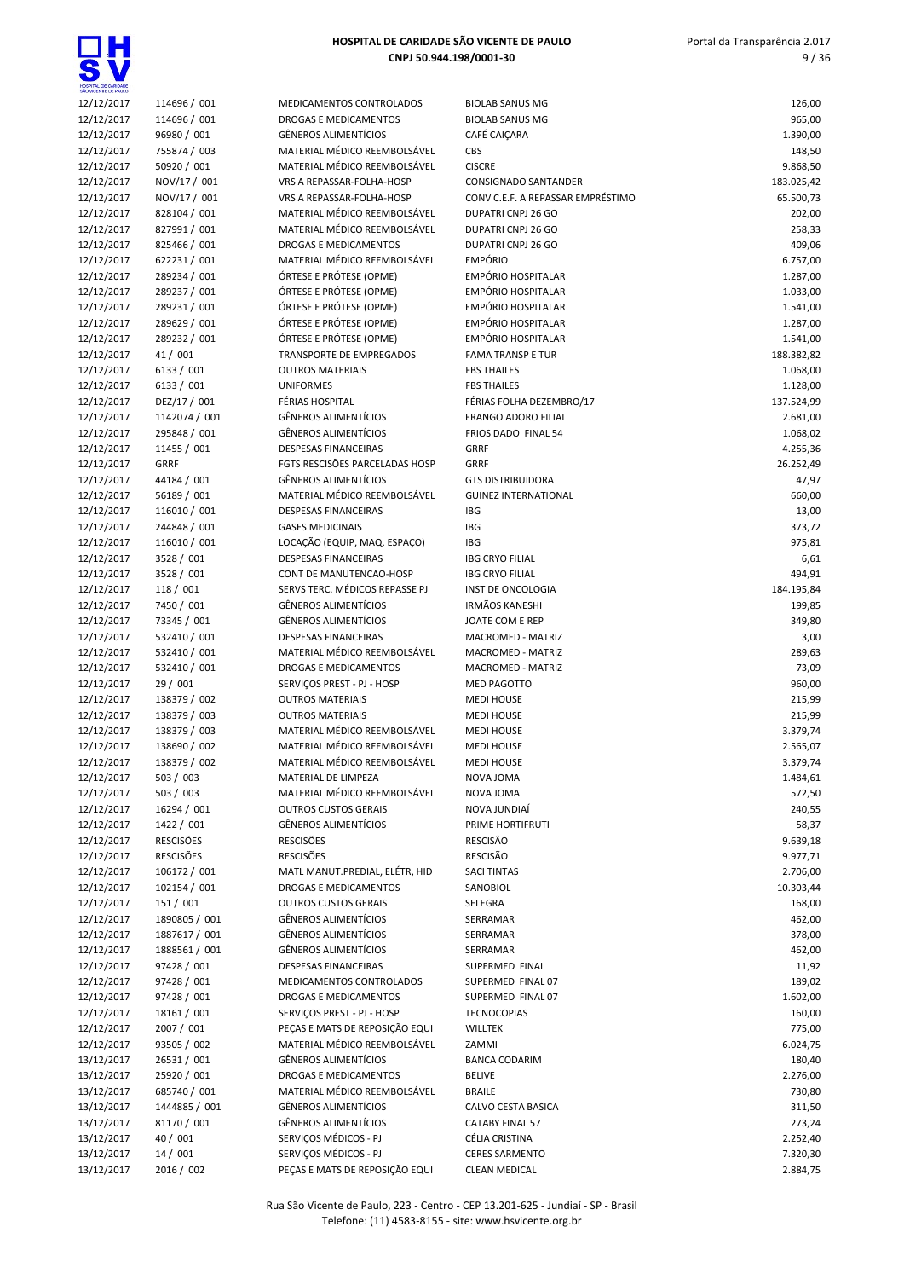

| SÃO VICENTE DE PAULO     |                              |                                                         |                |
|--------------------------|------------------------------|---------------------------------------------------------|----------------|
| 12/12/2017               | 114696 / 001                 | MEDICAMENTOS CONTROLADOS                                | BI             |
| 12/12/2017               | 114696 / 001                 | DROGAS E MEDICAMENTOS                                   | BI             |
| 12/12/2017               | 96980 / 001                  | <b>GÊNEROS ALIMENTÍCIOS</b>                             | C              |
| 12/12/2017               | 755874 / 003                 | MATERIAL MÉDICO REEMBOLSÁVEL                            | <b>CE</b>      |
| 12/12/2017               | 50920 / 001                  | MATERIAL MÉDICO REEMBOLSÁVEL                            | CI             |
| 12/12/2017               | NOV/17 / 001                 | VRS A REPASSAR-FOLHA-HOSP                               | C0             |
| 12/12/2017               | NOV/17 / 001                 | VRS A REPASSAR-FOLHA-HOSP                               | C0             |
| 12/12/2017               | 828104 / 001                 | MATERIAL MÉDICO REEMBOLSÁVEL                            | D١             |
| 12/12/2017               | 827991/001                   | MATERIAL MÉDICO REEMBOLSÁVEL                            | D              |
| 12/12/2017               | 825466 / 001                 | <b>DROGAS E MEDICAMENTOS</b>                            | D              |
| 12/12/2017               | 622231/001                   | MATERIAL MÉDICO REEMBOLSÁVEL<br>ÓRTESE E PRÓTESE (OPME) | E١<br>E١       |
| 12/12/2017<br>12/12/2017 | 289234 / 001                 | ÓRTESE E PRÓTESE (OPME)                                 | E١             |
| 12/12/2017               | 289237 / 001<br>289231 / 001 | ÓRTESE E PRÓTESE (OPME)                                 | E١             |
| 12/12/2017               | 289629 / 001                 | ÓRTESE E PRÓTESE (OPME)                                 | E١             |
| 12/12/2017               | 289232 / 001                 | ÓRTESE E PRÓTESE (OPME)                                 | E١             |
| 12/12/2017               | 41 / 001                     | TRANSPORTE DE EMPREGADOS                                | FA             |
| 12/12/2017               | 6133 / 001                   | <b>OUTROS MATERIAIS</b>                                 | FE             |
| 12/12/2017               | 6133 / 001                   | <b>UNIFORMES</b>                                        | FE             |
| 12/12/2017               | DEZ/17 / 001                 | FÉRIAS HOSPITAL                                         | FÉ             |
| 12/12/2017               | 1142074 / 001                | <b>GÊNEROS ALIMENTÍCIOS</b>                             | FF             |
| 12/12/2017               | 295848 / 001                 | <b>GÊNEROS ALIMENTÍCIOS</b>                             | FF             |
| 12/12/2017               | 11455 / 001                  | <b>DESPESAS FINANCEIRAS</b>                             | GI             |
| 12/12/2017               | <b>GRRF</b>                  | FGTS RESCISÕES PARCELADAS HOSP                          | GI             |
| 12/12/2017               | 44184 / 001                  | <b>GÊNEROS ALIMENTÍCIOS</b>                             | G              |
| 12/12/2017               | 56189 / 001                  | MATERIAL MÉDICO REEMBOLSÁVEL                            | G              |
| 12/12/2017               | 116010 / 001                 | <b>DESPESAS FINANCEIRAS</b>                             | IB             |
| 12/12/2017               | 244848 / 001                 | <b>GASES MEDICINAIS</b>                                 | IB             |
| 12/12/2017               | 116010 / 001                 | LOCAÇÃO (EQUIP, MAQ. ESPAÇO)                            | IB             |
| 12/12/2017               | 3528 / 001                   | <b>DESPESAS FINANCEIRAS</b>                             | IB             |
| 12/12/2017               | 3528 / 001                   | CONT DE MANUTENCAO-HOSP                                 | IB             |
| 12/12/2017               | 118 / 001                    | SERVS TERC. MÉDICOS REPASSE PJ                          | IN             |
| 12/12/2017               | 7450 / 001                   | <b>GÊNEROS ALIMENTÍCIOS</b>                             | IR             |
| 12/12/2017               | 73345 / 001                  | <b>GÊNEROS ALIMENTÍCIOS</b>                             | JC             |
| 12/12/2017               | 532410 / 001                 | <b>DESPESAS FINANCEIRAS</b>                             | M              |
| 12/12/2017               | 532410 / 001                 | MATERIAL MÉDICO REEMBOLSÁVEL                            | M              |
| 12/12/2017               | 532410 / 001                 | <b>DROGAS E MEDICAMENTOS</b>                            | M              |
| 12/12/2017               | 29 / 001                     | SERVIÇOS PREST - PJ - HOSP                              | M              |
| 12/12/2017               | 138379 / 002                 | <b>OUTROS MATERIAIS</b>                                 | M              |
| 12/12/2017<br>12/12/2017 | 138379 / 003                 | <b>OUTROS MATERIAIS</b><br>MATERIAL MÉDICO REEMBOLSÁVEL | M              |
| 12/12/2017               | 138379 / 003<br>138690 / 002 | MATERIAL MÉDICO REEMBOLSÁVEL                            | M<br>M         |
| 12/12/2017               | 138379 / 002                 | MATERIAL MÉDICO REEMBOLSÁVEL                            | M              |
| 12/12/2017               | 503 / 003                    | MATERIAL DE LIMPEZA                                     | N <sub>0</sub> |
| 12/12/2017               | 503 / 003                    | MATERIAL MÉDICO REEMBOLSÁVEL                            | N <sub>0</sub> |
| 12/12/2017               | 16294 / 001                  | <b>OUTROS CUSTOS GERAIS</b>                             | N <sub>0</sub> |
| 12/12/2017               | 1422 / 001                   | GÊNEROS ALIMENTÍCIOS                                    | PF             |
| 12/12/2017               | <b>RESCISÕES</b>             | <b>RESCISÕES</b>                                        | RE             |
| 12/12/2017               | <b>RESCISÕES</b>             | <b>RESCISÕES</b>                                        | RE             |
| 12/12/2017               | 106172 / 001                 | MATL MANUT.PREDIAL, ELÉTR, HID                          | SA             |
| 12/12/2017               | 102154 / 001                 | <b>DROGAS E MEDICAMENTOS</b>                            | SA             |
| 12/12/2017               | 151 / 001                    | <b>OUTROS CUSTOS GERAIS</b>                             | SE             |
| 12/12/2017               | 1890805 / 001                | <b>GÊNEROS ALIMENTÍCIOS</b>                             | SE             |
| 12/12/2017               | 1887617 / 001                | GÊNEROS ALIMENTÍCIOS                                    | SE             |
| 12/12/2017               | 1888561 / 001                | <b>GÊNEROS ALIMENTÍCIOS</b>                             | SE             |
| 12/12/2017               | 97428 / 001                  | <b>DESPESAS FINANCEIRAS</b>                             | SL             |
| 12/12/2017               | 97428 / 001                  | MEDICAMENTOS CONTROLADOS                                | Sl             |
| 12/12/2017               | 97428 / 001                  | DROGAS E MEDICAMENTOS                                   | SL             |
| 12/12/2017               | 18161 / 001                  | SERVIÇOS PREST - PJ - HOSP                              | ΤE             |
| 12/12/2017               | 2007 / 001                   | PEÇAS E MATS DE REPOSIÇÃO EQUI                          | W              |
| 12/12/2017               | 93505 / 002                  | MATERIAL MÉDICO REEMBOLSÁVEL                            | ZA             |
| 13/12/2017               | 26531 / 001                  | <b>GÊNEROS ALIMENTÍCIOS</b>                             | B/             |
| 13/12/2017               | 25920 / 001                  | DROGAS E MEDICAMENTOS                                   | BE             |
| 13/12/2017               | 685740 / 001                 | MATERIAL MÉDICO REEMBOLSÁVEL                            | BF             |
| 13/12/2017               | 1444885 / 001                | GÊNEROS ALIMENTÍCIOS                                    | C/             |
| 13/12/2017               | 81170 / 001                  | <b>GÊNEROS ALIMENTÍCIOS</b>                             | C/             |
| 13/12/2017               | 40 / 001                     | SERVIÇOS MÉDICOS - PJ                                   | СÉ             |
| 13/12/2017               | 14 / 001                     | SERVIÇOS MÉDICOS - PJ                                   | CE             |
| 13/12/2017               | 2016 / 002                   | PEÇAS E MATS DE REPOSIÇÃO EQUI                          | CL             |

| MEDICAMENTOS CONTROLADOS                                    |
|-------------------------------------------------------------|
| <b>DROGAS E MEDICAMENTOS</b>                                |
| GÊNEROS ALIMENTÍCIOS                                        |
| MATERIAL MÉDICO REEMBOLSÁVEL                                |
| MATERIAL MÉDICO REEMBOLSÁVEL                                |
| /RS A REPASSAR-FOLHA-HOSP                                   |
| /RS A REPASSAR-FOLHA-HOSP                                   |
| MATERIAL MÉDICO REEMBOLSÁVEL                                |
| MATERIAL MÉDICO REEMBOLSÁVEL                                |
| <b>DROGAS E MEDICAMENTOS</b>                                |
| MATERIAL MÉDICO REEMBOLSÁVEL                                |
| ÓRTESE E PRÓTESE (OPME)                                     |
| ÓRTESE E PRÓTESE (OPME)                                     |
| ÓRTESE E PRÓTESE (OPME)                                     |
| ÓRTESE E PRÓTESE (OPME)                                     |
| ÓRTESE E PRÓTESE (OPME)                                     |
| RANSPORTE DE EMPREGADOS                                     |
| <b>DUTROS MATERIAIS</b>                                     |
| <b>JNIFORMES</b>                                            |
| ÉRIAS HOSPITAL                                              |
| GÊNEROS ALIMENTÍCIOS                                        |
| GÊNEROS ALIMENTÍCIOS                                        |
| DESPESAS FINANCEIRAS                                        |
| <b>GTS RESCISÕES PARCELADAS HOSP</b>                        |
| GÊNEROS ALIMENTÍCIOS                                        |
| MATERIAL MÉDICO REEMBOLSÁVEL                                |
| <b>DESPESAS FINANCEIRAS</b>                                 |
| <b>GASES MEDICINAIS</b>                                     |
| OCAÇÃO (EQUIP, MAQ. ESPAÇO).                                |
| DESPESAS FINANCEIRAS                                        |
| CONT DE MANUTENCAO-HOSP                                     |
| <b>ERVS TERC. MÉDICOS REPASSE PJ</b>                        |
| GÊNEROS ALIMENTÍCIOS                                        |
| GÊNEROS ALIMENTÍCIOS                                        |
| DESPESAS FINANCEIRAS                                        |
| MATERIAL MÉDICO REEMBOLSÁVEL                                |
| DROGAS E MEDICAMENTOS                                       |
| ERVIÇOS PREST - PJ - HOSP                                   |
| <b>DUTROS MATERIAIS</b>                                     |
| <b>DUTROS MATERIAIS</b>                                     |
| MATERIAL MÉDICO REEMBOLSÁVEL                                |
| MATERIAL MÉDICO REEMBOLSÁVEL                                |
| MATERIAL MÉDICO REEMBOLSÁVEL                                |
| MATERIAL DE LIMPEZA                                         |
| MATERIAL MÉDICO REEMBOLSÁVEL                                |
| <b>DUTROS CUSTOS GERAIS</b>                                 |
| GÊNEROS ALIMENTÍCIOS                                        |
| <b>RESCISÕES</b>                                            |
| <b>≀ESCISÕES</b>                                            |
| MATL MANUT.PREDIAL, ELÉTR, HID                              |
| <b>DROGAS E MEDICAMENTOS</b><br><b>DUTROS CUSTOS GERAIS</b> |
| GÊNEROS ALIMENTÍCIOS                                        |
| GÊNEROS ALIMENTÍCIOS                                        |
| GÊNEROS ALIMENTÍCIOS                                        |
| DESPESAS FINANCEIRAS                                        |
| <b>MEDICAMENTOS CONTROLADOS</b>                             |
| <b>DROGAS E MEDICAMENTOS</b>                                |
| ERVIÇOS PREST - PJ - HOSP                                   |
| ECAS E MATS DE REPOSIÇÃO EQUI                               |
| MATERIAL MÉDICO REEMBOLSÁVEL                                |
| GÊNEROS ALIMENTÍCIOS                                        |
| <b>DROGAS E MEDICAMENTOS</b>                                |
| MATERIAL MÉDICO REEMBOLSÁVEL                                |
| GÊNEROS ALIMENTÍCIOS                                        |
| GÊNEROS ALIMENTÍCIOS                                        |
| ERVIÇOS MÉDICOS - PJ                                        |
| ERVICOS MÉDICOS - PJ                                        |

| SÃO VICENTE DE PAULO     |                          |                                                     |                                          |                      |
|--------------------------|--------------------------|-----------------------------------------------------|------------------------------------------|----------------------|
| 12/12/2017               | 114696 / 001             | MEDICAMENTOS CONTROLADOS                            | <b>BIOLAB SANUS MG</b>                   | 126,00               |
| 12/12/2017               | 114696 / 001             | DROGAS E MEDICAMENTOS                               | <b>BIOLAB SANUS MG</b>                   | 965,00               |
| 12/12/2017               | 96980 / 001              | GÊNEROS ALIMENTÍCIOS                                | CAFÉ CAICARA                             | 1.390,00             |
| 12/12/2017               | 755874 / 003             | MATERIAL MÉDICO REEMBOLSÁVEL                        | <b>CBS</b>                               | 148,50               |
| 12/12/2017               | 50920 / 001              | MATERIAL MÉDICO REEMBOLSÁVEL                        | <b>CISCRE</b>                            | 9.868,50             |
| 12/12/2017               | NOV/17 / 001             | VRS A REPASSAR-FOLHA-HOSP                           | <b>CONSIGNADO SANTANDER</b>              | 183.025,42           |
| 12/12/2017               | NOV/17 / 001             | VRS A REPASSAR-FOLHA-HOSP                           | CONV C.E.F. A REPASSAR EMPRÉSTIMO        | 65.500,73            |
| 12/12/2017               | 828104 / 001             | MATERIAL MÉDICO REEMBOLSÁVEL                        | DUPATRI CNPJ 26 GO                       | 202,00               |
| 12/12/2017               | 827991 / 001             | MATERIAL MÉDICO REEMBOLSÁVEL                        | DUPATRI CNPJ 26 GO                       | 258,33               |
| 12/12/2017               | 825466 / 001             | DROGAS E MEDICAMENTOS                               | DUPATRI CNPJ 26 GO                       | 409,06               |
| 12/12/2017               | 622231 / 001             | MATERIAL MÉDICO REEMBOLSÁVEL                        | <b>EMPÓRIO</b>                           | 6.757,00             |
| 12/12/2017               | 289234 / 001             | ÓRTESE E PRÓTESE (OPME)                             | EMPÓRIO HOSPITALAR                       | 1.287,00             |
| 12/12/2017               | 289237 / 001             | ÓRTESE E PRÓTESE (OPME)                             | <b>EMPÓRIO HOSPITALAR</b>                | 1.033,00             |
| 12/12/2017               | 289231 / 001             | ÓRTESE E PRÓTESE (OPME)                             | <b>EMPÓRIO HOSPITALAR</b>                | 1.541,00             |
| 12/12/2017               | 289629 / 001             | ÓRTESE E PRÓTESE (OPME)                             | <b>EMPÓRIO HOSPITALAR</b>                | 1.287,00             |
| 12/12/2017               | 289232 / 001             | ÓRTESE E PRÓTESE (OPME)                             | <b>EMPÓRIO HOSPITALAR</b>                | 1.541,00             |
| 12/12/2017               | 41 / 001                 | TRANSPORTE DE EMPREGADOS<br><b>OUTROS MATERIAIS</b> | <b>FAMA TRANSP E TUR</b>                 | 188.382,82           |
| 12/12/2017               | 6133 / 001<br>6133 / 001 | <b>UNIFORMES</b>                                    | <b>FBS THAILES</b><br><b>FBS THAILES</b> | 1.068,00<br>1.128,00 |
| 12/12/2017<br>12/12/2017 | DEZ/17 / 001             | FÉRIAS HOSPITAL                                     | FÉRIAS FOLHA DEZEMBRO/17                 | 137.524,99           |
| 12/12/2017               | 1142074 / 001            | <b>GÊNEROS ALIMENTÍCIOS</b>                         | <b>FRANGO ADORO FILIAL</b>               | 2.681,00             |
| 12/12/2017               | 295848 / 001             | <b>GÊNEROS ALIMENTÍCIOS</b>                         | FRIOS DADO FINAL 54                      | 1.068,02             |
| 12/12/2017               | 11455 / 001              | <b>DESPESAS FINANCEIRAS</b>                         | <b>GRRF</b>                              | 4.255,36             |
| 12/12/2017               | <b>GRRF</b>              | FGTS RESCISÕES PARCELADAS HOSP                      | <b>GRRF</b>                              | 26.252,49            |
| 12/12/2017               | 44184 / 001              | <b>GÊNEROS ALIMENTÍCIOS</b>                         | <b>GTS DISTRIBUIDORA</b>                 | 47,97                |
| 12/12/2017               | 56189 / 001              | MATERIAL MÉDICO REEMBOLSÁVEL                        | <b>GUINEZ INTERNATIONAL</b>              | 660,00               |
| 12/12/2017               | 116010 / 001             | <b>DESPESAS FINANCEIRAS</b>                         | <b>IBG</b>                               | 13,00                |
| 12/12/2017               | 244848 / 001             | <b>GASES MEDICINAIS</b>                             | <b>IBG</b>                               | 373,72               |
| 12/12/2017               | 116010 / 001             | LOCAÇÃO (EQUIP, MAQ. ESPAÇO)                        | IBG                                      | 975,81               |
| 12/12/2017               | 3528 / 001               | <b>DESPESAS FINANCEIRAS</b>                         | <b>IBG CRYO FILIAL</b>                   | 6,61                 |
| 12/12/2017               | 3528 / 001               | CONT DE MANUTENCAO-HOSP                             | <b>IBG CRYO FILIAL</b>                   | 494,91               |
| 12/12/2017               | 118 / 001                | SERVS TERC. MÉDICOS REPASSE PJ                      | INST DE ONCOLOGIA                        | 184.195,84           |
| 12/12/2017               | 7450 / 001               | <b>GÊNEROS ALIMENTÍCIOS</b>                         | <b>IRMÃOS KANESHI</b>                    | 199,85               |
| 12/12/2017               | 73345 / 001              | <b>GÊNEROS ALIMENTÍCIOS</b>                         | JOATE COM E REP                          | 349,80               |
| 12/12/2017               | 532410 / 001             | <b>DESPESAS FINANCEIRAS</b>                         | MACROMED - MATRIZ                        | 3,00                 |
| 12/12/2017               | 532410 / 001             | MATERIAL MÉDICO REEMBOLSÁVEL                        | MACROMED - MATRIZ                        | 289,63               |
| 12/12/2017               | 532410 / 001             | DROGAS E MEDICAMENTOS                               | MACROMED - MATRIZ                        | 73,09                |
| 12/12/2017               | 29 / 001                 | SERVIÇOS PREST - PJ - HOSP                          | MED PAGOTTO                              | 960,00               |
| 12/12/2017               | 138379 / 002             | <b>OUTROS MATERIAIS</b>                             | <b>MEDI HOUSE</b>                        | 215,99               |
| 12/12/2017               | 138379 / 003             | <b>OUTROS MATERIAIS</b>                             | <b>MEDI HOUSE</b>                        | 215,99               |
| 12/12/2017               | 138379 / 003             | MATERIAL MÉDICO REEMBOLSÁVEL                        | <b>MEDI HOUSE</b>                        | 3.379,74             |
| 12/12/2017               | 138690 / 002             | MATERIAL MÉDICO REEMBOLSÁVEL                        | <b>MEDI HOUSE</b>                        | 2.565,07             |
| 12/12/2017               | 138379 / 002             | MATERIAL MÉDICO REEMBOLSÁVEL                        | <b>MEDI HOUSE</b>                        | 3.379,74             |
| 12/12/2017               | 503 / 003                | MATERIAL DE LIMPEZA                                 | NOVA JOMA                                | 1.484,61             |
| 12/12/2017               | 503 / 003                | MATERIAL MÉDICO REEMBOLSÁVEL                        | NOVA JOMA                                | 572,50               |
| 12/12/2017               | 16294 / 001              | <b>OUTROS CUSTOS GERAIS</b>                         | NOVA JUNDIAÍ                             | 240,55               |
| 12/12/2017               | 1422 / 001               | GÊNEROS ALIMENTÍCIOS                                | PRIME HORTIFRUTI                         | 58,37                |
| 12/12/2017               | <b>RESCISÕES</b>         | <b>RESCISÕES</b>                                    | <b>RESCISÃO</b>                          | 9.639,18             |
| 12/12/2017               | <b>RESCISÕES</b>         | <b>RESCISÕES</b>                                    | <b>RESCISÃO</b>                          | 9.977,71             |
| 12/12/2017               | 106172 / 001             | MATL MANUT.PREDIAL, ELÉTR, HID                      | <b>SACI TINTAS</b>                       | 2.706,00             |
| 12/12/2017               | 102154 / 001             | <b>DROGAS E MEDICAMENTOS</b>                        | SANOBIOL                                 | 10.303,44            |
| 12/12/2017               | 151 / 001                | <b>OUTROS CUSTOS GERAIS</b>                         | SELEGRA                                  | 168,00               |
| 12/12/2017               | 1890805 / 001            | GÊNEROS ALIMENTÍCIOS                                | SERRAMAR                                 | 462,00               |
| 12/12/2017               | 1887617 / 001            | GÊNEROS ALIMENTÍCIOS                                | SERRAMAR                                 | 378,00               |
| 12/12/2017               | 1888561 / 001            | GÊNEROS ALIMENTÍCIOS                                | SERRAMAR                                 | 462,00               |
| 12/12/2017               | 97428 / 001              | DESPESAS FINANCEIRAS                                | SUPERMED FINAL                           | 11,92                |
| 12/12/2017               | 97428 / 001              | MEDICAMENTOS CONTROLADOS                            | SUPERMED FINAL 07                        | 189,02               |
| 12/12/2017               | 97428 / 001              | DROGAS E MEDICAMENTOS                               | SUPERMED FINAL 07                        | 1.602,00             |
| 12/12/2017               | 18161 / 001              | SERVIÇOS PREST - PJ - HOSP                          | <b>TECNOCOPIAS</b>                       | 160,00               |
| 12/12/2017               | 2007 / 001               | PEÇAS E MATS DE REPOSIÇÃO EQUI                      | <b>WILLTEK</b>                           | 775,00               |
| 12/12/2017               | 93505 / 002              | MATERIAL MÉDICO REEMBOLSÁVEL                        | ZAMMI                                    | 6.024,75             |
| 13/12/2017               | 26531 / 001              | GÊNEROS ALIMENTÍCIOS                                | <b>BANCA CODARIM</b>                     | 180,40               |
| 13/12/2017               | 25920 / 001              | DROGAS E MEDICAMENTOS                               | <b>BELIVE</b>                            | 2.276,00             |
| 13/12/2017               | 685740 / 001             | MATERIAL MÉDICO REEMBOLSÁVEL                        | <b>BRAILE</b>                            | 730,80               |
| 13/12/2017               | 1444885 / 001            | <b>GÊNEROS ALIMENTÍCIOS</b>                         | CALVO CESTA BASICA                       | 311,50               |
| 13/12/2017               | 81170 / 001              | GÊNEROS ALIMENTÍCIOS                                | <b>CATABY FINAL 57</b>                   | 273,24               |
| 13/12/2017               | 40 / 001                 | SERVIÇOS MÉDICOS - PJ                               | CÉLIA CRISTINA                           | 2.252,40             |
| 13/12/2017               | 14/001                   | SERVIÇOS MÉDICOS - PJ                               | <b>CERES SARMENTO</b>                    | 7.320,30             |
| 13/12/2017               | 2016 / 002               | PECAS E MATS DE REPOSIÇÃO EQUI                      | <b>CLEAN MEDICAL</b>                     | 2.884,75             |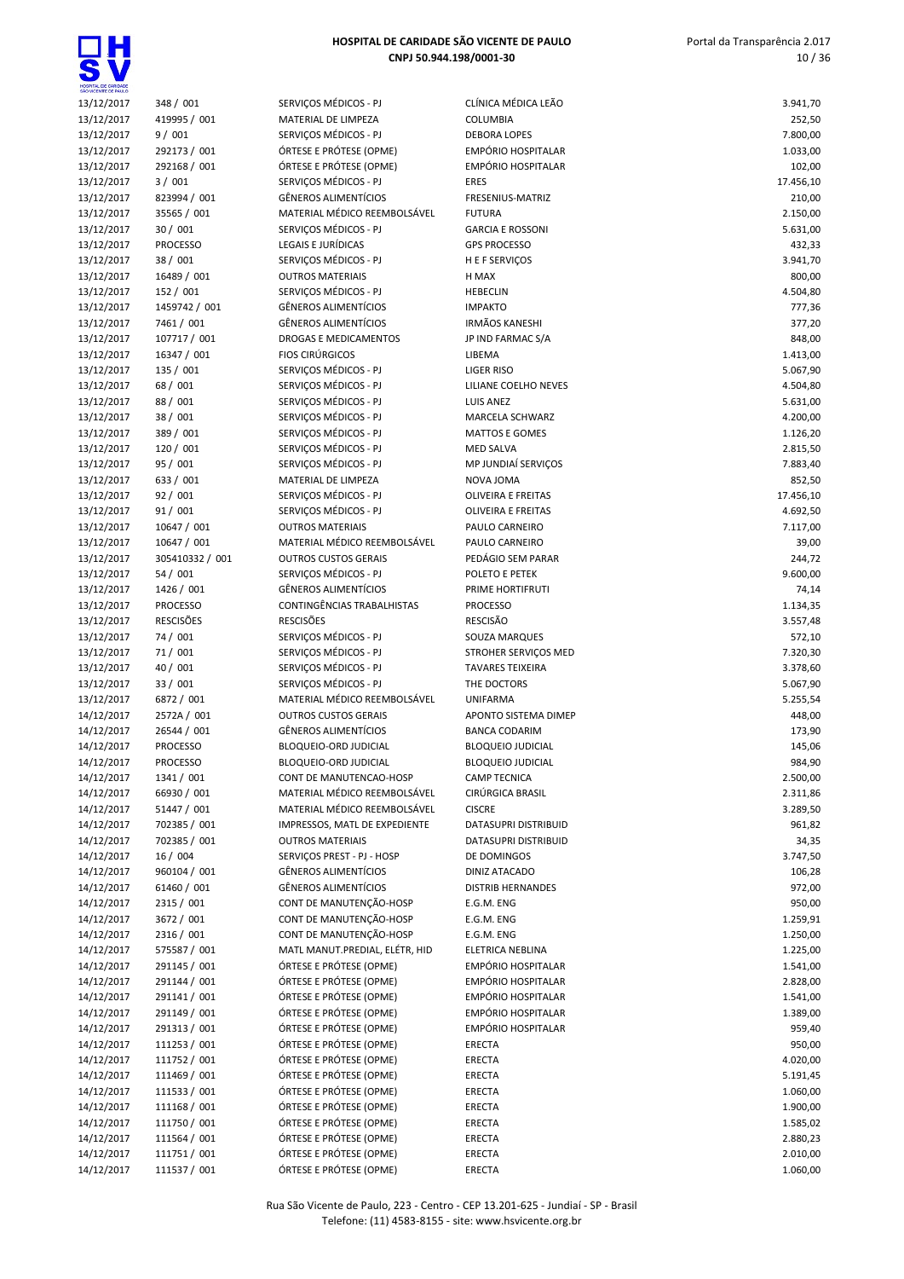| SÃO VICENTE DE PAULO     |                      |                                                |                                           |                      |
|--------------------------|----------------------|------------------------------------------------|-------------------------------------------|----------------------|
| 13/12/2017               | 348 / 001            | SERVIÇOS MÉDICOS - PJ                          | CLÍNICA MÉDICA LEÃO                       | 3.941,70             |
| 13/12/2017               | 419995 / 001         | MATERIAL DE LIMPEZA                            | COLUMBIA                                  | 252,50               |
| 13/12/2017               | 9/001                | SERVICOS MÉDICOS - PJ                          | <b>DEBORA LOPES</b>                       | 7.800,00             |
| 13/12/2017               | 292173 / 001         | ÓRTESE E PRÓTESE (OPME)                        | <b>EMPÓRIO HOSPITALAR</b>                 | 1.033,00             |
| 13/12/2017               | 292168 / 001         | ÓRTESE E PRÓTESE (OPME)                        | <b>EMPÓRIO HOSPITALAR</b>                 | 102,00               |
| 13/12/2017               | 3/001                | SERVIÇOS MÉDICOS - PJ                          | <b>ERES</b>                               | 17.456,10            |
| 13/12/2017               | 823994 / 001         | <b>GÊNEROS ALIMENTÍCIOS</b>                    | FRESENIUS-MATRIZ                          | 210,00               |
| 13/12/2017               | 35565 / 001          | MATERIAL MÉDICO REEMBOLSÁVEL                   | <b>FUTURA</b>                             | 2.150,00             |
| 13/12/2017               | 30/001               | SERVIÇOS MÉDICOS - PJ                          | <b>GARCIA E ROSSONI</b>                   | 5.631,00             |
| 13/12/2017               | <b>PROCESSO</b>      | <b>LEGAIS E JURÍDICAS</b>                      | <b>GPS PROCESSO</b>                       | 432,33               |
| 13/12/2017               | 38 / 001             | SERVIÇOS MÉDICOS - PJ                          | H E F SERVIÇOS                            | 3.941,70             |
| 13/12/2017               | 16489 / 001          | <b>OUTROS MATERIAIS</b>                        | H MAX                                     | 800,00               |
| 13/12/2017               | 152 / 001            | SERVICOS MÉDICOS - PJ                          | <b>HEBECLIN</b>                           | 4.504,80             |
| 13/12/2017               | 1459742 / 001        | <b>GÊNEROS ALIMENTÍCIOS</b>                    | <b>IMPAKTO</b>                            | 777,36               |
| 13/12/2017               | 7461 / 001           | <b>GÊNEROS ALIMENTÍCIOS</b>                    | <b>IRMÃOS KANESHI</b>                     | 377,20               |
| 13/12/2017               | 107717 / 001         | DROGAS E MEDICAMENTOS                          | JP IND FARMAC S/A                         | 848,00               |
| 13/12/2017               | 16347 / 001          | <b>FIOS CIRÚRGICOS</b>                         | LIBEMA                                    | 1.413,00             |
| 13/12/2017               | 135 / 001            | SERVIÇOS MÉDICOS - PJ<br>SERVIÇOS MÉDICOS - PJ | <b>LIGER RISO</b><br>LILIANE COELHO NEVES | 5.067,90             |
| 13/12/2017<br>13/12/2017 | 68 / 001<br>88 / 001 | SERVICOS MÉDICOS - PJ                          | <b>LUIS ANEZ</b>                          | 4.504,80<br>5.631,00 |
| 13/12/2017               | 38 / 001             | SERVIÇOS MÉDICOS - PJ                          | <b>MARCELA SCHWARZ</b>                    | 4.200,00             |
|                          | 389 / 001            | SERVIÇOS MÉDICOS - PJ                          | <b>MATTOS E GOMES</b>                     | 1.126,20             |
| 13/12/2017<br>13/12/2017 | 120 / 001            | SERVIÇOS MÉDICOS - PJ                          | <b>MED SALVA</b>                          | 2.815,50             |
| 13/12/2017               | 95 / 001             | SERVIÇOS MÉDICOS - PJ                          | MP JUNDIAÍ SERVIÇOS                       | 7.883,40             |
| 13/12/2017               | 633 / 001            | MATERIAL DE LIMPEZA                            | NOVA JOMA                                 | 852,50               |
| 13/12/2017               | 92 / 001             | SERVIÇOS MÉDICOS - PJ                          | <b>OLIVEIRA E FREITAS</b>                 | 17.456,10            |
| 13/12/2017               | 91 / 001             | SERVICOS MÉDICOS - PJ                          | <b>OLIVEIRA E FREITAS</b>                 | 4.692,50             |
| 13/12/2017               | 10647 / 001          | <b>OUTROS MATERIAIS</b>                        | PAULO CARNEIRO                            | 7.117,00             |
| 13/12/2017               | 10647 / 001          | MATERIAL MÉDICO REEMBOLSÁVEL                   | PAULO CARNEIRO                            | 39,00                |
| 13/12/2017               | 305410332 / 001      | <b>OUTROS CUSTOS GERAIS</b>                    | PEDÁGIO SEM PARAR                         | 244,72               |
| 13/12/2017               | 54 / 001             | SERVIÇOS MÉDICOS - PJ                          | POLETO E PETEK                            | 9.600,00             |
| 13/12/2017               | 1426 / 001           | GÊNEROS ALIMENTÍCIOS                           | PRIME HORTIFRUTI                          | 74,14                |
| 13/12/2017               | <b>PROCESSO</b>      | CONTINGÊNCIAS TRABALHISTAS                     | <b>PROCESSO</b>                           | 1.134,35             |
| 13/12/2017               | <b>RESCISÕES</b>     | <b>RESCISÕES</b>                               | <b>RESCISÃO</b>                           | 3.557,48             |
| 13/12/2017               | 74 / 001             | SERVIÇOS MÉDICOS - PJ                          | SOUZA MARQUES                             | 572,10               |
| 13/12/2017               | 71 / 001             | SERVIÇOS MÉDICOS - PJ                          | STROHER SERVIÇOS MED                      | 7.320,30             |
| 13/12/2017               | 40 / 001             | SERVIÇOS MÉDICOS - PJ                          | <b>TAVARES TEIXEIRA</b>                   | 3.378,60             |
| 13/12/2017               | 33 / 001             | SERVICOS MÉDICOS - PJ                          | THE DOCTORS                               | 5.067,90             |
| 13/12/2017               | 6872 / 001           | MATERIAL MÉDICO REEMBOLSÁVEL                   | <b>UNIFARMA</b>                           | 5.255,54             |
| 14/12/2017               | 2572A / 001          | <b>OUTROS CUSTOS GERAIS</b>                    | APONTO SISTEMA DIMEP                      | 448,00               |
| 14/12/2017               | 26544 / 001          | GÊNEROS ALIMENTÍCIOS                           | <b>BANCA CODARIM</b>                      | 173,90               |
| 14/12/2017               | <b>PROCESSO</b>      | BLOQUEIO-ORD JUDICIAL                          | <b>BLOQUEIO JUDICIAL</b>                  | 145,06               |
| 14/12/2017               | <b>PROCESSO</b>      | BLOQUEIO-ORD JUDICIAL                          | <b>BLOQUEIO JUDICIAL</b>                  | 984,90               |
| 14/12/2017               | 1341 / 001           | CONT DE MANUTENCAO-HOSP                        | <b>CAMP TECNICA</b>                       | 2.500,00             |
| 14/12/2017               | 66930 / 001          | MATERIAL MÉDICO REEMBOLSÁVEL                   | CIRÚRGICA BRASIL                          | 2.311,86             |
| 14/12/2017               | 51447 / 001          | MATERIAL MÉDICO REEMBOLSÁVEL                   | <b>CISCRE</b>                             | 3.289,50             |
| 14/12/2017               | 702385 / 001         | IMPRESSOS, MATL DE EXPEDIENTE                  | DATASUPRI DISTRIBUID                      | 961,82               |
| 14/12/2017               | 702385 / 001         | <b>OUTROS MATERIAIS</b>                        | DATASUPRI DISTRIBUID                      | 34,35                |
| 14/12/2017               | 16 / 004             | SERVICOS PREST - PJ - HOSP                     | DE DOMINGOS                               | 3.747,50             |
| 14/12/2017               | 960104 / 001         | <b>GÊNEROS ALIMENTÍCIOS</b>                    | DINIZ ATACADO                             | 106,28               |
| 14/12/2017               | 61460 / 001          | GÊNEROS ALIMENTÍCIOS                           | <b>DISTRIB HERNANDES</b>                  | 972,00               |
| 14/12/2017               | 2315 / 001           | CONT DE MANUTENÇÃO-HOSP                        | E.G.M. ENG                                | 950,00               |
| 14/12/2017               | 3672 / 001           | CONT DE MANUTENÇÃO-HOSP                        | E.G.M. ENG                                | 1.259,91             |
| 14/12/2017               | 2316 / 001           | CONT DE MANUTENÇÃO-HOSP                        | E.G.M. ENG                                | 1.250,00             |
| 14/12/2017               | 575587 / 001         | MATL MANUT.PREDIAL, ELÉTR, HID                 | ELETRICA NEBLINA                          | 1.225,00             |
| 14/12/2017               | 291145 / 001         | ÓRTESE E PRÓTESE (OPME)                        | EMPÓRIO HOSPITALAR                        | 1.541,00             |
| 14/12/2017               | 291144 / 001         | ÓRTESE E PRÓTESE (OPME)                        | EMPÓRIO HOSPITALAR                        | 2.828,00             |
| 14/12/2017               | 291141 / 001         | ÓRTESE E PRÓTESE (OPME)                        | EMPÓRIO HOSPITALAR                        | 1.541,00             |
| 14/12/2017               | 291149 / 001         | ÓRTESE E PRÓTESE (OPME)                        | EMPÓRIO HOSPITALAR                        | 1.389,00             |
| 14/12/2017               | 291313 / 001         | ÓRTESE E PRÓTESE (OPME)                        | <b>EMPÓRIO HOSPITALAR</b>                 | 959,40               |
| 14/12/2017               | 111253 / 001         | ÓRTESE E PRÓTESE (OPME)                        | ERECTA                                    | 950,00               |
| 14/12/2017               | 111752 / 001         | ÓRTESE E PRÓTESE (OPME)                        | ERECTA                                    | 4.020,00             |
| 14/12/2017               | 111469 / 001         | ÓRTESE E PRÓTESE (OPME)                        | ERECTA                                    | 5.191,45             |
| 14/12/2017               | 111533 / 001         | ÓRTESE E PRÓTESE (OPME)                        | ERECTA                                    | 1.060,00             |
| 14/12/2017               | 111168 / 001         | ÓRTESE E PRÓTESE (OPME)                        | ERECTA                                    | 1.900,00             |
| 14/12/2017               | 111750 / 001         | ÓRTESE E PRÓTESE (OPME)                        | ERECTA                                    | 1.585,02             |
| 14/12/2017               | 111564 / 001         | ÓRTESE E PRÓTESE (OPME)                        | ERECTA                                    | 2.880,23             |
| 14/12/2017               | 111751 / 001         | ÓRTESE E PRÓTESE (OPME)                        | ERECTA                                    | 2.010,00             |
| 14/12/2017               | 111537 / 001         | ÓRTESE E PRÓTESE (OPME)                        | ERECTA                                    | 1.060,00             |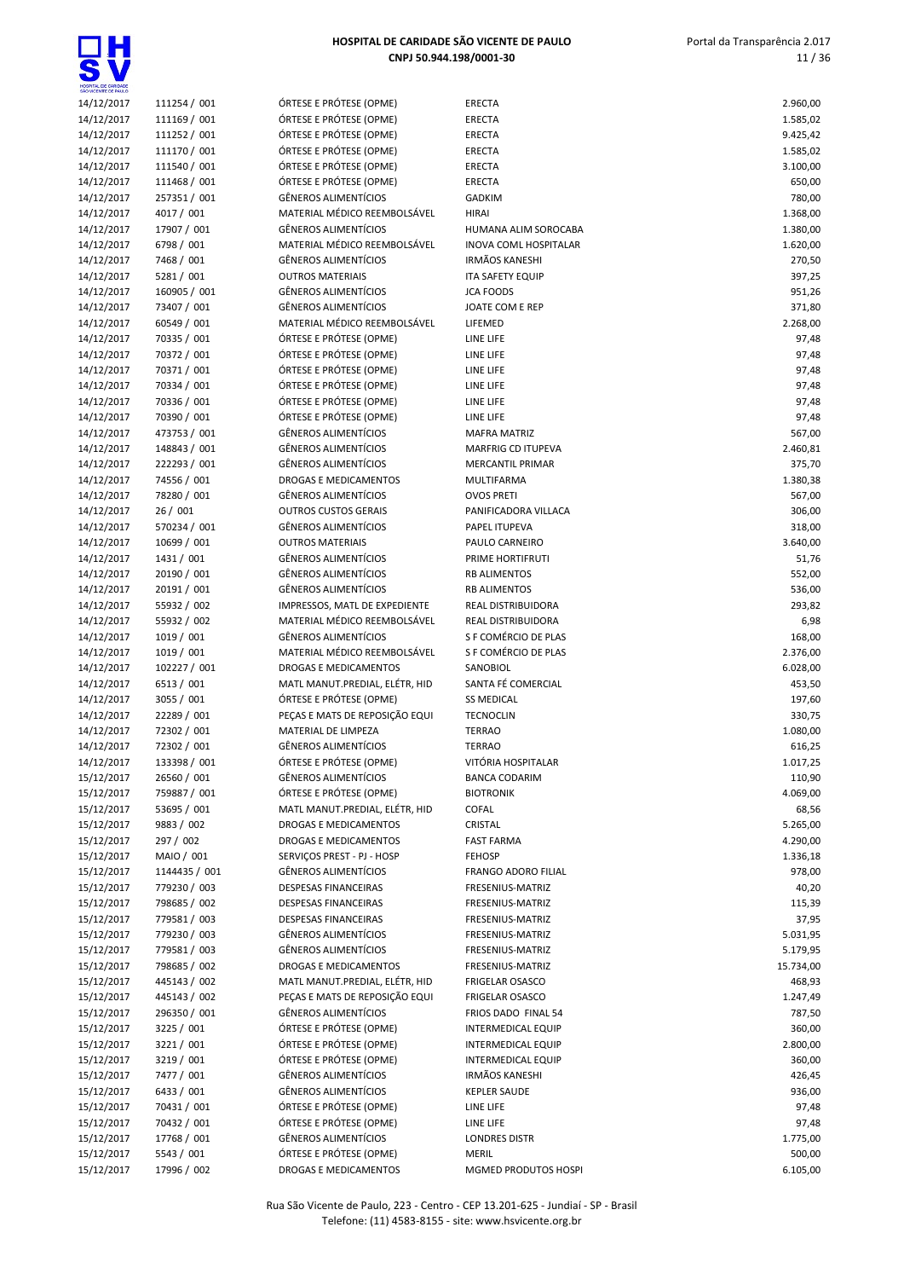| HOSPITAL DE CARIDADE<br>SÃO VICENTE DE PAULO |              |
|----------------------------------------------|--------------|
| 14/12/2017                                   | 111254 / 001 |
| 14/12/2017                                   | 111169 / 001 |
| 14/12/2017                                   | 111252 / 001 |
| 14/12/2017                                   | 111170 / 001 |
| 14/12/2017                                   | 111540 / 001 |
| 14/12/2017                                   | 111468 / 001 |
| 14/12/2017                                   | 257351 / 001 |
| 14/12/2017                                   | 4017 / 001   |
| 14/12/2017                                   | 17907 / 001  |
| 14/12/2017                                   | 6798 / 001   |
| 14/12/2017                                   | 7468 / 001   |
| 14/12/2017                                   | 5281 / 001   |
| 14/12/2017                                   | 160905 / 001 |
| 14/12/2017                                   | 73407 / 001  |
| 14/12/2017                                   | 60549 / 001  |
| 14/12/2017                                   | 70335 / 001  |
| 14/12/2017                                   | 70372 / 001  |
| 14/12/2017                                   | 70371 / 001  |
| 14/12/2017                                   | 70334 / 001  |
| 14/12/2017                                   | 70336 / 001  |
| 14/12/2017                                   | 70390 / 001  |
| 14/12/2017                                   | 473753 / 001 |
| 14/12/2017                                   | 148843 / 001 |
| 14/12/2017                                   | 222293 / 001 |
| 14/12/2017                                   | 74556 / 001  |
| 14/12/2017                                   | 78280 / 001  |
| 14/12/2017                                   | 26 / 001     |
| 14/12/2017                                   | 570234 / 001 |
| 14/12/2017                                   | 10699 / 001  |
| 14/12/2017                                   | 1431 / 001   |
| 14/12/2017                                   | 20190 / 001  |
| 14/12/2017                                   | 20191 / 001  |
| 14/12/2017                                   | 55932 / 002  |
| 14/12/2017                                   | 55932 / 002  |
| 14/12/2017                                   | 1019 / 001   |
| 14/12/2017                                   | 1019 / 001   |
| 14/12/2017                                   | 102227 / 001 |
| 14/12/2017                                   | 6513 / 001   |
| 14/12/2017                                   | 3055 / 001   |
| 14/12/2017                                   | 22289 / 001  |
| 14/12/2017                                   | 72302 / 001  |
| 14/12/2017                                   | 72302 / 001  |
| 14/12/2017                                   | 133398 / 001 |
| 15/12/2017                                   | 26560 / 001  |
| 15/12/2017                                   | 759887 / 001 |
| 15/12/2017                                   | 53695 / 001  |
| 15/12/2017                                   | 9883 / 002   |
| 15/12/2017                                   | 297 / 002    |

| 14/12/2017 | 111254 / 001  | ÓRTESE E PRÓTESE (OPME)        | <b>ERECTA</b>                | 2.960,00  |
|------------|---------------|--------------------------------|------------------------------|-----------|
| 14/12/2017 | 111169 / 001  | ÓRTESE E PRÓTESE (OPME)        | <b>ERECTA</b>                | 1.585,02  |
| 14/12/2017 | 111252 / 001  | ÓRTESE E PRÓTESE (OPME)        | <b>ERECTA</b>                | 9.425,42  |
| 14/12/2017 | 111170 / 001  | ÓRTESE E PRÓTESE (OPME)        | <b>ERECTA</b>                | 1.585,02  |
| 14/12/2017 | 111540 / 001  | ÓRTESE E PRÓTESE (OPME)        | <b>ERECTA</b>                | 3.100,00  |
|            | 111468 / 001  | ÓRTESE E PRÓTESE (OPME)        | <b>ERECTA</b>                |           |
| 14/12/2017 |               |                                |                              | 650,00    |
| 14/12/2017 | 257351 / 001  | <b>GÊNEROS ALIMENTÍCIOS</b>    | <b>GADKIM</b>                | 780,00    |
| 14/12/2017 | 4017 / 001    | MATERIAL MÉDICO REEMBOLSÁVEL   | <b>HIRAI</b>                 | 1.368,00  |
| 14/12/2017 | 17907 / 001   | <b>GÊNEROS ALIMENTÍCIOS</b>    | HUMANA ALIM SOROCABA         | 1.380,00  |
| 14/12/2017 | 6798 / 001    | MATERIAL MÉDICO REEMBOLSÁVEL   | <b>INOVA COML HOSPITALAR</b> | 1.620,00  |
| 14/12/2017 | 7468 / 001    | <b>GÊNEROS ALIMENTÍCIOS</b>    | <b>IRMÃOS KANESHI</b>        | 270,50    |
|            |               |                                |                              |           |
| 14/12/2017 | 5281 / 001    | <b>OUTROS MATERIAIS</b>        | <b>ITA SAFETY EQUIP</b>      | 397,25    |
| 14/12/2017 | 160905 / 001  | <b>GÊNEROS ALIMENTÍCIOS</b>    | <b>JCA FOODS</b>             | 951,26    |
| 14/12/2017 | 73407 / 001   | <b>GÊNEROS ALIMENTÍCIOS</b>    | JOATE COM E REP              | 371,80    |
| 14/12/2017 | 60549 / 001   | MATERIAL MÉDICO REEMBOLSÁVEL   | LIFEMED                      | 2.268,00  |
| 14/12/2017 | 70335 / 001   | ÓRTESE E PRÓTESE (OPME)        | LINE LIFE                    | 97,48     |
| 14/12/2017 | 70372 / 001   | ÓRTESE E PRÓTESE (OPME)        | LINE LIFE                    | 97,48     |
|            |               |                                |                              |           |
| 14/12/2017 | 70371 / 001   | ÓRTESE E PRÓTESE (OPME)        | LINE LIFE                    | 97,48     |
| 14/12/2017 | 70334 / 001   | ÓRTESE E PRÓTESE (OPME)        | LINE LIFE                    | 97,48     |
| 14/12/2017 | 70336 / 001   | ÓRTESE E PRÓTESE (OPME)        | LINE LIFE                    | 97,48     |
| 14/12/2017 | 70390 / 001   | ÓRTESE E PRÓTESE (OPME)        | LINE LIFE                    | 97,48     |
| 14/12/2017 | 473753 / 001  | <b>GÊNEROS ALIMENTÍCIOS</b>    | <b>MAFRA MATRIZ</b>          | 567,00    |
|            |               | <b>GÊNEROS ALIMENTÍCIOS</b>    | <b>MARFRIG CD ITUPEVA</b>    |           |
| 14/12/2017 | 148843 / 001  |                                |                              | 2.460,81  |
| 14/12/2017 | 222293 / 001  | <b>GÊNEROS ALIMENTÍCIOS</b>    | <b>MERCANTIL PRIMAR</b>      | 375,70    |
| 14/12/2017 | 74556 / 001   | DROGAS E MEDICAMENTOS          | MULTIFARMA                   | 1.380,38  |
| 14/12/2017 | 78280 / 001   | <b>GÊNEROS ALIMENTÍCIOS</b>    | <b>OVOS PRETI</b>            | 567,00    |
| 14/12/2017 | 26/001        | <b>OUTROS CUSTOS GERAIS</b>    | PANIFICADORA VILLACA         | 306,00    |
| 14/12/2017 | 570234 / 001  | <b>GÊNEROS ALIMENTÍCIOS</b>    | PAPEL ITUPEVA                | 318,00    |
|            |               |                                |                              |           |
| 14/12/2017 | 10699 / 001   | <b>OUTROS MATERIAIS</b>        | PAULO CARNEIRO               | 3.640,00  |
| 14/12/2017 | 1431 / 001    | <b>GÊNEROS ALIMENTÍCIOS</b>    | PRIME HORTIFRUTI             | 51,76     |
| 14/12/2017 | 20190 / 001   | <b>GÊNEROS ALIMENTÍCIOS</b>    | <b>RB ALIMENTOS</b>          | 552,00    |
| 14/12/2017 | 20191 / 001   | <b>GÊNEROS ALIMENTÍCIOS</b>    | <b>RB ALIMENTOS</b>          | 536,00    |
| 14/12/2017 | 55932 / 002   | IMPRESSOS, MATL DE EXPEDIENTE  | REAL DISTRIBUIDORA           | 293,82    |
|            |               | MATERIAL MÉDICO REEMBOLSÁVEL   |                              |           |
| 14/12/2017 | 55932 / 002   |                                | REAL DISTRIBUIDORA           | 6,98      |
| 14/12/2017 | 1019 / 001    | <b>GÊNEROS ALIMENTÍCIOS</b>    | S F COMÉRCIO DE PLAS         | 168,00    |
| 14/12/2017 | 1019 / 001    | MATERIAL MÉDICO REEMBOLSÁVEL   | S F COMÉRCIO DE PLAS         | 2.376,00  |
| 14/12/2017 | 102227 / 001  | DROGAS E MEDICAMENTOS          | SANOBIOL                     | 6.028,00  |
| 14/12/2017 | 6513 / 001    | MATL MANUT.PREDIAL, ELÉTR, HID | SANTA FÉ COMERCIAL           | 453,50    |
| 14/12/2017 | 3055 / 001    | ÓRTESE E PRÓTESE (OPME)        | <b>SS MEDICAL</b>            | 197,60    |
|            |               |                                |                              |           |
| 14/12/2017 | 22289 / 001   | PEÇAS E MATS DE REPOSIÇÃO EQUI | <b>TECNOCLIN</b>             | 330,75    |
| 14/12/2017 | 72302 / 001   | MATERIAL DE LIMPEZA            | <b>TERRAO</b>                | 1.080,00  |
| 14/12/2017 | 72302 / 001   | <b>GÊNEROS ALIMENTÍCIOS</b>    | <b>TERRAO</b>                | 616,25    |
| 14/12/2017 | 133398 / 001  | ÓRTESE E PRÓTESE (OPME)        | VITÓRIA HOSPITALAR           | 1.017,25  |
| 15/12/2017 | 26560 / 001   | <b>GÊNEROS ALIMENTÍCIOS</b>    | <b>BANCA CODARIM</b>         | 110,90    |
| 15/12/2017 | 759887 / 001  | ÓRTESE E PRÓTESE (OPME)        | <b>BIOTRONIK</b>             | 4.069,00  |
|            |               |                                |                              |           |
| 15/12/2017 | 53695 / 001   | MATL MANUT.PREDIAL, ELÉTR, HID | <b>COFAL</b>                 | 68,56     |
| 15/12/2017 | 9883 / 002    | DROGAS E MEDICAMENTOS          | CRISTAL                      | 5.265,00  |
| 15/12/2017 | 297 / 002     | DROGAS E MEDICAMENTOS          | <b>FAST FARMA</b>            | 4.290,00  |
| 15/12/2017 | MAIO / 001    | SERVIÇOS PREST - PJ - HOSP     | <b>FEHOSP</b>                | 1.336,18  |
| 15/12/2017 | 1144435 / 001 | <b>GËNEROS ALIMENTÍCIOS</b>    | FRANGO ADORO FILIAL          | 978,00    |
|            |               |                                |                              |           |
| 15/12/2017 | 779230 / 003  | DESPESAS FINANCEIRAS           | FRESENIUS-MATRIZ             | 40,20     |
| 15/12/2017 | 798685 / 002  | DESPESAS FINANCEIRAS           | FRESENIUS-MATRIZ             | 115,39    |
| 15/12/2017 | 779581 / 003  | DESPESAS FINANCEIRAS           | FRESENIUS-MATRIZ             | 37,95     |
| 15/12/2017 | 779230 / 003  | <b>GÊNEROS ALIMENTÍCIOS</b>    | FRESENIUS-MATRIZ             | 5.031,95  |
| 15/12/2017 | 779581 / 003  | <b>GÊNEROS ALIMENTÍCIOS</b>    | FRESENIUS-MATRIZ             | 5.179,95  |
| 15/12/2017 | 798685 / 002  | DROGAS E MEDICAMENTOS          | FRESENIUS-MATRIZ             |           |
|            |               |                                |                              | 15.734,00 |
| 15/12/2017 | 445143 / 002  | MATL MANUT.PREDIAL, ELÉTR, HID | <b>FRIGELAR OSASCO</b>       | 468,93    |
| 15/12/2017 | 445143 / 002  | PEÇAS E MATS DE REPOSIÇÃO EQUI | <b>FRIGELAR OSASCO</b>       | 1.247,49  |
| 15/12/2017 | 296350 / 001  | <b>GÊNEROS ALIMENTÍCIOS</b>    | FRIOS DADO FINAL 54          | 787,50    |
| 15/12/2017 | 3225 / 001    | ÓRTESE E PRÓTESE (OPME)        | <b>INTERMEDICAL EQUIP</b>    | 360,00    |
| 15/12/2017 | 3221 / 001    | ÓRTESE E PRÓTESE (OPME)        | <b>INTERMEDICAL EQUIP</b>    | 2.800,00  |
|            |               |                                |                              |           |
| 15/12/2017 | 3219 / 001    | ÓRTESE E PRÓTESE (OPME)        | <b>INTERMEDICAL EQUIP</b>    | 360,00    |
| 15/12/2017 | 7477 / 001    | <b>GÊNEROS ALIMENTÍCIOS</b>    | <b>IRMÃOS KANESHI</b>        | 426,45    |
| 15/12/2017 | 6433 / 001    | <b>GÊNEROS ALIMENTÍCIOS</b>    | <b>KEPLER SAUDE</b>          | 936,00    |
| 15/12/2017 | 70431 / 001   | ÓRTESE E PRÓTESE (OPME)        | LINE LIFE                    | 97,48     |
| 15/12/2017 | 70432 / 001   | ÓRTESE E PRÓTESE (OPME)        | LINE LIFE                    | 97,48     |
| 15/12/2017 | 17768 / 001   | <b>GÊNEROS ALIMENTÍCIOS</b>    | <b>LONDRES DISTR</b>         | 1.775,00  |
|            |               |                                |                              |           |
| 15/12/2017 | 5543 / 001    | ÓRTESE E PRÓTESE (OPME)        | <b>MERIL</b>                 | 500,00    |
| 15/12/2017 | 17996 / 002   | DROGAS E MEDICAMENTOS          | MGMED PRODUTOS HOSPI         | 6.105,00  |

| SÃO VICENTE DE PAULO     |                             |                                                        |                                     |                    |
|--------------------------|-----------------------------|--------------------------------------------------------|-------------------------------------|--------------------|
| 14/12/2017               | 111254 / 001                | ÓRTESE E PRÓTESE (OPME)                                | <b>ERECTA</b>                       | 2.960,00           |
| 14/12/2017               | 111169 / 001                | ÓRTESE E PRÓTESE (OPME)                                | ERECTA                              | 1.585,02           |
| 14/12/2017               | 111252 / 001                | ÓRTESE E PRÓTESE (OPME)                                | ERECTA                              | 9.425,42           |
| 14/12/2017               | 111170 / 001                | ÓRTESE E PRÓTESE (OPME)                                | ERECTA                              | 1.585,02           |
| 14/12/2017               | 111540 / 001                | ÓRTESE E PRÓTESE (OPME)                                | <b>ERECTA</b>                       | 3.100,00           |
| 14/12/2017               | 111468 / 001                | ÓRTESE E PRÓTESE (OPME)<br><b>GÊNEROS ALIMENTÍCIOS</b> | ERECTA                              | 650,00             |
| 14/12/2017<br>14/12/2017 | 257351 / 001<br>4017 / 001  | MATERIAL MÉDICO REEMBOLSÁVEL                           | <b>GADKIM</b><br><b>HIRAI</b>       | 780,00<br>1.368,00 |
| 14/12/2017               | 17907 / 001                 | <b>GÊNEROS ALIMENTÍCIOS</b>                            | HUMANA ALIM SOROCABA                | 1.380,00           |
| 14/12/2017               | 6798 / 001                  | MATERIAL MÉDICO REEMBOLSÁVEL                           | <b>INOVA COML HOSPITALAR</b>        | 1.620,00           |
| 14/12/2017               | 7468 / 001                  | <b>GÊNEROS ALIMENTÍCIOS</b>                            | <b>IRMÃOS KANESHI</b>               | 270,50             |
| 14/12/2017               | 5281 / 001                  | <b>OUTROS MATERIAIS</b>                                | <b>ITA SAFETY EQUIP</b>             | 397,25             |
| 14/12/2017               | 160905 / 001                | <b>GÊNEROS ALIMENTÍCIOS</b>                            | <b>JCA FOODS</b>                    | 951,26             |
| 14/12/2017               | 73407 / 001                 | <b>GÊNEROS ALIMENTÍCIOS</b>                            | JOATE COM E REP                     | 371,80             |
| 14/12/2017               | 60549 / 001                 | MATERIAL MÉDICO REEMBOLSÁVEL                           | LIFEMED                             | 2.268,00           |
| 14/12/2017               | 70335 / 001                 | ÓRTESE E PRÓTESE (OPME)                                | LINE LIFE                           | 97,48              |
| 14/12/2017               | 70372 / 001                 | ÓRTESE E PRÓTESE (OPME)                                | LINE LIFE                           | 97,48              |
| 14/12/2017               | 70371 / 001                 | ÓRTESE E PRÓTESE (OPME)                                | LINE LIFE                           | 97,48              |
| 14/12/2017               | 70334 / 001                 | ÓRTESE E PRÓTESE (OPME)                                | LINE LIFE                           | 97,48              |
| 14/12/2017               | 70336 / 001                 | ÓRTESE E PRÓTESE (OPME)                                | LINE LIFE                           | 97,48              |
| 14/12/2017               | 70390 / 001                 | ÓRTESE E PRÓTESE (OPME)                                | LINE LIFE                           | 97,48              |
| 14/12/2017               | 473753 / 001                | <b>GÊNEROS ALIMENTÍCIOS</b>                            | <b>MAFRA MATRIZ</b>                 | 567,00             |
| 14/12/2017               | 148843 / 001                | <b>GÊNEROS ALIMENTÍCIOS</b>                            | <b>MARFRIG CD ITUPEVA</b>           | 2.460,81           |
| 14/12/2017               | 222293 / 001                | <b>GÊNEROS ALIMENTÍCIOS</b>                            | <b>MERCANTIL PRIMAR</b>             | 375,70             |
| 14/12/2017               | 74556 / 001                 | DROGAS E MEDICAMENTOS                                  | MULTIFARMA                          | 1.380,38           |
| 14/12/2017               | 78280 / 001                 | <b>GÊNEROS ALIMENTÍCIOS</b>                            | <b>OVOS PRETI</b>                   | 567,00             |
| 14/12/2017               | 26/001                      | <b>OUTROS CUSTOS GERAIS</b>                            | PANIFICADORA VILLACA                | 306,00             |
| 14/12/2017               | 570234 / 001                | <b>GÊNEROS ALIMENTÍCIOS</b>                            | PAPEL ITUPEVA                       | 318,00             |
| 14/12/2017               | 10699 / 001                 | <b>OUTROS MATERIAIS</b>                                | PAULO CARNEIRO                      | 3.640,00           |
| 14/12/2017               | 1431 / 001                  | <b>GÊNEROS ALIMENTÍCIOS</b>                            | PRIME HORTIFRUTI                    | 51,76              |
| 14/12/2017               | 20190 / 001                 | <b>GÊNEROS ALIMENTÍCIOS</b>                            | <b>RB ALIMENTOS</b>                 | 552,00             |
| 14/12/2017               | 20191 / 001                 | <b>GÊNEROS ALIMENTÍCIOS</b>                            | <b>RB ALIMENTOS</b>                 | 536,00             |
| 14/12/2017               | 55932 / 002                 | IMPRESSOS, MATL DE EXPEDIENTE                          | REAL DISTRIBUIDORA                  | 293,82             |
| 14/12/2017               | 55932 / 002                 | MATERIAL MÉDICO REEMBOLSÁVEL                           | REAL DISTRIBUIDORA                  | 6,98               |
| 14/12/2017               | 1019 / 001                  | <b>GÊNEROS ALIMENTÍCIOS</b>                            | S F COMÉRCIO DE PLAS                | 168,00             |
| 14/12/2017               | 1019/001                    | MATERIAL MÉDICO REEMBOLSÁVEL                           | S F COMÉRCIO DE PLAS                | 2.376,00           |
| 14/12/2017               | 102227 / 001                | DROGAS E MEDICAMENTOS                                  | SANOBIOL                            | 6.028,00           |
| 14/12/2017               | 6513 / 001                  | MATL MANUT.PREDIAL, ELÉTR, HID                         | SANTA FÉ COMERCIAL                  | 453,50             |
| 14/12/2017               | 3055 / 001                  | ÓRTESE E PRÓTESE (OPME)                                | <b>SS MEDICAL</b>                   | 197,60             |
| 14/12/2017               | 22289 / 001                 | PEÇAS E MATS DE REPOSIÇÃO EQUI                         | <b>TECNOCLIN</b>                    | 330,75             |
| 14/12/2017               | 72302 / 001                 | MATERIAL DE LIMPEZA<br><b>GÊNEROS ALIMENTÍCIOS</b>     | <b>TERRAO</b>                       | 1.080,00           |
| 14/12/2017               | 72302 / 001                 |                                                        | <b>TERRAO</b><br>VITÓRIA HOSPITALAR | 616,25             |
| 14/12/2017               | 133398 / 001                | ÓRTESE E PRÓTESE (OPME)<br><b>GËNEROS ALIMENTÍCIOS</b> | <b>BANCA CODARIM</b>                | 1.017,25           |
| 15/12/2017<br>15/12/2017 | 26560 / 001<br>759887 / 001 | ÓRTESE E PRÓTESE (OPME)                                | <b>BIOTRONIK</b>                    | 110,90<br>4.069,00 |
| 15/12/2017               | 53695 / 001                 | MATL MANUT.PREDIAL, ELÉTR, HID                         | <b>COFAL</b>                        | 68,56              |
| 15/12/2017               | 9883 / 002                  | DROGAS E MEDICAMENTOS                                  | CRISTAL                             | 5.265,00           |
| 15/12/2017               | 297 / 002                   | DROGAS E MEDICAMENTOS                                  | <b>FAST FARMA</b>                   | 4.290,00           |
| 15/12/2017               | MAIO / 001                  | SERVIÇOS PREST - PJ - HOSP                             | <b>FEHOSP</b>                       | 1.336,18           |
| 15/12/2017               | 1144435 / 001               | <b>GÊNEROS ALIMENTÍCIOS</b>                            | FRANGO ADORO FILIAL                 | 978,00             |
| 15/12/2017               | 779230 / 003                | DESPESAS FINANCEIRAS                                   | FRESENIUS-MATRIZ                    | 40,20              |
| 15/12/2017               | 798685 / 002                | DESPESAS FINANCEIRAS                                   | FRESENIUS-MATRIZ                    | 115,39             |
| 15/12/2017               | 779581 / 003                | DESPESAS FINANCEIRAS                                   | FRESENIUS-MATRIZ                    | 37,95              |
| 15/12/2017               | 779230 / 003                | <b>GÊNEROS ALIMENTÍCIOS</b>                            | FRESENIUS-MATRIZ                    | 5.031,95           |
| 15/12/2017               | 779581 / 003                | <b>GÊNEROS ALIMENTÍCIOS</b>                            | FRESENIUS-MATRIZ                    | 5.179,95           |
| 15/12/2017               | 798685 / 002                | DROGAS E MEDICAMENTOS                                  | FRESENIUS-MATRIZ                    | 15.734,00          |
| 15/12/2017               | 445143 / 002                | MATL MANUT.PREDIAL, ELÉTR, HID                         | <b>FRIGELAR OSASCO</b>              | 468,93             |
| 15/12/2017               | 445143 / 002                | PEÇAS E MATS DE REPOSIÇÃO EQUI                         | <b>FRIGELAR OSASCO</b>              | 1.247,49           |
| 15/12/2017               | 296350 / 001                | <b>GÊNEROS ALIMENTÍCIOS</b>                            | FRIOS DADO FINAL 54                 | 787,50             |
| 15/12/2017               | 3225 / 001                  | ÓRTESE E PRÓTESE (OPME)                                | INTERMEDICAL EQUIP                  | 360,00             |
| 15/12/2017               | 3221 / 001                  | ÓRTESE E PRÓTESE (OPME)                                | <b>INTERMEDICAL EQUIP</b>           | 2.800,00           |
| 15/12/2017               | 3219 / 001                  | ÓRTESE E PRÓTESE (OPME)                                | <b>INTERMEDICAL EQUIP</b>           | 360,00             |
| 15/12/2017               | 7477 / 001                  | <b>GÊNEROS ALIMENTÍCIOS</b>                            | <b>IRMÃOS KANESHI</b>               | 426,45             |
| 15/12/2017               | 6433 / 001                  | <b>GÊNEROS ALIMENTÍCIOS</b>                            | <b>KEPLER SAUDE</b>                 | 936,00             |
| 15/12/2017               | 70431 / 001                 | ÓRTESE E PRÓTESE (OPME)                                | LINE LIFE                           | 97,48              |
| 15/12/2017               | 70432 / 001                 | ÓRTESE E PRÓTESE (OPME)                                | LINE LIFE                           | 97,48              |
| 15/12/2017               | 17768 / 001                 | <b>GÊNEROS ALIMENTÍCIOS</b>                            | <b>LONDRES DISTR</b>                | 1.775,00           |
| 15/12/2017               | 5543 / 001                  | ÓRTESE E PRÓTESE (OPME)                                | <b>MERIL</b>                        | 500,00             |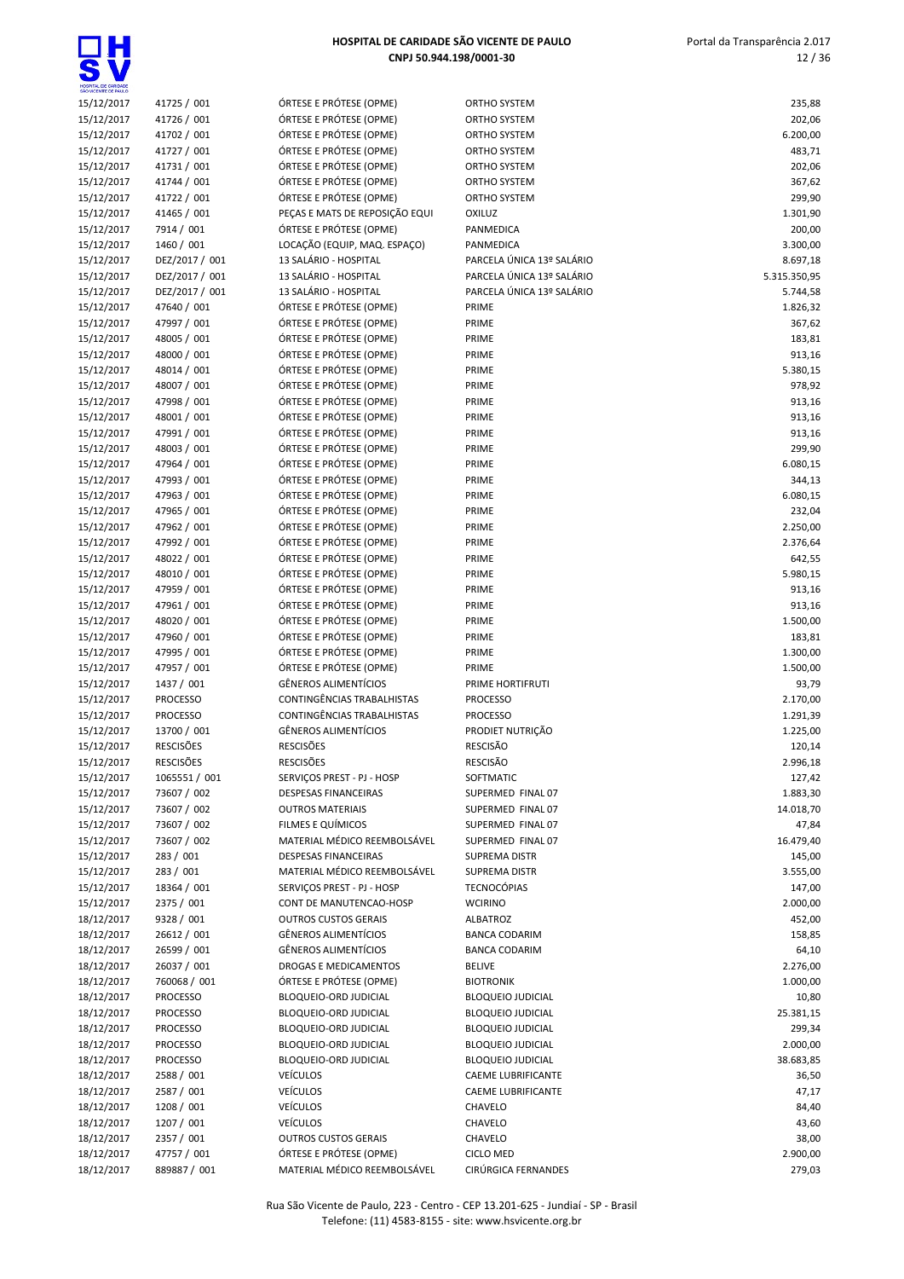Portal da Transparência 2.017 12 / 36

| HOSPITAL DE CARIDADE<br>SÃO VICENTE DE PAULO |
|----------------------------------------------|
|                                              |

| HOSPITAL DE CARIDADE<br>SÃO VICENTE DE PAULO |                               |                                                                  |                                                |                       |
|----------------------------------------------|-------------------------------|------------------------------------------------------------------|------------------------------------------------|-----------------------|
| 15/12/2017                                   | 41725 / 001                   | ÓRTESE E PRÓTESE (OPME)                                          | ORTHO SYSTEM                                   | 235,88                |
| 15/12/2017                                   | 41726 / 001                   | ÓRTESE E PRÓTESE (OPME)                                          | ORTHO SYSTEM                                   | 202,06                |
| 15/12/2017                                   | 41702 / 001                   | ÓRTESE E PRÓTESE (OPME)                                          | ORTHO SYSTEM                                   | 6.200,00              |
| 15/12/2017<br>15/12/2017                     | 41727 / 001<br>41731 / 001    | ÓRTESE E PRÓTESE (OPME)<br>ÓRTESE E PRÓTESE (OPME)               | ORTHO SYSTEM<br>ORTHO SYSTEM                   | 483,71<br>202,06      |
| 15/12/2017                                   | 41744 / 001                   | ÓRTESE E PRÓTESE (OPME)                                          | ORTHO SYSTEM                                   | 367,62                |
| 15/12/2017                                   | 41722 / 001                   | ÓRTESE E PRÓTESE (OPME)                                          | ORTHO SYSTEM                                   | 299,90                |
| 15/12/2017                                   | 41465 / 001                   | PEÇAS E MATS DE REPOSIÇÃO EQUI                                   | <b>OXILUZ</b>                                  | 1.301,90              |
| 15/12/2017                                   | 7914 / 001                    | ÓRTESE E PRÓTESE (OPME)                                          | PANMEDICA                                      | 200,00                |
| 15/12/2017                                   | 1460 / 001                    | LOCAÇÃO (EQUIP, MAQ. ESPAÇO)                                     | <b>PANMEDICA</b>                               | 3.300,00              |
| 15/12/2017                                   | DEZ/2017 / 001                | 13 SALÁRIO - HOSPITAL                                            | PARCELA ÚNICA 13º SALÁRIO                      | 8.697,18              |
| 15/12/2017                                   | DEZ/2017 / 001                | 13 SALÁRIO - HOSPITAL                                            | PARCELA ÚNICA 13º SALÁRIO                      | 5.315.350,95          |
| 15/12/2017                                   | DEZ/2017 / 001                | 13 SALÁRIO - HOSPITAL                                            | PARCELA ÚNICA 13º SALÁRIO                      | 5.744,58              |
| 15/12/2017                                   | 47640 / 001                   | ÓRTESE E PRÓTESE (OPME)                                          | PRIME                                          | 1.826,32              |
| 15/12/2017<br>15/12/2017                     | 47997 / 001<br>48005 / 001    | ÓRTESE E PRÓTESE (OPME)<br>ÓRTESE E PRÓTESE (OPME)               | PRIME<br>PRIME                                 | 367,62<br>183,81      |
| 15/12/2017                                   | 48000 / 001                   | ÓRTESE E PRÓTESE (OPME)                                          | PRIME                                          | 913,16                |
| 15/12/2017                                   | 48014 / 001                   | ÓRTESE E PRÓTESE (OPME)                                          | PRIME                                          | 5.380,15              |
| 15/12/2017                                   | 48007 / 001                   | ÓRTESE E PRÓTESE (OPME)                                          | PRIME                                          | 978,92                |
| 15/12/2017                                   | 47998 / 001                   | ÓRTESE E PRÓTESE (OPME)                                          | PRIME                                          | 913,16                |
| 15/12/2017                                   | 48001 / 001                   | ÓRTESE E PRÓTESE (OPME)                                          | PRIME                                          | 913,16                |
| 15/12/2017                                   | 47991 / 001                   | ÓRTESE E PRÓTESE (OPME)                                          | PRIME                                          | 913,16                |
| 15/12/2017                                   | 48003 / 001                   | ÓRTESE E PRÓTESE (OPME)                                          | PRIME                                          | 299,90                |
| 15/12/2017                                   | 47964 / 001                   | ÓRTESE E PRÓTESE (OPME)                                          | PRIME                                          | 6.080,15              |
| 15/12/2017                                   | 47993 / 001                   | ÓRTESE E PRÓTESE (OPME)                                          | PRIME                                          | 344,13                |
| 15/12/2017                                   | 47963 / 001                   | ÓRTESE E PRÓTESE (OPME)<br>ÓRTESE E PRÓTESE (OPME)               | PRIME                                          | 6.080,15              |
| 15/12/2017<br>15/12/2017                     | 47965 / 001<br>47962 / 001    | ÓRTESE E PRÓTESE (OPME)                                          | PRIME<br>PRIME                                 | 232,04<br>2.250,00    |
| 15/12/2017                                   | 47992 / 001                   | ÓRTESE E PRÓTESE (OPME)                                          | PRIME                                          | 2.376,64              |
| 15/12/2017                                   | 48022 / 001                   | ÓRTESE E PRÓTESE (OPME)                                          | PRIME                                          | 642,55                |
| 15/12/2017                                   | 48010 / 001                   | ÓRTESE E PRÓTESE (OPME)                                          | PRIME                                          | 5.980,15              |
| 15/12/2017                                   | 47959 / 001                   | ÓRTESE E PRÓTESE (OPME)                                          | PRIME                                          | 913,16                |
| 15/12/2017                                   | 47961 / 001                   | ÓRTESE E PRÓTESE (OPME)                                          | PRIME                                          | 913,16                |
| 15/12/2017                                   | 48020 / 001                   | ÓRTESE E PRÓTESE (OPME)                                          | PRIME                                          | 1.500,00              |
| 15/12/2017                                   | 47960 / 001                   | ÓRTESE E PRÓTESE (OPME)                                          | PRIME                                          | 183,81                |
| 15/12/2017                                   | 47995 / 001                   | ÓRTESE E PRÓTESE (OPME)                                          | PRIME                                          | 1.300,00              |
| 15/12/2017                                   | 47957 / 001                   | ÓRTESE E PRÓTESE (OPME)                                          | PRIME<br>PRIME HORTIFRUTI                      | 1.500,00              |
| 15/12/2017<br>15/12/2017                     | 1437 / 001<br><b>PROCESSO</b> | <b>GÊNEROS ALIMENTÍCIOS</b><br><b>CONTINGÊNCIAS TRABALHISTAS</b> | <b>PROCESSO</b>                                | 93,79<br>2.170,00     |
| 15/12/2017                                   | <b>PROCESSO</b>               | CONTINGÊNCIAS TRABALHISTAS                                       | <b>PROCESSO</b>                                | 1.291,39              |
| 15/12/2017                                   | 13700 / 001                   | <b>GÊNEROS ALIMENTÍCIOS</b>                                      | PRODIET NUTRIÇÃO                               | 1.225,00              |
| 15/12/2017                                   | <b>RESCISÕES</b>              | <b>RESCISÕES</b>                                                 | <b>RESCISÃO</b>                                | 120,14                |
| 15/12/2017                                   | <b>RESCISÕES</b>              | <b>RESCISÕES</b>                                                 | <b>RESCISÃO</b>                                | 2.996,18              |
| 15/12/2017                                   | 1065551 / 001                 | SERVIÇOS PREST - PJ - HOSP                                       | SOFTMATIC                                      | 127,42                |
| 15/12/2017                                   | 73607 / 002                   | DESPESAS FINANCEIRAS                                             | SUPERMED FINAL 07                              | 1.883,30              |
| 15/12/2017                                   | 73607 / 002                   | <b>OUTROS MATERIAIS</b>                                          | SUPERMED FINAL 07                              | 14.018,70             |
| 15/12/2017                                   | 73607 / 002                   | FILMES E QUÍMICOS                                                | SUPERMED FINAL 07                              | 47,84                 |
| 15/12/2017                                   | 73607 / 002                   | MATERIAL MÉDICO REEMBOLSÁVEL                                     | SUPERMED FINAL 07                              | 16.479,40             |
| 15/12/2017<br>15/12/2017                     | 283 / 001<br>283 / 001        | <b>DESPESAS FINANCEIRAS</b><br>MATERIAL MÉDICO REEMBOLSÁVEL      | SUPREMA DISTR<br><b>SUPREMA DISTR</b>          | 145,00<br>3.555,00    |
| 15/12/2017                                   | 18364 / 001                   | SERVIÇOS PREST - PJ - HOSP                                       | <b>TECNOCÓPIAS</b>                             | 147,00                |
| 15/12/2017                                   | 2375 / 001                    | CONT DE MANUTENCAO-HOSP                                          | <b>WCIRINO</b>                                 | 2.000,00              |
| 18/12/2017                                   | 9328 / 001                    | <b>OUTROS CUSTOS GERAIS</b>                                      | <b>ALBATROZ</b>                                | 452,00                |
| 18/12/2017                                   | 26612 / 001                   | <b>GÊNEROS ALIMENTÍCIOS</b>                                      | <b>BANCA CODARIM</b>                           | 158,85                |
| 18/12/2017                                   | 26599 / 001                   | <b>GÊNEROS ALIMENTÍCIOS</b>                                      | <b>BANCA CODARIM</b>                           | 64,10                 |
| 18/12/2017                                   | 26037 / 001                   | DROGAS E MEDICAMENTOS                                            | <b>BELIVE</b>                                  | 2.276,00              |
| 18/12/2017                                   | 760068 / 001                  | ÓRTESE E PRÓTESE (OPME)                                          | <b>BIOTRONIK</b>                               | 1.000,00              |
| 18/12/2017                                   | <b>PROCESSO</b>               | BLOQUEIO-ORD JUDICIAL                                            | <b>BLOQUEIO JUDICIAL</b>                       | 10,80                 |
| 18/12/2017                                   | <b>PROCESSO</b>               | BLOQUEIO-ORD JUDICIAL                                            | <b>BLOQUEIO JUDICIAL</b>                       | 25.381,15             |
| 18/12/2017                                   | <b>PROCESSO</b>               | BLOQUEIO-ORD JUDICIAL                                            | <b>BLOQUEIO JUDICIAL</b>                       | 299,34                |
| 18/12/2017                                   | <b>PROCESSO</b>               | BLOQUEIO-ORD JUDICIAL<br>BLOQUEIO-ORD JUDICIAL                   | <b>BLOQUEIO JUDICIAL</b>                       | 2.000,00<br>38.683,85 |
| 18/12/2017<br>18/12/2017                     | <b>PROCESSO</b><br>2588 / 001 | <b>VEÍCULOS</b>                                                  | <b>BLOQUEIO JUDICIAL</b><br>CAEME LUBRIFICANTE | 36,50                 |
| 18/12/2017                                   | 2587 / 001                    | <b>VEÍCULOS</b>                                                  | <b>CAEME LUBRIFICANTE</b>                      | 47,17                 |
| 18/12/2017                                   | 1208 / 001                    | <b>VEÍCULOS</b>                                                  | CHAVELO                                        | 84,40                 |
| 18/12/2017                                   | 1207 / 001                    | <b>VEÍCULOS</b>                                                  | CHAVELO                                        | 43,60                 |
| 18/12/2017                                   | 2357 / 001                    | <b>OUTROS CUSTOS GERAIS</b>                                      | CHAVELO                                        | 38,00                 |
| 18/12/2017                                   | 47757 / 001                   | ÓRTESE E PRÓTESE (OPME)                                          | <b>CICLO MED</b>                               | 2.900,00              |
| 18/12/2017                                   | 889887 / 001                  | MATERIAL MÉDICO REEMBOLSÁVEL                                     | CIRÚRGICA FERNANDES                            | 279,03                |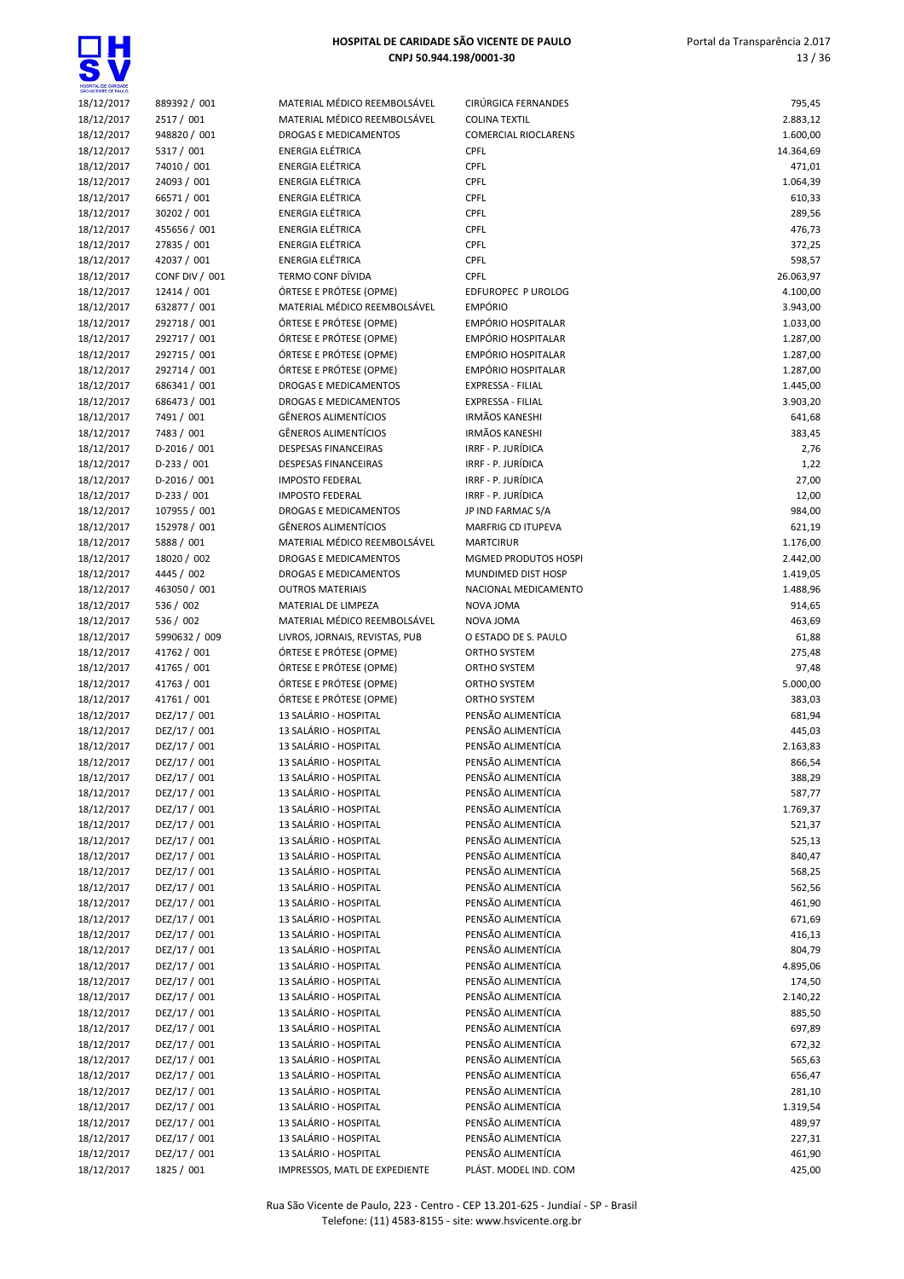

| SÃO VICENTE DE PAULO |                |                                |                             |           |
|----------------------|----------------|--------------------------------|-----------------------------|-----------|
| 18/12/2017           | 889392 / 001   | MATERIAL MÉDICO REEMBOLSÁVEL   | CIRÚRGICA FERNANDES         | 795,45    |
| 18/12/2017           | 2517 / 001     | MATERIAL MÉDICO REEMBOLSÁVEL   | <b>COLINA TEXTIL</b>        | 2.883,12  |
| 18/12/2017           | 948820 / 001   | <b>DROGAS E MEDICAMENTOS</b>   | <b>COMERCIAL RIOCLARENS</b> | 1.600,00  |
| 18/12/2017           | 5317 / 001     | <b>ENERGIA ELÉTRICA</b>        | CPFL                        | 14.364,69 |
| 18/12/2017           | 74010 / 001    | <b>ENERGIA ELÉTRICA</b>        | CPFL                        | 471,01    |
| 18/12/2017           | 24093 / 001    | ENERGIA ELÉTRICA               | CPFL                        | 1.064,39  |
|                      |                |                                |                             |           |
| 18/12/2017           | 66571 / 001    | <b>ENERGIA ELÉTRICA</b>        | CPFL                        | 610,33    |
| 18/12/2017           | 30202 / 001    | <b>ENERGIA ELÉTRICA</b>        | CPFL                        | 289,56    |
| 18/12/2017           | 455656 / 001   | <b>ENERGIA ELÉTRICA</b>        | CPFL                        | 476,73    |
| 18/12/2017           | 27835 / 001    | <b>ENERGIA ELÉTRICA</b>        | CPFL                        | 372,25    |
| 18/12/2017           | 42037 / 001    | ENERGIA ELÉTRICA               | CPFL                        | 598,57    |
| 18/12/2017           | CONF DIV / 001 | TERMO CONF DÍVIDA              | <b>CPFL</b>                 | 26.063,97 |
| 18/12/2017           | 12414 / 001    | ÓRTESE E PRÓTESE (OPME)        | EDFUROPEC P UROLOG          | 4.100,00  |
| 18/12/2017           | 632877 / 001   | MATERIAL MÉDICO REEMBOLSÁVEL   | <b>EMPÓRIO</b>              | 3.943,00  |
| 18/12/2017           | 292718 / 001   | ÓRTESE E PRÓTESE (OPME)        | <b>EMPÓRIO HOSPITALAR</b>   | 1.033,00  |
|                      |                |                                |                             |           |
| 18/12/2017           | 292717 / 001   | ÓRTESE E PRÓTESE (OPME)        | <b>EMPÓRIO HOSPITALAR</b>   | 1.287,00  |
| 18/12/2017           | 292715 / 001   | ÓRTESE E PRÓTESE (OPME)        | <b>EMPÓRIO HOSPITALAR</b>   | 1.287,00  |
| 18/12/2017           | 292714 / 001   | ÓRTESE E PRÓTESE (OPME)        | <b>EMPÓRIO HOSPITALAR</b>   | 1.287,00  |
| 18/12/2017           | 686341 / 001   | <b>DROGAS E MEDICAMENTOS</b>   | <b>EXPRESSA - FILIAL</b>    | 1.445,00  |
| 18/12/2017           | 686473 / 001   | DROGAS E MEDICAMENTOS          | <b>EXPRESSA - FILIAL</b>    | 3.903,20  |
| 18/12/2017           | 7491 / 001     | GÊNEROS ALIMENTÍCIOS           | <b>IRMÃOS KANESHI</b>       | 641,68    |
| 18/12/2017           | 7483 / 001     | <b>GÊNEROS ALIMENTÍCIOS</b>    | <b>IRMÃOS KANESHI</b>       | 383,45    |
| 18/12/2017           | D-2016 / 001   | <b>DESPESAS FINANCEIRAS</b>    | IRRF - P. JURÍDICA          | 2,76      |
|                      |                |                                |                             |           |
| 18/12/2017           | $D-233 / 001$  | <b>DESPESAS FINANCEIRAS</b>    | IRRF - P. JURÍDICA          | 1,22      |
| 18/12/2017           | $D-2016 / 001$ | <b>IMPOSTO FEDERAL</b>         | IRRF - P. JURÍDICA          | 27,00     |
| 18/12/2017           | $D-233 / 001$  | <b>IMPOSTO FEDERAL</b>         | IRRF - P. JURÍDICA          | 12,00     |
| 18/12/2017           | 107955 / 001   | <b>DROGAS E MEDICAMENTOS</b>   | JP IND FARMAC S/A           | 984,00    |
| 18/12/2017           | 152978 / 001   | <b>GÊNEROS ALIMENTÍCIOS</b>    | MARFRIG CD ITUPEVA          | 621,19    |
| 18/12/2017           | 5888 / 001     | MATERIAL MÉDICO REEMBOLSÁVEL   | <b>MARTCIRUR</b>            | 1.176,00  |
| 18/12/2017           | 18020 / 002    | DROGAS E MEDICAMENTOS          | MGMED PRODUTOS HOSPI        | 2.442,00  |
| 18/12/2017           | 4445 / 002     | DROGAS E MEDICAMENTOS          | MUNDIMED DIST HOSP          | 1.419,05  |
| 18/12/2017           | 463050 / 001   | <b>OUTROS MATERIAIS</b>        | NACIONAL MEDICAMENTO        | 1.488,96  |
|                      |                |                                |                             |           |
| 18/12/2017           | 536 / 002      | MATERIAL DE LIMPEZA            | NOVA JOMA                   | 914,65    |
| 18/12/2017           | 536 / 002      | MATERIAL MÉDICO REEMBOLSÁVEL   | NOVA JOMA                   | 463,69    |
| 18/12/2017           | 5990632 / 009  | LIVROS, JORNAIS, REVISTAS, PUB | O ESTADO DE S. PAULO        | 61,88     |
| 18/12/2017           | 41762 / 001    | ÓRTESE E PRÓTESE (OPME)        | ORTHO SYSTEM                | 275,48    |
| 18/12/2017           | 41765 / 001    | ÓRTESE E PRÓTESE (OPME)        | ORTHO SYSTEM                | 97,48     |
| 18/12/2017           | 41763 / 001    | ÓRTESE E PRÓTESE (OPME)        | ORTHO SYSTEM                | 5.000,00  |
| 18/12/2017           | 41761 / 001    | ÓRTESE E PRÓTESE (OPME)        | ORTHO SYSTEM                | 383,03    |
| 18/12/2017           | DEZ/17 / 001   | 13 SALÁRIO - HOSPITAL          | PENSÃO ALIMENTÍCIA          | 681,94    |
| 18/12/2017           | DEZ/17 / 001   | 13 SALÁRIO - HOSPITAL          | PENSÃO ALIMENTÍCIA          | 445,03    |
|                      |                | 13 SALÁRIO - HOSPITAL          |                             |           |
| 18/12/2017           | DEZ/17 / 001   |                                | PENSÃO ALIMENTÍCIA          | 2.163,83  |
| 18/12/2017           | DEZ/17 / 001   | 13 SALÁRIO - HOSPITAL          | PENSÃO ALIMENTÍCIA          | 866,54    |
| 18/12/2017           | DEZ/17 / 001   | 13 SALÁRIO - HOSPITAL          | PENSÃO ALIMENTÍCIA          | 388,29    |
| 18/12/2017           | DEZ/17 / 001   | 13 SALÁRIO - HOSPITAL          | PENSÃO ALIMENTÍCIA          | 587,77    |
| 18/12/2017           | DEZ/17 / 001   | 13 SALÁRIO - HOSPITAL          | PENSÃO ALIMENTÍCIA          | 1.769,37  |
| 18/12/2017           | DEZ/17 / 001   | 13 SALÁRIO - HOSPITAL          | PENSÃO ALIMENTÍCIA          | 521,37    |
| 18/12/2017           | DEZ/17 / 001   | 13 SALÁRIO - HOSPITAL          | PENSÃO ALIMENTÍCIA          | 525,13    |
| 18/12/2017           | DEZ/17 / 001   | 13 SALÁRIO - HOSPITAL          | PENSÃO ALIMENTÍCIA          | 840,47    |
|                      |                |                                |                             |           |
| 18/12/2017           | DEZ/17 / 001   | 13 SALÁRIO - HOSPITAL          | PENSÃO ALIMENTÍCIA          | 568,25    |
| 18/12/2017           | DEZ/17 / 001   | 13 SALÁRIO - HOSPITAL          | PENSÃO ALIMENTÍCIA          | 562,56    |
| 18/12/2017           | DEZ/17 / 001   | 13 SALÁRIO - HOSPITAL          | PENSÃO ALIMENTÍCIA          | 461,90    |
| 18/12/2017           | DEZ/17 / 001   | 13 SALÁRIO - HOSPITAL          | PENSÃO ALIMENTÍCIA          | 671,69    |
| 18/12/2017           | DEZ/17 / 001   | 13 SALÁRIO - HOSPITAL          | PENSÃO ALIMENTÍCIA          | 416,13    |
| 18/12/2017           | DEZ/17 / 001   | 13 SALÁRIO - HOSPITAL          | PENSÃO ALIMENTÍCIA          | 804,79    |
| 18/12/2017           | DEZ/17 / 001   | 13 SALÁRIO - HOSPITAL          | PENSÃO ALIMENTÍCIA          | 4.895,06  |
| 18/12/2017           | DEZ/17 / 001   | 13 SALÁRIO - HOSPITAL          | PENSÃO ALIMENTÍCIA          | 174,50    |
| 18/12/2017           | DEZ/17 / 001   | 13 SALÁRIO - HOSPITAL          | PENSÃO ALIMENTÍCIA          | 2.140,22  |
|                      |                |                                |                             |           |
| 18/12/2017           | DEZ/17 / 001   | 13 SALÁRIO - HOSPITAL          | PENSÃO ALIMENTÍCIA          | 885,50    |
| 18/12/2017           | DEZ/17 / 001   | 13 SALÁRIO - HOSPITAL          | PENSÃO ALIMENTÍCIA          | 697,89    |
| 18/12/2017           | DEZ/17 / 001   | 13 SALÁRIO - HOSPITAL          | PENSÃO ALIMENTÍCIA          | 672,32    |
| 18/12/2017           | DEZ/17 / 001   | 13 SALÁRIO - HOSPITAL          | PENSÃO ALIMENTÍCIA          | 565,63    |
| 18/12/2017           | DEZ/17 / 001   | 13 SALÁRIO - HOSPITAL          | PENSÃO ALIMENTÍCIA          | 656,47    |
| 18/12/2017           | DEZ/17 / 001   | 13 SALÁRIO - HOSPITAL          | PENSÃO ALIMENTÍCIA          | 281,10    |
| 18/12/2017           | DEZ/17 / 001   | 13 SALÁRIO - HOSPITAL          | PENSÃO ALIMENTÍCIA          | 1.319,54  |
| 18/12/2017           | DEZ/17 / 001   | 13 SALÁRIO - HOSPITAL          | PENSÃO ALIMENTÍCIA          | 489,97    |
|                      | DEZ/17 / 001   | 13 SALÁRIO - HOSPITAL          | PENSÃO ALIMENTÍCIA          | 227,31    |
| 18/12/2017           |                |                                |                             |           |
| 18/12/2017           | DEZ/17 / 001   | 13 SALÁRIO - HOSPITAL          | PENSÃO ALIMENTÍCIA          | 461,90    |
| 18/12/2017           | 1825 / 001     | IMPRESSOS, MATL DE EXPEDIENTE  | PLÁST. MODEL IND. COM       | 425,00    |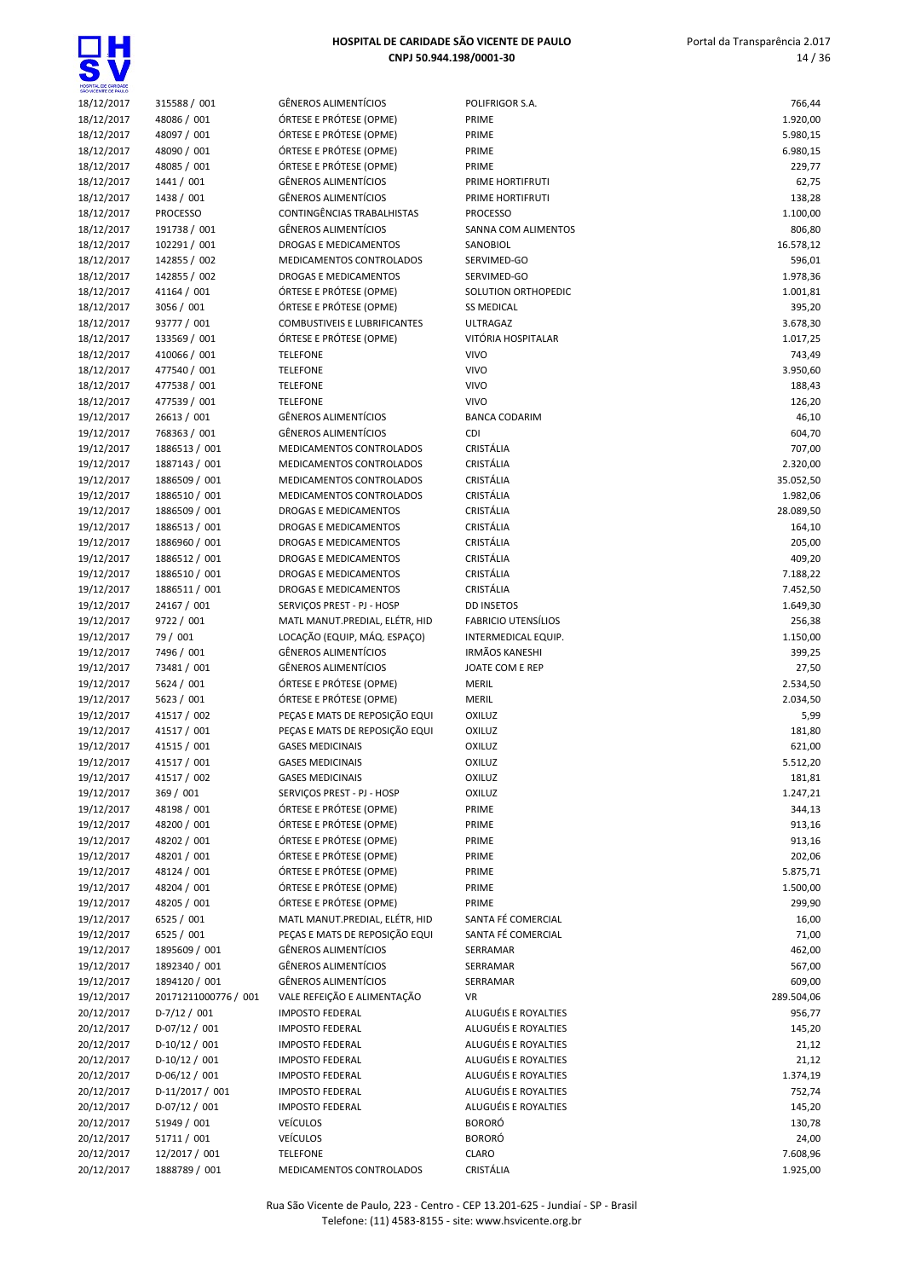| HOSPITAL DE CARIDADE<br>SÃO VICENTE DE PAULO |                                  |                                                           |                                              |                    |
|----------------------------------------------|----------------------------------|-----------------------------------------------------------|----------------------------------------------|--------------------|
| 18/12/2017                                   | 315588 / 001                     | <b>GÊNEROS ALIMENTÍCIOS</b>                               | POLIFRIGOR S.A.                              | 766,44             |
| 18/12/2017                                   | 48086 / 001                      | ÓRTESE E PRÓTESE (OPME)                                   | PRIME                                        | 1.920,00           |
| 18/12/2017                                   | 48097 / 001                      | ÓRTESE E PRÓTESE (OPME)                                   | PRIME                                        | 5.980,15           |
| 18/12/2017<br>18/12/2017                     | 48090 / 001<br>48085 / 001       | ÓRTESE E PRÓTESE (OPME)<br>ÓRTESE E PRÓTESE (OPME)        | PRIME<br>PRIME                               | 6.980,15           |
| 18/12/2017                                   | 1441 / 001                       | GÊNEROS ALIMENTÍCIOS                                      | PRIME HORTIFRUTI                             | 229,77<br>62,75    |
| 18/12/2017                                   | 1438 / 001                       | <b>GÊNEROS ALIMENTÍCIOS</b>                               | PRIME HORTIFRUTI                             | 138,28             |
| 18/12/2017                                   | <b>PROCESSO</b>                  | CONTINGÊNCIAS TRABALHISTAS                                | <b>PROCESSO</b>                              | 1.100,00           |
| 18/12/2017                                   | 191738 / 001                     | <b>GÊNEROS ALIMENTÍCIOS</b>                               | SANNA COM ALIMENTOS                          | 806,80             |
| 18/12/2017                                   | 102291 / 001                     | DROGAS E MEDICAMENTOS                                     | SANOBIOL                                     | 16.578,12          |
| 18/12/2017                                   | 142855 / 002                     | MEDICAMENTOS CONTROLADOS                                  | SERVIMED-GO                                  | 596,01             |
| 18/12/2017                                   | 142855 / 002                     | DROGAS E MEDICAMENTOS                                     | SERVIMED-GO                                  | 1.978,36           |
| 18/12/2017                                   | 41164 / 001                      | ÓRTESE E PRÓTESE (OPME)                                   | SOLUTION ORTHOPEDIC                          | 1.001,81           |
| 18/12/2017                                   | 3056 / 001                       | ÓRTESE E PRÓTESE (OPME)                                   | <b>SS MEDICAL</b>                            | 395,20             |
| 18/12/2017                                   | 93777 / 001                      | <b>COMBUSTIVEIS E LUBRIFICANTES</b>                       | <b>ULTRAGAZ</b>                              | 3.678,30           |
| 18/12/2017<br>18/12/2017                     | 133569 / 001<br>410066 / 001     | ÓRTESE E PRÓTESE (OPME)<br><b>TELEFONE</b>                | VITÓRIA HOSPITALAR<br><b>VIVO</b>            | 1.017,25<br>743,49 |
| 18/12/2017                                   | 477540 / 001                     | <b>TELEFONE</b>                                           | <b>VIVO</b>                                  | 3.950,60           |
| 18/12/2017                                   | 477538 / 001                     | <b>TELEFONE</b>                                           | <b>VIVO</b>                                  | 188,43             |
| 18/12/2017                                   | 477539 / 001                     | <b>TELEFONE</b>                                           | <b>VIVO</b>                                  | 126,20             |
| 19/12/2017                                   | 26613 / 001                      | <b>GÊNEROS ALIMENTÍCIOS</b>                               | <b>BANCA CODARIM</b>                         | 46,10              |
| 19/12/2017                                   | 768363 / 001                     | <b>GÊNEROS ALIMENTÍCIOS</b>                               | <b>CDI</b>                                   | 604,70             |
| 19/12/2017                                   | 1886513 / 001                    | MEDICAMENTOS CONTROLADOS                                  | <b>CRISTÁLIA</b>                             | 707,00             |
| 19/12/2017                                   | 1887143 / 001                    | MEDICAMENTOS CONTROLADOS                                  | CRISTÁLIA                                    | 2.320,00           |
| 19/12/2017                                   | 1886509 / 001                    | MEDICAMENTOS CONTROLADOS                                  | CRISTÁLIA                                    | 35.052,50          |
| 19/12/2017                                   | 1886510 / 001                    | MEDICAMENTOS CONTROLADOS                                  | <b>CRISTÁLIA</b>                             | 1.982,06           |
| 19/12/2017                                   | 1886509 / 001                    | DROGAS E MEDICAMENTOS                                     | <b>CRISTÁLIA</b>                             | 28.089,50          |
| 19/12/2017<br>19/12/2017                     | 1886513 / 001<br>1886960 / 001   | DROGAS E MEDICAMENTOS<br>DROGAS E MEDICAMENTOS            | CRISTÁLIA<br>CRISTÁLIA                       | 164,10<br>205,00   |
| 19/12/2017                                   | 1886512 / 001                    | DROGAS E MEDICAMENTOS                                     | CRISTÁLIA                                    | 409,20             |
| 19/12/2017                                   | 1886510 / 001                    | DROGAS E MEDICAMENTOS                                     | CRISTÁLIA                                    | 7.188,22           |
| 19/12/2017                                   | 1886511 / 001                    | DROGAS E MEDICAMENTOS                                     | CRISTÁLIA                                    | 7.452,50           |
| 19/12/2017                                   | 24167 / 001                      | SERVIÇOS PREST - PJ - HOSP                                | <b>DD INSETOS</b>                            | 1.649,30           |
| 19/12/2017                                   | 9722 / 001                       | MATL MANUT.PREDIAL, ELÉTR, HID                            | <b>FABRICIO UTENSÍLIOS</b>                   | 256,38             |
| 19/12/2017                                   | 79 / 001                         | LOCAÇÃO (EQUIP, MÁQ. ESPAÇO)                              | INTERMEDICAL EQUIP.                          | 1.150,00           |
| 19/12/2017                                   | 7496 / 001                       | <b>GÊNEROS ALIMENTÍCIOS</b>                               | <b>IRMÃOS KANESHI</b>                        | 399,25             |
| 19/12/2017                                   | 73481 / 001                      | <b>GÊNEROS ALIMENTÍCIOS</b>                               | JOATE COM E REP                              | 27,50              |
| 19/12/2017                                   | 5624 / 001                       | ÓRTESE E PRÓTESE (OPME)                                   | MERIL                                        | 2.534,50           |
| 19/12/2017                                   | 5623 / 001                       | ÓRTESE E PRÓTESE (OPME)<br>PEÇAS E MATS DE REPOSIÇÃO EQUI | <b>MERIL</b><br><b>OXILUZ</b>                | 2.034,50           |
| 19/12/2017<br>19/12/2017                     | 41517 / 002<br>41517 / 001       | PEÇAS E MATS DE REPOSIÇÃO EQUI                            | <b>OXILUZ</b>                                | 5,99<br>181,80     |
| 19/12/2017                                   | 41515 / 001                      | <b>GASES MEDICINAIS</b>                                   | OXILUZ                                       | 621,00             |
| 19/12/2017                                   | 41517 / 001                      | <b>GASES MEDICINAIS</b>                                   | OXILUZ                                       | 5.512,20           |
| 19/12/2017                                   | 41517 / 002                      | <b>GASES MEDICINAIS</b>                                   | <b>OXILUZ</b>                                | 181,81             |
| 19/12/2017                                   | 369 / 001                        | SERVIÇOS PREST - PJ - HOSP                                | OXILUZ                                       | 1.247,21           |
| 19/12/2017                                   | 48198 / 001                      | ÓRTESE E PRÓTESE (OPME)                                   | PRIME                                        | 344,13             |
| 19/12/2017                                   | 48200 / 001                      | ÓRTESE E PRÓTESE (OPME)                                   | PRIME                                        | 913,16             |
| 19/12/2017                                   | 48202 / 001                      | ÓRTESE E PRÓTESE (OPME)                                   | PRIME                                        | 913,16             |
| 19/12/2017                                   | 48201 / 001                      | ÓRTESE E PRÓTESE (OPME)                                   | PRIME                                        | 202,06             |
| 19/12/2017                                   | 48124 / 001                      | ÓRTESE E PRÓTESE (OPME)                                   | PRIME                                        | 5.875,71           |
| 19/12/2017                                   | 48204 / 001<br>48205 / 001       | ÓRTESE E PRÓTESE (OPME)<br>ÓRTESE E PRÓTESE (OPME)        | PRIME                                        | 1.500,00           |
| 19/12/2017<br>19/12/2017                     | 6525 / 001                       | MATL MANUT.PREDIAL, ELÉTR, HID                            | PRIME<br>SANTA FÉ COMERCIAL                  | 299,90<br>16,00    |
| 19/12/2017                                   | 6525 / 001                       | PEÇAS E MATS DE REPOSIÇÃO EQUI                            | SANTA FÉ COMERCIAL                           | 71,00              |
| 19/12/2017                                   | 1895609 / 001                    | <b>GÊNEROS ALIMENTÍCIOS</b>                               | SERRAMAR                                     | 462,00             |
| 19/12/2017                                   | 1892340 / 001                    | <b>GÊNEROS ALIMENTÍCIOS</b>                               | SERRAMAR                                     | 567,00             |
| 19/12/2017                                   | 1894120 / 001                    | <b>GÊNEROS ALIMENTÍCIOS</b>                               | SERRAMAR                                     | 609,00             |
| 19/12/2017                                   | 20171211000776 / 001             | VALE REFEIÇÃO E ALIMENTAÇÃO                               | VR                                           | 289.504,06         |
| 20/12/2017                                   | $D-7/12/001$                     | <b>IMPOSTO FEDERAL</b>                                    | ALUGUÉIS E ROYALTIES                         | 956,77             |
| 20/12/2017                                   | $D-07/12/001$                    | <b>IMPOSTO FEDERAL</b>                                    | ALUGUÉIS E ROYALTIES                         | 145,20             |
| 20/12/2017                                   | $D-10/12/001$                    | <b>IMPOSTO FEDERAL</b>                                    | ALUGUÉIS E ROYALTIES                         | 21,12              |
| 20/12/2017                                   | $D-10/12/001$                    | <b>IMPOSTO FEDERAL</b>                                    | ALUGUÉIS E ROYALTIES                         | 21,12              |
| 20/12/2017                                   | $D-06/12 / 001$                  | <b>IMPOSTO FEDERAL</b>                                    | ALUGUÉIS E ROYALTIES                         | 1.374,19           |
| 20/12/2017<br>20/12/2017                     | D-11/2017 / 001<br>$D-07/12/001$ | <b>IMPOSTO FEDERAL</b><br><b>IMPOSTO FEDERAL</b>          | ALUGUÉIS E ROYALTIES<br>ALUGUÉIS E ROYALTIES | 752,74<br>145,20   |
| 20/12/2017                                   | 51949 / 001                      | <b>VEICULOS</b>                                           | <b>BORORÓ</b>                                | 130,78             |
| 20/12/2017                                   | 51711 / 001                      | <b>VEÍCULOS</b>                                           | <b>BORORÓ</b>                                | 24,00              |
| 20/12/2017                                   | 12/2017 / 001                    | <b>TELEFONE</b>                                           | <b>CLARO</b>                                 | 7.608,96           |
| 20/12/2017                                   | 1888789 / 001                    | MEDICAMENTOS CONTROLADOS                                  | CRISTÁLIA                                    | 1.925,00           |
|                                              |                                  |                                                           |                                              |                    |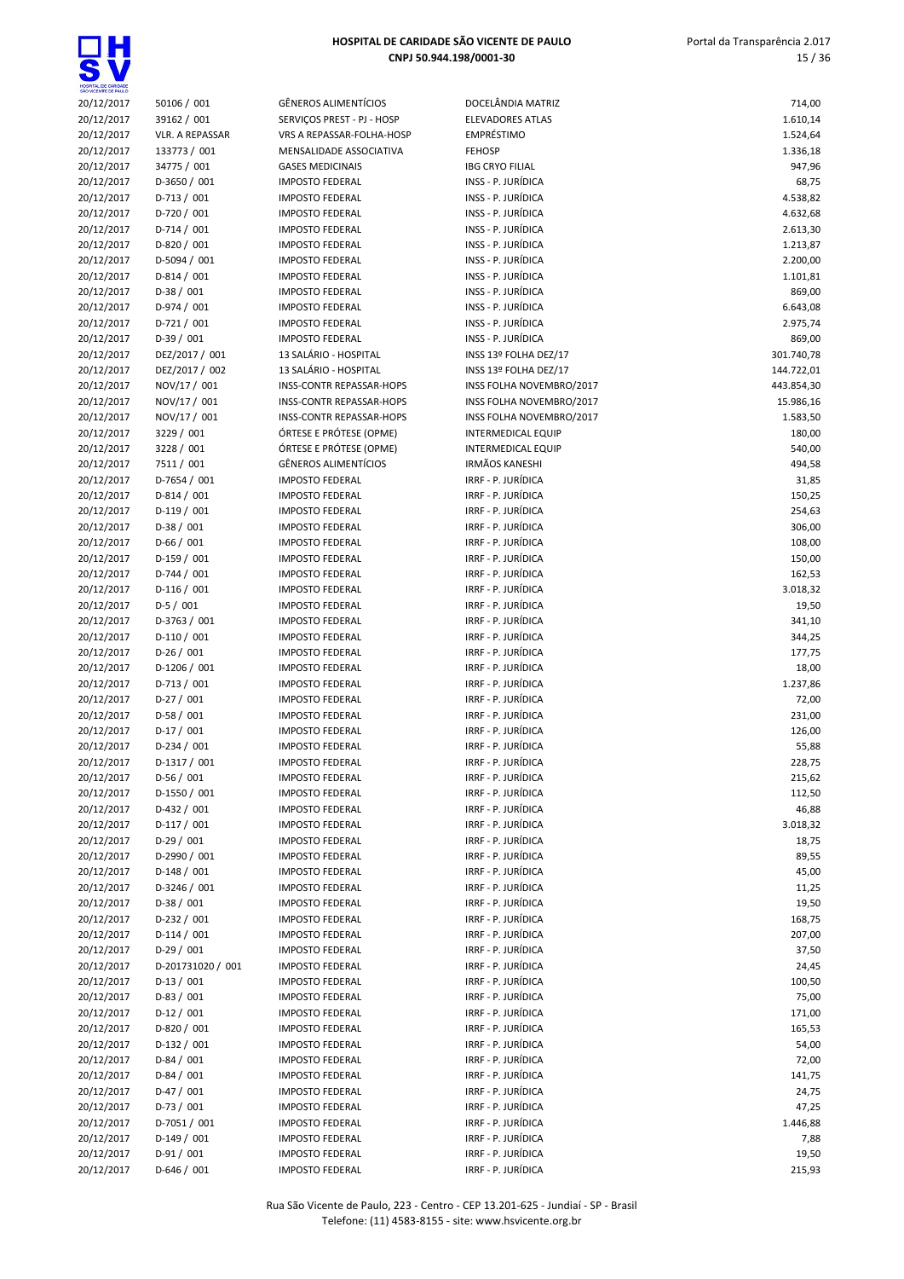| HOSPITAL DE CARIDADE<br>SÃO VICENTE DE PAULO |                              |                                                  |                                          |                      |
|----------------------------------------------|------------------------------|--------------------------------------------------|------------------------------------------|----------------------|
| 20/12/2017                                   | 50106 / 001                  | <b>GËNEROS ALIMENTÍCIOS</b>                      | DOCELÂNDIA MATRIZ                        | 714,00               |
| 20/12/2017                                   | 39162 / 001                  | SERVIÇOS PREST - PJ - HOSP                       | <b>ELEVADORES ATLAS</b>                  | 1.610,14             |
| 20/12/2017                                   | <b>VLR. A REPASSAR</b>       | VRS A REPASSAR-FOLHA-HOSP                        | EMPRÉSTIMO                               | 1.524,64             |
| 20/12/2017                                   | 133773 / 001                 | MENSALIDADE ASSOCIATIVA                          | <b>FEHOSP</b>                            | 1.336,18             |
| 20/12/2017                                   | 34775 / 001                  | <b>GASES MEDICINAIS</b>                          | <b>IBG CRYO FILIAL</b>                   | 947,96               |
| 20/12/2017                                   | D-3650 / 001<br>$D-713/001$  | <b>IMPOSTO FEDERAL</b><br><b>IMPOSTO FEDERAL</b> | INSS - P. JURÍDICA<br>INSS - P. JURÍDICA | 68,75                |
| 20/12/2017<br>20/12/2017                     | D-720 / 001                  | <b>IMPOSTO FEDERAL</b>                           | INSS - P. JURÍDICA                       | 4.538,82<br>4.632,68 |
| 20/12/2017                                   | $D-714/001$                  | <b>IMPOSTO FEDERAL</b>                           | INSS - P. JURÍDICA                       | 2.613,30             |
| 20/12/2017                                   | $D-820 / 001$                | <b>IMPOSTO FEDERAL</b>                           | INSS - P. JURÍDICA                       | 1.213,87             |
| 20/12/2017                                   | $D-5094/001$                 | <b>IMPOSTO FEDERAL</b>                           | INSS - P. JURÍDICA                       | 2.200,00             |
| 20/12/2017                                   | $D-814/001$                  | <b>IMPOSTO FEDERAL</b>                           | INSS - P. JURÍDICA                       | 1.101,81             |
| 20/12/2017                                   | $D-38/001$                   | <b>IMPOSTO FEDERAL</b>                           | INSS - P. JURÍDICA                       | 869,00               |
| 20/12/2017                                   | $D-974/001$                  | <b>IMPOSTO FEDERAL</b>                           | INSS - P. JURÍDICA                       | 6.643,08             |
| 20/12/2017                                   | $D-721/001$                  | <b>IMPOSTO FEDERAL</b>                           | INSS - P. JURÍDICA                       | 2.975,74             |
| 20/12/2017                                   | $D-39/001$                   | <b>IMPOSTO FEDERAL</b>                           | INSS - P. JURÍDICA                       | 869,00               |
| 20/12/2017                                   | DEZ/2017 / 001               | 13 SALÁRIO - HOSPITAL                            | INSS 13º FOLHA DEZ/17                    | 301.740,78           |
| 20/12/2017                                   | DEZ/2017 / 002               | 13 SALÁRIO - HOSPITAL                            | INSS 13º FOLHA DEZ/17                    | 144.722,01           |
| 20/12/2017                                   | NOV/17 / 001                 | INSS-CONTR REPASSAR-HOPS                         | INSS FOLHA NOVEMBRO/2017                 | 443.854,30           |
| 20/12/2017                                   | NOV/17 / 001                 | <b>INSS-CONTR REPASSAR-HOPS</b>                  | INSS FOLHA NOVEMBRO/2017                 | 15.986,16            |
| 20/12/2017                                   | NOV/17 / 001                 | INSS-CONTR REPASSAR-HOPS                         | INSS FOLHA NOVEMBRO/2017                 | 1.583,50             |
| 20/12/2017                                   | 3229 / 001                   | ÓRTESE E PRÓTESE (OPME)                          | <b>INTERMEDICAL EQUIP</b>                | 180,00               |
| 20/12/2017                                   | 3228 / 001                   | ÓRTESE E PRÓTESE (OPME)                          | <b>INTERMEDICAL EQUIP</b>                | 540,00               |
| 20/12/2017                                   | 7511 / 001                   | <b>GÊNEROS ALIMENTÍCIOS</b>                      | <b>IRMÃOS KANESHI</b>                    | 494,58               |
| 20/12/2017                                   | $D-7654/001$                 | <b>IMPOSTO FEDERAL</b>                           | IRRF - P. JURÍDICA                       | 31,85                |
| 20/12/2017                                   | $D-814/001$                  | <b>IMPOSTO FEDERAL</b>                           | IRRF - P. JURÍDICA                       | 150,25               |
| 20/12/2017                                   | $D-119/001$                  | <b>IMPOSTO FEDERAL</b>                           | IRRF - P. JURÍDICA                       | 254,63               |
| 20/12/2017                                   | $D-38/001$                   | <b>IMPOSTO FEDERAL</b>                           | IRRF - P. JURÍDICA                       | 306,00               |
| 20/12/2017                                   | $D-66/001$                   | <b>IMPOSTO FEDERAL</b>                           | IRRF - P. JURÍDICA<br>IRRF - P. JURÍDICA | 108,00               |
| 20/12/2017<br>20/12/2017                     | $D-159/001$<br>$D-744 / 001$ | <b>IMPOSTO FEDERAL</b><br><b>IMPOSTO FEDERAL</b> | IRRF - P. JURÍDICA                       | 150,00<br>162,53     |
| 20/12/2017                                   | $D-116/001$                  | <b>IMPOSTO FEDERAL</b>                           | IRRF - P. JURÍDICA                       | 3.018,32             |
| 20/12/2017                                   | $D-5/001$                    | <b>IMPOSTO FEDERAL</b>                           | IRRF - P. JURÍDICA                       | 19,50                |
| 20/12/2017                                   | D-3763 / 001                 | <b>IMPOSTO FEDERAL</b>                           | IRRF - P. JURÍDICA                       | 341,10               |
| 20/12/2017                                   | $D-110/001$                  | <b>IMPOSTO FEDERAL</b>                           | IRRF - P. JURÍDICA                       | 344,25               |
| 20/12/2017                                   | $D-26/001$                   | <b>IMPOSTO FEDERAL</b>                           | IRRF - P. JURÍDICA                       | 177,75               |
| 20/12/2017                                   | D-1206 / 001                 | <b>IMPOSTO FEDERAL</b>                           | IRRF - P. JURÍDICA                       | 18,00                |
| 20/12/2017                                   | $D-713 / 001$                | <b>IMPOSTO FEDERAL</b>                           | IRRF - P. JURÍDICA                       | 1.237,86             |
| 20/12/2017                                   | $D-27/001$                   | <b>IMPOSTO FEDERAL</b>                           | IRRF - P. JURÍDICA                       | 72,00                |
| 20/12/2017                                   | $D-58/001$                   | <b>IMPOSTO FEDERAL</b>                           | IRRF - P. JURÍDICA                       | 231,00               |
| 20/12/2017                                   | $D-17/001$                   | <b>IMPOSTO FEDERAL</b>                           | IRRF - P. JURÍDICA                       | 126,00               |
| 20/12/2017                                   | $D-234 / 001$                | <b>IMPOSTO FEDERAL</b>                           | IRRF - P. JURÍDICA                       | 55,88                |
| 20/12/2017                                   | D-1317 / 001                 | <b>IMPOSTO FEDERAL</b>                           | IRRF - P. JURÍDICA                       | 228,75               |
| 20/12/2017                                   | $D-56/001$                   | <b>IMPOSTO FEDERAL</b>                           | IRRF - P. JURÍDICA                       | 215,62               |
| 20/12/2017                                   | D-1550 / 001                 | <b>IMPOSTO FEDERAL</b>                           | IRRF - P. JURÍDICA                       | 112,50               |
| 20/12/2017                                   | D-432 / 001                  | <b>IMPOSTO FEDERAL</b>                           | IRRF - P. JURÍDICA                       | 46,88                |
| 20/12/2017                                   | $D-117/001$                  | <b>IMPOSTO FEDERAL</b>                           | IRRF - P. JURÍDICA                       | 3.018,32             |
| 20/12/2017                                   | $D-29/001$                   | <b>IMPOSTO FEDERAL</b>                           | IRRF - P. JURÍDICA                       | 18,75                |
| 20/12/2017                                   | D-2990 / 001                 | <b>IMPOSTO FEDERAL</b>                           | IRRF - P. JURÍDICA                       | 89,55                |
| 20/12/2017                                   | $D-148/001$                  | <b>IMPOSTO FEDERAL</b>                           | IRRF - P. JURÍDICA                       | 45,00                |
| 20/12/2017                                   | D-3246 / 001                 | <b>IMPOSTO FEDERAL</b>                           | IRRF - P. JURÍDICA                       | 11,25                |
| 20/12/2017<br>20/12/2017                     | $D-38/001$<br>$D-232 / 001$  | <b>IMPOSTO FEDERAL</b><br><b>IMPOSTO FEDERAL</b> | IRRF - P. JURÍDICA<br>IRRF - P. JURÍDICA | 19,50<br>168,75      |
| 20/12/2017                                   | $D-114/001$                  | <b>IMPOSTO FEDERAL</b>                           | IRRF - P. JURÍDICA                       | 207,00               |
| 20/12/2017                                   | $D-29/001$                   | <b>IMPOSTO FEDERAL</b>                           | IRRF - P. JURÍDICA                       | 37,50                |
| 20/12/2017                                   | D-201731020 / 001            | <b>IMPOSTO FEDERAL</b>                           | IRRF - P. JURÍDICA                       | 24,45                |
| 20/12/2017                                   | $D-13/001$                   | <b>IMPOSTO FEDERAL</b>                           | IRRF - P. JURÍDICA                       | 100,50               |
| 20/12/2017                                   | $D-83 / 001$                 | <b>IMPOSTO FEDERAL</b>                           | IRRF - P. JURÍDICA                       | 75,00                |
| 20/12/2017                                   | $D-12/001$                   | <b>IMPOSTO FEDERAL</b>                           | IRRF - P. JURÍDICA                       | 171,00               |
| 20/12/2017                                   | $D-820 / 001$                | <b>IMPOSTO FEDERAL</b>                           | IRRF - P. JURÍDICA                       | 165,53               |
| 20/12/2017                                   | $D-132 / 001$                | <b>IMPOSTO FEDERAL</b>                           | IRRF - P. JURÍDICA                       | 54,00                |
| 20/12/2017                                   | $D-84/001$                   | <b>IMPOSTO FEDERAL</b>                           | IRRF - P. JURÍDICA                       | 72,00                |
| 20/12/2017                                   | $D-84/001$                   | <b>IMPOSTO FEDERAL</b>                           | IRRF - P. JURÍDICA                       | 141,75               |
| 20/12/2017                                   | $D-47/001$                   | <b>IMPOSTO FEDERAL</b>                           | IRRF - P. JURÍDICA                       | 24,75                |
| 20/12/2017                                   | $D-73/001$                   | <b>IMPOSTO FEDERAL</b>                           | IRRF - P. JURÍDICA                       | 47,25                |
| 20/12/2017                                   | D-7051 / 001                 | <b>IMPOSTO FEDERAL</b>                           | IRRF - P. JURÍDICA                       | 1.446,88             |
| 20/12/2017                                   | $D-149/001$                  | <b>IMPOSTO FEDERAL</b>                           | IRRF - P. JURÍDICA                       | 7,88                 |
| 20/12/2017                                   | $D-91/001$                   | <b>IMPOSTO FEDERAL</b>                           | IRRF - P. JURÍDICA                       | 19,50                |
| 20/12/2017                                   | $D-646 / 001$                | <b>IMPOSTO FEDERAL</b>                           | IRRF - P. JURÍDICA                       | 215,93               |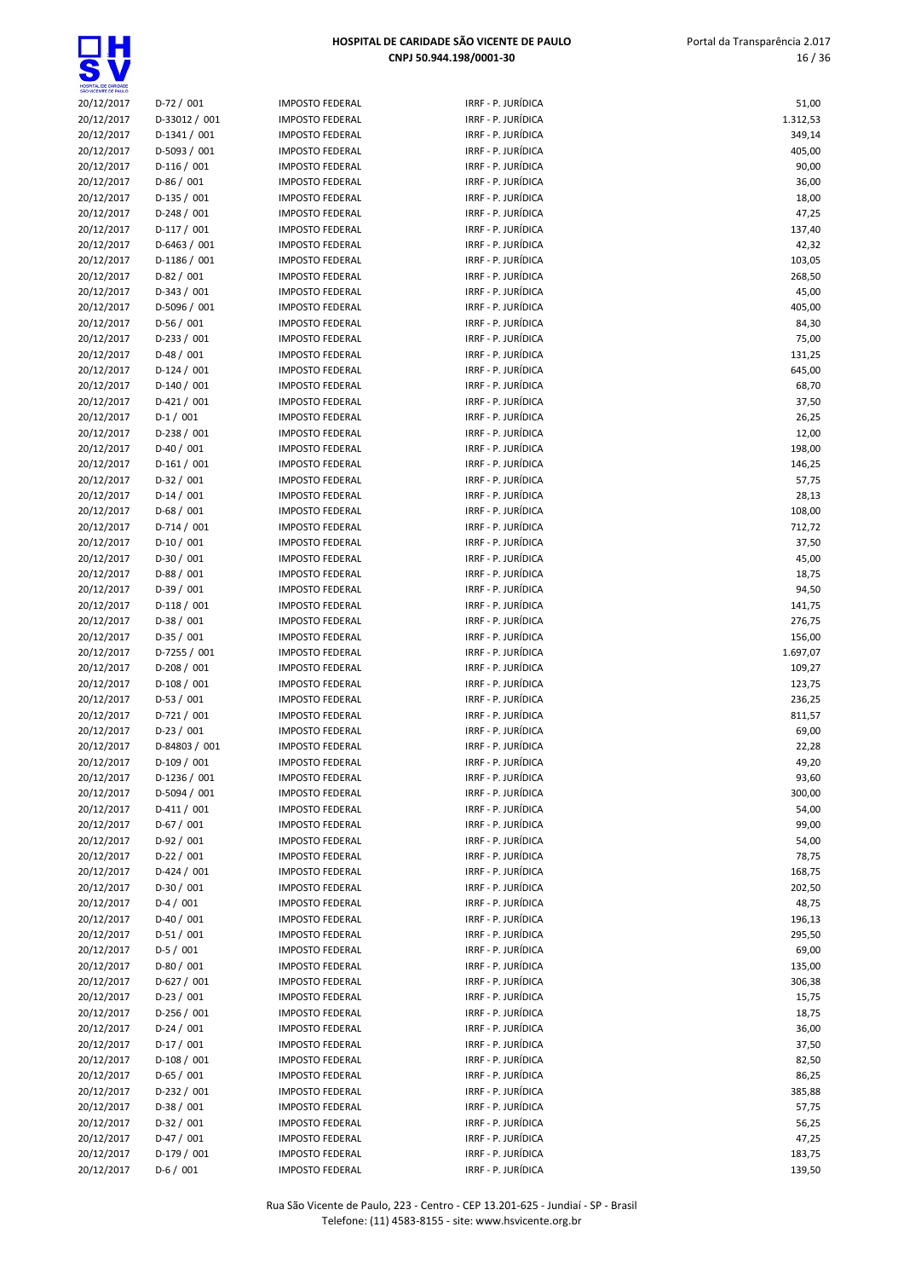| SÃO VICENTE DE PAULO |                |                        |                                          |          |
|----------------------|----------------|------------------------|------------------------------------------|----------|
| 20/12/2017           | $D-72/001$     | <b>IMPOSTO FEDERAL</b> | IRRF - P. JURÍDICA                       | 51,00    |
| 20/12/2017           | D-33012 / 001  | <b>IMPOSTO FEDERAL</b> | IRRF - P. JURÍDICA                       | 1.312,53 |
| 20/12/2017           | $D-1341/001$   | <b>IMPOSTO FEDERAL</b> | IRRF - P. JURÍDICA                       | 349,14   |
| 20/12/2017           | D-5093 / 001   | <b>IMPOSTO FEDERAL</b> | IRRF - P. JURÍDICA                       | 405,00   |
| 20/12/2017           | $D-116/001$    | <b>IMPOSTO FEDERAL</b> | IRRF - P. JURÍDICA                       | 90,00    |
| 20/12/2017           | $D-86/001$     | <b>IMPOSTO FEDERAL</b> | IRRF - P. JURÍDICA                       | 36,00    |
| 20/12/2017           | $D-135/001$    | <b>IMPOSTO FEDERAL</b> | IRRF - P. JURÍDICA                       | 18,00    |
| 20/12/2017           | $D-248/001$    | <b>IMPOSTO FEDERAL</b> | IRRF - P. JURÍDICA                       | 47,25    |
| 20/12/2017           | $D-117/001$    | <b>IMPOSTO FEDERAL</b> | IRRF - P. JURÍDICA                       | 137,40   |
| 20/12/2017           | $D-6463 / 001$ | <b>IMPOSTO FEDERAL</b> | IRRF - P. JURÍDICA                       | 42,32    |
| 20/12/2017           | $D-1186 / 001$ | <b>IMPOSTO FEDERAL</b> | IRRF - P. JURÍDICA                       | 103,05   |
| 20/12/2017           | $D-82 / 001$   | <b>IMPOSTO FEDERAL</b> | IRRF - P. JURÍDICA                       | 268,50   |
| 20/12/2017           | $D-343 / 001$  | <b>IMPOSTO FEDERAL</b> | IRRF - P. JURÍDICA                       | 45,00    |
| 20/12/2017           | D-5096 / 001   | <b>IMPOSTO FEDERAL</b> | IRRF - P. JURÍDICA                       | 405,00   |
| 20/12/2017           | $D-56/001$     | <b>IMPOSTO FEDERAL</b> | IRRF - P. JURÍDICA                       | 84,30    |
| 20/12/2017           | $D-233 / 001$  | <b>IMPOSTO FEDERAL</b> | IRRF - P. JURÍDICA                       | 75,00    |
|                      |                |                        |                                          |          |
| 20/12/2017           | $D-48/001$     | <b>IMPOSTO FEDERAL</b> | IRRF - P. JURÍDICA                       | 131,25   |
| 20/12/2017           | $D-124/001$    | <b>IMPOSTO FEDERAL</b> | IRRF - P. JURÍDICA                       | 645,00   |
| 20/12/2017           | $D-140/001$    | <b>IMPOSTO FEDERAL</b> | IRRF - P. JURÍDICA                       | 68,70    |
| 20/12/2017           | $D-421/001$    | <b>IMPOSTO FEDERAL</b> | IRRF - P. JURÍDICA                       | 37,50    |
| 20/12/2017           | $D-1/001$      | <b>IMPOSTO FEDERAL</b> | IRRF - P. JURÍDICA                       | 26,25    |
| 20/12/2017           | $D-238/001$    | <b>IMPOSTO FEDERAL</b> | IRRF - P. JURÍDICA                       | 12,00    |
| 20/12/2017           | $D-40/001$     | <b>IMPOSTO FEDERAL</b> | IRRF - P. JURÍDICA                       | 198,00   |
| 20/12/2017           | $D-161/001$    | <b>IMPOSTO FEDERAL</b> | IRRF - P. JURÍDICA                       | 146,25   |
| 20/12/2017           | $D-32/001$     | <b>IMPOSTO FEDERAL</b> | IRRF - P. JURÍDICA                       | 57,75    |
| 20/12/2017           | $D-14/001$     | <b>IMPOSTO FEDERAL</b> | IRRF - P. JURÍDICA                       | 28,13    |
| 20/12/2017           | $D-68/001$     | <b>IMPOSTO FEDERAL</b> | IRRF - P. JURÍDICA                       | 108,00   |
| 20/12/2017           | $D-714/001$    | <b>IMPOSTO FEDERAL</b> | IRRF - P. JURÍDICA                       | 712,72   |
| 20/12/2017           | $D-10/001$     | <b>IMPOSTO FEDERAL</b> | IRRF - P. JURÍDICA                       | 37,50    |
| 20/12/2017           | $D-30/001$     | <b>IMPOSTO FEDERAL</b> | IRRF - P. JURÍDICA                       | 45,00    |
| 20/12/2017           | $D-88/001$     | <b>IMPOSTO FEDERAL</b> | IRRF - P. JURÍDICA                       | 18,75    |
| 20/12/2017           | $D-39/001$     | <b>IMPOSTO FEDERAL</b> | IRRF - P. JURÍDICA                       | 94,50    |
| 20/12/2017           | $D-118/001$    | <b>IMPOSTO FEDERAL</b> | IRRF - P. JURÍDICA                       | 141,75   |
| 20/12/2017           | $D-38/001$     | <b>IMPOSTO FEDERAL</b> | IRRF - P. JURÍDICA                       | 276,75   |
| 20/12/2017           | $D-35/001$     | <b>IMPOSTO FEDERAL</b> | IRRF - P. JURÍDICA                       | 156,00   |
| 20/12/2017           | $D-7255 / 001$ | <b>IMPOSTO FEDERAL</b> | IRRF - P. JURÍDICA                       | 1.697,07 |
| 20/12/2017           | $D-208/001$    | <b>IMPOSTO FEDERAL</b> | IRRF - P. JURÍDICA                       | 109,27   |
| 20/12/2017           | $D-108/001$    | <b>IMPOSTO FEDERAL</b> | IRRF - P. JURÍDICA                       | 123,75   |
| 20/12/2017           | $D-53/001$     | <b>IMPOSTO FEDERAL</b> | IRRF - P. JURÍDICA                       | 236,25   |
| 20/12/2017           | $D-721/001$    | <b>IMPOSTO FEDERAL</b> | IRRF - P. JURÍDICA                       | 811,57   |
| 20/12/2017           | $D-23/001$     | <b>IMPOSTO FEDERAL</b> | IRRF - P. JURÍDICA                       | 69,00    |
| 20/12/2017           | D-84803 / 001  | <b>IMPOSTO FEDERAL</b> | IRRF - P. JURÍDICA                       | 22,28    |
| 20/12/2017           | $D-109/001$    | <b>IMPOSTO FEDERAL</b> | IRRF - P. JURÍDICA                       | 49,20    |
| 20/12/2017           | $D-1236 / 001$ | <b>IMPOSTO FEDERAL</b> | IRRF - P. JURÍDICA                       | 93,60    |
| 20/12/2017           | $D-5094 / 001$ | <b>IMPOSTO FEDERAL</b> | IRRF - P. JURÍDICA                       | 300,00   |
| 20/12/2017           | $D-411/001$    | <b>IMPOSTO FEDERAL</b> | IRRF - P. JURÍDICA                       | 54,00    |
| 20/12/2017           | $D-67/001$     |                        | IRRF - P. JURÍDICA                       | 99,00    |
|                      |                | <b>IMPOSTO FEDERAL</b> |                                          |          |
| 20/12/2017           | $D-92/001$     | <b>IMPOSTO FEDERAL</b> | IRRF - P. JURÍDICA<br>IRRF - P. JURÍDICA | 54,00    |
| 20/12/2017           | $D-22 / 001$   | <b>IMPOSTO FEDERAL</b> |                                          | 78,75    |
| 20/12/2017           | $D-424 / 001$  | <b>IMPOSTO FEDERAL</b> | IRRF - P. JURÍDICA                       | 168,75   |
| 20/12/2017           | $D-30/001$     | <b>IMPOSTO FEDERAL</b> | IRRF - P. JURÍDICA                       | 202,50   |
| 20/12/2017           | $D-4/001$      | <b>IMPOSTO FEDERAL</b> | IRRF - P. JURÍDICA                       | 48,75    |
| 20/12/2017           | $D-40/001$     | <b>IMPOSTO FEDERAL</b> | IRRF - P. JURÍDICA                       | 196,13   |
| 20/12/2017           | $D-51/001$     | <b>IMPOSTO FEDERAL</b> | IRRF - P. JURÍDICA                       | 295,50   |
| 20/12/2017           | $D-5/001$      | <b>IMPOSTO FEDERAL</b> | IRRF - P. JURÍDICA                       | 69,00    |
| 20/12/2017           | $D-80/001$     | <b>IMPOSTO FEDERAL</b> | IRRF - P. JURÍDICA                       | 135,00   |
| 20/12/2017           | $D-627/001$    | <b>IMPOSTO FEDERAL</b> | IRRF - P. JURÍDICA                       | 306,38   |
| 20/12/2017           | $D-23/001$     | <b>IMPOSTO FEDERAL</b> | IRRF - P. JURÍDICA                       | 15,75    |
| 20/12/2017           | $D-256/001$    | <b>IMPOSTO FEDERAL</b> | IRRF - P. JURÍDICA                       | 18,75    |
| 20/12/2017           | $D-24/001$     | <b>IMPOSTO FEDERAL</b> | IRRF - P. JURÍDICA                       | 36,00    |
| 20/12/2017           | $D-17/001$     | <b>IMPOSTO FEDERAL</b> | IRRF - P. JURÍDICA                       | 37,50    |
| 20/12/2017           | $D-108/001$    | <b>IMPOSTO FEDERAL</b> | IRRF - P. JURÍDICA                       | 82,50    |
| 20/12/2017           | $D-65/001$     | <b>IMPOSTO FEDERAL</b> | IRRF - P. JURÍDICA                       | 86,25    |
| 20/12/2017           | $D-232/001$    | <b>IMPOSTO FEDERAL</b> | IRRF - P. JURÍDICA                       | 385,88   |
| 20/12/2017           | $D-38/001$     | <b>IMPOSTO FEDERAL</b> | IRRF - P. JURÍDICA                       | 57,75    |
| 20/12/2017           | $D-32/001$     | <b>IMPOSTO FEDERAL</b> | IRRF - P. JURÍDICA                       | 56,25    |
| 20/12/2017           | $D-47/001$     | <b>IMPOSTO FEDERAL</b> | IRRF - P. JURÍDICA                       | 47,25    |
| 20/12/2017           | $D-179/001$    | <b>IMPOSTO FEDERAL</b> | IRRF - P. JURÍDICA                       | 183,75   |
| 20/12/2017           | $D-6/001$      | <b>IMPOSTO FEDERAL</b> | IRRF - P. JURÍDICA                       | 139,50   |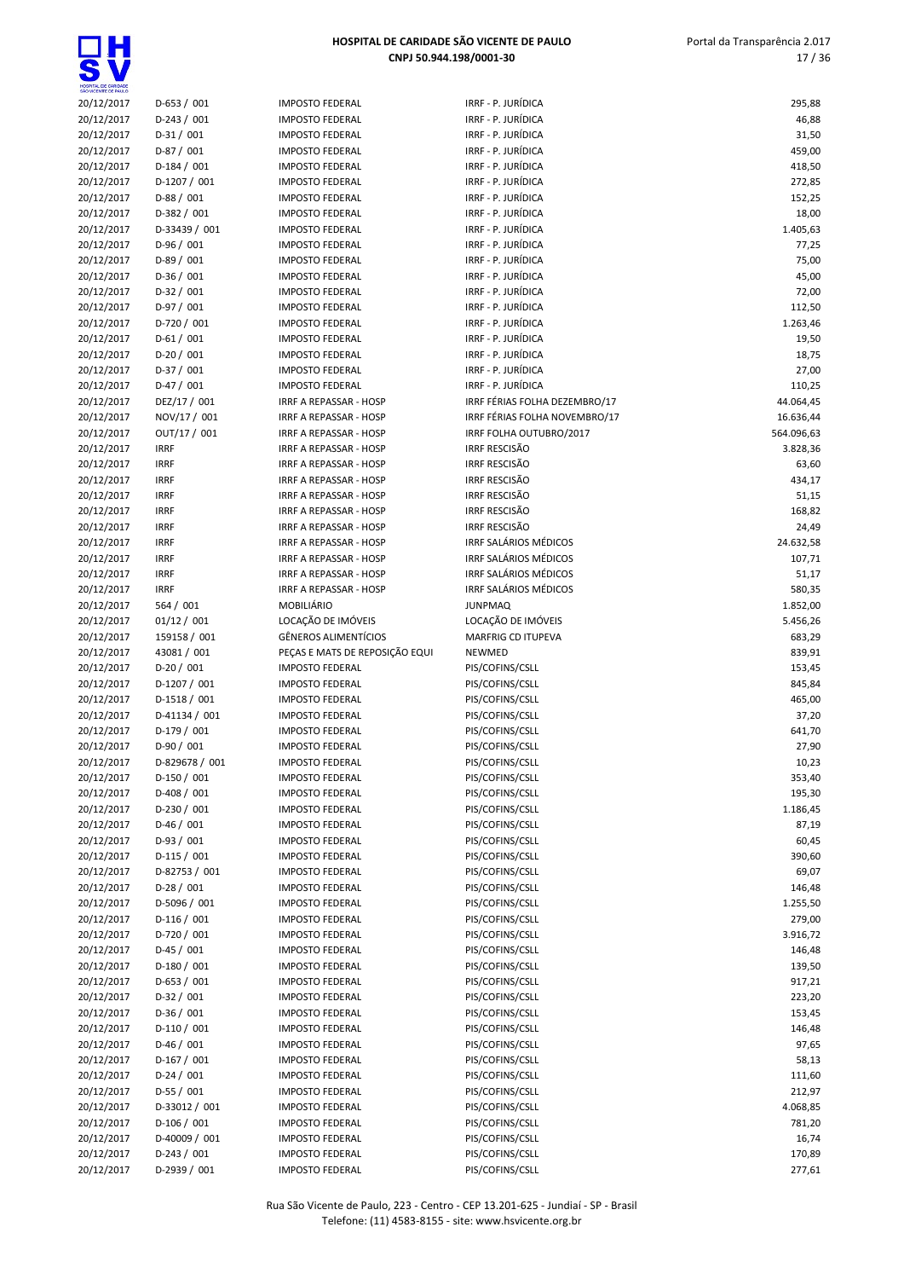| SÃO VICENTE DE PAULO |                             |                                |                                    |            |
|----------------------|-----------------------------|--------------------------------|------------------------------------|------------|
| 20/12/2017           | $D-653 / 001$               | <b>IMPOSTO FEDERAL</b>         | IRRF - P. JURÍDICA                 | 295,88     |
| 20/12/2017           | $D-243 / 001$               | <b>IMPOSTO FEDERAL</b>         | IRRF - P. JURÍDICA                 | 46,88      |
| 20/12/2017           | $D-31/001$                  | <b>IMPOSTO FEDERAL</b>         | IRRF - P. JURÍDICA                 | 31,50      |
| 20/12/2017           | $D-87/001$                  | <b>IMPOSTO FEDERAL</b>         | IRRF - P. JURÍDICA                 | 459,00     |
| 20/12/2017           | $D-184/001$                 | <b>IMPOSTO FEDERAL</b>         | IRRF - P. JURÍDICA                 | 418,50     |
| 20/12/2017           | D-1207 / 001                | <b>IMPOSTO FEDERAL</b>         | IRRF - P. JURÍDICA                 | 272,85     |
| 20/12/2017           | $D-88/001$                  | <b>IMPOSTO FEDERAL</b>         | IRRF - P. JURÍDICA                 | 152,25     |
| 20/12/2017           | D-382 / 001                 | <b>IMPOSTO FEDERAL</b>         | IRRF - P. JURÍDICA                 | 18,00      |
| 20/12/2017           | D-33439 / 001               | <b>IMPOSTO FEDERAL</b>         | IRRF - P. JURÍDICA                 | 1.405,63   |
| 20/12/2017           | $D-96/001$                  | <b>IMPOSTO FEDERAL</b>         | IRRF - P. JURÍDICA                 | 77,25      |
| 20/12/2017           | $D-89/001$                  | <b>IMPOSTO FEDERAL</b>         | IRRF - P. JURÍDICA                 | 75,00      |
| 20/12/2017           | $D-36/001$                  | <b>IMPOSTO FEDERAL</b>         | IRRF - P. JURÍDICA                 | 45,00      |
| 20/12/2017           | $D-32 / 001$                | <b>IMPOSTO FEDERAL</b>         | IRRF - P. JURÍDICA                 | 72,00      |
| 20/12/2017           | $D-97/001$                  | <b>IMPOSTO FEDERAL</b>         | IRRF - P. JURÍDICA                 | 112,50     |
| 20/12/2017           | D-720 / 001                 | <b>IMPOSTO FEDERAL</b>         | IRRF - P. JURÍDICA                 | 1.263,46   |
| 20/12/2017           | $D-61/001$                  | <b>IMPOSTO FEDERAL</b>         | IRRF - P. JURÍDICA                 | 19,50      |
| 20/12/2017           | $D-20/001$                  | <b>IMPOSTO FEDERAL</b>         | IRRF - P. JURÍDICA                 | 18,75      |
| 20/12/2017           | $D-37/001$                  | <b>IMPOSTO FEDERAL</b>         | IRRF - P. JURÍDICA                 | 27,00      |
| 20/12/2017           | $D-47/001$                  | <b>IMPOSTO FEDERAL</b>         | IRRF - P. JURÍDICA                 | 110,25     |
| 20/12/2017           | DEZ/17 / 001                | <b>IRRF A REPASSAR - HOSP</b>  | IRRF FÉRIAS FOLHA DEZEMBRO/17      | 44.064,45  |
| 20/12/2017           | NOV/17 / 001                | <b>IRRF A REPASSAR - HOSP</b>  | IRRF FÉRIAS FOLHA NOVEMBRO/17      | 16.636,44  |
| 20/12/2017           | OUT/17 / 001                | IRRF A REPASSAR - HOSP         | IRRF FOLHA OUTUBRO/2017            | 564.096,63 |
| 20/12/2017           | <b>IRRF</b>                 | IRRF A REPASSAR - HOSP         | <b>IRRF RESCISÃO</b>               | 3.828,36   |
| 20/12/2017           | <b>IRRF</b>                 | <b>IRRF A REPASSAR - HOSP</b>  | <b>IRRF RESCISÃO</b>               | 63,60      |
| 20/12/2017           | <b>IRRF</b>                 | IRRF A REPASSAR - HOSP         | <b>IRRF RESCISÃO</b>               | 434,17     |
| 20/12/2017           | <b>IRRF</b>                 | <b>IRRF A REPASSAR - HOSP</b>  | <b>IRRF RESCISÃO</b>               | 51,15      |
| 20/12/2017           | <b>IRRF</b>                 | <b>IRRF A REPASSAR - HOSP</b>  | <b>IRRF RESCISÃO</b>               | 168,82     |
| 20/12/2017           | <b>IRRF</b>                 | <b>IRRF A REPASSAR - HOSP</b>  | <b>IRRF RESCISÃO</b>               | 24,49      |
| 20/12/2017           | <b>IRRF</b>                 | <b>IRRF A REPASSAR - HOSP</b>  | IRRF SALÁRIOS MÉDICOS              | 24.632,58  |
| 20/12/2017           | <b>IRRF</b>                 | <b>IRRF A REPASSAR - HOSP</b>  | IRRF SALÁRIOS MÉDICOS              | 107,71     |
| 20/12/2017           | <b>IRRF</b>                 | <b>IRRF A REPASSAR - HOSP</b>  | IRRF SALÁRIOS MÉDICOS              | 51,17      |
| 20/12/2017           | <b>IRRF</b>                 | IRRF A REPASSAR - HOSP         | IRRF SALÁRIOS MÉDICOS              | 580,35     |
| 20/12/2017           | 564 / 001                   | MOBILIÁRIO                     | <b>JUNPMAQ</b>                     | 1.852,00   |
| 20/12/2017           | 01/12 / 001                 | LOCAÇÃO DE IMÓVEIS             | LOCAÇÃO DE IMÓVEIS                 | 5.456,26   |
| 20/12/2017           | 159158 / 001                | <b>GÊNEROS ALIMENTÍCIOS</b>    | MARFRIG CD ITUPEVA                 | 683,29     |
| 20/12/2017           | 43081 / 001                 | PEÇAS E MATS DE REPOSIÇÃO EQUI | NEWMED                             | 839,91     |
| 20/12/2017           | $D-20/001$                  | <b>IMPOSTO FEDERAL</b>         | PIS/COFINS/CSLL                    | 153,45     |
| 20/12/2017           | D-1207 / 001                | <b>IMPOSTO FEDERAL</b>         | PIS/COFINS/CSLL                    | 845,84     |
| 20/12/2017           | $D-1518/001$                | <b>IMPOSTO FEDERAL</b>         | PIS/COFINS/CSLL                    | 465,00     |
| 20/12/2017           | D-41134 / 001               | <b>IMPOSTO FEDERAL</b>         | PIS/COFINS/CSLL                    | 37,20      |
| 20/12/2017           | $D-179/001$                 | <b>IMPOSTO FEDERAL</b>         | PIS/COFINS/CSLL                    | 641,70     |
| 20/12/2017           | $D-90/001$                  | <b>IMPOSTO FEDERAL</b>         | PIS/COFINS/CSLL                    | 27,90      |
| 20/12/2017           | D-829678 / 001              | <b>IMPOSTO FEDERAL</b>         | PIS/COFINS/CSLL                    | 10,23      |
| 20/12/2017           | $D-150/001$                 | <b>IMPOSTO FEDERAL</b>         | PIS/COFINS/CSLL                    | 353,40     |
| 20/12/2017           | $D-408/001$                 | <b>IMPOSTO FEDERAL</b>         | PIS/COFINS/CSLL                    | 195,30     |
| 20/12/2017           | D-230 / 001                 | <b>IMPOSTO FEDERAL</b>         | PIS/COFINS/CSLL                    | 1.186,45   |
| 20/12/2017           | $D-46/001$                  | <b>IMPOSTO FEDERAL</b>         | PIS/COFINS/CSLL                    | 87,19      |
| 20/12/2017           | $D-93/001$                  | <b>IMPOSTO FEDERAL</b>         | PIS/COFINS/CSLL                    | 60,45      |
| 20/12/2017           | $D-115/001$                 | <b>IMPOSTO FEDERAL</b>         | PIS/COFINS/CSLL                    | 390,60     |
| 20/12/2017           | D-82753 / 001               | <b>IMPOSTO FEDERAL</b>         | PIS/COFINS/CSLL                    | 69,07      |
| 20/12/2017           | $D-28/001$                  | <b>IMPOSTO FEDERAL</b>         | PIS/COFINS/CSLL                    | 146,48     |
| 20/12/2017           | D-5096 / 001                | <b>IMPOSTO FEDERAL</b>         | PIS/COFINS/CSLL                    | 1.255,50   |
| 20/12/2017           | D-116 / 001                 | <b>IMPOSTO FEDERAL</b>         | PIS/COFINS/CSLL                    | 279,00     |
| 20/12/2017           | $D-720/001$                 | <b>IMPOSTO FEDERAL</b>         | PIS/COFINS/CSLL                    | 3.916,72   |
| 20/12/2017           | $D-45/001$                  | <b>IMPOSTO FEDERAL</b>         | PIS/COFINS/CSLL                    | 146,48     |
| 20/12/2017           | $D-180/001$                 | <b>IMPOSTO FEDERAL</b>         | PIS/COFINS/CSLL                    | 139,50     |
| 20/12/2017           | $D-653 / 001$               | <b>IMPOSTO FEDERAL</b>         | PIS/COFINS/CSLL                    | 917,21     |
| 20/12/2017           | $D-32 / 001$                | <b>IMPOSTO FEDERAL</b>         | PIS/COFINS/CSLL                    | 223,20     |
| 20/12/2017           | $D-36/001$                  | <b>IMPOSTO FEDERAL</b>         | PIS/COFINS/CSLL                    | 153,45     |
| 20/12/2017           | $D-110/001$                 | <b>IMPOSTO FEDERAL</b>         | PIS/COFINS/CSLL                    | 146,48     |
|                      |                             |                                |                                    | 97,65      |
| 20/12/2017           | $D-46/001$                  | <b>IMPOSTO FEDERAL</b>         | PIS/COFINS/CSLL                    |            |
| 20/12/2017           | $D-167/001$                 | <b>IMPOSTO FEDERAL</b>         | PIS/COFINS/CSLL                    | 58,13      |
| 20/12/2017           | $D-24/001$                  | <b>IMPOSTO FEDERAL</b>         | PIS/COFINS/CSLL                    | 111,60     |
| 20/12/2017           | $D-55/001$                  | <b>IMPOSTO FEDERAL</b>         | PIS/COFINS/CSLL                    | 212,97     |
| 20/12/2017           | D-33012 / 001               | <b>IMPOSTO FEDERAL</b>         | PIS/COFINS/CSLL                    | 4.068,85   |
| 20/12/2017           | $D-106/001$                 | <b>IMPOSTO FEDERAL</b>         | PIS/COFINS/CSLL                    | 781,20     |
| 20/12/2017           | D-40009 / 001               | <b>IMPOSTO FEDERAL</b>         | PIS/COFINS/CSLL                    | 16,74      |
| 20/12/2017           | $D-243/001$<br>D-2939 / 001 | <b>IMPOSTO FEDERAL</b>         | PIS/COFINS/CSLL<br>PIS/COFINS/CSLL | 170,89     |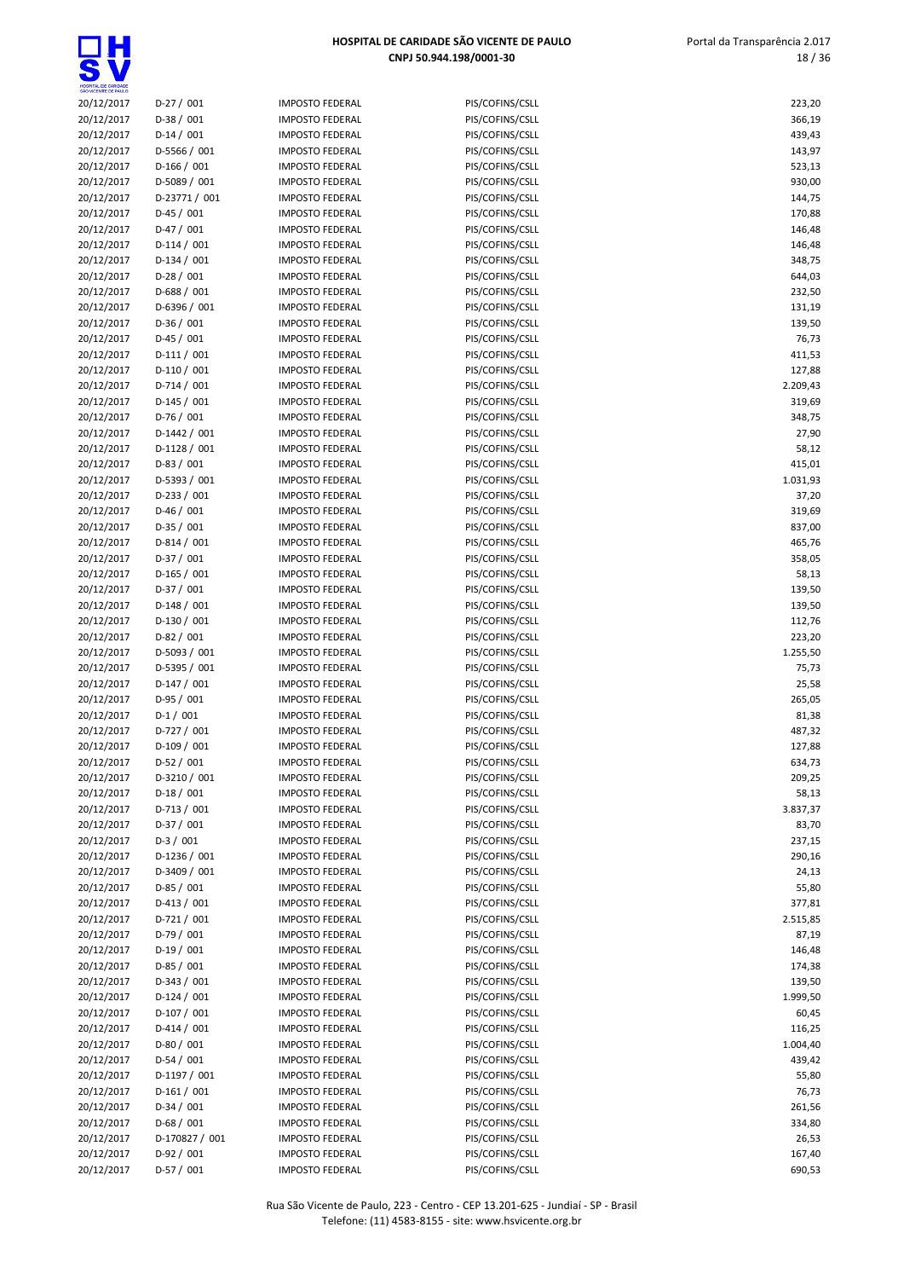$\overline{\mathbf{S}}$ 

| HOSPITAL DE CARIDADE<br>SÃO VICENTE DE PAULO |                                |                                                  |                                    |                   |
|----------------------------------------------|--------------------------------|--------------------------------------------------|------------------------------------|-------------------|
| 20/12/2017                                   | $D-27/001$                     | <b>IMPOSTO FEDERAL</b>                           | PIS/COFINS/CSLL                    | 223,20            |
| 20/12/2017                                   | $D-38/001$                     | <b>IMPOSTO FEDERAL</b>                           | PIS/COFINS/CSLL                    | 366,19            |
| 20/12/2017                                   | $D-14/001$                     | <b>IMPOSTO FEDERAL</b>                           | PIS/COFINS/CSLL                    | 439,43            |
| 20/12/2017                                   | $D-5566 / 001$                 | <b>IMPOSTO FEDERAL</b>                           | PIS/COFINS/CSLL                    | 143,97            |
| 20/12/2017<br>20/12/2017                     | $D-166/001$<br>D-5089 / 001    | <b>IMPOSTO FEDERAL</b><br><b>IMPOSTO FEDERAL</b> | PIS/COFINS/CSLL<br>PIS/COFINS/CSLL | 523,13<br>930,00  |
| 20/12/2017                                   | D-23771 / 001                  | <b>IMPOSTO FEDERAL</b>                           | PIS/COFINS/CSLL                    | 144,75            |
| 20/12/2017                                   | $D-45/001$                     | <b>IMPOSTO FEDERAL</b>                           | PIS/COFINS/CSLL                    | 170,88            |
| 20/12/2017                                   | $D-47/001$                     | <b>IMPOSTO FEDERAL</b>                           | PIS/COFINS/CSLL                    | 146,48            |
| 20/12/2017                                   | $D-114/001$                    | <b>IMPOSTO FEDERAL</b>                           | PIS/COFINS/CSLL                    | 146,48            |
| 20/12/2017                                   | $D-134/001$                    | <b>IMPOSTO FEDERAL</b>                           | PIS/COFINS/CSLL                    | 348,75            |
| 20/12/2017                                   | $D-28/001$                     | <b>IMPOSTO FEDERAL</b>                           | PIS/COFINS/CSLL                    | 644,03            |
| 20/12/2017                                   | $D-688 / 001$                  | <b>IMPOSTO FEDERAL</b>                           | PIS/COFINS/CSLL                    | 232,50            |
| 20/12/2017                                   | D-6396 / 001                   | <b>IMPOSTO FEDERAL</b>                           | PIS/COFINS/CSLL                    | 131,19            |
| 20/12/2017                                   | $D-36/001$                     | <b>IMPOSTO FEDERAL</b>                           | PIS/COFINS/CSLL                    | 139,50            |
| 20/12/2017                                   | $D-45/001$                     | <b>IMPOSTO FEDERAL</b>                           | PIS/COFINS/CSLL                    | 76,73             |
| 20/12/2017                                   | $D-111/001$                    | <b>IMPOSTO FEDERAL</b>                           | PIS/COFINS/CSLL                    | 411,53            |
| 20/12/2017                                   | $D-110/001$                    | <b>IMPOSTO FEDERAL</b>                           | PIS/COFINS/CSLL                    | 127,88            |
| 20/12/2017                                   | $D-714/001$                    | <b>IMPOSTO FEDERAL</b>                           | PIS/COFINS/CSLL                    | 2.209,43          |
| 20/12/2017                                   | $D-145/001$                    | <b>IMPOSTO FEDERAL</b>                           | PIS/COFINS/CSLL                    | 319,69            |
| 20/12/2017                                   | $D-76/001$                     | <b>IMPOSTO FEDERAL</b>                           | PIS/COFINS/CSLL                    | 348,75            |
| 20/12/2017<br>20/12/2017                     | $D-1442 / 001$<br>D-1128 / 001 | <b>IMPOSTO FEDERAL</b><br><b>IMPOSTO FEDERAL</b> | PIS/COFINS/CSLL<br>PIS/COFINS/CSLL | 27,90<br>58,12    |
| 20/12/2017                                   | $D-83 / 001$                   | <b>IMPOSTO FEDERAL</b>                           | PIS/COFINS/CSLL                    | 415,01            |
| 20/12/2017                                   | D-5393 / 001                   | <b>IMPOSTO FEDERAL</b>                           | PIS/COFINS/CSLL                    | 1.031,93          |
| 20/12/2017                                   | $D-233 / 001$                  | <b>IMPOSTO FEDERAL</b>                           | PIS/COFINS/CSLL                    | 37,20             |
| 20/12/2017                                   | $D-46/001$                     | <b>IMPOSTO FEDERAL</b>                           | PIS/COFINS/CSLL                    | 319,69            |
| 20/12/2017                                   | $D-35/001$                     | <b>IMPOSTO FEDERAL</b>                           | PIS/COFINS/CSLL                    | 837,00            |
| 20/12/2017                                   | $D-814/001$                    | <b>IMPOSTO FEDERAL</b>                           | PIS/COFINS/CSLL                    | 465,76            |
| 20/12/2017                                   | $D-37/001$                     | <b>IMPOSTO FEDERAL</b>                           | PIS/COFINS/CSLL                    | 358,05            |
| 20/12/2017                                   | $D-165/001$                    | <b>IMPOSTO FEDERAL</b>                           | PIS/COFINS/CSLL                    | 58,13             |
| 20/12/2017                                   | $D-37/001$                     | <b>IMPOSTO FEDERAL</b>                           | PIS/COFINS/CSLL                    | 139,50            |
| 20/12/2017                                   | $D-148/001$                    | <b>IMPOSTO FEDERAL</b>                           | PIS/COFINS/CSLL                    | 139,50            |
| 20/12/2017                                   | $D-130/001$                    | <b>IMPOSTO FEDERAL</b>                           | PIS/COFINS/CSLL                    | 112,76            |
| 20/12/2017                                   | $D-82/001$                     | <b>IMPOSTO FEDERAL</b>                           | PIS/COFINS/CSLL                    | 223,20            |
| 20/12/2017                                   | D-5093 / 001                   | <b>IMPOSTO FEDERAL</b>                           | PIS/COFINS/CSLL                    | 1.255,50          |
| 20/12/2017                                   | D-5395 / 001                   | <b>IMPOSTO FEDERAL</b>                           | PIS/COFINS/CSLL                    | 75,73             |
| 20/12/2017                                   | $D-147/001$                    | <b>IMPOSTO FEDERAL</b>                           | PIS/COFINS/CSLL                    | 25,58             |
| 20/12/2017                                   | $D-95/001$                     | <b>IMPOSTO FEDERAL</b>                           | PIS/COFINS/CSLL                    | 265,05            |
| 20/12/2017                                   | $D-1/001$<br>$D-727/001$       | <b>IMPOSTO FEDERAL</b><br><b>IMPOSTO FEDERAL</b> | PIS/COFINS/CSLL<br>PIS/COFINS/CSLL | 81,38             |
| 20/12/2017<br>20/12/2017                     | $D-109/001$                    | <b>IMPOSTO FEDERAL</b>                           | PIS/COFINS/CSLL                    | 487,32<br>127,88  |
| 20/12/2017                                   | $D-52/001$                     | <b>IMPOSTO FEDERAL</b>                           | PIS/COFINS/CSLL                    | 634,73            |
| 20/12/2017                                   | D-3210 / 001                   | <b>IMPOSTO FEDERAL</b>                           | PIS/COFINS/CSLL                    | 209,25            |
| 20/12/2017                                   | $D-18/001$                     | <b>IMPOSTO FEDERAL</b>                           | PIS/COFINS/CSLL                    | 58,13             |
| 20/12/2017                                   | $D-713/001$                    | <b>IMPOSTO FEDERAL</b>                           | PIS/COFINS/CSLL                    | 3.837,37          |
| 20/12/2017                                   | $D-37/001$                     | <b>IMPOSTO FEDERAL</b>                           | PIS/COFINS/CSLL                    | 83,70             |
| 20/12/2017                                   | $D-3/001$                      | <b>IMPOSTO FEDERAL</b>                           | PIS/COFINS/CSLL                    | 237,15            |
| 20/12/2017                                   | D-1236 / 001                   | <b>IMPOSTO FEDERAL</b>                           | PIS/COFINS/CSLL                    | 290,16            |
| 20/12/2017                                   | D-3409 / 001                   | <b>IMPOSTO FEDERAL</b>                           | PIS/COFINS/CSLL                    | 24,13             |
| 20/12/2017                                   | $D-85/001$                     | <b>IMPOSTO FEDERAL</b>                           | PIS/COFINS/CSLL                    | 55,80             |
| 20/12/2017                                   | $D-413 / 001$                  | <b>IMPOSTO FEDERAL</b>                           | PIS/COFINS/CSLL                    | 377,81            |
| 20/12/2017                                   | $D-721/001$                    | <b>IMPOSTO FEDERAL</b>                           | PIS/COFINS/CSLL                    | 2.515,85          |
| 20/12/2017                                   | $D-79/001$                     | <b>IMPOSTO FEDERAL</b>                           | PIS/COFINS/CSLL                    | 87,19             |
| 20/12/2017                                   | $D-19/001$                     | <b>IMPOSTO FEDERAL</b>                           | PIS/COFINS/CSLL                    | 146,48            |
| 20/12/2017                                   | $D-85/001$                     | <b>IMPOSTO FEDERAL</b>                           | PIS/COFINS/CSLL                    | 174,38            |
| 20/12/2017                                   | $D-343 / 001$<br>$D-124/001$   | <b>IMPOSTO FEDERAL</b>                           | PIS/COFINS/CSLL                    | 139,50            |
| 20/12/2017<br>20/12/2017                     | $D-107/001$                    | <b>IMPOSTO FEDERAL</b><br><b>IMPOSTO FEDERAL</b> | PIS/COFINS/CSLL<br>PIS/COFINS/CSLL | 1.999,50<br>60,45 |
| 20/12/2017                                   | $D-414/001$                    | <b>IMPOSTO FEDERAL</b>                           | PIS/COFINS/CSLL                    | 116,25            |
| 20/12/2017                                   | $D-80/001$                     | <b>IMPOSTO FEDERAL</b>                           | PIS/COFINS/CSLL                    | 1.004,40          |
| 20/12/2017                                   | $D-54/001$                     | <b>IMPOSTO FEDERAL</b>                           | PIS/COFINS/CSLL                    | 439,42            |
| 20/12/2017                                   | D-1197 / 001                   | <b>IMPOSTO FEDERAL</b>                           | PIS/COFINS/CSLL                    | 55,80             |
| 20/12/2017                                   | $D-161/001$                    | <b>IMPOSTO FEDERAL</b>                           | PIS/COFINS/CSLL                    | 76,73             |
| 20/12/2017                                   | $D-34/001$                     | <b>IMPOSTO FEDERAL</b>                           | PIS/COFINS/CSLL                    | 261,56            |
| 20/12/2017                                   | $D-68/001$                     | <b>IMPOSTO FEDERAL</b>                           | PIS/COFINS/CSLL                    | 334,80            |
| 20/12/2017                                   | D-170827 / 001                 | <b>IMPOSTO FEDERAL</b>                           | PIS/COFINS/CSLL                    | 26,53             |
| 20/12/2017                                   | $D-92/001$                     | <b>IMPOSTO FEDERAL</b>                           | PIS/COFINS/CSLL                    | 167,40            |
| 20/12/2017                                   | $D-57/001$                     | <b>IMPOSTO FEDERAL</b>                           | PIS/COFINS/CSLL                    | 690,53            |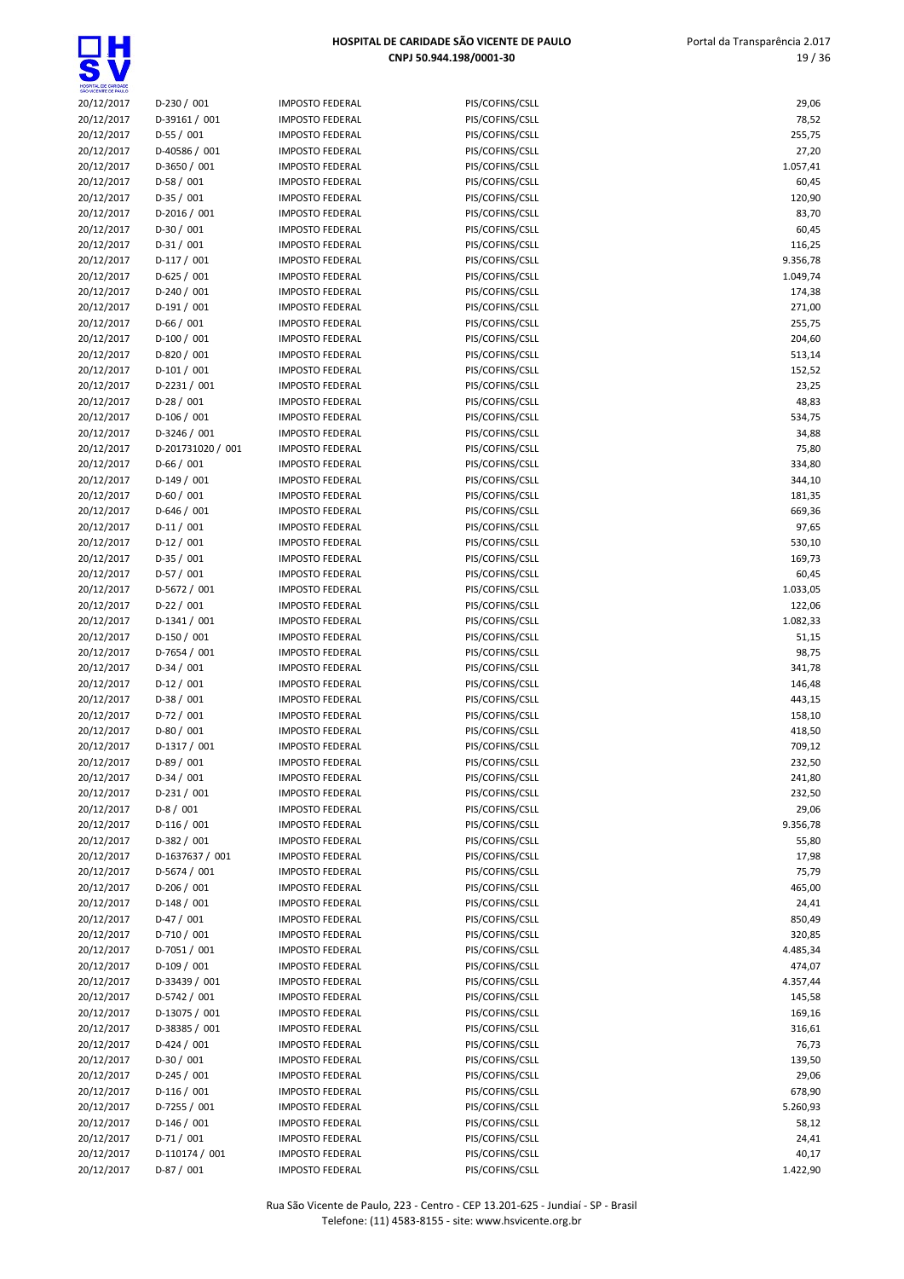S

| SÃO VICENTE DE PAULO     |                          |                                                  |                                    |                  |
|--------------------------|--------------------------|--------------------------------------------------|------------------------------------|------------------|
| 20/12/2017               | $D-230 / 001$            | <b>IMPOSTO FEDERAL</b>                           | PIS/COFINS/CSLL                    | 29,06            |
| 20/12/2017               | D-39161 / 001            | <b>IMPOSTO FEDERAL</b>                           | PIS/COFINS/CSLL                    | 78,52            |
| 20/12/2017               | $D-55/001$               | <b>IMPOSTO FEDERAL</b>                           | PIS/COFINS/CSLL                    | 255,75           |
| 20/12/2017               | D-40586 / 001            | <b>IMPOSTO FEDERAL</b>                           | PIS/COFINS/CSLL                    | 27,20            |
| 20/12/2017               | D-3650 / 001             | <b>IMPOSTO FEDERAL</b>                           | PIS/COFINS/CSLL                    | 1.057,41         |
| 20/12/2017               | $D-58/001$               | <b>IMPOSTO FEDERAL</b>                           | PIS/COFINS/CSLL                    | 60,45            |
| 20/12/2017               | $D-35/001$               | <b>IMPOSTO FEDERAL</b>                           | PIS/COFINS/CSLL                    | 120,90           |
| 20/12/2017               | $D-2016 / 001$           | <b>IMPOSTO FEDERAL</b>                           | PIS/COFINS/CSLL                    | 83,70            |
| 20/12/2017               | $D-30/001$               | <b>IMPOSTO FEDERAL</b>                           | PIS/COFINS/CSLL                    | 60,45            |
| 20/12/2017               | $D-31/001$               | <b>IMPOSTO FEDERAL</b>                           | PIS/COFINS/CSLL                    | 116,25           |
| 20/12/2017               | $D-117/001$              | <b>IMPOSTO FEDERAL</b>                           | PIS/COFINS/CSLL                    | 9.356,78         |
| 20/12/2017               | $D-625/001$              | <b>IMPOSTO FEDERAL</b>                           | PIS/COFINS/CSLL                    | 1.049,74         |
| 20/12/2017               | $D-240/001$              | <b>IMPOSTO FEDERAL</b>                           | PIS/COFINS/CSLL                    | 174,38           |
| 20/12/2017               | $D-191/001$              | <b>IMPOSTO FEDERAL</b>                           | PIS/COFINS/CSLL                    | 271,00           |
| 20/12/2017               | $D-66/001$               | <b>IMPOSTO FEDERAL</b>                           | PIS/COFINS/CSLL                    | 255,75           |
| 20/12/2017               | $D-100/001$              | <b>IMPOSTO FEDERAL</b>                           | PIS/COFINS/CSLL                    | 204,60           |
| 20/12/2017               | D-820 / 001              | <b>IMPOSTO FEDERAL</b>                           | PIS/COFINS/CSLL                    | 513,14           |
| 20/12/2017               | $D-101/001$              | <b>IMPOSTO FEDERAL</b>                           | PIS/COFINS/CSLL                    | 152,52           |
| 20/12/2017               | $D-2231/001$             | <b>IMPOSTO FEDERAL</b>                           | PIS/COFINS/CSLL                    | 23,25            |
| 20/12/2017               | $D-28/001$               | <b>IMPOSTO FEDERAL</b>                           | PIS/COFINS/CSLL                    | 48,83            |
| 20/12/2017               | $D-106/001$              | <b>IMPOSTO FEDERAL</b>                           | PIS/COFINS/CSLL                    | 534,75           |
| 20/12/2017               | D-3246 / 001             | <b>IMPOSTO FEDERAL</b>                           | PIS/COFINS/CSLL                    | 34,88            |
| 20/12/2017<br>20/12/2017 | D-201731020 / 001        | <b>IMPOSTO FEDERAL</b>                           | PIS/COFINS/CSLL<br>PIS/COFINS/CSLL | 75,80            |
|                          | $D-66/001$               | <b>IMPOSTO FEDERAL</b>                           |                                    | 334,80           |
| 20/12/2017               | $D-149/001$              | <b>IMPOSTO FEDERAL</b>                           | PIS/COFINS/CSLL                    | 344,10           |
| 20/12/2017               | $D-60/001$               | <b>IMPOSTO FEDERAL</b>                           | PIS/COFINS/CSLL                    | 181,35           |
| 20/12/2017               | $D-646 / 001$            | <b>IMPOSTO FEDERAL</b>                           | PIS/COFINS/CSLL                    | 669,36           |
| 20/12/2017               | $D-11/001$               | <b>IMPOSTO FEDERAL</b>                           | PIS/COFINS/CSLL                    | 97,65            |
| 20/12/2017               | $D-12/001$               | <b>IMPOSTO FEDERAL</b>                           | PIS/COFINS/CSLL                    | 530,10           |
| 20/12/2017               | $D-35/001$               | <b>IMPOSTO FEDERAL</b>                           | PIS/COFINS/CSLL                    | 169,73           |
| 20/12/2017               | $D-57/001$               | <b>IMPOSTO FEDERAL</b>                           | PIS/COFINS/CSLL                    | 60,45            |
| 20/12/2017               | D-5672 / 001             | <b>IMPOSTO FEDERAL</b>                           | PIS/COFINS/CSLL                    | 1.033,05         |
| 20/12/2017               | $D-22/001$               | <b>IMPOSTO FEDERAL</b>                           | PIS/COFINS/CSLL                    | 122,06           |
| 20/12/2017               | $D-1341/001$             | <b>IMPOSTO FEDERAL</b>                           | PIS/COFINS/CSLL                    | 1.082,33         |
| 20/12/2017               | $D-150/001$              | <b>IMPOSTO FEDERAL</b>                           | PIS/COFINS/CSLL                    | 51,15            |
| 20/12/2017               | $D-7654/001$             | <b>IMPOSTO FEDERAL</b>                           | PIS/COFINS/CSLL                    | 98,75            |
| 20/12/2017<br>20/12/2017 | $D-34/001$<br>$D-12/001$ | <b>IMPOSTO FEDERAL</b><br><b>IMPOSTO FEDERAL</b> | PIS/COFINS/CSLL<br>PIS/COFINS/CSLL | 341,78<br>146,48 |
| 20/12/2017               | $D-38/001$               | <b>IMPOSTO FEDERAL</b>                           | PIS/COFINS/CSLL                    | 443,15           |
| 20/12/2017               | $D-72/001$               | <b>IMPOSTO FEDERAL</b>                           | PIS/COFINS/CSLL                    | 158,10           |
| 20/12/2017               | $D-80/001$               | <b>IMPOSTO FEDERAL</b>                           | PIS/COFINS/CSLL                    | 418,50           |
| 20/12/2017               | D-1317 / 001             | <b>IMPOSTO FEDERAL</b>                           | PIS/COFINS/CSLL                    | 709,12           |
|                          |                          | <b>IMPOSTO FEDERAL</b>                           | PIS/COFINS/CSLL                    | 232,50           |
| 20/12/2017<br>20/12/2017 | D-89 / 001<br>$D-34/001$ | <b>IMPOSTO FEDERAL</b>                           | PIS/COFINS/CSLL                    | 241,80           |
| 20/12/2017               | $D-231/001$              | <b>IMPOSTO FEDERAL</b>                           | PIS/COFINS/CSLL                    | 232,50           |
| 20/12/2017               | $D-8/001$                | <b>IMPOSTO FEDERAL</b>                           | PIS/COFINS/CSLL                    | 29,06            |
| 20/12/2017               | $D-116/001$              | <b>IMPOSTO FEDERAL</b>                           | PIS/COFINS/CSLL                    | 9.356,78         |
| 20/12/2017               | $D-382 / 001$            | <b>IMPOSTO FEDERAL</b>                           | PIS/COFINS/CSLL                    | 55,80            |
| 20/12/2017               | D-1637637 / 001          | <b>IMPOSTO FEDERAL</b>                           | PIS/COFINS/CSLL                    | 17,98            |
| 20/12/2017               | D-5674 / 001             | <b>IMPOSTO FEDERAL</b>                           | PIS/COFINS/CSLL                    | 75,79            |
| 20/12/2017               | $D-206/001$              | <b>IMPOSTO FEDERAL</b>                           | PIS/COFINS/CSLL                    | 465,00           |
| 20/12/2017               | $D-148/001$              | <b>IMPOSTO FEDERAL</b>                           | PIS/COFINS/CSLL                    | 24,41            |
| 20/12/2017               | $D-47/001$               | <b>IMPOSTO FEDERAL</b>                           | PIS/COFINS/CSLL                    | 850,49           |
| 20/12/2017               | $D-710/001$              | <b>IMPOSTO FEDERAL</b>                           | PIS/COFINS/CSLL                    | 320,85           |
| 20/12/2017               | D-7051 / 001             | <b>IMPOSTO FEDERAL</b>                           | PIS/COFINS/CSLL                    | 4.485,34         |
| 20/12/2017               | $D-109/001$              | <b>IMPOSTO FEDERAL</b>                           | PIS/COFINS/CSLL                    | 474,07           |
| 20/12/2017               | D-33439 / 001            | <b>IMPOSTO FEDERAL</b>                           | PIS/COFINS/CSLL                    | 4.357,44         |
| 20/12/2017               | D-5742 / 001             | <b>IMPOSTO FEDERAL</b>                           | PIS/COFINS/CSLL                    | 145,58           |
| 20/12/2017               | D-13075 / 001            | <b>IMPOSTO FEDERAL</b>                           | PIS/COFINS/CSLL                    | 169,16           |
| 20/12/2017               | D-38385 / 001            | <b>IMPOSTO FEDERAL</b>                           | PIS/COFINS/CSLL                    | 316,61           |
| 20/12/2017               | $D-424/001$              | <b>IMPOSTO FEDERAL</b>                           | PIS/COFINS/CSLL                    | 76,73            |
| 20/12/2017               | $D-30/001$               | <b>IMPOSTO FEDERAL</b>                           | PIS/COFINS/CSLL                    | 139,50           |
| 20/12/2017               | $D-245/001$              | <b>IMPOSTO FEDERAL</b>                           | PIS/COFINS/CSLL                    | 29,06            |
| 20/12/2017               | $D-116/001$              | <b>IMPOSTO FEDERAL</b>                           | PIS/COFINS/CSLL                    | 678,90           |
| 20/12/2017               | D-7255 / 001             | <b>IMPOSTO FEDERAL</b>                           | PIS/COFINS/CSLL                    | 5.260,93         |
| 20/12/2017               | $D-146/001$              | <b>IMPOSTO FEDERAL</b>                           | PIS/COFINS/CSLL                    | 58,12            |
| 20/12/2017               | $D-71/001$               | <b>IMPOSTO FEDERAL</b>                           | PIS/COFINS/CSLL                    | 24,41            |
| 20/12/2017               | D-110174 / 001           | <b>IMPOSTO FEDERAL</b>                           | PIS/COFINS/CSLL                    | 40,17            |
| 20/12/2017               | $D-87/001$               | <b>IMPOSTO FEDERAL</b>                           | PIS/COFINS/CSLL                    | 1.422,90         |
|                          |                          |                                                  |                                    |                  |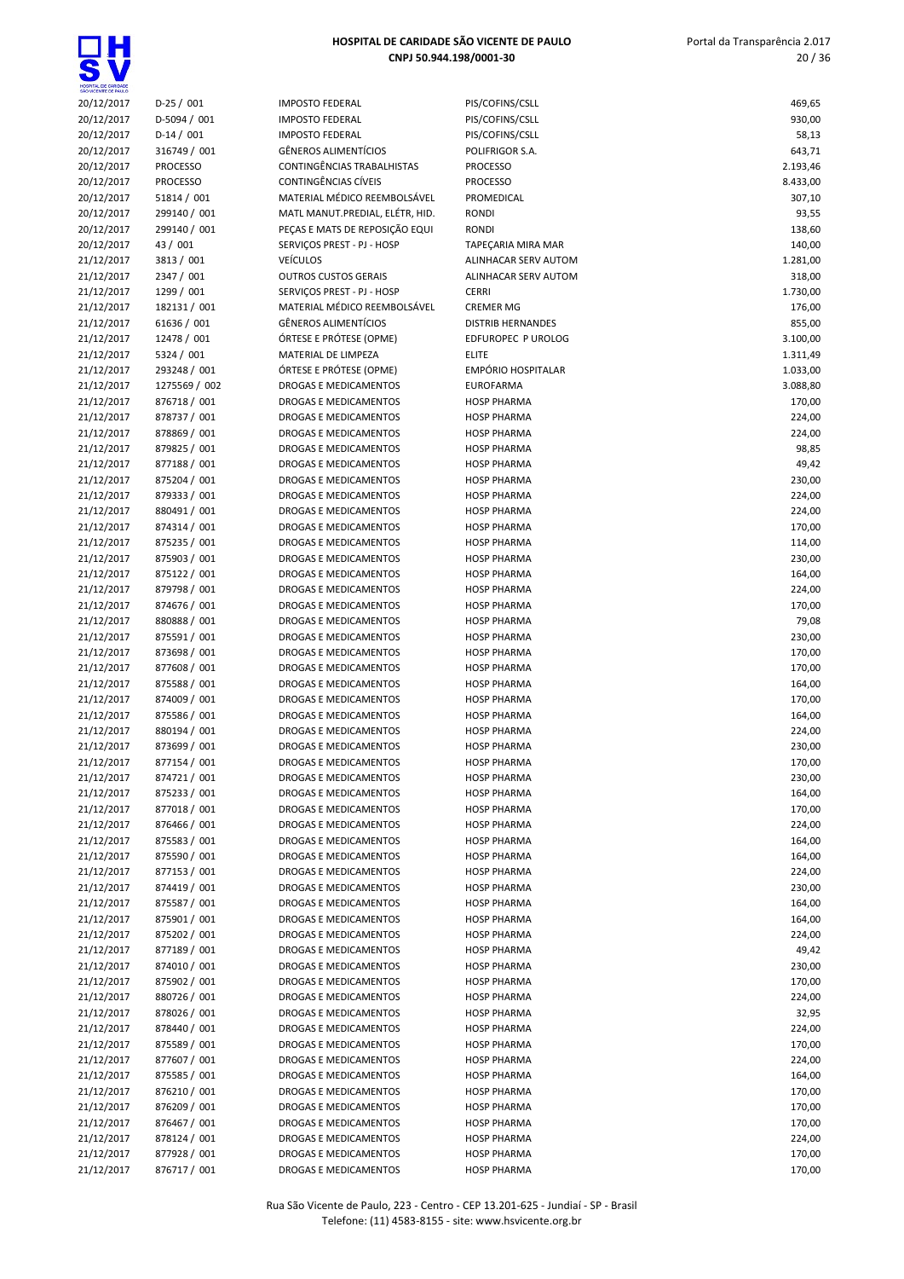| SÃO VICENTE DE PAULO     |                               |                                                  |                                          |                      |
|--------------------------|-------------------------------|--------------------------------------------------|------------------------------------------|----------------------|
| 20/12/2017               | $D-25/001$                    | <b>IMPOSTO FEDERAL</b>                           | PIS/COFINS/CSLL                          | 469,65               |
| 20/12/2017               | D-5094 / 001                  | <b>IMPOSTO FEDERAL</b>                           | PIS/COFINS/CSLL                          | 930,00               |
| 20/12/2017               | $D-14/001$                    | <b>IMPOSTO FEDERAL</b>                           | PIS/COFINS/CSLL                          | 58,13                |
| 20/12/2017               | 316749 / 001                  | <b>GÊNEROS ALIMENTÍCIOS</b>                      | POLIFRIGOR S.A.                          | 643,71               |
| 20/12/2017               | <b>PROCESSO</b>               | CONTINGÊNCIAS TRABALHISTAS                       | <b>PROCESSO</b>                          | 2.193,46             |
| 20/12/2017               | <b>PROCESSO</b>               | CONTINGÊNCIAS CÍVEIS                             | <b>PROCESSO</b>                          | 8.433,00             |
| 20/12/2017               | 51814 / 001                   | MATERIAL MÉDICO REEMBOLSÁVEL                     | PROMEDICAL                               | 307,10               |
| 20/12/2017               | 299140 / 001                  | MATL MANUT.PREDIAL, ELÉTR, HID.                  | <b>RONDI</b>                             | 93,55                |
| 20/12/2017               | 299140 / 001                  | PEÇAS E MATS DE REPOSIÇÃO EQUI                   | <b>RONDI</b>                             | 138,60               |
| 20/12/2017               | 43 / 001                      | SERVIÇOS PREST - PJ - HOSP                       | TAPEÇARIA MIRA MAR                       | 140,00               |
| 21/12/2017               | 3813 / 001                    | <b>VEÍCULOS</b>                                  | ALINHACAR SERV AUTOM                     | 1.281,00             |
| 21/12/2017               | 2347 / 001                    | <b>OUTROS CUSTOS GERAIS</b>                      | ALINHACAR SERV AUTOM                     | 318,00               |
| 21/12/2017               | 1299 / 001                    | SERVIÇOS PREST - PJ - HOSP                       | <b>CERRI</b>                             | 1.730,00             |
| 21/12/2017               | 182131 / 001                  | MATERIAL MÉDICO REEMBOLSÁVEL                     | <b>CREMER MG</b>                         | 176,00               |
| 21/12/2017               | 61636 / 001                   | <b>GÊNEROS ALIMENTÍCIOS</b>                      | <b>DISTRIB HERNANDES</b>                 | 855,00               |
| 21/12/2017               | 12478 / 001                   | ÓRTESE E PRÓTESE (OPME)                          | EDFUROPEC P UROLOG<br><b>ELITE</b>       | 3.100,00             |
| 21/12/2017               | 5324 / 001                    | MATERIAL DE LIMPEZA                              | <b>EMPÓRIO HOSPITALAR</b>                | 1.311,49             |
| 21/12/2017<br>21/12/2017 | 293248 / 001<br>1275569 / 002 | ÓRTESE E PRÓTESE (OPME)<br>DROGAS E MEDICAMENTOS | <b>EUROFARMA</b>                         | 1.033,00<br>3.088,80 |
| 21/12/2017               | 876718 / 001                  | DROGAS E MEDICAMENTOS                            | <b>HOSP PHARMA</b>                       | 170,00               |
| 21/12/2017               | 878737 / 001                  | DROGAS E MEDICAMENTOS                            | <b>HOSP PHARMA</b>                       | 224,00               |
|                          |                               | <b>DROGAS E MEDICAMENTOS</b>                     |                                          |                      |
| 21/12/2017               | 878869 / 001<br>879825 / 001  | <b>DROGAS E MEDICAMENTOS</b>                     | <b>HOSP PHARMA</b><br><b>HOSP PHARMA</b> | 224,00               |
| 21/12/2017               |                               |                                                  |                                          | 98,85                |
| 21/12/2017               | 877188 / 001                  | DROGAS E MEDICAMENTOS                            | <b>HOSP PHARMA</b>                       | 49,42                |
| 21/12/2017               | 875204 / 001                  | DROGAS E MEDICAMENTOS                            | <b>HOSP PHARMA</b>                       | 230,00               |
| 21/12/2017               | 879333 / 001                  | <b>DROGAS E MEDICAMENTOS</b>                     | <b>HOSP PHARMA</b>                       | 224,00               |
| 21/12/2017               | 880491 / 001                  | DROGAS E MEDICAMENTOS                            | <b>HOSP PHARMA</b>                       | 224,00               |
| 21/12/2017               | 874314 / 001                  | DROGAS E MEDICAMENTOS                            | <b>HOSP PHARMA</b>                       | 170,00               |
| 21/12/2017               | 875235 / 001                  | DROGAS E MEDICAMENTOS                            | <b>HOSP PHARMA</b>                       | 114,00               |
| 21/12/2017               | 875903 / 001                  | DROGAS E MEDICAMENTOS                            | <b>HOSP PHARMA</b>                       | 230,00               |
| 21/12/2017               | 875122 / 001                  | DROGAS E MEDICAMENTOS                            | <b>HOSP PHARMA</b>                       | 164,00               |
| 21/12/2017               | 879798 / 001                  | DROGAS E MEDICAMENTOS                            | <b>HOSP PHARMA</b>                       | 224,00               |
| 21/12/2017               | 874676 / 001                  | DROGAS E MEDICAMENTOS                            | <b>HOSP PHARMA</b>                       | 170,00               |
| 21/12/2017               | 880888 / 001                  | DROGAS E MEDICAMENTOS                            | <b>HOSP PHARMA</b>                       | 79,08                |
| 21/12/2017               | 875591 / 001                  | DROGAS E MEDICAMENTOS                            | <b>HOSP PHARMA</b>                       | 230,00               |
| 21/12/2017               | 873698 / 001                  | DROGAS E MEDICAMENTOS                            | <b>HOSP PHARMA</b>                       | 170,00               |
| 21/12/2017               | 877608 / 001                  | DROGAS E MEDICAMENTOS                            | <b>HOSP PHARMA</b>                       | 170,00               |
| 21/12/2017               | 875588 / 001                  | DROGAS E MEDICAMENTOS                            | <b>HOSP PHARMA</b>                       | 164,00               |
| 21/12/2017               | 874009 / 001                  | DROGAS E MEDICAMENTOS                            | <b>HOSP PHARMA</b>                       | 170,00               |
| 21/12/2017               | 875586 / 001                  | DROGAS E MEDICAMENTOS                            | <b>HOSP PHARMA</b>                       | 164,00               |
| 21/12/2017               | 880194 / 001                  | DROGAS E MEDICAMENTOS                            | <b>HOSP PHARMA</b>                       | 224,00               |
| 21/12/2017               | 873699 / 001                  | DROGAS E MEDICAMENTOS                            | <b>HOSP PHARMA</b>                       | 230,00               |
| 21/12/2017               | 877154 / 001                  | DROGAS E MEDICAMENTOS                            | <b>HOSP PHARMA</b>                       | 170,00               |
| 21/12/2017               | 874721/001                    | DROGAS E MEDICAMENTOS                            | <b>HOSP PHARMA</b>                       | 230,00               |
| 21/12/2017               | 875233 / 001                  | DROGAS E MEDICAMENTOS                            | <b>HOSP PHARMA</b>                       | 164,00               |
| 21/12/2017               | 877018 / 001                  | DROGAS E MEDICAMENTOS                            | <b>HOSP PHARMA</b>                       | 170,00               |
| 21/12/2017               | 876466 / 001                  | <b>DROGAS E MEDICAMENTOS</b>                     | <b>HOSP PHARMA</b>                       | 224,00               |
| 21/12/2017               | 875583 / 001                  | DROGAS E MEDICAMENTOS                            | <b>HOSP PHARMA</b>                       | 164,00               |
| 21/12/2017               | 875590 / 001                  | DROGAS E MEDICAMENTOS                            | <b>HOSP PHARMA</b>                       | 164,00               |
| 21/12/2017               | 877153 / 001                  | DROGAS E MEDICAMENTOS                            | <b>HOSP PHARMA</b>                       | 224,00               |
| 21/12/2017               | 874419 / 001                  | DROGAS E MEDICAMENTOS                            | <b>HOSP PHARMA</b>                       | 230,00               |
| 21/12/2017               | 875587 / 001                  | <b>DROGAS E MEDICAMENTOS</b>                     | <b>HOSP PHARMA</b>                       | 164,00               |
| 21/12/2017               | 875901 / 001                  | DROGAS E MEDICAMENTOS                            | <b>HOSP PHARMA</b>                       | 164,00               |
| 21/12/2017               | 875202 / 001                  | <b>DROGAS E MEDICAMENTOS</b>                     | <b>HOSP PHARMA</b>                       | 224,00               |
| 21/12/2017               | 877189 / 001                  | DROGAS E MEDICAMENTOS                            | <b>HOSP PHARMA</b>                       | 49,42                |
| 21/12/2017               | 874010 / 001                  | DROGAS E MEDICAMENTOS                            | <b>HOSP PHARMA</b>                       | 230,00               |
| 21/12/2017               | 875902 / 001                  | DROGAS E MEDICAMENTOS                            | <b>HOSP PHARMA</b>                       | 170,00               |
| 21/12/2017               | 880726 / 001                  | DROGAS E MEDICAMENTOS                            | <b>HOSP PHARMA</b>                       | 224,00               |
| 21/12/2017               | 878026 / 001                  | DROGAS E MEDICAMENTOS                            | <b>HOSP PHARMA</b>                       | 32,95                |
| 21/12/2017               | 878440 / 001                  | DROGAS E MEDICAMENTOS                            | <b>HOSP PHARMA</b>                       | 224,00               |
| 21/12/2017               | 875589 / 001                  | DROGAS E MEDICAMENTOS                            | <b>HOSP PHARMA</b>                       | 170,00               |
| 21/12/2017               | 877607 / 001                  | DROGAS E MEDICAMENTOS                            | <b>HOSP PHARMA</b>                       | 224,00               |
| 21/12/2017               | 875585 / 001                  | DROGAS E MEDICAMENTOS                            | <b>HOSP PHARMA</b>                       | 164,00               |
| 21/12/2017               | 876210 / 001                  | DROGAS E MEDICAMENTOS                            | <b>HOSP PHARMA</b>                       | 170,00               |
| 21/12/2017               | 876209 / 001                  | DROGAS E MEDICAMENTOS                            | <b>HOSP PHARMA</b>                       | 170,00               |
| 21/12/2017               | 876467 / 001                  | DROGAS E MEDICAMENTOS                            | <b>HOSP PHARMA</b>                       | 170,00               |
| 21/12/2017               | 878124 / 001                  | DROGAS E MEDICAMENTOS                            | <b>HOSP PHARMA</b>                       | 224,00               |
| 21/12/2017               | 877928 / 001                  | DROGAS E MEDICAMENTOS                            | <b>HOSP PHARMA</b>                       | 170,00               |
| 21/12/2017               | 876717 / 001                  | DROGAS E MEDICAMENTOS                            | <b>HOSP PHARMA</b>                       | 170,00               |

Rua São Vicente de Paulo, 223 - Centro - CEP 13.201-625 - Jundiaí - SP - Brasil Telefone: (11) 4583-8155 - site: www.hsvicente.org.br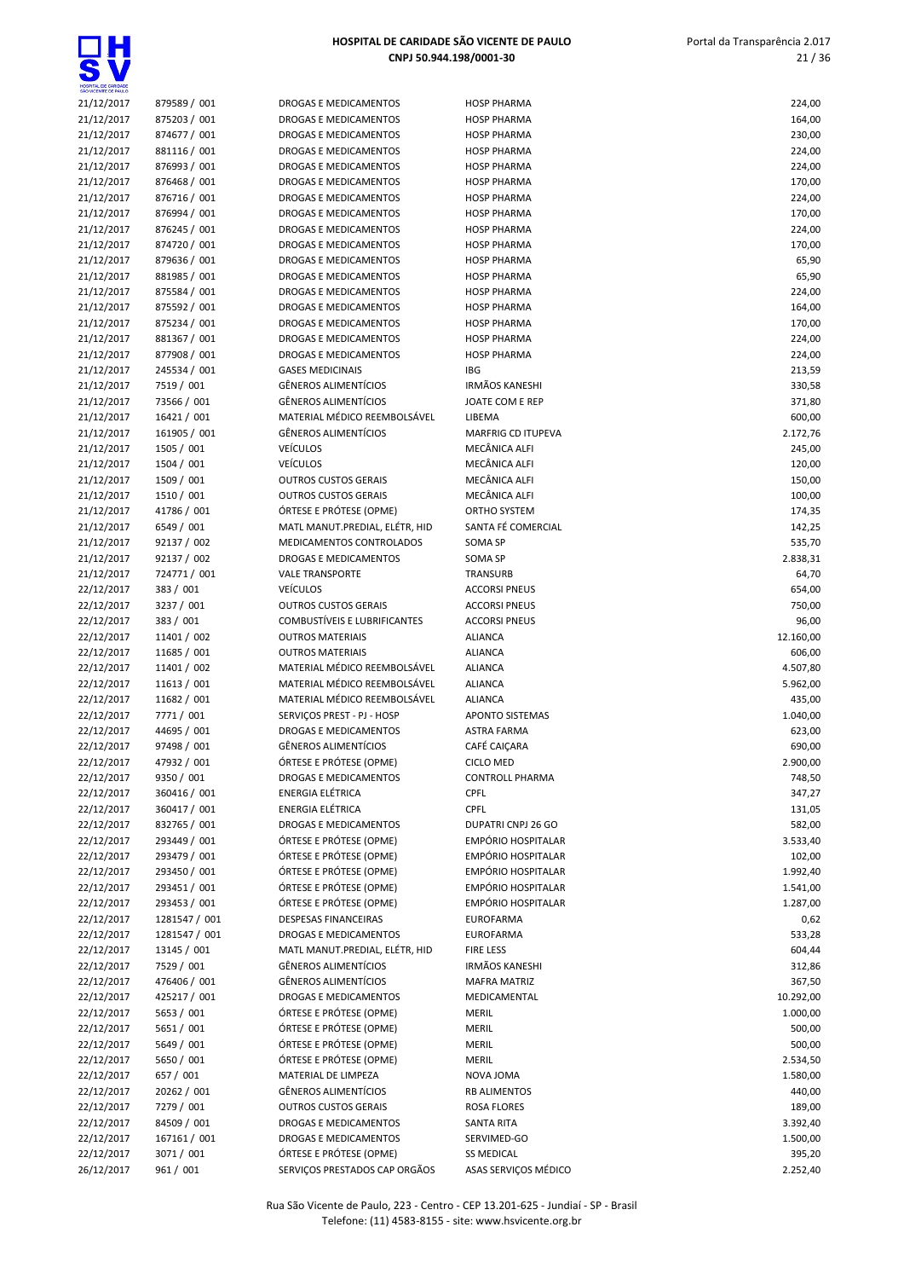

| SAO WOENTE DE PAULO |               |
|---------------------|---------------|
| 21/12/2017          | 879589 / 001  |
| 21/12/2017          | 875203 / 001  |
| 21/12/2017          | 874677 / 001  |
|                     |               |
| 21/12/2017          | 881116 / 001  |
| 21/12/2017          | 876993 / 001  |
| 21/12/2017          | 876468 / 001  |
| 21/12/2017          | 876716 / 001  |
| 21/12/2017          | 876994 / 001  |
| 21/12/2017          | 876245 / 001  |
|                     | 874720 / 001  |
| 21/12/2017          |               |
| 21/12/2017          | 879636 / 001  |
| 21/12/2017          | 881985 / 001  |
| 21/12/2017          | 875584 / 001  |
| 21/12/2017          | 875592 / 001  |
| 21/12/2017          | 875234 / 001  |
| 21/12/2017          | 881367 / 001  |
| 21/12/2017          | 877908 / 001  |
|                     |               |
| 21/12/2017          | 245534 / 001  |
| 21/12/2017          | 7519 / 001    |
| 21/12/2017          | 73566 / 001   |
| 21/12/2017          | 16421 / 001   |
| 21/12/2017          | 161905 / 001  |
| 21/12/2017          | 1505 / 001    |
| 21/12/2017          | 1504 / 001    |
| 21/12/2017          | 1509 / 001    |
| 21/12/2017          | 1510 / 001    |
| 21/12/2017          | 41786 / 001   |
|                     |               |
| 21/12/2017          | 6549 / 001    |
| 21/12/2017          | 92137 / 002   |
| 21/12/2017          | 92137 / 002   |
| 21/12/2017          | 724771/001    |
| 22/12/2017          | 383 / 001     |
| 22/12/2017          | 3237 / 001    |
| 22/12/2017          | 383 / 001     |
| 22/12/2017          | 11401 / 002   |
| 22/12/2017          | 11685 / 001   |
| 22/12/2017          | 11401 / 002   |
|                     | 11613 / 001   |
| 22/12/2017          |               |
| 22/12/2017          | 11682 / 001   |
| 22/12/2017          | 7771 / 001    |
| 22/12/2017          | 44695 / 001   |
| 22/12/2017          | 97498 / 001   |
| 22/12/2017          | 47932 / 001   |
| 22/12/2017          | 9350 / 001    |
| 22/12/2017          | 360416 / 001  |
| 22/12/2017          | 360417 / 001  |
| 22/12/2017          | 832765 / 001  |
|                     | 293449 / 001  |
| 22/12/2017          |               |
| 22/12/2017          | 293479 / 001  |
| 22/12/2017          | 293450 / 001  |
| 22/12/2017          | 293451 / 001  |
| 22/12/2017          | 293453 / 001  |
| 22/12/2017          | 1281547 / 001 |
| 22/12/2017          | 1281547 / 001 |
| 22/12/2017          | 13145 / 001   |
| 22/12/2017          | 7529 / 001    |
| 22/12/2017          | 476406 / 001  |
|                     |               |
| 22/12/2017          | 425217 / 001  |
| 22/12/2017          | 5653 / 001    |
| 22/12/2017          | 5651 / 001    |
| 22/12/2017          | 5649 / 001    |
| 22/12/2017          | 5650 / 001    |
| 22/12/2017          | 657 / 001     |
| 22/12/2017          | 20262 / 001   |
| 22/12/2017          | 7279 / 001    |
| 22/12/2017          | 84509 / 001   |
| 22/12/2017          | 167161 / 001  |
| 22/12/2017          | 3071/001      |
| 26/12/2017          | 961 / 001     |
|                     |               |

| DROGAS E MEDICAMENTOS                                    |
|----------------------------------------------------------|
| DROGAS E MEDICAMENTOS                                    |
| DROGAS E MEDICAMENTOS                                    |
| DROGAS E MEDICAMENTOS                                    |
| DROGAS E MEDICAMENTOS                                    |
| DROGAS E MEDICAMENTOS                                    |
| DROGAS E MEDICAMENTOS                                    |
| DROGAS E MEDICAMENTOS                                    |
| DROGAS E MEDICAMENTOS                                    |
|                                                          |
| DROGAS E MEDICAMENTOS<br>DROGAS E MEDICAMENTOS           |
|                                                          |
| DROGAS E MEDICAMENTOS                                    |
| DROGAS E MEDICAMENTOS                                    |
| DROGAS E MEDICAMENTOS                                    |
| DROGAS E MEDICAMENTOS                                    |
| DROGAS E MEDICAMENTOS                                    |
| <b>GASES MEDICINAIS</b>                                  |
| GÊNEROS ALIMENTÍCIOS                                     |
| GÊNEROS ALIMENTÍCIOS                                     |
| MATERIAL MÉDICO REEMBOLSÁVEL                             |
| GÊNEROS ALIMENTÍCIOS                                     |
| VEÍCULOS                                                 |
| VEÍCULOS                                                 |
| OUTROS CUSTOS GERAIS                                     |
| <b>OUTROS CUSTOS GERAIS</b>                              |
| ÓRTESE E PRÓTESE (OPME)                                  |
| MATL MANUT.PREDIAL, ELÉTR, HID                           |
| MEDICAMENTOS CONTROLADOS                                 |
| DROGAS E MEDICAMENTOS                                    |
| <b>VALE TRANSPORTE</b>                                   |
| VEÍCULOS                                                 |
| <b>OUTROS CUSTOS GERAIS</b>                              |
| COMBUSTÍVEIS E LUBRIFICANTES                             |
|                                                          |
|                                                          |
| <b>OUTROS MATERIAIS</b>                                  |
| <b>OUTROS MATERIAIS</b>                                  |
| MATERIAL MÉDICO REEMBOLSÁVEL                             |
| MATERIAL MÉDICO REEMBOLSÁVEL                             |
| MATERIAL MÉDICO REEMBOLSÁVEL                             |
| SERVIÇOS PREST - PJ - HOSP                               |
| DROGAS E MEDICAMENTOS                                    |
| GÊNEROS ALIMENTÍCIOS                                     |
| ÓRTESE E PRÓTESE (OPME)                                  |
| DROGAS E MEDICAMENTOS                                    |
| ENERGIA ELÉTRICA                                         |
| ENERGIA ELÉTRICA                                         |
| DROGAS E MEDICAMENTOS                                    |
| ÓRTESE E PRÓTESE (OPME)                                  |
| ÓRTESE E PRÓTESE (OPME)                                  |
| ÓRTESE E PRÓTESE (OPME)                                  |
| ÓRTESE E PRÓTESE (OPME)                                  |
| ÓRTESE E PRÓTESE (OPME)                                  |
| DESPESAS FINANCEIRAS                                     |
| DROGAS E MEDICAMENTOS                                    |
| MATL MANUT.PREDIAL, ELÉTR, HID                           |
| GÊNEROS ALIMENTÍCIOS                                     |
| GÊNEROS ALIMENTÍCIOS                                     |
| DROGAS E MEDICAMENTOS                                    |
| ÓRTESE E PRÓTESE (OPME)                                  |
|                                                          |
| ÓRTESE E PRÓTESE (OPME)<br>ÓRTESE E PRÓTESE (OPME)       |
|                                                          |
| ÓRTESE E PRÓTESE (OPME)                                  |
| MATERIAL DE LIMPEZA                                      |
| GÊNEROS ALIMENTÍCIOS                                     |
| <b>OUTROS CUSTOS GERAIS</b>                              |
| DROGAS E MEDICAMENTOS                                    |
| DROGAS E MEDICAMENTOS                                    |
| ÓRTESE E PRÓTESE (OPME)<br>SERVICOS PRESTADOS CAP ORGÃOS |

| 21/12/2017               | 879589 / 001              | DROGAS E MEDICAMENTOS                                  | <b>HOSP PHARMA</b>             | 224,00           |
|--------------------------|---------------------------|--------------------------------------------------------|--------------------------------|------------------|
| 21/12/2017               | 875203 / 001              | DROGAS E MEDICAMENTOS                                  | <b>HOSP PHARMA</b>             | 164,00           |
| 21/12/2017               | 874677 / 001              | DROGAS E MEDICAMENTOS                                  | <b>HOSP PHARMA</b>             | 230,00           |
| 21/12/2017               | 881116 / 001              | DROGAS E MEDICAMENTOS                                  | <b>HOSP PHARMA</b>             | 224,00           |
| 21/12/2017               | 876993 / 001              | DROGAS E MEDICAMENTOS                                  | <b>HOSP PHARMA</b>             | 224,00           |
| 21/12/2017               | 876468 / 001              | DROGAS E MEDICAMENTOS                                  | <b>HOSP PHARMA</b>             | 170,00           |
| 21/12/2017               | 876716 / 001              | DROGAS E MEDICAMENTOS                                  | <b>HOSP PHARMA</b>             | 224,00           |
| 21/12/2017               | 876994 / 001              | DROGAS E MEDICAMENTOS                                  | <b>HOSP PHARMA</b>             | 170,00           |
| 21/12/2017               | 876245 / 001              | DROGAS E MEDICAMENTOS                                  | <b>HOSP PHARMA</b>             | 224,00           |
| 21/12/2017               | 874720 / 001              | DROGAS E MEDICAMENTOS                                  | <b>HOSP PHARMA</b>             | 170,00           |
| 21/12/2017               | 879636 / 001              | DROGAS E MEDICAMENTOS                                  | <b>HOSP PHARMA</b>             | 65,90            |
| 21/12/2017               | 881985 / 001              | DROGAS E MEDICAMENTOS                                  | <b>HOSP PHARMA</b>             | 65,90            |
| 21/12/2017               | 875584 / 001              | DROGAS E MEDICAMENTOS                                  | <b>HOSP PHARMA</b>             | 224,00           |
| 21/12/2017               | 875592 / 001              | DROGAS E MEDICAMENTOS                                  | <b>HOSP PHARMA</b>             | 164,00           |
| 21/12/2017               | 875234 / 001              | DROGAS E MEDICAMENTOS                                  | <b>HOSP PHARMA</b>             | 170,00           |
| 21/12/2017               | 881367 / 001              | DROGAS E MEDICAMENTOS                                  | <b>HOSP PHARMA</b>             | 224,00           |
| 21/12/2017               | 877908 / 001              | DROGAS E MEDICAMENTOS                                  | <b>HOSP PHARMA</b>             | 224,00           |
| 21/12/2017               | 245534 / 001              | <b>GASES MEDICINAIS</b>                                | IBG                            | 213,59           |
| 21/12/2017               | 7519 / 001                | <b>GÊNEROS ALIMENTÍCIOS</b>                            | <b>IRMÃOS KANESHI</b>          | 330,58           |
| 21/12/2017               | 73566 / 001               | <b>GÊNEROS ALIMENTÍCIOS</b>                            | JOATE COM E REP                | 371,80           |
| 21/12/2017               | 16421 / 001               | MATERIAL MÉDICO REEMBOLSÁVEL                           | LIBEMA                         | 600,00           |
| 21/12/2017               | 161905 / 001              | GÊNEROS ALIMENTÍCIOS                                   | MARFRIG CD ITUPEVA             | 2.172,76         |
| 21/12/2017               | 1505 / 001                | <b>VEÍCULOS</b>                                        | MECÂNICA ALFI                  | 245,00           |
| 21/12/2017               | 1504 / 001                | <b>VEÍCULOS</b>                                        | MECÂNICA ALFI                  | 120,00           |
| 21/12/2017               | 1509 / 001                | <b>OUTROS CUSTOS GERAIS</b>                            | MECÂNICA ALFI<br>MECÂNICA ALFI | 150,00           |
| 21/12/2017               | 1510 / 001<br>41786 / 001 | <b>OUTROS CUSTOS GERAIS</b><br>ÓRTESE E PRÓTESE (OPME) | ORTHO SYSTEM                   | 100,00           |
| 21/12/2017<br>21/12/2017 | 6549 / 001                | MATL MANUT.PREDIAL, ELÉTR, HID                         | SANTA FÉ COMERCIAL             | 174,35<br>142,25 |
| 21/12/2017               | 92137 / 002               | MEDICAMENTOS CONTROLADOS                               | SOMA SP                        | 535,70           |
| 21/12/2017               | 92137 / 002               | DROGAS E MEDICAMENTOS                                  | SOMA SP                        | 2.838,31         |
| 21/12/2017               | 724771 / 001              | <b>VALE TRANSPORTE</b>                                 | TRANSURB                       | 64,70            |
| 22/12/2017               | 383 / 001                 | <b>VEÍCULOS</b>                                        | <b>ACCORSI PNEUS</b>           | 654,00           |
| 22/12/2017               | 3237 / 001                | <b>OUTROS CUSTOS GERAIS</b>                            | <b>ACCORSI PNEUS</b>           | 750,00           |
| 22/12/2017               | 383 / 001                 | COMBUSTÍVEIS E LUBRIFICANTES                           | <b>ACCORSI PNEUS</b>           | 96,00            |
| 22/12/2017               | 11401 / 002               | <b>OUTROS MATERIAIS</b>                                | <b>ALIANCA</b>                 | 12.160,00        |
| 22/12/2017               | 11685 / 001               | <b>OUTROS MATERIAIS</b>                                | <b>ALIANCA</b>                 | 606,00           |
| 22/12/2017               | 11401 / 002               | MATERIAL MÉDICO REEMBOLSÁVEL                           | <b>ALIANCA</b>                 | 4.507,80         |
| 22/12/2017               | 11613 / 001               | MATERIAL MÉDICO REEMBOLSÁVEL                           | <b>ALIANCA</b>                 | 5.962,00         |
| 22/12/2017               | 11682 / 001               | MATERIAL MÉDICO REEMBOLSÁVEL                           | <b>ALIANCA</b>                 | 435,00           |
| 22/12/2017               | 7771/001                  | SERVIÇOS PREST - PJ - HOSP                             | APONTO SISTEMAS                | 1.040,00         |
| 22/12/2017               | 44695 / 001               | DROGAS E MEDICAMENTOS                                  | <b>ASTRA FARMA</b>             | 623,00           |
| 22/12/2017               | 97498 / 001               | <b>GÊNEROS ALIMENTÍCIOS</b>                            | CAFÉ CAIÇARA                   | 690,00           |
| 22/12/2017               | 47932 / 001               | ÓRTESE E PRÓTESE (OPME)                                | <b>CICLO MED</b>               | 2.900,00         |
| 22/12/2017               | 9350 / 001                | DROGAS E MEDICAMENTOS                                  | <b>CONTROLL PHARMA</b>         | 748,50           |
| 22/12/2017               | 360416 / 001              | ENERGIA ELÉTRICA                                       | <b>CPFL</b>                    | 347,27           |
| 22/12/2017               | 360417 / 001              | <b>ENERGIA ELÉTRICA</b>                                | CPFL                           | 131,05           |
| 22/12/2017               | 832765 / 001              | DROGAS E MEDICAMENTOS                                  | DUPATRI CNPJ 26 GO             | 582,00           |
| 22/12/2017               | 293449 / 001              | ÓRTESE E PRÓTESE (OPME)                                | <b>EMPÓRIO HOSPITALAR</b>      | 3.533,40         |
| 22/12/2017               | 293479 / 001              | ÓRTESE E PRÓTESE (OPME)                                | <b>EMPÓRIO HOSPITALAR</b>      | 102,00           |
| 22/12/2017               | 293450 / 001              | ÓRTESE E PRÓTESE (OPME)                                | <b>EMPÓRIO HOSPITALAR</b>      | 1.992,40         |
| 22/12/2017               | 293451 / 001              | ÓRTESE E PRÓTESE (OPME)                                | EMPÓRIO HOSPITALAR             | 1.541,00         |
| 22/12/2017               | 293453 / 001              | ÓRTESE E PRÓTESE (OPME)                                | <b>EMPÓRIO HOSPITALAR</b>      | 1.287,00         |
| 22/12/2017               | 1281547 / 001             | DESPESAS FINANCEIRAS                                   | <b>EUROFARMA</b>               | 0,62             |
| 22/12/2017               | 1281547 / 001             | DROGAS E MEDICAMENTOS                                  | <b>EUROFARMA</b>               | 533,28           |
| 22/12/2017               | 13145 / 001               | MATL MANUT.PREDIAL, ELÉTR, HID                         | <b>FIRE LESS</b>               | 604,44           |
| 22/12/2017               | 7529 / 001                | GÊNEROS ALIMENTÍCIOS                                   | <b>IRMÃOS KANESHI</b>          | 312,86           |
| 22/12/2017               | 476406 / 001              | <b>GÊNEROS ALIMENTÍCIOS</b>                            | <b>MAFRA MATRIZ</b>            | 367,50           |
| 22/12/2017               | 425217 / 001              | DROGAS E MEDICAMENTOS                                  | MEDICAMENTAL                   | 10.292,00        |
| 22/12/2017               | 5653 / 001                | ÓRTESE E PRÓTESE (OPME)                                | <b>MERIL</b>                   | 1.000,00         |
| 22/12/2017               | 5651 / 001                | ÓRTESE E PRÓTESE (OPME)                                | MERIL                          | 500,00           |
| 22/12/2017               | 5649 / 001                | ÓRTESE E PRÓTESE (OPME)                                | <b>MERIL</b>                   | 500,00           |
| 22/12/2017               | 5650 / 001                | ÓRTESE E PRÓTESE (OPME)                                | <b>MERIL</b>                   | 2.534,50         |
| 22/12/2017               | 657 / 001                 | MATERIAL DE LIMPEZA                                    | NOVA JOMA                      | 1.580,00         |
| 22/12/2017               | 20262 / 001               | GÊNEROS ALIMENTÍCIOS                                   | <b>RB ALIMENTOS</b>            | 440,00           |
| 22/12/2017               | 7279 / 001                | <b>OUTROS CUSTOS GERAIS</b>                            | ROSA FLORES                    | 189,00           |
| 22/12/2017               | 84509 / 001               | DROGAS E MEDICAMENTOS                                  | <b>SANTA RITA</b>              | 3.392,40         |
| 22/12/2017               | 167161 / 001              | DROGAS E MEDICAMENTOS                                  | SERVIMED-GO                    | 1.500,00         |
| 22/12/2017               | 3071 / 001                | ÓRTESE E PRÓTESE (OPME)                                | <b>SS MEDICAL</b>              | 395,20           |
| 26/12/2017               | 961 / 001                 | SERVIÇOS PRESTADOS CAP ORGÃOS                          | ASAS SERVIÇOS MÉDICO           | 2.252,40         |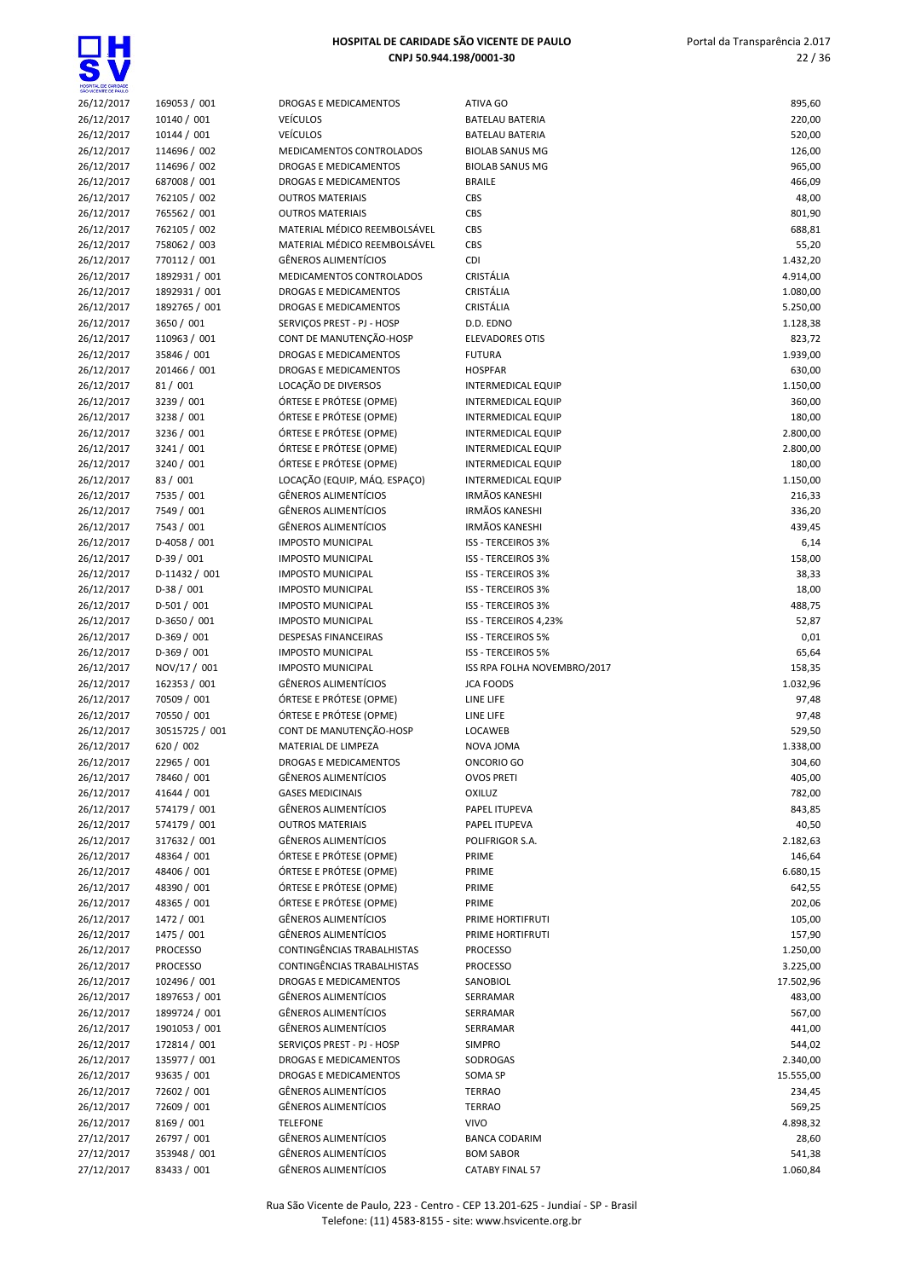

| 26/12/2017 | 169053 / 001     |
|------------|------------------|
| 26/12/2017 | 10140 / 001      |
| 26/12/2017 | 10144 / 001      |
| 26/12/2017 | 114696 / 002     |
|            |                  |
| 26/12/2017 | 114696 / 002     |
| 26/12/2017 | 687008 / 001     |
| 26/12/2017 | 762105 / 002     |
| 26/12/2017 | 765562 / 001     |
| 26/12/2017 | 762105 / 002     |
| 26/12/2017 | 758062 / 003     |
| 26/12/2017 | 770112 / 001     |
| 26/12/2017 | 1892931 / 001    |
| 26/12/2017 | 1892931 / 001    |
| 26/12/2017 | 1892765 / 001    |
| 26/12/2017 | 3650 / 001       |
|            |                  |
| 26/12/2017 | 110963 / 001     |
| 26/12/2017 | 35846 / 001      |
| 26/12/2017 | 201466 / 001     |
| 26/12/2017 | 81 / 001         |
| 26/12/2017 | 3239 / 001       |
| 26/12/2017 | 3238 / 001       |
| 26/12/2017 | 3236 / 001       |
| 26/12/2017 | 3241 / 001       |
| 26/12/2017 | 3240 / 001       |
| 26/12/2017 | 83 / 001         |
| 26/12/2017 | 7535 / 001       |
|            | 7549 / 001       |
| 26/12/2017 |                  |
| 26/12/2017 | 7543 / 001       |
| 26/12/2017 | D-4058 / 001     |
| 26/12/2017 | $D-39/001$       |
| 26/12/2017 | D-11432 / 001    |
| 26/12/2017 | $D-38/001$       |
| 26/12/2017 | D-501 / 001      |
| 26/12/2017 | D-3650 / 001     |
| 26/12/2017 | D-369 / 001      |
| 26/12/2017 | D-369 / 001      |
| 26/12/2017 | NOV/17 / 001     |
| 26/12/2017 | 162353 / 001     |
|            | 70509 / 001      |
| 26/12/2017 |                  |
| 26/12/2017 | 70550 / 001      |
| 26/12/2017 | 30515725 / 001   |
| 26/12/2017 | 620 / 002        |
| 26/12/2017 | 22965 / 001      |
| 26/12/2017 | 78460 / 001      |
| 26/12/2017 | 41644 / 001      |
| 26/12/2017 | 574179 / 001     |
| 26/12/2017 | 574179 / 001     |
| 26/12/2017 | 317632 / 001     |
| 26/12/2017 | 48364 / 001      |
| 26/12/2017 | 48406 / 001      |
|            | 48390 / 001      |
| 26/12/2017 |                  |
| 26/12/2017 | 48365 / 001      |
| 26/12/2017 | 1472 / 001       |
| 26/12/2017 | 1475 / 001       |
| 26/12/2017 | <b>PROCESSO</b>  |
| 26/12/2017 | <b>PROCESSO</b>  |
| 26/12/2017 | 102496 / 001     |
| 26/12/2017 | 1897653 / 001    |
| 26/12/2017 | 1899724 / 001    |
| 26/12/2017 | 1901053 / 001    |
| 26/12/2017 | 172814 / 001     |
| 26/12/2017 | 135977 / 001     |
|            |                  |
| 26/12/2017 | 93635 / 001      |
| 26/12/2017 | 72602 / 001      |
| 26/12/2017 | 72609 / 001      |
| 26/12/2017 | 8169 / 001       |
| 27/12/2017 | 26797 / 001      |
| 27/12/2017 | 353948 / 001     |
| 7/12/2017  | $\sqrt{2}$<br>າາ |

| DROGAS E MEDICAMENTOS                                 |
|-------------------------------------------------------|
| /EÍCULOS                                              |
| /EÍCULOS                                              |
| <b>MEDICAMENTOS CONTROLADOS</b>                       |
| DROGAS E MEDICAMENTOS                                 |
| <b>DROGAS E MEDICAMENTOS</b>                          |
| <b>DUTROS MATERIAIS</b>                               |
| <b>DUTROS MATERIAIS</b><br>MATERIAL MÉDICO REEMBOLSÁV |
| MATERIAL MÉDICO REEMBOLSÁV                            |
| GÊNEROS ALIMENTÍCIOS                                  |
| <b>MEDICAMENTOS CONTROLADOS</b>                       |
| DROGAS E MEDICAMENTOS                                 |
| <b>DROGAS E MEDICAMENTOS</b>                          |
| ERVIÇOS PREST - PJ - HOSP                             |
| CONT DE MANUTENÇÃO-HOSP                               |
| DROGAS E MEDICAMENTOS                                 |
| DROGAS E MEDICAMENTOS                                 |
| OCAÇÃO DE DIVERSOS.                                   |
| ÓRTESE E PRÓTESE (OPME)                               |
| ÓRTESE E PRÓTESE (OPME)                               |
| ÓRTESE E PRÓTESE (OPME)                               |
| ÓRTESE E PRÓTESE (OPME)                               |
| ÓRTESE E PRÓTESE (OPME)                               |
| OCAÇÃO (EQUIP, MÁQ. ESPAÇO)                           |
| GÊNEROS ALIMENTÍCIOS                                  |
| GÊNEROS ALIMENTÍCIOS                                  |
| GÊNEROS ALIMENTÍCIOS                                  |
| MPOSTO MUNICIPAL                                      |
| <b>MPOSTO MUNICIPAL</b><br>MPOSTO MUNICIPAL           |
| <b>MPOSTO MUNICIPAL</b>                               |
| <b>MPOSTO MUNICIPAL</b>                               |
| <b>MPOSTO MUNICIPAL</b>                               |
| DESPESAS FINANCEIRAS                                  |
| <b>MPOSTO MUNICIPAL</b>                               |
| <b>MPOSTO MUNICIPAL</b>                               |
| GÊNEROS ALIMENTÍCIOS                                  |
| ÓRTESE E PRÓTESE (OPME)                               |
| ÓRTESE E PRÓTESE (OPME)                               |
| CONT DE MANUTENÇÃO-HOSP                               |
| <b>MATERIAL DE LIMPEZA</b>                            |
| DROGAS E MEDICAMENTOS                                 |
| GÊNEROS ALIMENTÍCIOS                                  |
| <b>GASES MEDICINAIS</b>                               |
| GÊNEROS ALIMENTÍCIOS                                  |
| <b>DUTROS MATERIAIS</b>                               |
| GÊNEROS ALIMENTÍCIOS<br>ÓRTESE E PRÓTESE (OPME)       |
| ÓRTESE E PRÓTESE (OPME)                               |
| ÓRTESE E PRÓTESE (OPME)                               |
| ÓRTESE E PRÓTESE (OPME)                               |
| GÊNEROS ALIMENTÍCIOS                                  |
| GÊNEROS ALIMENTÍCIOS                                  |
| CONTINGÊNCIAS TRABALHISTAS                            |
| CONTINGÊNCIAS TRABALHISTAS                            |
| <b>DROGAS E MEDICAMENTOS</b>                          |
| GÊNEROS ALIMENTÍCIOS                                  |
| GÊNEROS ALIMENTÍCIOS                                  |
| GÊNEROS ALIMENTÍCIOS                                  |
| ERVIÇOS PREST - PJ - HOSP                             |
| <b>DROGAS E MEDICAMENTOS</b>                          |
| <b>DROGAS E MEDICAMENTOS</b>                          |
| GÊNEROS ALIMENTÍCIOS                                  |
| GÊNEROS ALIMENTÍCIOS                                  |
| <b>ELEFONE</b>                                        |
| GÊNEROS ALIMENTÍCIOS                                  |
| GÊNEROS ALIMENTÍCIOS<br>GÊNEROS ALIMENTÍCIOS          |
|                                                       |

| 26/12/2017 | 169053 / 001    | DROGAS E MEDICAMENTOS        | ATIVA GO                    | 895,60    |
|------------|-----------------|------------------------------|-----------------------------|-----------|
|            |                 |                              |                             |           |
| 26/12/2017 | 10140 / 001     | <b>VEÍCULOS</b>              | <b>BATELAU BATERIA</b>      | 220,00    |
| 26/12/2017 | 10144 / 001     | <b>VEÍCULOS</b>              | <b>BATELAU BATERIA</b>      | 520,00    |
| 26/12/2017 | 114696 / 002    | MEDICAMENTOS CONTROLADOS     | <b>BIOLAB SANUS MG</b>      | 126,00    |
| 26/12/2017 | 114696 / 002    | DROGAS E MEDICAMENTOS        | <b>BIOLAB SANUS MG</b>      | 965,00    |
| 26/12/2017 | 687008 / 001    | DROGAS E MEDICAMENTOS        | <b>BRAILE</b>               | 466,09    |
| 26/12/2017 | 762105 / 002    | <b>OUTROS MATERIAIS</b>      | CBS                         | 48,00     |
| 26/12/2017 | 765562 / 001    | <b>OUTROS MATERIAIS</b>      | CBS                         | 801,90    |
| 26/12/2017 | 762105 / 002    | MATERIAL MÉDICO REEMBOLSÁVEL | CBS                         | 688,81    |
|            | 758062 / 003    |                              |                             |           |
| 26/12/2017 |                 | MATERIAL MÉDICO REEMBOLSÁVEL | CBS                         | 55,20     |
| 26/12/2017 | 770112 / 001    | <b>GÊNEROS ALIMENTÍCIOS</b>  | <b>CDI</b>                  | 1.432,20  |
| 26/12/2017 | 1892931 / 001   | MEDICAMENTOS CONTROLADOS     | CRISTÁLIA                   | 4.914,00  |
| 26/12/2017 | 1892931 / 001   | DROGAS E MEDICAMENTOS        | CRISTÁLIA                   | 1.080,00  |
| 26/12/2017 | 1892765 / 001   | DROGAS E MEDICAMENTOS        | CRISTÁLIA                   | 5.250,00  |
| 26/12/2017 | 3650 / 001      | SERVIÇOS PREST - PJ - HOSP   | D.D. EDNO                   | 1.128,38  |
| 26/12/2017 | 110963 / 001    | CONT DE MANUTENÇÃO-HOSP      | <b>ELEVADORES OTIS</b>      | 823,72    |
| 26/12/2017 | 35846 / 001     | DROGAS E MEDICAMENTOS        | <b>FUTURA</b>               | 1.939,00  |
|            |                 |                              |                             |           |
| 26/12/2017 | 201466 / 001    | <b>DROGAS E MEDICAMENTOS</b> | <b>HOSPFAR</b>              | 630,00    |
| 26/12/2017 | 81/001          | LOCAÇÃO DE DIVERSOS          | INTERMEDICAL EQUIP          | 1.150,00  |
| 26/12/2017 | 3239 / 001      | ÓRTESE E PRÓTESE (OPME)      | <b>INTERMEDICAL EQUIP</b>   | 360,00    |
| 26/12/2017 | 3238 / 001      | ÓRTESE E PRÓTESE (OPME)      | <b>INTERMEDICAL EQUIP</b>   | 180,00    |
| 26/12/2017 | 3236 / 001      | ÓRTESE E PRÓTESE (OPME)      | <b>INTERMEDICAL EQUIP</b>   | 2.800,00  |
| 26/12/2017 | 3241 / 001      | ÓRTESE E PRÓTESE (OPME)      | <b>INTERMEDICAL EQUIP</b>   | 2.800,00  |
| 26/12/2017 | 3240 / 001      | ÓRTESE E PRÓTESE (OPME)      | <b>INTERMEDICAL EQUIP</b>   | 180,00    |
| 26/12/2017 | 83 / 001        | LOCAÇÃO (EQUIP, MÁQ. ESPAÇO) | <b>INTERMEDICAL EQUIP</b>   | 1.150,00  |
|            |                 |                              |                             |           |
| 26/12/2017 | 7535 / 001      | <b>GÊNEROS ALIMENTÍCIOS</b>  | <b>IRMÃOS KANESHI</b>       | 216,33    |
| 26/12/2017 | 7549 / 001      | <b>GÊNEROS ALIMENTÍCIOS</b>  | <b>IRMÃOS KANESHI</b>       | 336,20    |
| 26/12/2017 | 7543 / 001      | <b>GÊNEROS ALIMENTÍCIOS</b>  | <b>IRMÃOS KANESHI</b>       | 439,45    |
| 26/12/2017 | D-4058 / 001    | <b>IMPOSTO MUNICIPAL</b>     | ISS - TERCEIROS 3%          | 6,14      |
| 26/12/2017 | $D-39/001$      | <b>IMPOSTO MUNICIPAL</b>     | ISS - TERCEIROS 3%          | 158,00    |
| 26/12/2017 | D-11432 / 001   | <b>IMPOSTO MUNICIPAL</b>     | <b>ISS - TERCEIROS 3%</b>   | 38,33     |
| 26/12/2017 | $D-38/001$      | <b>IMPOSTO MUNICIPAL</b>     | <b>ISS - TERCEIROS 3%</b>   | 18,00     |
| 26/12/2017 | $D-501/001$     | <b>IMPOSTO MUNICIPAL</b>     | <b>ISS - TERCEIROS 3%</b>   | 488,75    |
|            |                 |                              |                             |           |
| 26/12/2017 | D-3650 / 001    | <b>IMPOSTO MUNICIPAL</b>     | ISS - TERCEIROS 4,23%       | 52,87     |
| 26/12/2017 | $D-369/001$     | <b>DESPESAS FINANCEIRAS</b>  | ISS - TERCEIROS 5%          | 0,01      |
| 26/12/2017 | $D-369/001$     | <b>IMPOSTO MUNICIPAL</b>     | ISS - TERCEIROS 5%          |           |
|            |                 |                              |                             | 65,64     |
| 26/12/2017 | NOV/17 / 001    | <b>IMPOSTO MUNICIPAL</b>     | ISS RPA FOLHA NOVEMBRO/2017 | 158,35    |
| 26/12/2017 | 162353 / 001    | <b>GÊNEROS ALIMENTÍCIOS</b>  | <b>JCA FOODS</b>            | 1.032,96  |
|            |                 |                              |                             |           |
| 26/12/2017 | 70509 / 001     | ÓRTESE E PRÓTESE (OPME)      | LINE LIFE                   | 97,48     |
| 26/12/2017 | 70550 / 001     | ÓRTESE E PRÓTESE (OPME)      | LINE LIFE                   | 97,48     |
| 26/12/2017 | 30515725 / 001  | CONT DE MANUTENÇÃO-HOSP      | LOCAWEB                     | 529,50    |
| 26/12/2017 | 620 / 002       | MATERIAL DE LIMPEZA          | NOVA JOMA                   | 1.338,00  |
| 26/12/2017 | 22965 / 001     | <b>DROGAS E MEDICAMENTOS</b> | ONCORIO GO                  | 304,60    |
| 26/12/2017 | 78460 / 001     | <b>GËNEROS ALIMENTÍCIOS</b>  | <b>OVOS PRETI</b>           | 405,00    |
| 26/12/2017 | 41644 / 001     | <b>GASES MEDICINAIS</b>      | <b>OXILUZ</b>               | 782,00    |
| 26/12/2017 | 574179 / 001    | <b>GÊNEROS ALIMENTÍCIOS</b>  | PAPEL ITUPEVA               | 843,85    |
|            |                 |                              |                             |           |
| 26/12/2017 | 574179 / 001    | <b>OUTROS MATERIAIS</b>      | PAPEL ITUPEVA               | 40,50     |
| 26/12/2017 | 317632 / 001    | <b>GÊNEROS ALIMENTÍCIOS</b>  | POLIFRIGOR S.A.             | 2.182,63  |
| 26/12/2017 | 48364 / 001     | ÓRTESE E PRÓTESE (OPME)      | PRIME                       | 146,64    |
| 26/12/2017 | 48406 / 001     | ÓRTESE E PRÓTESE (OPME)      | PRIME                       | 6.680,15  |
| 26/12/2017 | 48390 / 001     | ÓRTESE E PRÓTESE (OPME)      | PRIME                       | 642,55    |
| 26/12/2017 | 48365 / 001     | ÓRTESE E PRÓTESE (OPME)      | PRIME                       | 202,06    |
| 26/12/2017 | 1472 / 001      | <b>GÊNEROS ALIMENTÍCIOS</b>  | PRIME HORTIFRUTI            | 105,00    |
|            |                 | <b>GÊNEROS ALIMENTÍCIOS</b>  |                             |           |
| 26/12/2017 | 1475 / 001      |                              | PRIME HORTIFRUTI            | 157,90    |
| 26/12/2017 | <b>PROCESSO</b> | CONTINGÊNCIAS TRABALHISTAS   | <b>PROCESSO</b>             | 1.250,00  |
| 26/12/2017 | <b>PROCESSO</b> | CONTINGÊNCIAS TRABALHISTAS   | <b>PROCESSO</b>             | 3.225,00  |
| 26/12/2017 | 102496 / 001    | DROGAS E MEDICAMENTOS        | SANOBIOL                    | 17.502,96 |
| 26/12/2017 | 1897653 / 001   | <b>GÊNEROS ALIMENTÍCIOS</b>  | SERRAMAR                    | 483,00    |
| 26/12/2017 | 1899724 / 001   | GÊNEROS ALIMENTÍCIOS         | SERRAMAR                    | 567,00    |
| 26/12/2017 | 1901053 / 001   | <b>GÊNEROS ALIMENTÍCIOS</b>  | SERRAMAR                    | 441,00    |
| 26/12/2017 | 172814 / 001    | SERVIÇOS PREST - PJ - HOSP   | <b>SIMPRO</b>               | 544,02    |
|            |                 | DROGAS E MEDICAMENTOS        | SODROGAS                    |           |
| 26/12/2017 | 135977 / 001    |                              |                             | 2.340,00  |
| 26/12/2017 | 93635 / 001     | DROGAS E MEDICAMENTOS        | SOMA SP                     | 15.555,00 |
| 26/12/2017 | 72602 / 001     | GÊNEROS ALIMENTÍCIOS         | <b>TERRAO</b>               | 234,45    |
| 26/12/2017 | 72609 / 001     | GÊNEROS ALIMENTÍCIOS         | <b>TERRAO</b>               | 569,25    |
| 26/12/2017 | 8169 / 001      | <b>TELEFONE</b>              | <b>VIVO</b>                 | 4.898,32  |
| 27/12/2017 | 26797 / 001     | <b>GÊNEROS ALIMENTÍCIOS</b>  | <b>BANCA CODARIM</b>        | 28,60     |
| 27/12/2017 | 353948 / 001    | GÊNEROS ALIMENTÍCIOS         | <b>BOM SABOR</b>            | 541,38    |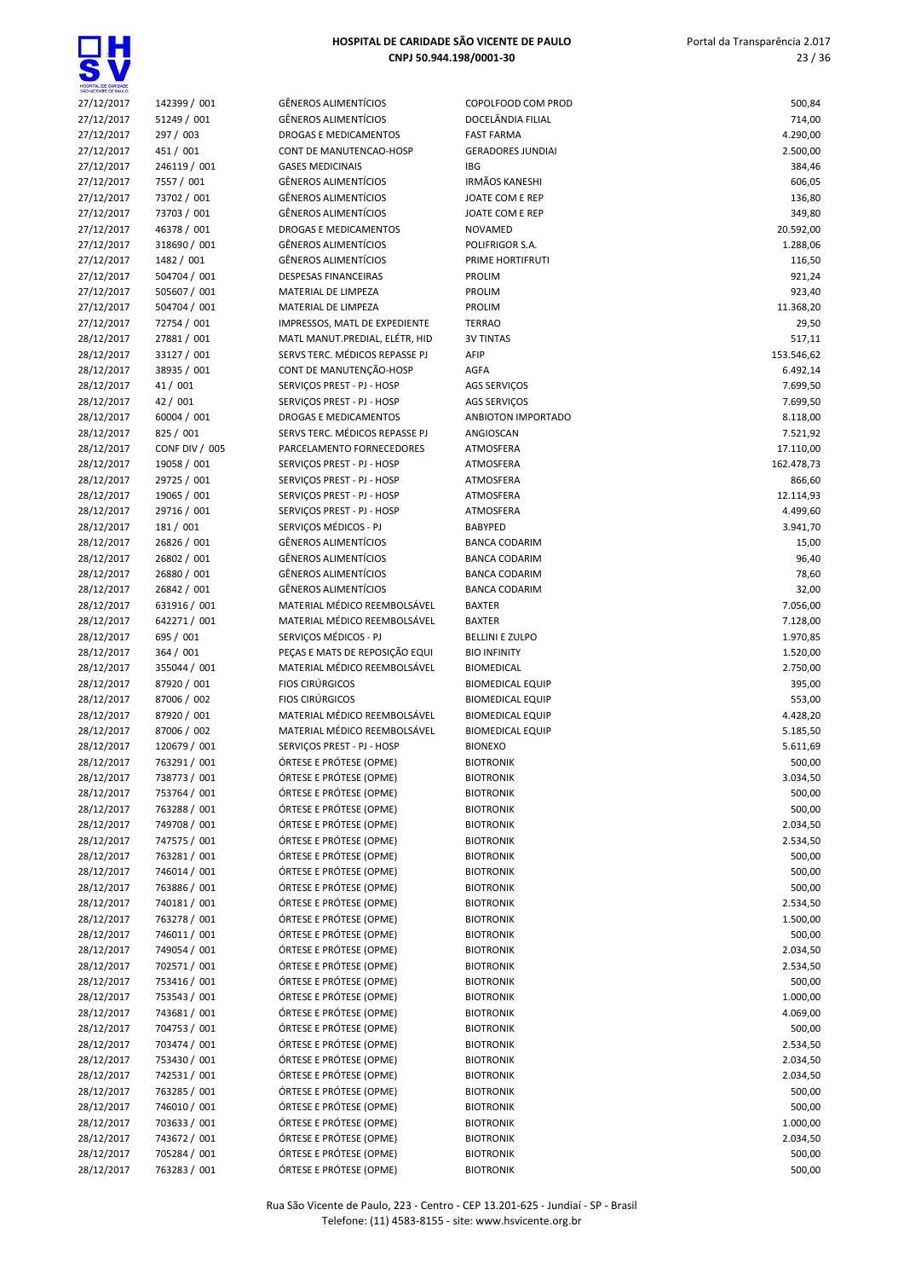

| SÃO VICENTE DE PAULO |                |
|----------------------|----------------|
| 27/12/2017           | 142399 / 001   |
| 27/12/2017           | 51249 / 001    |
| 27/12/2017           | 297 / 003      |
|                      |                |
| 27/12/2017           | 451/001        |
| 27/12/2017           | 246119 / 001   |
| 27/12/2017           | 7557 / 001     |
| 27/12/2017           | 73702 / 001    |
| 27/12/2017           | 73703 / 001    |
| 27/12/2017           | 46378 / 001    |
| 27/12/2017           | 318690 / 001   |
| 27/12/2017           | 1482 / 001     |
| 27/12/2017           | 504704 / 001   |
|                      |                |
| 27/12/2017           | 505607 / 001   |
| 27/12/2017           | 504704 / 001   |
| 27/12/2017           | 72754 / 001    |
| 28/12/2017           | 27881 / 001    |
| 28/12/2017           | 33127 / 001    |
| 28/12/2017           | 38935 / 001    |
| 28/12/2017           | 41/001         |
| 28/12/2017           | 42 / 001       |
| 28/12/2017           | 60004 / 001    |
|                      |                |
| 28/12/2017           | 825 / 001      |
| 28/12/2017           | CONF DIV / 005 |
| 28/12/2017           | 19058 / 001    |
| 28/12/2017           | 29725 / 001    |
| 28/12/2017           | 19065 / 001    |
| 28/12/2017           | 29716 / 001    |
| 28/12/2017           | 181 / 001      |
| 28/12/2017           | 26826 / 001    |
| 28/12/2017           | 26802 / 001    |
| 28/12/2017           | 26880 / 001    |
|                      | 26842 / 001    |
| 28/12/2017           |                |
| 28/12/2017           | 631916 / 001   |
| 28/12/2017           | 642271 / 001   |
| 28/12/2017           | 695 / 001      |
| 28/12/2017           | 364 / 001      |
| 28/12/2017           | 355044 / 001   |
| 28/12/2017           | 87920 / 001    |
| 28/12/2017           | 87006 / 002    |
| 28/12/2017           | 87920 / 001    |
| 28/12/2017           | 87006 / 002    |
| 28/12/2017           | 120679 / 001   |
|                      |                |
| 28/12/2017           | 763291/001     |
| 28/12/2017           | 738773 / 001   |
| 28/12/2017           | 753764/<br>001 |
| 28/12/2017           | 763288/<br>001 |
| 28/12/2017           | 749708 / 001   |
| 28/12/2017           | 747575 / 001   |
| 28/12/2017           | 763281/<br>001 |
| 28/12/2017           | 746014 / 001   |
| 28/12/2017           | 763886 / 001   |
| 28/12/2017           | 740181 / 001   |
| 28/12/2017           |                |
|                      | 763278 / 001   |
| 28/12/2017           | 746011 / 001   |
| 28/12/2017           | 749054 / 001   |
| 28/12/2017           | 702571/<br>001 |
| 28/12/2017           | 753416 / 001   |
| 28/12/2017           | 753543 / 001   |
| 28/12/2017           | 743681 / 001   |
| 28/12/2017           | 704753/<br>001 |
| 28/12/2017           | 703474 / 001   |
| 28/12/2017           | 753430 / 001   |
|                      |                |
| 28/12/2017           | 742531/001     |
| 28/12/2017           | 763285 / 001   |
| 28/12/2017           | 746010 / 001   |
| 28/12/2017           | 703633 / 001   |
| 28/12/2017           | 743672 / 001   |
| 28/12/2017           | 705284 / 001   |

| SÃO WCENTE DE PAULO |                |                                |                          |            |
|---------------------|----------------|--------------------------------|--------------------------|------------|
| 27/12/2017          | 142399 / 001   | <b>GÊNEROS ALIMENTÍCIOS</b>    | COPOLFOOD COM PROD       | 500,84     |
| 27/12/2017          | 51249 / 001    | <b>GÊNEROS ALIMENTÍCIOS</b>    | DOCELÂNDIA FILIAL        | 714,00     |
| 27/12/2017          | 297 / 003      | <b>DROGAS E MEDICAMENTOS</b>   | <b>FAST FARMA</b>        | 4.290,00   |
| 27/12/2017          | 451 / 001      | CONT DE MANUTENCAO-HOSP        | <b>GERADORES JUNDIAI</b> | 2.500,00   |
| 27/12/2017          | 246119 / 001   | <b>GASES MEDICINAIS</b>        | <b>IBG</b>               | 384,46     |
| 27/12/2017          | 7557 / 001     | <b>GÊNEROS ALIMENTÍCIOS</b>    | <b>IRMÃOS KANESHI</b>    | 606,05     |
| 27/12/2017          | 73702 / 001    | <b>GÊNEROS ALIMENTÍCIOS</b>    | JOATE COM E REP          | 136,80     |
| 27/12/2017          | 73703 / 001    | <b>GÊNEROS ALIMENTÍCIOS</b>    | JOATE COM E REP          | 349,80     |
| 27/12/2017          | 46378 / 001    | DROGAS E MEDICAMENTOS          | <b>NOVAMED</b>           | 20.592,00  |
| 27/12/2017          | 318690 / 001   | <b>GÊNEROS ALIMENTÍCIOS</b>    | POLIFRIGOR S.A.          | 1.288,06   |
| 27/12/2017          | 1482 / 001     | <b>GÊNEROS ALIMENTÍCIOS</b>    | PRIME HORTIFRUTI         | 116,50     |
| 27/12/2017          | 504704 / 001   | <b>DESPESAS FINANCEIRAS</b>    | PROLIM                   | 921,24     |
| 27/12/2017          | 505607 / 001   | MATERIAL DE LIMPEZA            | <b>PROLIM</b>            | 923,40     |
| 27/12/2017          | 504704 / 001   | MATERIAL DE LIMPEZA            | <b>PROLIM</b>            | 11.368,20  |
| 27/12/2017          | 72754 / 001    | IMPRESSOS, MATL DE EXPEDIENTE  | <b>TERRAO</b>            | 29,50      |
| 28/12/2017          | 27881 / 001    | MATL MANUT.PREDIAL, ELÉTR, HID | <b>3V TINTAS</b>         | 517,11     |
| 28/12/2017          | 33127 / 001    | SERVS TERC. MÉDICOS REPASSE PJ | AFIP                     | 153.546,62 |
| 28/12/2017          | 38935 / 001    | CONT DE MANUTENÇÃO-HOSP        | AGFA                     | 6.492,14   |
| 28/12/2017          | 41 / 001       | SERVIÇOS PREST - PJ - HOSP     | AGS SERVIÇOS             | 7.699,50   |
| 28/12/2017          | 42 / 001       | SERVIÇOS PREST - PJ - HOSP     | <b>AGS SERVICOS</b>      | 7.699,50   |
| 28/12/2017          | 60004 / 001    | DROGAS E MEDICAMENTOS          | ANBIOTON IMPORTADO       | 8.118,00   |
| 28/12/2017          | 825 / 001      | SERVS TERC. MÉDICOS REPASSE PJ | ANGIOSCAN                | 7.521,92   |
| 28/12/2017          | CONF DIV / 005 | PARCELAMENTO FORNECEDORES      | ATMOSFERA                | 17.110,00  |
| 28/12/2017          | 19058 / 001    | SERVICOS PREST - PJ - HOSP     | ATMOSFERA                | 162.478,73 |
| 28/12/2017          | 29725 / 001    | SERVIÇOS PREST - PJ - HOSP     | ATMOSFERA                | 866,60     |
| 28/12/2017          | 19065 / 001    | SERVIÇOS PREST - PJ - HOSP     | ATMOSFERA                | 12.114,93  |
| 28/12/2017          | 29716 / 001    | SERVICOS PREST - PJ - HOSP     | ATMOSFERA                | 4.499,60   |
| 28/12/2017          | 181 / 001      | SERVIÇOS MÉDICOS - PJ          | <b>BABYPED</b>           | 3.941,70   |
| 28/12/2017          | 26826 / 001    | <b>GÊNEROS ALIMENTÍCIOS</b>    | <b>BANCA CODARIM</b>     | 15,00      |
| 28/12/2017          | 26802 / 001    | <b>GÊNEROS ALIMENTÍCIOS</b>    | <b>BANCA CODARIM</b>     | 96,40      |
| 28/12/2017          | 26880 / 001    | <b>GÊNEROS ALIMENTÍCIOS</b>    | <b>BANCA CODARIM</b>     | 78,60      |
| 28/12/2017          | 26842 / 001    | <b>GÊNEROS ALIMENTÍCIOS</b>    | <b>BANCA CODARIM</b>     | 32,00      |
| 28/12/2017          | 631916 / 001   | MATERIAL MÉDICO REEMBOLSÁVEL   | <b>BAXTER</b>            | 7.056,00   |
| 28/12/2017          | 642271 / 001   | MATERIAL MÉDICO REEMBOLSÁVEL   | <b>BAXTER</b>            | 7.128,00   |
| 28/12/2017          | 695 / 001      | SERVIÇOS MÉDICOS - PJ          | <b>BELLINI E ZULPO</b>   | 1.970,85   |
| 28/12/2017          | 364 / 001      | PEÇAS E MATS DE REPOSIÇÃO EQUI | <b>BIO INFINITY</b>      | 1.520,00   |
| 28/12/2017          | 355044 / 001   | MATERIAL MÉDICO REEMBOLSÁVEL   | <b>BIOMEDICAL</b>        | 2.750,00   |
| 28/12/2017          | 87920 / 001    | <b>FIOS CIRÚRGICOS</b>         | <b>BIOMEDICAL EQUIP</b>  | 395,00     |
| 28/12/2017          | 87006 / 002    | <b>FIOS CIRÚRGICOS</b>         | <b>BIOMEDICAL EQUIP</b>  | 553,00     |
| 28/12/2017          | 87920 / 001    | MATERIAL MÉDICO REEMBOLSÁVEL   | <b>BIOMEDICAL EQUIP</b>  | 4.428,20   |
| 28/12/2017          | 87006 / 002    | MATERIAL MÉDICO REEMBOLSÁVEL   | <b>BIOMEDICAL EQUIP</b>  | 5.185,50   |
| 28/12/2017          | 120679 / 001   | SERVIÇOS PREST - PJ - HOSP     | <b>BIONEXO</b>           | 5.611,69   |
| 28/12/2017          | 763291 / 001   | ÓRTESE E PRÓTESE (OPME)        | <b>BIOTRONIK</b>         | 500,00     |
| 28/12/2017          | 738773 / 001   | ÓRTESE E PRÓTESE (OPME)        | <b>BIOTRONIK</b>         | 3.034,50   |
| 28/12/2017          | 753764 / 001   | ÓRTESE E PRÓTESE (OPME)        | <b>BIOTRONIK</b>         | 500,00     |
| 28/12/2017          | 763288 / 001   | ÓRTESE E PRÓTESE (OPME)        | <b>BIOTRONIK</b>         | 500,00     |
| 28/12/2017          | 749708 / 001   | ÓRTESE E PRÓTESE (OPME)        | <b>BIOTRONIK</b>         | 2.034,50   |
| 28/12/2017          | 747575 / 001   | ÓRTESE E PRÓTESE (OPME)        | <b>BIOTRONIK</b>         | 2.534,50   |
| 28/12/2017          | 763281 / 001   | ÓRTESE E PRÓTESE (OPME)        | <b>BIOTRONIK</b>         | 500,00     |
| 28/12/2017          | 746014 / 001   | ÓRTESE E PRÓTESE (OPME)        | <b>BIOTRONIK</b>         | 500,00     |
| 28/12/2017          | 763886 / 001   | ÓRTESE E PRÓTESE (OPME)        | <b>BIOTRONIK</b>         | 500,00     |
| 28/12/2017          | 740181 / 001   | ÓRTESE E PRÓTESE (OPME)        | <b>BIOTRONIK</b>         | 2.534,50   |
| 28/12/2017          | 763278 / 001   | ÓRTESE E PRÓTESE (OPME)        | <b>BIOTRONIK</b>         | 1.500,00   |
| 28/12/2017          | 746011 / 001   | ÓRTESE E PRÓTESE (OPME)        | <b>BIOTRONIK</b>         | 500,00     |
| 28/12/2017          | 749054 / 001   | ÓRTESE E PRÓTESE (OPME)        | <b>BIOTRONIK</b>         | 2.034,50   |
| 28/12/2017          | 702571 / 001   | ÓRTESE E PRÓTESE (OPME)        | <b>BIOTRONIK</b>         | 2.534,50   |
| 28/12/2017          | 753416 / 001   | ÓRTESE E PRÓTESE (OPME)        | <b>BIOTRONIK</b>         | 500,00     |
| 28/12/2017          | 753543 / 001   | ÓRTESE E PRÓTESE (OPME)        | <b>BIOTRONIK</b>         | 1.000,00   |
| 28/12/2017          | 743681 / 001   | ÓRTESE E PRÓTESE (OPME)        | <b>BIOTRONIK</b>         | 4.069,00   |
| 28/12/2017          | 704753 / 001   | ÓRTESE E PRÓTESE (OPME)        | <b>BIOTRONIK</b>         | 500,00     |
| 28/12/2017          | 703474 / 001   | ÓRTESE E PRÓTESE (OPME)        | <b>BIOTRONIK</b>         | 2.534,50   |
| 28/12/2017          | 753430 / 001   | ÓRTESE E PRÓTESE (OPME)        | <b>BIOTRONIK</b>         | 2.034,50   |
| 28/12/2017          | 742531 / 001   | ÓRTESE E PRÓTESE (OPME)        | <b>BIOTRONIK</b>         | 2.034,50   |
| 28/12/2017          | 763285 / 001   | ÓRTESE E PRÓTESE (OPME)        | <b>BIOTRONIK</b>         | 500,00     |
| 28/12/2017          | 746010 / 001   | ÓRTESE E PRÓTESE (OPME)        | <b>BIOTRONIK</b>         | 500,00     |
| 28/12/2017          | 703633 / 001   | ÓRTESE E PRÓTESE (OPME)        | <b>BIOTRONIK</b>         | 1.000,00   |
| 28/12/2017          | 743672 / 001   | ÓRTESE E PRÓTESE (OPME)        | <b>BIOTRONIK</b>         | 2.034,50   |
| 28/12/2017          | 705284 / 001   | ÓRTESE E PRÓTESE (OPME)        | <b>BIOTRONIK</b>         | 500,00     |
| 28/12/2017          | 763283 / 001   | ÓRTESE E PRÓTESE (OPME)        | <b>BIOTRONIK</b>         | 500.00     |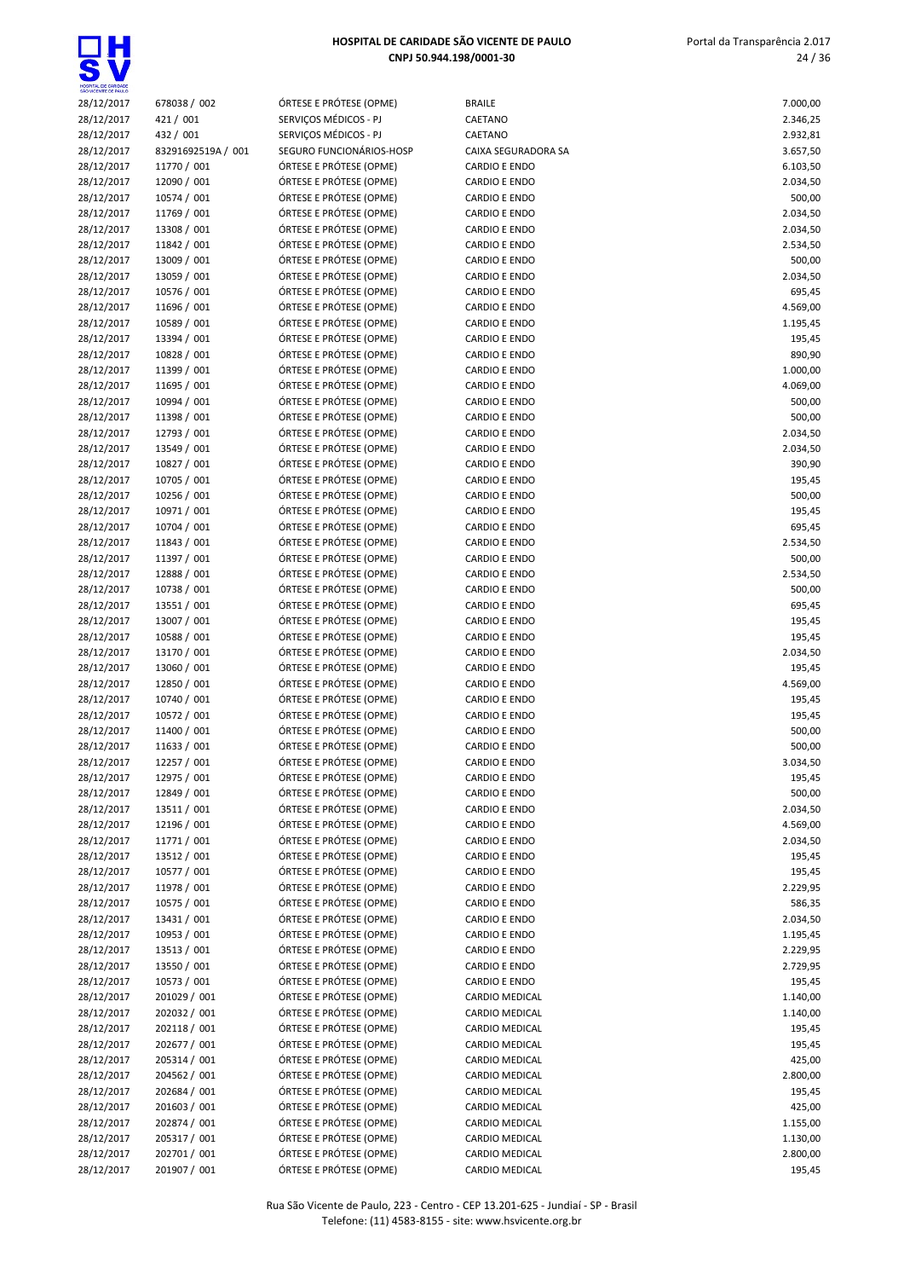

| Portal da Transparência 2.017 |
|-------------------------------|
| 24/36                         |
|                               |
|                               |

| 28/12/2017               | 678038 / 002                 | ÓRTESE E PRÓTESE (OPME)                            | <b>BRAILE</b>                                | 7.000,00           |
|--------------------------|------------------------------|----------------------------------------------------|----------------------------------------------|--------------------|
| 28/12/2017               | 421 / 001                    | SERVIÇOS MÉDICOS - PJ                              | CAETANO                                      | 2.346,25           |
| 28/12/2017               | 432 / 001                    | SERVIÇOS MÉDICOS - PJ                              | CAETANO                                      | 2.932,81           |
| 28/12/2017               | 83291692519A / 001           | SEGURO FUNCIONÁRIOS-HOSP                           | CAIXA SEGURADORA SA                          | 3.657,50           |
| 28/12/2017               | 11770 / 001                  | ÓRTESE E PRÓTESE (OPME)                            | <b>CARDIO E ENDO</b>                         | 6.103,50           |
| 28/12/2017<br>28/12/2017 | 12090 / 001<br>10574 / 001   | ÓRTESE E PRÓTESE (OPME)<br>ÓRTESE E PRÓTESE (OPME) | <b>CARDIO E ENDO</b><br><b>CARDIO E ENDO</b> | 2.034,50<br>500,00 |
| 28/12/2017               | 11769 / 001                  | ÓRTESE E PRÓTESE (OPME)                            | <b>CARDIO E ENDO</b>                         | 2.034,50           |
| 28/12/2017               | 13308 / 001                  | ÓRTESE E PRÓTESE (OPME)                            | <b>CARDIO E ENDO</b>                         | 2.034,50           |
| 28/12/2017               | 11842 / 001                  | ÓRTESE E PRÓTESE (OPME)                            | <b>CARDIO E ENDO</b>                         | 2.534,50           |
| 28/12/2017               | 13009 / 001                  | ÓRTESE E PRÓTESE (OPME)                            | <b>CARDIO E ENDO</b>                         | 500,00             |
| 28/12/2017               | 13059 / 001                  | ÓRTESE E PRÓTESE (OPME)                            | <b>CARDIO E ENDO</b>                         | 2.034,50           |
| 28/12/2017               | 10576 / 001                  | ÓRTESE E PRÓTESE (OPME)                            | <b>CARDIO E ENDO</b>                         | 695,45             |
| 28/12/2017               | 11696 / 001                  | ÓRTESE E PRÓTESE (OPME)                            | <b>CARDIO E ENDO</b>                         | 4.569,00           |
| 28/12/2017               | 10589 / 001                  | ÓRTESE E PRÓTESE (OPME)                            | <b>CARDIO E ENDO</b>                         | 1.195,45           |
| 28/12/2017               | 13394 / 001                  | ÓRTESE E PRÓTESE (OPME)                            | <b>CARDIO E ENDO</b>                         | 195,45             |
| 28/12/2017               | 10828 / 001                  | ÓRTESE E PRÓTESE (OPME)                            | <b>CARDIO E ENDO</b>                         | 890,90             |
| 28/12/2017               | 11399 / 001                  | ÓRTESE E PRÓTESE (OPME)                            | <b>CARDIO E ENDO</b>                         | 1.000,00           |
| 28/12/2017               | 11695 / 001                  | ÓRTESE E PRÓTESE (OPME)                            | <b>CARDIO E ENDO</b>                         | 4.069,00           |
| 28/12/2017               | 10994 / 001                  | ÓRTESE E PRÓTESE (OPME)<br>ÓRTESE E PRÓTESE (OPME) | <b>CARDIO E ENDO</b><br><b>CARDIO E ENDO</b> | 500,00<br>500,00   |
| 28/12/2017<br>28/12/2017 | 11398 / 001<br>12793 / 001   | ÓRTESE E PRÓTESE (OPME)                            | <b>CARDIO E ENDO</b>                         | 2.034,50           |
| 28/12/2017               | 13549 / 001                  | ÓRTESE E PRÓTESE (OPME)                            | <b>CARDIO E ENDO</b>                         | 2.034,50           |
| 28/12/2017               | 10827 / 001                  | ÓRTESE E PRÓTESE (OPME)                            | <b>CARDIO E ENDO</b>                         | 390,90             |
| 28/12/2017               | 10705 / 001                  | ÓRTESE E PRÓTESE (OPME)                            | <b>CARDIO E ENDO</b>                         | 195,45             |
| 28/12/2017               | 10256 / 001                  | ÓRTESE E PRÓTESE (OPME)                            | <b>CARDIO E ENDO</b>                         | 500,00             |
| 28/12/2017               | 10971 / 001                  | ÓRTESE E PRÓTESE (OPME)                            | <b>CARDIO E ENDO</b>                         | 195,45             |
| 28/12/2017               | 10704 / 001                  | ÓRTESE E PRÓTESE (OPME)                            | <b>CARDIO E ENDO</b>                         | 695,45             |
| 28/12/2017               | 11843 / 001                  | ÓRTESE E PRÓTESE (OPME)                            | <b>CARDIO E ENDO</b>                         | 2.534,50           |
| 28/12/2017               | 11397 / 001                  | ÓRTESE E PRÓTESE (OPME)                            | <b>CARDIO E ENDO</b>                         | 500,00             |
| 28/12/2017               | 12888 / 001                  | ÓRTESE E PRÓTESE (OPME)                            | <b>CARDIO E ENDO</b>                         | 2.534,50           |
| 28/12/2017               | 10738 / 001                  | ÓRTESE E PRÓTESE (OPME)                            | <b>CARDIO E ENDO</b>                         | 500,00             |
| 28/12/2017               | 13551 / 001                  | ÓRTESE E PRÓTESE (OPME)                            | <b>CARDIO E ENDO</b>                         | 695,45             |
| 28/12/2017               | 13007 / 001                  | ÓRTESE E PRÓTESE (OPME)                            | <b>CARDIO E ENDO</b>                         | 195,45             |
| 28/12/2017<br>28/12/2017 | 10588 / 001<br>13170 / 001   | ÓRTESE E PRÓTESE (OPME)<br>ÓRTESE E PRÓTESE (OPME) | <b>CARDIO E ENDO</b><br><b>CARDIO E ENDO</b> | 195,45<br>2.034,50 |
| 28/12/2017               | 13060 / 001                  | ÓRTESE E PRÓTESE (OPME)                            | <b>CARDIO E ENDO</b>                         | 195,45             |
| 28/12/2017               | 12850 / 001                  | ÓRTESE E PRÓTESE (OPME)                            | <b>CARDIO E ENDO</b>                         | 4.569,00           |
| 28/12/2017               | 10740 / 001                  | ÓRTESE E PRÓTESE (OPME)                            | <b>CARDIO E ENDO</b>                         | 195,45             |
| 28/12/2017               | 10572 / 001                  | ÓRTESE E PRÓTESE (OPME)                            | <b>CARDIO E ENDO</b>                         | 195,45             |
| 28/12/2017               | 11400 / 001                  | ÓRTESE E PRÓTESE (OPME)                            | <b>CARDIO E ENDO</b>                         | 500,00             |
| 28/12/2017               | 11633 / 001                  | ÓRTESE E PRÓTESE (OPME)                            | <b>CARDIO E ENDO</b>                         | 500,00             |
| 28/12/2017               | 12257 / 001                  | ÓRTESE E PRÓTESE (OPME)                            | <b>CARDIO E ENDO</b>                         | 3.034,50           |
| 28/12/2017               | 12975 / 001                  | ÓRTESE E PRÓTESE (OPME)                            | <b>CARDIO E ENDO</b>                         | 195,45             |
| 28/12/2017               | 12849 / 001                  | ÓRTESE E PRÓTESE (OPME)                            | <b>CARDIO E ENDO</b>                         | 500,00             |
| 28/12/2017               | 13511 / 001                  | ÓRTESE E PRÓTESE (OPME)                            | <b>CARDIO E ENDO</b>                         | 2.034,50           |
| 28/12/2017               | 12196 / 001                  | ÓRTESE E PRÓTESE (OPME)                            | <b>CARDIO E ENDO</b>                         | 4.569,00           |
| 28/12/2017               | 11771 / 001                  | ÓRTESE E PRÓTESE (OPME)<br>ÓRTESE E PRÓTESE (OPME) | <b>CARDIO E ENDO</b>                         | 2.034,50           |
| 28/12/2017<br>28/12/2017 | 13512 / 001<br>10577 / 001   | ÓRTESE E PRÓTESE (OPME)                            | <b>CARDIO E ENDO</b><br><b>CARDIO E ENDO</b> | 195,45<br>195,45   |
| 28/12/2017               | 11978 / 001                  | ÓRTESE E PRÓTESE (OPME)                            | <b>CARDIO E ENDO</b>                         | 2.229,95           |
| 28/12/2017               | 10575 / 001                  | ÓRTESE E PRÓTESE (OPME)                            | <b>CARDIO E ENDO</b>                         | 586,35             |
| 28/12/2017               | 13431 / 001                  | ÓRTESE E PRÓTESE (OPME)                            | <b>CARDIO E ENDO</b>                         | 2.034,50           |
| 28/12/2017               | 10953 / 001                  | ÓRTESE E PRÓTESE (OPME)                            | <b>CARDIO E ENDO</b>                         | 1.195,45           |
| 28/12/2017               | 13513 / 001                  | ÓRTESE E PRÓTESE (OPME)                            | <b>CARDIO E ENDO</b>                         | 2.229,95           |
| 28/12/2017               | 13550 / 001                  | ÓRTESE E PRÓTESE (OPME)                            | <b>CARDIO E ENDO</b>                         | 2.729,95           |
| 28/12/2017               | 10573 / 001                  | ÓRTESE E PRÓTESE (OPME)                            | <b>CARDIO E ENDO</b>                         | 195,45             |
| 28/12/2017               | 201029 / 001                 | ÓRTESE E PRÓTESE (OPME)                            | CARDIO MEDICAL                               | 1.140,00           |
| 28/12/2017               | 202032 / 001                 | ÓRTESE E PRÓTESE (OPME)                            | CARDIO MEDICAL                               | 1.140,00           |
| 28/12/2017               | 202118 / 001                 | ÓRTESE E PRÓTESE (OPME)                            | CARDIO MEDICAL                               | 195,45             |
| 28/12/2017               | 202677 / 001                 | ÓRTESE E PRÓTESE (OPME)                            | CARDIO MEDICAL                               | 195,45             |
| 28/12/2017               | 205314 / 001                 | ÓRTESE E PRÓTESE (OPME)                            | CARDIO MEDICAL                               | 425,00             |
| 28/12/2017               | 204562 / 001                 | ÓRTESE E PRÓTESE (OPME)                            | CARDIO MEDICAL                               | 2.800,00           |
| 28/12/2017<br>28/12/2017 | 202684 / 001<br>201603 / 001 | ÓRTESE E PRÓTESE (OPME)<br>ÓRTESE E PRÓTESE (OPME) | CARDIO MEDICAL<br>CARDIO MEDICAL             | 195,45<br>425,00   |
| 28/12/2017               | 202874 / 001                 | ÓRTESE E PRÓTESE (OPME)                            | CARDIO MEDICAL                               | 1.155,00           |
| 28/12/2017               | 205317 / 001                 | ÓRTESE E PRÓTESE (OPME)                            | CARDIO MEDICAL                               | 1.130,00           |
| 28/12/2017               | 202701 / 001                 | ÓRTESE E PRÓTESE (OPME)                            | CARDIO MEDICAL                               | 2.800,00           |
| 28/12/2017               | 201907 / 001                 | ÓRTESE E PRÓTESE (OPME)                            | CARDIO MEDICAL                               | 195,45             |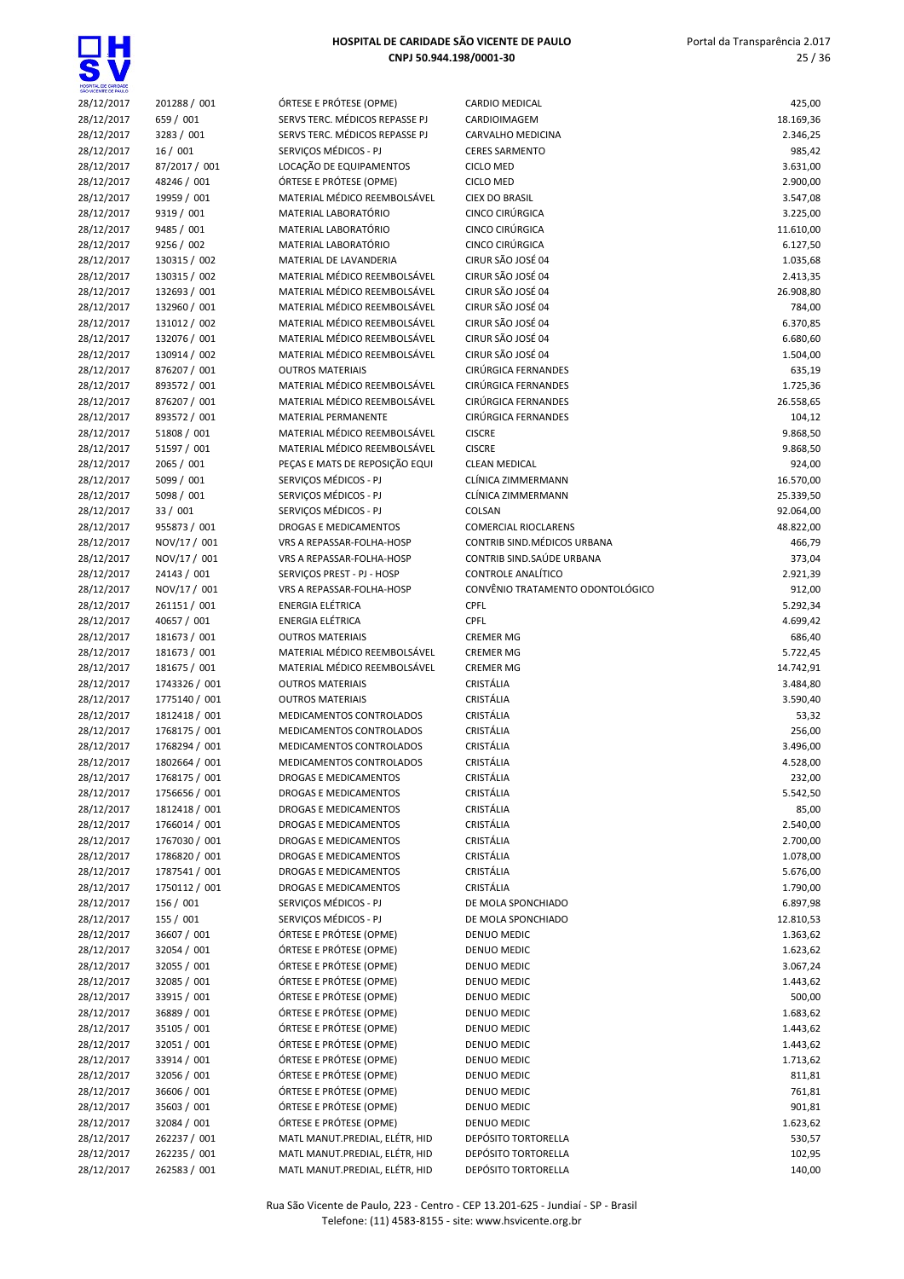| HOSPITAL DE CARIDADE<br><b>SCENTE DE PAULO</b> |
|------------------------------------------------|

| 28/12/2017               | 201288 / 001                | ÓRTESE E PRÓTESE (OPME)                                 | CARDIO MEDICAL                                   | 425,00                |
|--------------------------|-----------------------------|---------------------------------------------------------|--------------------------------------------------|-----------------------|
| 28/12/2017               | 659 / 001                   | SERVS TERC. MÉDICOS REPASSE PJ                          | CARDIOIMAGEM                                     | 18.169,36             |
| 28/12/2017               | 3283 / 001                  | SERVS TERC. MÉDICOS REPASSE PJ                          | CARVALHO MEDICINA                                | 2.346,25              |
| 28/12/2017               | 16/001                      | SERVICOS MÉDICOS - PJ                                   | <b>CERES SARMENTO</b>                            | 985,42                |
| 28/12/2017               | 87/2017 / 001               | LOCAÇÃO DE EQUIPAMENTOS                                 | <b>CICLO MED</b>                                 | 3.631,00              |
| 28/12/2017               | 48246 / 001                 | ÓRTESE E PRÓTESE (OPME)                                 | <b>CICLO MED</b>                                 | 2.900,00              |
| 28/12/2017               | 19959 / 001                 | MATERIAL MÉDICO REEMBOLSÁVEL                            | <b>CIEX DO BRASIL</b>                            | 3.547,08              |
| 28/12/2017<br>28/12/2017 | 9319 / 001<br>9485 / 001    | MATERIAL LABORATÓRIO<br>MATERIAL LABORATÓRIO            | CINCO CIRÚRGICA<br>CINCO CIRÚRGICA               | 3.225,00              |
| 28/12/2017               | 9256 / 002                  | MATERIAL LABORATÓRIO                                    | CINCO CIRÚRGICA                                  | 11.610,00<br>6.127,50 |
| 28/12/2017               | 130315 / 002                | MATERIAL DE LAVANDERIA                                  | CIRUR SÃO JOSÉ 04                                | 1.035,68              |
| 28/12/2017               | 130315 / 002                | MATERIAL MÉDICO REEMBOLSÁVEL                            | CIRUR SÃO JOSÉ 04                                | 2.413,35              |
| 28/12/2017               | 132693 / 001                | MATERIAL MÉDICO REEMBOLSÁVEL                            | CIRUR SÃO JOSÉ 04                                | 26.908,80             |
| 28/12/2017               | 132960 / 001                | MATERIAL MÉDICO REEMBOLSÁVEL                            | CIRUR SÃO JOSÉ 04                                | 784,00                |
| 28/12/2017               | 131012 / 002                | MATERIAL MÉDICO REEMBOLSÁVEL                            | CIRUR SÃO JOSÉ 04                                | 6.370,85              |
| 28/12/2017               | 132076 / 001                | MATERIAL MÉDICO REEMBOLSÁVEL                            | CIRUR SÃO JOSÉ 04                                | 6.680,60              |
| 28/12/2017               | 130914 / 002                | MATERIAL MÉDICO REEMBOLSÁVEL                            | CIRUR SÃO JOSÉ 04                                | 1.504,00              |
| 28/12/2017               | 876207 / 001                | <b>OUTROS MATERIAIS</b>                                 | CIRÚRGICA FERNANDES                              | 635,19                |
| 28/12/2017               | 893572 / 001                | MATERIAL MÉDICO REEMBOLSÁVEL                            | CIRÚRGICA FERNANDES                              | 1.725,36              |
| 28/12/2017               | 876207 / 001                | MATERIAL MÉDICO REEMBOLSÁVEL                            | CIRÚRGICA FERNANDES                              | 26.558,65             |
| 28/12/2017               | 893572 / 001                | MATERIAL PERMANENTE                                     | CIRÚRGICA FERNANDES                              | 104,12                |
| 28/12/2017               | 51808 / 001                 | MATERIAL MÉDICO REEMBOLSÁVEL                            | <b>CISCRE</b>                                    | 9.868,50              |
| 28/12/2017               | 51597 / 001                 | MATERIAL MÉDICO REEMBOLSÁVEL                            | <b>CISCRE</b>                                    | 9.868,50              |
| 28/12/2017               | 2065 / 001                  | PEÇAS E MATS DE REPOSIÇÃO EQUI                          | <b>CLEAN MEDICAL</b>                             | 924,00                |
| 28/12/2017               | 5099 / 001                  | SERVIÇOS MÉDICOS - PJ                                   | CLÍNICA ZIMMERMANN                               | 16.570,00             |
| 28/12/2017               | 5098 / 001                  | SERVICOS MÉDICOS - PJ                                   | CLÍNICA ZIMMERMANN                               | 25.339,50             |
| 28/12/2017               | 33 / 001                    | SERVICOS MÉDICOS - PJ                                   | COLSAN                                           | 92.064,00             |
| 28/12/2017               | 955873 / 001                | DROGAS E MEDICAMENTOS                                   | <b>COMERCIAL RIOCLARENS</b>                      | 48.822,00             |
| 28/12/2017               | NOV/17 / 001                | VRS A REPASSAR-FOLHA-HOSP                               | CONTRIB SIND. MÉDICOS URBANA                     | 466,79                |
| 28/12/2017               | NOV/17 / 001                | VRS A REPASSAR-FOLHA-HOSP                               | CONTRIB SIND. SAÚDE URBANA<br>CONTROLE ANALÍTICO | 373,04<br>2.921,39    |
| 28/12/2017               | 24143 / 001<br>NOV/17 / 001 | SERVIÇOS PREST - PJ - HOSP<br>VRS A REPASSAR-FOLHA-HOSP | CONVÊNIO TRATAMENTO ODONTOLÓGICO                 | 912,00                |
| 28/12/2017<br>28/12/2017 | 261151 / 001                | <b>ENERGIA ELÉTRICA</b>                                 | CPFL                                             | 5.292,34              |
| 28/12/2017               | 40657 / 001                 | ENERGIA ELÉTRICA                                        | CPFL                                             | 4.699,42              |
| 28/12/2017               | 181673 / 001                | <b>OUTROS MATERIAIS</b>                                 | <b>CREMER MG</b>                                 | 686,40                |
| 28/12/2017               | 181673 / 001                | MATERIAL MÉDICO REEMBOLSÁVEL                            | <b>CREMER MG</b>                                 | 5.722,45              |
| 28/12/2017               | 181675 / 001                | MATERIAL MÉDICO REEMBOLSÁVEL                            | <b>CREMER MG</b>                                 | 14.742,91             |
| 28/12/2017               | 1743326 / 001               | <b>OUTROS MATERIAIS</b>                                 | CRISTÁLIA                                        | 3.484,80              |
| 28/12/2017               | 1775140 / 001               | <b>OUTROS MATERIAIS</b>                                 | CRISTÁLIA                                        | 3.590,40              |
| 28/12/2017               | 1812418 / 001               | MEDICAMENTOS CONTROLADOS                                | CRISTÁLIA                                        | 53,32                 |
| 28/12/2017               | 1768175 / 001               | MEDICAMENTOS CONTROLADOS                                | CRISTÁLIA                                        | 256,00                |
| 28/12/2017               | 1768294 / 001               | MEDICAMENTOS CONTROLADOS                                | CRISTÁLIA                                        | 3.496,00              |
| 28/12/2017               | 1802664 / 001               | MEDICAMENTOS CONTROLADOS                                | CRISTÁLIA                                        | 4.528,00              |
| 28/12/2017               | 1768175 / 001               | DROGAS E MEDICAMENTOS                                   | CRISTÁLIA                                        | 232,00                |
| 28/12/2017               | 1756656 / 001               | DROGAS E MEDICAMENTOS                                   | CRISTÁLIA                                        | 5.542,50              |
| 28/12/2017               | 1812418 / 001               | DROGAS E MEDICAMENTOS                                   | CRISTÁLIA                                        | 85,00                 |
| 28/12/2017               | 1766014 / 001               | DROGAS E MEDICAMENTOS                                   | CRISTÁLIA                                        | 2.540,00              |
| 28/12/2017               | 1767030 / 001               | DROGAS E MEDICAMENTOS                                   | CRISTÁLIA                                        | 2.700,00              |
| 28/12/2017               | 1786820 / 001               | DROGAS E MEDICAMENTOS                                   | CRISTÁLIA                                        | 1.078,00              |
| 28/12/2017               | 1787541 / 001               | DROGAS E MEDICAMENTOS                                   | CRISTÁLIA                                        | 5.676,00              |
| 28/12/2017               | 1750112 / 001               | DROGAS E MEDICAMENTOS                                   | CRISTÁLIA                                        | 1.790,00              |
| 28/12/2017<br>28/12/2017 | 156 / 001<br>155 / 001      | SERVIÇOS MÉDICOS - PJ<br>SERVIÇOS MÉDICOS - PJ          | DE MOLA SPONCHIADO<br>DE MOLA SPONCHIADO         | 6.897,98<br>12.810,53 |
| 28/12/2017               | 36607 / 001                 | ÓRTESE E PRÓTESE (OPME)                                 | DENUO MEDIC                                      | 1.363,62              |
| 28/12/2017               | 32054 / 001                 | ÓRTESE E PRÓTESE (OPME)                                 | DENUO MEDIC                                      | 1.623,62              |
| 28/12/2017               | 32055 / 001                 | ÓRTESE E PRÓTESE (OPME)                                 | DENUO MEDIC                                      | 3.067,24              |
| 28/12/2017               | 32085 / 001                 | ÓRTESE E PRÓTESE (OPME)                                 | DENUO MEDIC                                      | 1.443,62              |
| 28/12/2017               | 33915 / 001                 | ÓRTESE E PRÓTESE (OPME)                                 | DENUO MEDIC                                      | 500,00                |
| 28/12/2017               | 36889 / 001                 | ÓRTESE E PRÓTESE (OPME)                                 | DENUO MEDIC                                      | 1.683,62              |
| 28/12/2017               | 35105 / 001                 | ÓRTESE E PRÓTESE (OPME)                                 | DENUO MEDIC                                      | 1.443,62              |
| 28/12/2017               | 32051 / 001                 | ÓRTESE E PRÓTESE (OPME)                                 | DENUO MEDIC                                      | 1.443,62              |
| 28/12/2017               | 33914 / 001                 | ÓRTESE E PRÓTESE (OPME)                                 | DENUO MEDIC                                      | 1.713,62              |
| 28/12/2017               | 32056 / 001                 | ÓRTESE E PRÓTESE (OPME)                                 | DENUO MEDIC                                      | 811,81                |
| 28/12/2017               | 36606 / 001                 | ÓRTESE E PRÓTESE (OPME)                                 | DENUO MEDIC                                      | 761,81                |
| 28/12/2017               | 35603 / 001                 | ÓRTESE E PRÓTESE (OPME)                                 | DENUO MEDIC                                      | 901,81                |
| 28/12/2017               | 32084 / 001                 | ÓRTESE E PRÓTESE (OPME)                                 | DENUO MEDIC                                      | 1.623,62              |
| 28/12/2017               | 262237 / 001                | MATL MANUT.PREDIAL, ELÉTR, HID                          | DEPÓSITO TORTORELLA                              | 530,57                |
| 28/12/2017               | 262235 / 001                | MATL MANUT.PREDIAL, ELÉTR, HID                          | DEPÓSITO TORTORELLA                              | 102,95                |
| 28/12/2017               | 262583 / 001                | MATL MANUT.PREDIAL, ELÉTR, HID                          | DEPÓSITO TORTORELLA                              | 140,00                |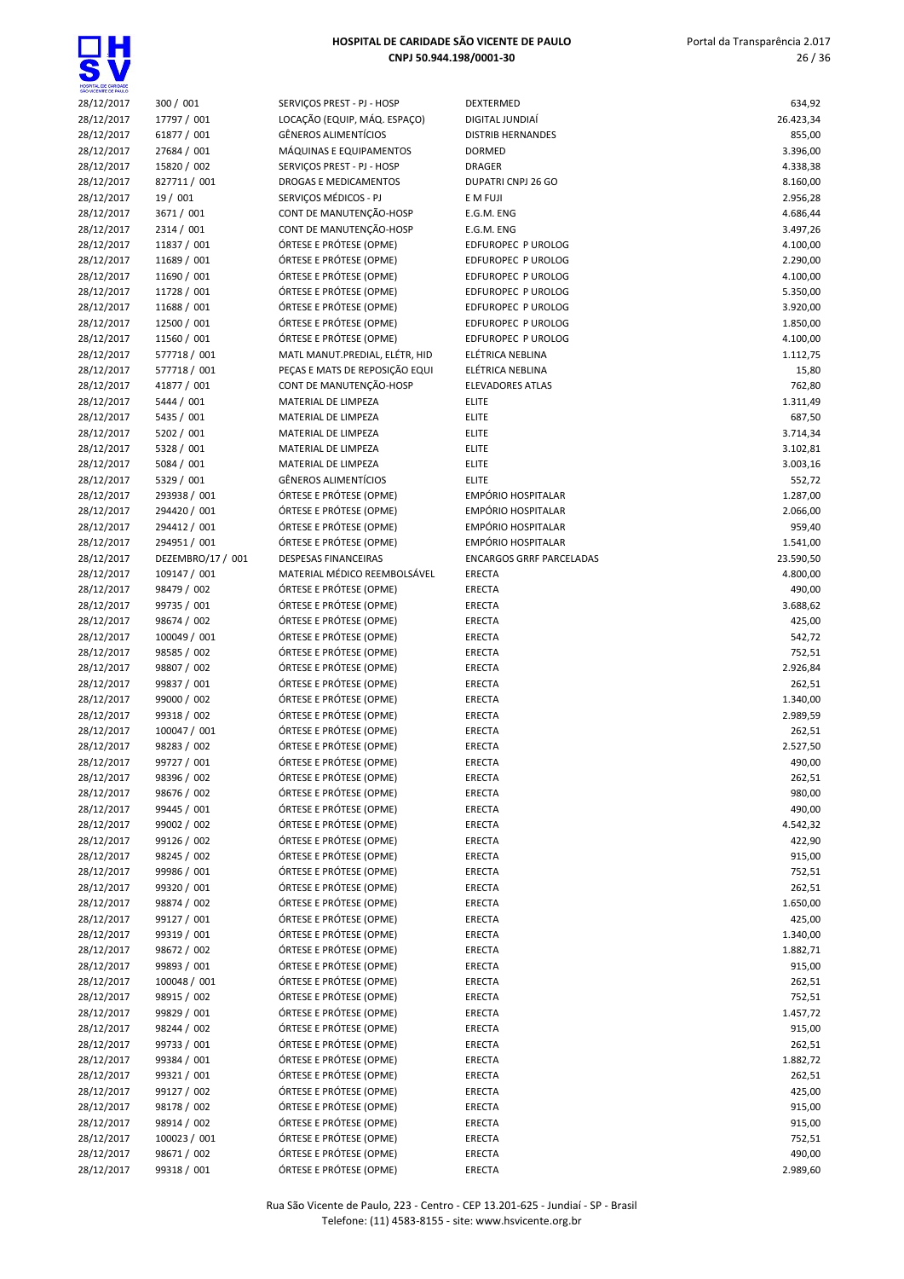

| HOSPITAL DE CARIDADE | <b>MCENTE DE PALIL</b> |
|----------------------|------------------------|

| 28/12/2017               | 300 / 001                    | SERVIÇOS PREST - PJ - HOSP                         | DEXTERMED                                       | 634,92             |
|--------------------------|------------------------------|----------------------------------------------------|-------------------------------------------------|--------------------|
| 28/12/2017               | 17797 / 001                  | LOCAÇÃO (EQUIP, MÁQ. ESPAÇO)                       | DIGITAL JUNDIAÍ                                 | 26.423,34          |
| 28/12/2017               | 61877 / 001                  | <b>GÊNEROS ALIMENTÍCIOS</b>                        | <b>DISTRIB HERNANDES</b>                        | 855,00             |
| 28/12/2017               | 27684 / 001                  | MÁQUINAS E EQUIPAMENTOS                            | <b>DORMED</b>                                   | 3.396,00           |
| 28/12/2017               | 15820 / 002                  | SERVIÇOS PREST - PJ - HOSP                         | <b>DRAGER</b>                                   | 4.338,38           |
| 28/12/2017               | 827711 / 001                 | DROGAS E MEDICAMENTOS                              | DUPATRI CNPJ 26 GO                              | 8.160,00           |
| 28/12/2017               | 19 / 001                     | SERVIÇOS MÉDICOS - PJ                              | E M FUJI                                        | 2.956,28           |
| 28/12/2017               | 3671 / 001                   | CONT DE MANUTENÇÃO-HOSP                            | E.G.M. ENG                                      | 4.686,44           |
| 28/12/2017               | 2314 / 001                   | CONT DE MANUTENÇÃO-HOSP                            | E.G.M. ENG                                      | 3.497,26           |
| 28/12/2017               | 11837 / 001                  | ÓRTESE E PRÓTESE (OPME)                            | EDFUROPEC P UROLOG                              | 4.100,00           |
| 28/12/2017               | 11689 / 001                  | ÓRTESE E PRÓTESE (OPME)                            | EDFUROPEC P UROLOG                              | 2.290,00           |
| 28/12/2017               | 11690 / 001                  | ÓRTESE E PRÓTESE (OPME)                            | EDFUROPEC P UROLOG                              | 4.100,00           |
| 28/12/2017               | 11728 / 001                  | ÓRTESE E PRÓTESE (OPME)                            | EDFUROPEC P UROLOG                              | 5.350,00           |
| 28/12/2017               | 11688 / 001                  | ÓRTESE E PRÓTESE (OPME)                            | EDFUROPEC P UROLOG                              | 3.920,00           |
| 28/12/2017               | 12500 / 001                  | ÓRTESE E PRÓTESE (OPME)                            | EDFUROPEC P UROLOG                              | 1.850,00           |
| 28/12/2017               | 11560 / 001                  | ÓRTESE E PRÓTESE (OPME)                            | EDFUROPEC P UROLOG                              | 4.100,00           |
| 28/12/2017               | 577718 / 001                 | MATL MANUT.PREDIAL, ELÉTR, HID                     | ELÉTRICA NEBLINA                                | 1.112,75           |
| 28/12/2017               | 577718 / 001                 | PEÇAS E MATS DE REPOSIÇÃO EQUI                     | ELÉTRICA NEBLINA                                | 15,80              |
| 28/12/2017               | 41877 / 001                  | CONT DE MANUTENÇÃO-HOSP                            | <b>ELEVADORES ATLAS</b>                         | 762,80             |
| 28/12/2017               | 5444 / 001                   | MATERIAL DE LIMPEZA                                | <b>ELITE</b>                                    | 1.311,49           |
| 28/12/2017               | 5435 / 001                   | MATERIAL DE LIMPEZA                                | <b>ELITE</b>                                    | 687,50             |
| 28/12/2017               | 5202 / 001                   | MATERIAL DE LIMPEZA                                | <b>ELITE</b>                                    | 3.714,34           |
| 28/12/2017               | 5328 / 001                   | MATERIAL DE LIMPEZA                                | <b>ELITE</b>                                    | 3.102,81           |
| 28/12/2017               | 5084 / 001                   | MATERIAL DE LIMPEZA                                | <b>ELITE</b>                                    | 3.003,16           |
| 28/12/2017               | 5329 / 001                   | GÊNEROS ALIMENTÍCIOS                               | <b>ELITE</b>                                    | 552,72             |
| 28/12/2017               | 293938 / 001                 | ÓRTESE E PRÓTESE (OPME)                            | <b>EMPÓRIO HOSPITALAR</b>                       | 1.287,00           |
| 28/12/2017               | 294420 / 001                 | ÓRTESE E PRÓTESE (OPME)                            | <b>EMPÓRIO HOSPITALAR</b>                       | 2.066,00           |
| 28/12/2017<br>28/12/2017 | 294412 / 001<br>294951 / 001 | ÓRTESE E PRÓTESE (OPME)<br>ÓRTESE E PRÓTESE (OPME) | <b>EMPÓRIO HOSPITALAR</b><br>EMPÓRIO HOSPITALAR | 959,40<br>1.541,00 |
| 28/12/2017               | DEZEMBRO/17 / 001            | <b>DESPESAS FINANCEIRAS</b>                        | <b>ENCARGOS GRRF PARCELADAS</b>                 | 23.590,50          |
| 28/12/2017               | 109147 / 001                 | MATERIAL MÉDICO REEMBOLSÁVEL                       | <b>ERECTA</b>                                   | 4.800,00           |
| 28/12/2017               | 98479 / 002                  | ÓRTESE E PRÓTESE (OPME)                            | <b>ERECTA</b>                                   | 490,00             |
| 28/12/2017               | 99735 / 001                  | ÓRTESE E PRÓTESE (OPME)                            | <b>ERECTA</b>                                   | 3.688,62           |
| 28/12/2017               | 98674 / 002                  | ÓRTESE E PRÓTESE (OPME)                            | <b>ERECTA</b>                                   | 425,00             |
| 28/12/2017               | 100049 / 001                 | ÓRTESE E PRÓTESE (OPME)                            | <b>ERECTA</b>                                   | 542,72             |
| 28/12/2017               | 98585 / 002                  | ÓRTESE E PRÓTESE (OPME)                            | <b>ERECTA</b>                                   | 752,51             |
| 28/12/2017               | 98807 / 002                  | ÓRTESE E PRÓTESE (OPME)                            | <b>ERECTA</b>                                   | 2.926,84           |
| 28/12/2017               | 99837 / 001                  | ÓRTESE E PRÓTESE (OPME)                            | <b>ERECTA</b>                                   | 262,51             |
| 28/12/2017               | 99000 / 002                  | ÓRTESE E PRÓTESE (OPME)                            | <b>ERECTA</b>                                   | 1.340,00           |
| 28/12/2017               | 99318 / 002                  | ÓRTESE E PRÓTESE (OPME)                            | <b>ERECTA</b>                                   | 2.989,59           |
| 28/12/2017               | 100047 / 001                 | ÓRTESE E PRÓTESE (OPME)                            | <b>ERECTA</b>                                   | 262,51             |
| 28/12/2017               | 98283 / 002                  | ÓRTESE E PRÓTESE (OPME)                            | <b>ERECTA</b>                                   | 2.527,50           |
| 28/12/2017               | 99727 / 001                  | ÓRTESE E PRÓTESE (OPME)                            | <b>ERECTA</b>                                   | 490,00             |
| 28/12/2017               | 98396 / 002                  | ÓRTESE E PRÓTESE (OPME)                            | ERECTA                                          | 262,51             |
| 28/12/2017               | 98676 / 002                  | ÓRTESE E PRÓTESE (OPME)                            | ERECTA                                          | 980,00             |
| 28/12/2017               | 99445 / 001                  | ÓRTESE E PRÓTESE (OPME)                            | ERECTA                                          | 490,00             |
| 28/12/2017               | 99002 / 002                  | ÓRTESE E PRÓTESE (OPME)                            | ERECTA                                          | 4.542,32           |
| 28/12/2017               | 99126 / 002                  | ÓRTESE E PRÓTESE (OPME)                            | ERECTA                                          | 422,90             |
| 28/12/2017               | 98245 / 002                  | ÓRTESE E PRÓTESE (OPME)                            | ERECTA                                          | 915,00             |
| 28/12/2017               | 99986 / 001                  | ÓRTESE E PRÓTESE (OPME)                            | <b>ERECTA</b>                                   | 752,51             |
| 28/12/2017               | 99320 / 001                  | ÓRTESE E PRÓTESE (OPME)                            | ERECTA                                          | 262,51             |
| 28/12/2017               | 98874 / 002                  | ÓRTESE E PRÓTESE (OPME)                            | ERECTA                                          | 1.650,00           |
| 28/12/2017               | 99127 / 001                  | ÓRTESE E PRÓTESE (OPME)                            | ERECTA                                          | 425,00             |
| 28/12/2017               | 99319 / 001                  | ÓRTESE E PRÓTESE (OPME)                            | ERECTA                                          | 1.340,00           |
| 28/12/2017               | 98672 / 002                  | ÓRTESE E PRÓTESE (OPME)                            | ERECTA                                          | 1.882,71           |
| 28/12/2017               | 99893 / 001                  | ÓRTESE E PRÓTESE (OPME)                            | ERECTA                                          | 915,00             |
| 28/12/2017               | 100048 / 001                 | ÓRTESE E PRÓTESE (OPME)                            | ERECTA                                          | 262,51             |
| 28/12/2017               | 98915 / 002                  | ÓRTESE E PRÓTESE (OPME)                            | ERECTA                                          | 752,51             |
| 28/12/2017               | 99829 / 001                  | ÓRTESE E PRÓTESE (OPME)                            | ERECTA                                          | 1.457,72           |
| 28/12/2017               | 98244 / 002                  | ÓRTESE E PRÓTESE (OPME)                            | ERECTA                                          | 915,00             |
| 28/12/2017               | 99733 / 001                  | ÓRTESE E PRÓTESE (OPME)                            | ERECTA                                          | 262,51             |
| 28/12/2017               | 99384 / 001                  | ÓRTESE E PRÓTESE (OPME)                            | ERECTA                                          | 1.882,72           |
| 28/12/2017               | 99321 / 001                  | ÓRTESE E PRÓTESE (OPME)                            | ERECTA                                          | 262,51             |
| 28/12/2017               | 99127 / 002                  | ÓRTESE E PRÓTESE (OPME)                            | ERECTA                                          | 425,00             |
| 28/12/2017               | 98178 / 002                  | ÓRTESE E PRÓTESE (OPME)                            | ERECTA                                          | 915,00             |
| 28/12/2017               | 98914 / 002                  | ÓRTESE E PRÓTESE (OPME)                            | ERECTA                                          | 915,00             |
| 28/12/2017               | 100023 / 001                 | ÓRTESE E PRÓTESE (OPME)                            | ERECTA                                          | 752,51             |
| 28/12/2017               | 98671 / 002                  | ÓRTESE E PRÓTESE (OPME)                            | ERECTA                                          | 490,00             |
| 28/12/2017               | 99318 / 001                  | ÓRTESE E PRÓTESE (OPME)                            | ERECTA                                          | 2.989,60           |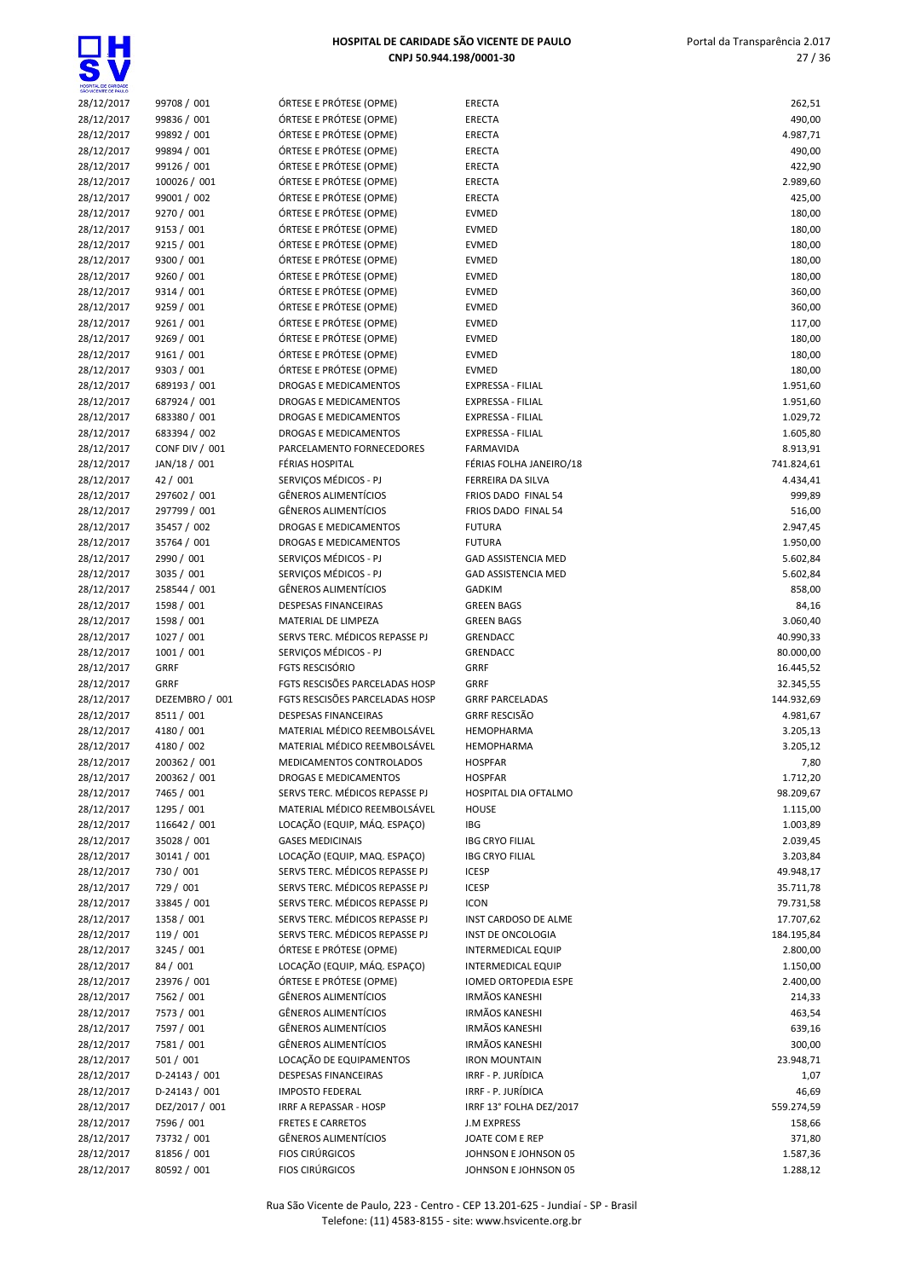| HOSPITAL DE CARIDADE<br>SÃO VICENTE DE PAULO |                             |                                                                  |                                             |                        |
|----------------------------------------------|-----------------------------|------------------------------------------------------------------|---------------------------------------------|------------------------|
| 28/12/2017                                   | 99708 / 001                 | ÓRTESE E PRÓTESE (OPME)                                          | <b>ERECTA</b>                               | 262,51                 |
| 28/12/2017                                   | 99836 / 001                 | ÓRTESE E PRÓTESE (OPME)                                          | <b>ERECTA</b>                               | 490,00                 |
| 28/12/2017                                   | 99892 / 001                 | ÓRTESE E PRÓTESE (OPME)                                          | <b>ERECTA</b>                               | 4.987,71               |
| 28/12/2017                                   | 99894 / 001                 | ÓRTESE E PRÓTESE (OPME)                                          | <b>ERECTA</b>                               | 490,00                 |
| 28/12/2017                                   | 99126 / 001                 | ÓRTESE E PRÓTESE (OPME)                                          | <b>ERECTA</b>                               | 422,90                 |
| 28/12/2017<br>28/12/2017                     | 100026 / 001<br>99001 / 002 | ÓRTESE E PRÓTESE (OPME)<br>ÓRTESE E PRÓTESE (OPME)               | <b>ERECTA</b><br><b>ERECTA</b>              | 2.989,60<br>425,00     |
| 28/12/2017                                   | 9270 / 001                  | ÓRTESE E PRÓTESE (OPME)                                          | <b>EVMED</b>                                | 180,00                 |
| 28/12/2017                                   | 9153 / 001                  | ÓRTESE E PRÓTESE (OPME)                                          | <b>EVMED</b>                                | 180,00                 |
| 28/12/2017                                   | 9215 / 001                  | ÓRTESE E PRÓTESE (OPME)                                          | <b>EVMED</b>                                | 180,00                 |
| 28/12/2017                                   | 9300 / 001                  | ÓRTESE E PRÓTESE (OPME)                                          | <b>EVMED</b>                                | 180,00                 |
| 28/12/2017                                   | 9260 / 001                  | ÓRTESE E PRÓTESE (OPME)                                          | <b>EVMED</b>                                | 180,00                 |
| 28/12/2017                                   | 9314 / 001                  | ÓRTESE E PRÓTESE (OPME)                                          | <b>EVMED</b>                                | 360,00                 |
| 28/12/2017                                   | 9259 / 001                  | ÓRTESE E PRÓTESE (OPME)                                          | <b>EVMED</b>                                | 360,00                 |
| 28/12/2017                                   | 9261 / 001                  | ÓRTESE E PRÓTESE (OPME)                                          | <b>EVMED</b>                                | 117,00                 |
| 28/12/2017                                   | 9269 / 001                  | ÓRTESE E PRÓTESE (OPME)                                          | <b>EVMED</b>                                | 180,00                 |
| 28/12/2017                                   | 9161 / 001                  | ÓRTESE E PRÓTESE (OPME)                                          | <b>EVMED</b>                                | 180,00                 |
| 28/12/2017<br>28/12/2017                     | 9303 / 001<br>689193 / 001  | ÓRTESE E PRÓTESE (OPME)<br>DROGAS E MEDICAMENTOS                 | <b>EVMED</b><br>EXPRESSA - FILIAL           | 180,00<br>1.951,60     |
| 28/12/2017                                   | 687924 / 001                | DROGAS E MEDICAMENTOS                                            | EXPRESSA - FILIAL                           | 1.951,60               |
| 28/12/2017                                   | 683380 / 001                | DROGAS E MEDICAMENTOS                                            | <b>EXPRESSA - FILIAL</b>                    | 1.029,72               |
| 28/12/2017                                   | 683394 / 002                | <b>DROGAS E MEDICAMENTOS</b>                                     | <b>EXPRESSA - FILIAL</b>                    | 1.605,80               |
| 28/12/2017                                   | CONF DIV / 001              | PARCELAMENTO FORNECEDORES                                        | <b>FARMAVIDA</b>                            | 8.913,91               |
| 28/12/2017                                   | JAN/18 / 001                | FÉRIAS HOSPITAL                                                  | FÉRIAS FOLHA JANEIRO/18                     | 741.824,61             |
| 28/12/2017                                   | 42 / 001                    | SERVIÇOS MÉDICOS - PJ                                            | <b>FERREIRA DA SILVA</b>                    | 4.434,41               |
| 28/12/2017                                   | 297602 / 001                | <b>GÊNEROS ALIMENTÍCIOS</b>                                      | FRIOS DADO FINAL 54                         | 999,89                 |
| 28/12/2017                                   | 297799 / 001                | <b>GÊNEROS ALIMENTÍCIOS</b>                                      | FRIOS DADO FINAL 54                         | 516,00                 |
| 28/12/2017                                   | 35457 / 002                 | DROGAS E MEDICAMENTOS                                            | <b>FUTURA</b>                               | 2.947,45               |
| 28/12/2017<br>28/12/2017                     | 35764 / 001<br>2990 / 001   | DROGAS E MEDICAMENTOS<br>SERVIÇOS MÉDICOS - PJ                   | <b>FUTURA</b><br><b>GAD ASSISTENCIA MED</b> | 1.950,00<br>5.602,84   |
| 28/12/2017                                   | 3035 / 001                  | SERVIÇOS MÉDICOS - PJ                                            | <b>GAD ASSISTENCIA MED</b>                  | 5.602,84               |
| 28/12/2017                                   | 258544 / 001                | <b>GÊNEROS ALIMENTÍCIOS</b>                                      | <b>GADKIM</b>                               | 858,00                 |
| 28/12/2017                                   | 1598 / 001                  | <b>DESPESAS FINANCEIRAS</b>                                      | <b>GREEN BAGS</b>                           | 84,16                  |
| 28/12/2017                                   | 1598 / 001                  | MATERIAL DE LIMPEZA                                              | <b>GREEN BAGS</b>                           | 3.060,40               |
| 28/12/2017                                   | 1027 / 001                  | SERVS TERC. MÉDICOS REPASSE PJ                                   | <b>GRENDACC</b>                             | 40.990,33              |
| 28/12/2017                                   | 1001 / 001                  | SERVIÇOS MÉDICOS - PJ                                            | GRENDACC                                    | 80.000,00              |
| 28/12/2017                                   | <b>GRRF</b>                 | <b>FGTS RESCISÓRIO</b>                                           | GRRF                                        | 16.445,52              |
| 28/12/2017                                   | <b>GRRF</b>                 | FGTS RESCISÕES PARCELADAS HOSP                                   | <b>GRRF</b>                                 | 32.345,55              |
| 28/12/2017                                   | DEZEMBRO / 001              | FGTS RESCISÕES PARCELADAS HOSP                                   | <b>GRRF PARCELADAS</b>                      | 144.932,69             |
| 28/12/2017<br>28/12/2017                     | 8511/001<br>4180 / 001      | <b>DESPESAS FINANCEIRAS</b><br>MATERIAL MÉDICO REEMBOLSÁVEL      | <b>GRRF RESCISÃO</b><br><b>HEMOPHARMA</b>   | 4.981,67<br>3.205,13   |
| 28/12/2017                                   | 4180 / 002                  | MATERIAL MÉDICO REEMBOLSÁVEL                                     | <b>HEMOPHARMA</b>                           | 3.205,12               |
| 28/12/2017                                   | 200362 / 001                | MEDICAMENTOS CONTROLADOS                                         | <b>HOSPFAR</b>                              | 7,80                   |
| 28/12/2017                                   | 200362 / 001                | DROGAS E MEDICAMENTOS                                            | <b>HOSPFAR</b>                              | 1.712,20               |
| 28/12/2017                                   | 7465 / 001                  | SERVS TERC. MÉDICOS REPASSE PJ                                   | HOSPITAL DIA OFTALMO                        | 98.209,67              |
| 28/12/2017                                   | 1295 / 001                  | MATERIAL MÉDICO REEMBOLSÁVEL                                     | <b>HOUSE</b>                                | 1.115,00               |
| 28/12/2017                                   | 116642 / 001                | LOCAÇÃO (EQUIP, MÁQ. ESPAÇO)                                     | <b>IBG</b>                                  | 1.003,89               |
| 28/12/2017                                   | 35028 / 001                 | <b>GASES MEDICINAIS</b>                                          | <b>IBG CRYO FILIAL</b>                      | 2.039,45               |
| 28/12/2017                                   | 30141 / 001                 | LOCAÇÃO (EQUIP, MAQ. ESPAÇO)                                     | <b>IBG CRYO FILIAL</b>                      | 3.203,84               |
| 28/12/2017                                   | 730 / 001                   | SERVS TERC. MÉDICOS REPASSE PJ                                   | <b>ICESP</b>                                | 49.948,17              |
| 28/12/2017<br>28/12/2017                     | 729 / 001<br>33845 / 001    | SERVS TERC. MÉDICOS REPASSE PJ<br>SERVS TERC. MÉDICOS REPASSE PJ | <b>ICESP</b><br><b>ICON</b>                 | 35.711,78<br>79.731,58 |
| 28/12/2017                                   | 1358 / 001                  | SERVS TERC. MÉDICOS REPASSE PJ                                   | INST CARDOSO DE ALME                        | 17.707,62              |
| 28/12/2017                                   | 119 / 001                   | SERVS TERC. MÉDICOS REPASSE PJ                                   | INST DE ONCOLOGIA                           | 184.195,84             |
| 28/12/2017                                   | 3245 / 001                  | ÓRTESE E PRÓTESE (OPME)                                          | <b>INTERMEDICAL EQUIP</b>                   | 2.800,00               |
| 28/12/2017                                   | 84 / 001                    | LOCAÇÃO (EQUIP, MÁQ. ESPAÇO)                                     | <b>INTERMEDICAL EQUIP</b>                   | 1.150,00               |
| 28/12/2017                                   | 23976 / 001                 | ÓRTESE E PRÓTESE (OPME)                                          | IOMED ORTOPEDIA ESPE                        | 2.400,00               |
| 28/12/2017                                   | 7562 / 001                  | <b>GÊNEROS ALIMENTÍCIOS</b>                                      | <b>IRMÃOS KANESHI</b>                       | 214,33                 |
| 28/12/2017                                   | 7573 / 001                  | <b>GÊNEROS ALIMENTÍCIOS</b>                                      | <b>IRMÃOS KANESHI</b>                       | 463,54                 |
| 28/12/2017                                   | 7597 / 001                  | <b>GÊNEROS ALIMENTÍCIOS</b>                                      | <b>IRMÃOS KANESHI</b>                       | 639,16                 |
| 28/12/2017                                   | 7581 / 001                  | <b>GÊNEROS ALIMENTÍCIOS</b>                                      | <b>IRMÃOS KANESHI</b>                       | 300,00                 |
| 28/12/2017<br>28/12/2017                     | 501/001<br>D-24143 / 001    | LOCAÇÃO DE EQUIPAMENTOS<br>DESPESAS FINANCEIRAS                  | <b>IRON MOUNTAIN</b><br>IRRF - P. JURÍDICA  | 23.948,71<br>1,07      |
| 28/12/2017                                   | D-24143 / 001               | <b>IMPOSTO FEDERAL</b>                                           | IRRF - P. JURÍDICA                          | 46,69                  |
| 28/12/2017                                   | DEZ/2017 / 001              | IRRF A REPASSAR - HOSP                                           | IRRF 13° FOLHA DEZ/2017                     | 559.274,59             |
| 28/12/2017                                   | 7596 / 001                  | <b>FRETES E CARRETOS</b>                                         | <b>J.M EXPRESS</b>                          | 158,66                 |
| 28/12/2017                                   | 73732 / 001                 | <b>GÊNEROS ALIMENTÍCIOS</b>                                      | JOATE COM E REP                             | 371,80                 |
| 28/12/2017                                   | 81856 / 001                 | <b>FIOS CIRÚRGICOS</b>                                           | JOHNSON E JOHNSON 05                        | 1.587,36               |
| 28/12/2017                                   | 80592 / 001                 | <b>FIOS CIRÚRGICOS</b>                                           | JOHNSON E JOHNSON 05                        | 1.288,12               |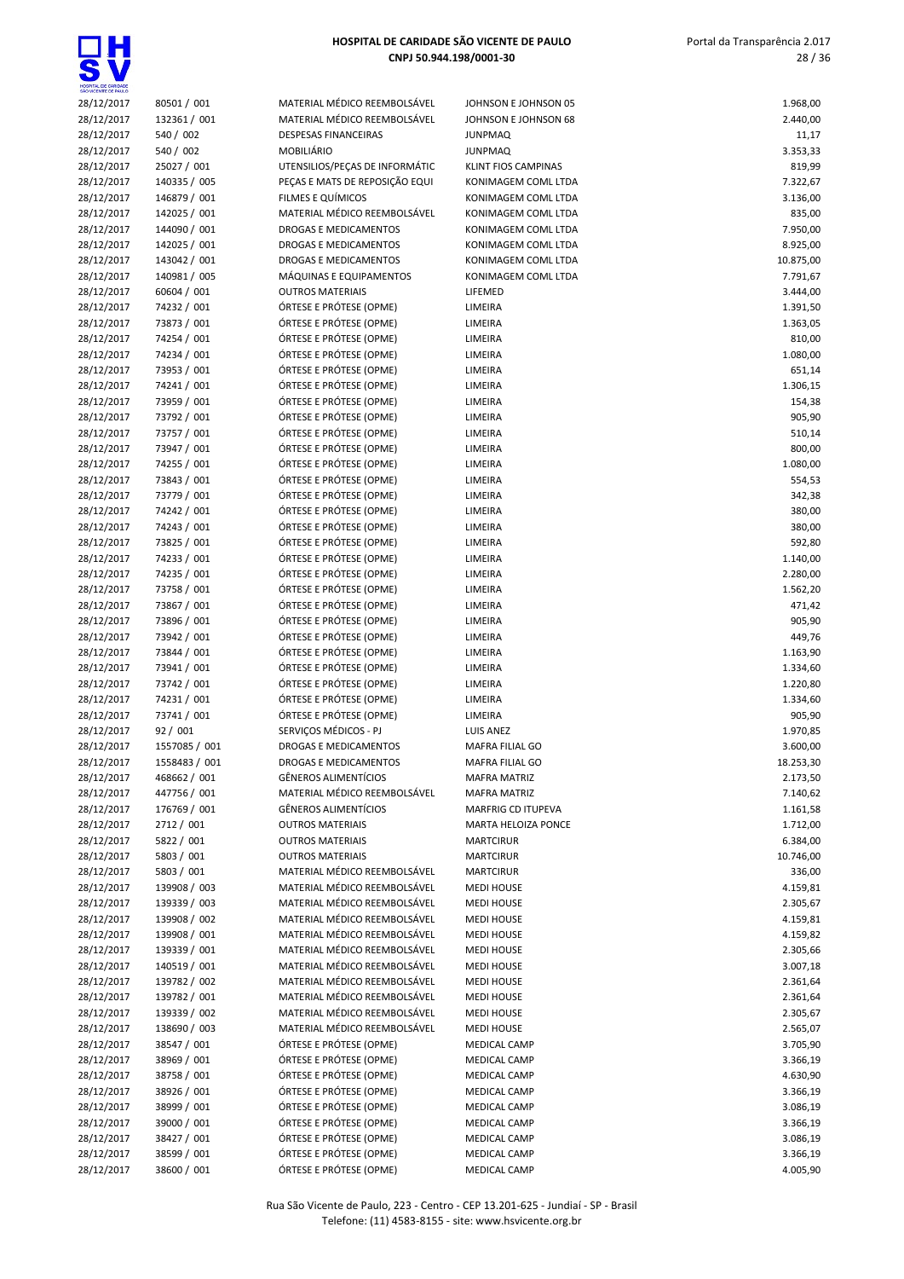# $\overline{\mathbf{s}}$

# HOSPITAL DE CARIDADE SÃO VICENTE DE PAULO CNPJ 50.944.198/0001-30

 Portal da Transparência 2.017 28 / 36

| SÃO VICENTE DE PAULO     |                              |                                                              |                                            |                       |
|--------------------------|------------------------------|--------------------------------------------------------------|--------------------------------------------|-----------------------|
| 28/12/2017               | 80501 / 001                  | MATERIAL MÉDICO REEMBOLSÁVEL                                 | JOHNSON E JOHNSON 05                       | 1.968,00              |
| 28/12/2017               | 132361 / 001                 | MATERIAL MÉDICO REEMBOLSÁVEL                                 | JOHNSON E JOHNSON 68                       | 2.440,00              |
| 28/12/2017               | 540 / 002                    | <b>DESPESAS FINANCEIRAS</b>                                  | <b>JUNPMAQ</b>                             | 11,17                 |
| 28/12/2017               | 540 / 002                    | <b>MOBILIÁRIO</b>                                            | <b>JUNPMAQ</b>                             | 3.353,33              |
| 28/12/2017               | 25027 / 001                  | UTENSILIOS/PEÇAS DE INFORMÁTIC                               | KLINT FIOS CAMPINAS                        | 819,99                |
| 28/12/2017               | 140335 / 005                 | PEÇAS E MATS DE REPOSIÇÃO EQUI                               | KONIMAGEM COML LTDA                        | 7.322,67              |
| 28/12/2017               | 146879 / 001                 | FILMES E QUÍMICOS                                            | KONIMAGEM COML LTDA                        | 3.136,00              |
| 28/12/2017               | 142025 / 001                 | MATERIAL MÉDICO REEMBOLSÁVEL                                 | KONIMAGEM COML LTDA                        | 835,00                |
| 28/12/2017               | 144090 / 001                 | DROGAS E MEDICAMENTOS                                        | KONIMAGEM COML LTDA                        | 7.950,00              |
| 28/12/2017               | 142025 / 001                 | DROGAS E MEDICAMENTOS                                        | KONIMAGEM COML LTDA                        | 8.925,00              |
| 28/12/2017<br>28/12/2017 | 143042 / 001<br>140981 / 005 | <b>DROGAS E MEDICAMENTOS</b><br>MÁQUINAS E EQUIPAMENTOS      | KONIMAGEM COML LTDA<br>KONIMAGEM COML LTDA | 10.875,00<br>7.791,67 |
| 28/12/2017               | 60604 / 001                  | <b>OUTROS MATERIAIS</b>                                      | LIFEMED                                    | 3.444,00              |
| 28/12/2017               | 74232 / 001                  | ÓRTESE E PRÓTESE (OPME)                                      | LIMEIRA                                    | 1.391,50              |
| 28/12/2017               | 73873 / 001                  | ÓRTESE E PRÓTESE (OPME)                                      | LIMEIRA                                    | 1.363,05              |
| 28/12/2017               | 74254 / 001                  | ÓRTESE E PRÓTESE (OPME)                                      | LIMEIRA                                    | 810,00                |
| 28/12/2017               | 74234 / 001                  | ÓRTESE E PRÓTESE (OPME)                                      | LIMEIRA                                    | 1.080,00              |
| 28/12/2017               | 73953 / 001                  | ÓRTESE E PRÓTESE (OPME)                                      | LIMEIRA                                    | 651,14                |
| 28/12/2017               | 74241 / 001                  | ÓRTESE E PRÓTESE (OPME)                                      | LIMEIRA                                    | 1.306,15              |
| 28/12/2017               | 73959 / 001                  | ÓRTESE E PRÓTESE (OPME)                                      | LIMEIRA                                    | 154,38                |
| 28/12/2017               | 73792 / 001                  | ÓRTESE E PRÓTESE (OPME)                                      | LIMEIRA                                    | 905,90                |
| 28/12/2017               | 73757 / 001                  | ÓRTESE E PRÓTESE (OPME)                                      | LIMEIRA                                    | 510,14                |
| 28/12/2017               | 73947 / 001                  | ÓRTESE E PRÓTESE (OPME)                                      | LIMEIRA                                    | 800,00                |
| 28/12/2017               | 74255 / 001                  | ÓRTESE E PRÓTESE (OPME)                                      | LIMEIRA                                    | 1.080,00              |
| 28/12/2017               | 73843 / 001                  | ÓRTESE E PRÓTESE (OPME)                                      | LIMEIRA                                    | 554,53                |
| 28/12/2017               | 73779 / 001                  | ÓRTESE E PRÓTESE (OPME)                                      | LIMEIRA                                    | 342,38                |
| 28/12/2017               | 74242 / 001                  | ÓRTESE E PRÓTESE (OPME)                                      | LIMEIRA                                    | 380,00                |
| 28/12/2017               | 74243 / 001                  | ÓRTESE E PRÓTESE (OPME)                                      | LIMEIRA                                    | 380,00                |
| 28/12/2017               | 73825 / 001                  | ÓRTESE E PRÓTESE (OPME)                                      | LIMEIRA                                    | 592,80                |
| 28/12/2017               | 74233 / 001                  | ÓRTESE E PRÓTESE (OPME)                                      | LIMEIRA                                    | 1.140,00              |
| 28/12/2017               | 74235 / 001                  | ÓRTESE E PRÓTESE (OPME)                                      | LIMEIRA                                    | 2.280,00              |
| 28/12/2017               | 73758 / 001                  | ÓRTESE E PRÓTESE (OPME)                                      | LIMEIRA                                    | 1.562,20              |
| 28/12/2017               | 73867 / 001                  | ÓRTESE E PRÓTESE (OPME)                                      | LIMEIRA                                    | 471,42                |
| 28/12/2017               | 73896 / 001                  | ÓRTESE E PRÓTESE (OPME)                                      | LIMEIRA                                    | 905,90                |
| 28/12/2017               | 73942 / 001                  | ÓRTESE E PRÓTESE (OPME)                                      | LIMEIRA                                    | 449,76                |
| 28/12/2017               | 73844 / 001                  | ÓRTESE E PRÓTESE (OPME)                                      | LIMEIRA                                    | 1.163,90              |
| 28/12/2017<br>28/12/2017 | 73941 / 001<br>73742 / 001   | ÓRTESE E PRÓTESE (OPME)<br>ÓRTESE E PRÓTESE (OPME)           | LIMEIRA<br>LIMEIRA                         | 1.334,60<br>1.220,80  |
| 28/12/2017               | 74231 / 001                  | ÓRTESE E PRÓTESE (OPME)                                      | LIMEIRA                                    | 1.334,60              |
| 28/12/2017               | 73741 / 001                  | ÓRTESE E PRÓTESE (OPME)                                      | LIMEIRA                                    | 905,90                |
| 28/12/2017               | 92 / 001                     | SERVICOS MÉDICOS - PJ                                        | <b>LUIS ANEZ</b>                           | 1.970,85              |
| 28/12/2017               | 1557085 / 001                | DROGAS E MEDICAMENTOS                                        | <b>MAFRA FILIAL GO</b>                     | 3.600,00              |
| 28/12/2017               | 1558483 / 001                | DROGAS E MEDICAMENTOS                                        | MAFRA FILIAL GO                            | 18.253,30             |
| 28/12/2017               | 468662 / 001                 | <b>GÊNEROS ALIMENTÍCIOS</b>                                  | <b>MAFRA MATRIZ</b>                        | 2.173,50              |
| 28/12/2017               | 447756 / 001                 | MATERIAL MÉDICO REEMBOLSÁVEL                                 | <b>MAFRA MATRIZ</b>                        | 7.140,62              |
| 28/12/2017               | 176769 / 001                 | <b>GÊNEROS ALIMENTÍCIOS</b>                                  | MARFRIG CD ITUPEVA                         | 1.161,58              |
| 28/12/2017               | 2712 / 001                   | <b>OUTROS MATERIAIS</b>                                      | MARTA HELOIZA PONCE                        | 1.712,00              |
| 28/12/2017               | 5822 / 001                   | <b>OUTROS MATERIAIS</b>                                      | <b>MARTCIRUR</b>                           | 6.384,00              |
| 28/12/2017               | 5803 / 001                   | <b>OUTROS MATERIAIS</b>                                      | <b>MARTCIRUR</b>                           | 10.746,00             |
| 28/12/2017               | 5803 / 001                   | MATERIAL MÉDICO REEMBOLSÁVEL                                 | <b>MARTCIRUR</b>                           | 336,00                |
| 28/12/2017               | 139908 / 003                 | MATERIAL MÉDICO REEMBOLSÁVEL                                 | <b>MEDI HOUSE</b>                          | 4.159,81              |
| 28/12/2017               | 139339 / 003                 | MATERIAL MÉDICO REEMBOLSÁVEL                                 | <b>MEDI HOUSE</b>                          | 2.305,67              |
| 28/12/2017               | 139908 / 002                 | MATERIAL MÉDICO REEMBOLSÁVEL                                 | <b>MEDI HOUSE</b>                          | 4.159,81              |
| 28/12/2017               | 139908 / 001                 | MATERIAL MÉDICO REEMBOLSÁVEL                                 | <b>MEDI HOUSE</b>                          | 4.159,82              |
| 28/12/2017               | 139339 / 001                 | MATERIAL MÉDICO REEMBOLSÁVEL                                 | <b>MEDI HOUSE</b>                          | 2.305,66              |
| 28/12/2017               | 140519 / 001                 | MATERIAL MÉDICO REEMBOLSÁVEL                                 | <b>MEDI HOUSE</b>                          | 3.007,18              |
| 28/12/2017               | 139782 / 002                 | MATERIAL MÉDICO REEMBOLSÁVEL                                 | <b>MEDI HOUSE</b>                          | 2.361,64              |
| 28/12/2017               | 139782 / 001                 | MATERIAL MÉDICO REEMBOLSÁVEL                                 | <b>MEDI HOUSE</b>                          | 2.361,64              |
| 28/12/2017<br>28/12/2017 | 139339 / 002<br>138690 / 003 | MATERIAL MÉDICO REEMBOLSÁVEL<br>MATERIAL MÉDICO REEMBOLSÁVEL | <b>MEDI HOUSE</b><br><b>MEDI HOUSE</b>     | 2.305,67<br>2.565,07  |
| 28/12/2017               | 38547 / 001                  | ÓRTESE E PRÓTESE (OPME)                                      | MEDICAL CAMP                               | 3.705,90              |
| 28/12/2017               | 38969 / 001                  | ÓRTESE E PRÓTESE (OPME)                                      | MEDICAL CAMP                               | 3.366,19              |
| 28/12/2017               | 38758 / 001                  | ÓRTESE E PRÓTESE (OPME)                                      | MEDICAL CAMP                               | 4.630,90              |
| 28/12/2017               | 38926 / 001                  | ÓRTESE E PRÓTESE (OPME)                                      | MEDICAL CAMP                               | 3.366,19              |
| 28/12/2017               | 38999 / 001                  | ÓRTESE E PRÓTESE (OPME)                                      | MEDICAL CAMP                               | 3.086,19              |
| 28/12/2017               | 39000 / 001                  | ÓRTESE E PRÓTESE (OPME)                                      | MEDICAL CAMP                               | 3.366,19              |
| 28/12/2017               | 38427 / 001                  | ÓRTESE E PRÓTESE (OPME)                                      | MEDICAL CAMP                               | 3.086,19              |
| 28/12/2017               | 38599 / 001                  | ÓRTESE E PRÓTESE (OPME)                                      | MEDICAL CAMP                               | 3.366,19              |
| 28/12/2017               | 38600 / 001                  | ÓRTESE E PRÓTESE (OPME)                                      | <b>MEDICAL CAMP</b>                        | 4.005,90              |
|                          |                              |                                                              |                                            |                       |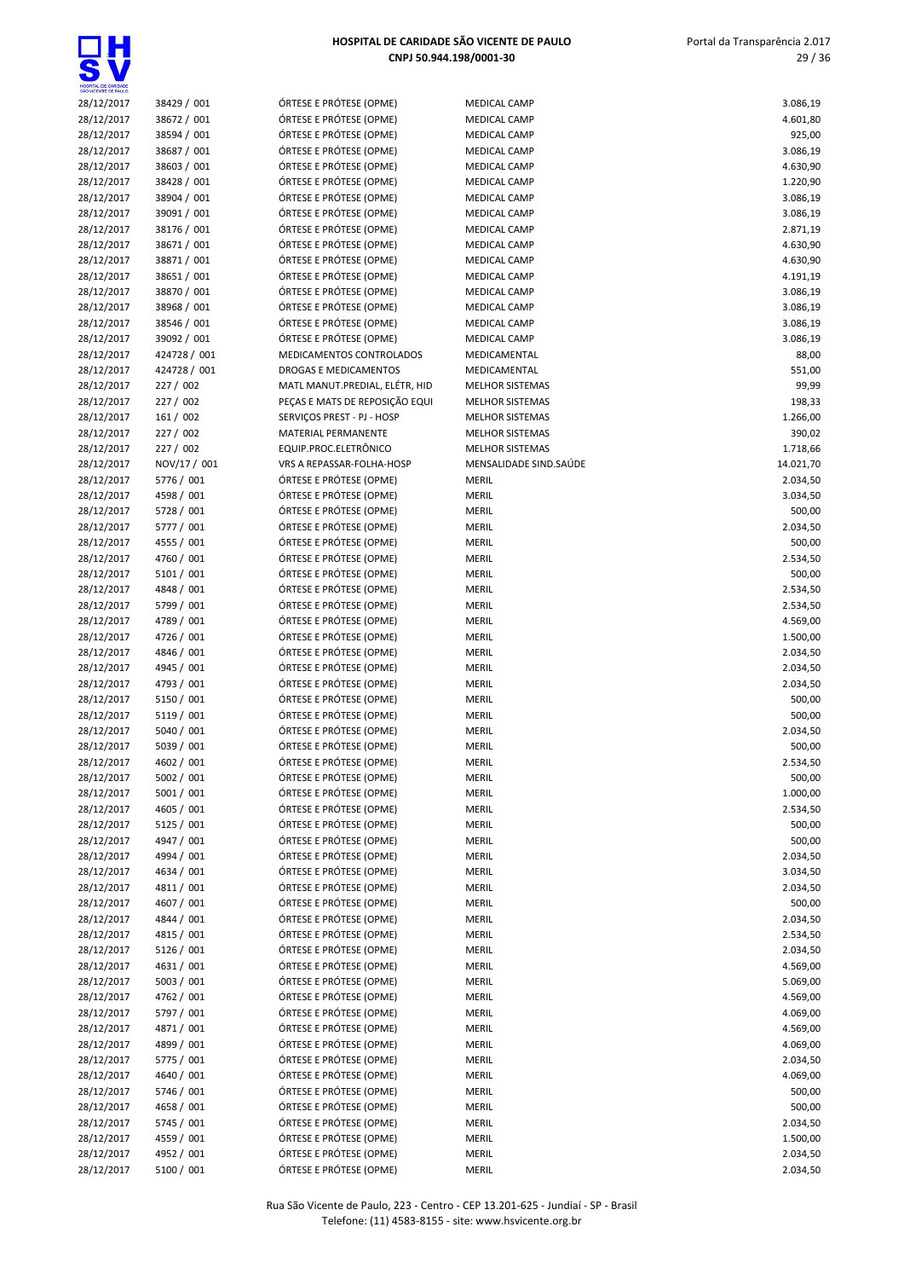

| HOSPITAL DE CARIDADE<br><b>VICENTE DE PAL</b> |
|-----------------------------------------------|
| 28/12/2017                                    |
| 28/12/2017                                    |

| 28/12/2017 | 38429 / 001  | ÓRTESE E PRÓTESE (OPME)    |
|------------|--------------|----------------------------|
| 28/12/2017 | 38672 / 001  | ÓRTESE E PRÓTESE (OPME)    |
| 28/12/2017 | 38594 / 001  | ÓRTESE E PRÓTESE (OPME)    |
| 28/12/2017 | 38687 / 001  | ÓRTESE E PRÓTESE (OPME)    |
|            |              | ÓRTESE E PRÓTESE (OPME)    |
| 28/12/2017 | 38603 / 001  |                            |
| 28/12/2017 | 38428 / 001  | ÓRTESE E PRÓTESE (OPME)    |
| 28/12/2017 | 38904 / 001  | ÓRTESE E PRÓTESE (OPME)    |
| 28/12/2017 | 39091 / 001  | ÓRTESE E PRÓTESE (OPME)    |
| 28/12/2017 | 38176 / 001  | ÓRTESE E PRÓTESE (OPME)    |
| 28/12/2017 | 38671 / 001  | ÓRTESE E PRÓTESE (OPME)    |
| 28/12/2017 | 38871 / 001  | ÓRTESE E PRÓTESE (OPME)    |
| 28/12/2017 | 38651 / 001  | ÓRTESE E PRÓTESE (OPME)    |
| 28/12/2017 | 38870 / 001  | ÓRTESE E PRÓTESE (OPME)    |
| 28/12/2017 | 38968 / 001  | ÓRTESE E PRÓTESE (OPME)    |
| 28/12/2017 | 38546 / 001  | ÓRTESE E PRÓTESE (OPME)    |
| 28/12/2017 | 39092 / 001  | ÓRTESE E PRÓTESE (OPME)    |
| 28/12/2017 | 424728 / 001 | MEDICAMENTOS CONTROL       |
| 28/12/2017 | 424728 / 001 | DROGAS E MEDICAMENTOS      |
|            |              |                            |
| 28/12/2017 | 227 / 002    | MATL MANUT.PREDIAL, ELÉ    |
| 28/12/2017 | 227 / 002    | PEÇAS E MATS DE REPOSIÇA   |
| 28/12/2017 | 161 / 002    | SERVIÇOS PREST - PJ - HOSP |
| 28/12/2017 | 227 / 002    | <b>MATERIAL PERMANENTE</b> |
| 28/12/2017 | 227 / 002    | EQUIP.PROC.ELETRÔNICO      |
| 28/12/2017 | NOV/17 / 001 | VRS A REPASSAR-FOLHA-HO    |
| 28/12/2017 | 5776 / 001   | ÓRTESE E PRÓTESE (OPME)    |
| 28/12/2017 | 4598 / 001   | ÓRTESE E PRÓTESE (OPME)    |
| 28/12/2017 | 5728 / 001   | ÓRTESE E PRÓTESE (OPME)    |
| 28/12/2017 | 5777 / 001   | ÓRTESE E PRÓTESE (OPME)    |
| 28/12/2017 | 4555 / 001   | ÓRTESE E PRÓTESE (OPME)    |
| 28/12/2017 | 4760 / 001   | ÓRTESE E PRÓTESE (OPME)    |
| 28/12/2017 | 5101 / 001   | ÓRTESE E PRÓTESE (OPME)    |
| 28/12/2017 | 4848 / 001   | ÓRTESE E PRÓTESE (OPME)    |
| 28/12/2017 | 5799 / 001   | ÓRTESE E PRÓTESE (OPME)    |
| 28/12/2017 | 4789 / 001   | ÓRTESE E PRÓTESE (OPME)    |
| 28/12/2017 | 4726 / 001   | ÓRTESE E PRÓTESE (OPME)    |
|            |              |                            |
| 28/12/2017 | 4846 / 001   | ÓRTESE E PRÓTESE (OPME)    |
| 28/12/2017 | 4945 / 001   | ÓRTESE E PRÓTESE (OPME)    |
| 28/12/2017 | 4793 / 001   | ÓRTESE E PRÓTESE (OPME)    |
| 28/12/2017 | 5150 / 001   | ÓRTESE E PRÓTESE (OPME)    |
| 28/12/2017 | 5119 / 001   | ÓRTESE E PRÓTESE (OPME)    |
| 28/12/2017 | 5040 / 001   | ÓRTESE E PRÓTESE (OPME)    |
| 28/12/2017 | 5039 / 001   | ÓRTESE E PRÓTESE (OPME)    |
| 28/12/2017 | 4602 / 001   | ÓRTESE E PRÓTESE (OPME)    |
| 28/12/2017 | 5002 / 001   | ÓRTESE E PRÓTESE (OPME)    |
| 28/12/2017 | 5001 / 001   | ÓRTESE E PRÓTESE (OPME)    |
| 28/12/2017 | 4605 / 001   | ÓRTESE E PRÓTESE (OPME)    |
| 28/12/2017 | 5125 / 001   | ÓRTESE E PRÓTESE (OPME)    |
| 28/12/2017 | 4947 / 001   | ÓRTESE E PRÓTESE (OPME)    |
| 28/12/2017 | 4994 / 001   | ÓRTESE E PRÓTESE (OPME)    |
| 28/12/2017 | 4634 / 001   | ÓRTESE E PRÓTESE (OPME)    |
| 28/12/2017 | 4811 / 001   | ÓRTESE E PRÓTESE (OPME)    |
| 28/12/2017 | 4607 / 001   | ÓRTESE E PRÓTESE (OPME)    |
| 28/12/2017 | 4844 / 001   | ÓRTESE E PRÓTESE (OPME)    |
|            |              |                            |
| 28/12/2017 | 4815 / 001   | ÓRTESE E PRÓTESE (OPME)    |
| 28/12/2017 | 5126 / 001   | ÓRTESE E PRÓTESE (OPME)    |
| 28/12/2017 | 4631 / 001   | ÓRTESE E PRÓTESE (OPME)    |
| 28/12/2017 | 5003 / 001   | ÓRTESE E PRÓTESE (OPME)    |
| 28/12/2017 | 4762/001     | ÓRTESE E PRÓTESE (OPME)    |
| 28/12/2017 | 5797 / 001   | ÓRTESE E PRÓTESE (OPME)    |
| 28/12/2017 | 4871/001     | ÓRTESE E PRÓTESE (OPME)    |
| 28/12/2017 | 4899 / 001   | ÓRTESE E PRÓTESE (OPME)    |
| 28/12/2017 | 5775 / 001   | ÓRTESE E PRÓTESE (OPME)    |
| 28/12/2017 | 4640 / 001   | ÓRTESE E PRÓTESE (OPME)    |
| 28/12/2017 | 5746 / 001   | ÓRTESE E PRÓTESE (OPME)    |
| 28/12/2017 | 4658 / 001   | ÓRTESE E PRÓTESE (OPME)    |
| 28/12/2017 | 5745 / 001   | ÓRTESE E PRÓTESE (OPME)    |
| 28/12/2017 | 4559 / 001   | ÓRTESE E PRÓTESE (OPME)    |
| 28/12/2017 | 4952 / 001   | ÓRTESE E PRÓTESE (OPME)    |
|            |              |                            |

| 28/12/2017 | 38429 / 001  | ÓRTESE E PRÓTESE (OPME)        | <b>MEDICAL CAMP</b>    | 3.086,19  |
|------------|--------------|--------------------------------|------------------------|-----------|
| 28/12/2017 | 38672 / 001  | ÓRTESE E PRÓTESE (OPME)        | MEDICAL CAMP           | 4.601,80  |
| 28/12/2017 | 38594 / 001  | ÓRTESE E PRÓTESE (OPME)        | MEDICAL CAMP           | 925,00    |
| 28/12/2017 | 38687 / 001  | ÓRTESE E PRÓTESE (OPME)        | MEDICAL CAMP           | 3.086,19  |
| 28/12/2017 | 38603 / 001  | ÓRTESE E PRÓTESE (OPME)        | MEDICAL CAMP           | 4.630,90  |
| 28/12/2017 | 38428 / 001  | ÓRTESE E PRÓTESE (OPME)        | MEDICAL CAMP           | 1.220,90  |
| 28/12/2017 | 38904 / 001  | ÓRTESE E PRÓTESE (OPME)        | <b>MEDICAL CAMP</b>    | 3.086,19  |
| 28/12/2017 | 39091 / 001  | ÓRTESE E PRÓTESE (OPME)        | <b>MEDICAL CAMP</b>    | 3.086,19  |
| 28/12/2017 | 38176 / 001  | ÓRTESE E PRÓTESE (OPME)        | MEDICAL CAMP           | 2.871,19  |
| 28/12/2017 | 38671 / 001  | ÓRTESE E PRÓTESE (OPME)        | MEDICAL CAMP           | 4.630,90  |
| 28/12/2017 | 38871 / 001  | ÓRTESE E PRÓTESE (OPME)        | <b>MEDICAL CAMP</b>    | 4.630,90  |
| 28/12/2017 | 38651 / 001  | ÓRTESE E PRÓTESE (OPME)        | MEDICAL CAMP           | 4.191,19  |
| 28/12/2017 | 38870 / 001  | ÓRTESE E PRÓTESE (OPME)        | MEDICAL CAMP           | 3.086,19  |
| 28/12/2017 | 38968 / 001  | ÓRTESE E PRÓTESE (OPME)        | MEDICAL CAMP           | 3.086,19  |
| 28/12/2017 | 38546 / 001  | ÓRTESE E PRÓTESE (OPME)        | MEDICAL CAMP           | 3.086,19  |
| 28/12/2017 | 39092 / 001  | ÓRTESE E PRÓTESE (OPME)        | MEDICAL CAMP           | 3.086,19  |
| 28/12/2017 | 424728 / 001 | MEDICAMENTOS CONTROLADOS       | MEDICAMENTAL           | 88,00     |
| 28/12/2017 | 424728 / 001 | <b>DROGAS E MEDICAMENTOS</b>   | MEDICAMENTAL           | 551,00    |
| 28/12/2017 | 227 / 002    | MATL MANUT.PREDIAL, ELÉTR, HID | <b>MELHOR SISTEMAS</b> | 99,99     |
| 28/12/2017 | 227 / 002    | PECAS E MATS DE REPOSIÇÃO EQUI | <b>MELHOR SISTEMAS</b> | 198,33    |
| 28/12/2017 | 161 / 002    | SERVIÇOS PREST - PJ - HOSP     | <b>MELHOR SISTEMAS</b> | 1.266,00  |
| 28/12/2017 | 227 / 002    | MATERIAL PERMANENTE            | <b>MELHOR SISTEMAS</b> |           |
|            |              | EQUIP.PROC.ELETRÔNICO          |                        | 390,02    |
| 28/12/2017 | 227 / 002    |                                | <b>MELHOR SISTEMAS</b> | 1.718,66  |
| 28/12/2017 | NOV/17 / 001 | VRS A REPASSAR-FOLHA-HOSP      | MENSALIDADE SIND.SAÚDE | 14.021,70 |
| 28/12/2017 | 5776 / 001   | ÓRTESE E PRÓTESE (OPME)        | MERIL                  | 2.034,50  |
| 28/12/2017 | 4598 / 001   | ÓRTESE E PRÓTESE (OPME)        | MERIL                  | 3.034,50  |
| 28/12/2017 | 5728 / 001   | ÓRTESE E PRÓTESE (OPME)        | <b>MERIL</b>           | 500,00    |
| 28/12/2017 | 5777 / 001   | ÓRTESE E PRÓTESE (OPME)        | <b>MERIL</b>           | 2.034,50  |
| 28/12/2017 | 4555 / 001   | ÓRTESE E PRÓTESE (OPME)        | <b>MERIL</b>           | 500,00    |
| 28/12/2017 | 4760 / 001   | ÓRTESE E PRÓTESE (OPME)        | <b>MERIL</b>           | 2.534,50  |
| 28/12/2017 | 5101 / 001   | ÓRTESE E PRÓTESE (OPME)        | <b>MERIL</b>           | 500,00    |
| 28/12/2017 | 4848 / 001   | ÓRTESE E PRÓTESE (OPME)        | MERIL                  | 2.534,50  |
| 28/12/2017 | 5799 / 001   | ÓRTESE E PRÓTESE (OPME)        | <b>MERIL</b>           | 2.534,50  |
| 28/12/2017 | 4789 / 001   | ÓRTESE E PRÓTESE (OPME)        | <b>MERIL</b>           | 4.569,00  |
| 28/12/2017 | 4726 / 001   | ÓRTESE E PRÓTESE (OPME)        | MERIL                  | 1.500,00  |
| 28/12/2017 | 4846 / 001   | ÓRTESE E PRÓTESE (OPME)        | MERIL                  | 2.034,50  |
| 28/12/2017 | 4945 / 001   | ÓRTESE E PRÓTESE (OPME)        | <b>MERIL</b>           | 2.034,50  |
| 28/12/2017 | 4793 / 001   | ÓRTESE E PRÓTESE (OPME)        | <b>MERIL</b>           | 2.034,50  |
| 28/12/2017 | 5150 / 001   | ÓRTESE E PRÓTESE (OPME)        | <b>MERIL</b>           | 500,00    |
| 28/12/2017 | 5119 / 001   | ÓRTESE E PRÓTESE (OPME)        | <b>MERIL</b>           | 500,00    |
| 28/12/2017 | 5040 / 001   | ÓRTESE E PRÓTESE (OPME)        | <b>MERIL</b>           | 2.034,50  |
| 28/12/2017 | 5039 / 001   | ÓRTESE E PRÓTESE (OPME)        | <b>MERIL</b>           | 500,00    |
| 28/12/2017 | 4602 / 001   | ÓRTESE E PRÓTESE (OPME)        | <b>MERIL</b>           | 2.534,50  |
| 28/12/2017 | 5002 / 001   | ÓRTESE E PRÓTESE (OPME)        | MERIL                  | 500,00    |
| 28/12/2017 | 5001 / 001   | ÓRTESE E PRÓTESE (OPME)        | <b>MERIL</b>           | 1.000,00  |
| 28/12/2017 | 4605 / 001   | ÓRTESE E PRÓTESE (OPME)        | MERIL                  | 2.534,50  |
| 28/12/2017 | 5125 / 001   | ÓRTESE E PRÓTESE (OPME)        | MERIL                  | 500,00    |
| 28/12/2017 | 4947 / 001   | ÓRTESE E PRÓTESE (OPME)        | MERIL                  | 500,00    |
|            |              |                                |                        | 2.034,50  |
| 28/12/2017 | 4994 / 001   | ÓRTESE E PRÓTESE (OPME)        | <b>MERIL</b>           |           |
| 28/12/2017 | 4634 / 001   | ÓRTESE E PRÓTESE (OPME)        | MERIL                  | 3.034,50  |
| 28/12/2017 | 4811 / 001   | ÓRTESE E PRÓTESE (OPME)        | MERIL                  | 2.034,50  |
| 28/12/2017 | 4607 / 001   | ÓRTESE E PRÓTESE (OPME)        | <b>MERIL</b>           | 500,00    |
| 28/12/2017 | 4844 / 001   | ÓRTESE E PRÓTESE (OPME)        | MERIL                  | 2.034,50  |
| 28/12/2017 | 4815 / 001   | ÓRTESE E PRÓTESE (OPME)        | MERIL                  | 2.534,50  |
| 28/12/2017 | 5126 / 001   | ÓRTESE E PRÓTESE (OPME)        | <b>MERIL</b>           | 2.034,50  |
| 28/12/2017 | 4631 / 001   | ÓRTESE E PRÓTESE (OPME)        | <b>MERIL</b>           | 4.569,00  |
| 28/12/2017 | 5003 / 001   | ÓRTESE E PRÓTESE (OPME)        | MERIL                  | 5.069,00  |
| 28/12/2017 | 4762 / 001   | ÓRTESE E PRÓTESE (OPME)        | <b>MERIL</b>           | 4.569,00  |
| 28/12/2017 | 5797 / 001   | ÓRTESE E PRÓTESE (OPME)        | <b>MERIL</b>           | 4.069,00  |
| 28/12/2017 | 4871 / 001   | ÓRTESE E PRÓTESE (OPME)        | MERIL                  | 4.569,00  |
| 28/12/2017 | 4899 / 001   | ÓRTESE E PRÓTESE (OPME)        | MERIL                  | 4.069,00  |
| 28/12/2017 | 5775 / 001   | ÓRTESE E PRÓTESE (OPME)        | <b>MERIL</b>           | 2.034,50  |
| 28/12/2017 | 4640 / 001   | ÓRTESE E PRÓTESE (OPME)        | MERIL                  | 4.069,00  |
| 28/12/2017 | 5746 / 001   | ÓRTESE E PRÓTESE (OPME)        | MERIL                  | 500,00    |
| 28/12/2017 | 4658 / 001   | ÓRTESE E PRÓTESE (OPME)        | <b>MERIL</b>           | 500,00    |
| 28/12/2017 | 5745 / 001   | ÓRTESE E PRÓTESE (OPME)        | MERIL                  | 2.034,50  |
| 28/12/2017 | 4559 / 001   | ÓRTESE E PRÓTESE (OPME)        | MERIL                  | 1.500,00  |
| 28/12/2017 | 4952 / 001   | ÓRTESE E PRÓTESE (OPME)        | MERIL                  | 2.034,50  |
| 28/12/2017 | 5100 / 001   | ÓRTESE E PRÓTESE (OPME)        | <b>MERIL</b>           | 2.034.50  |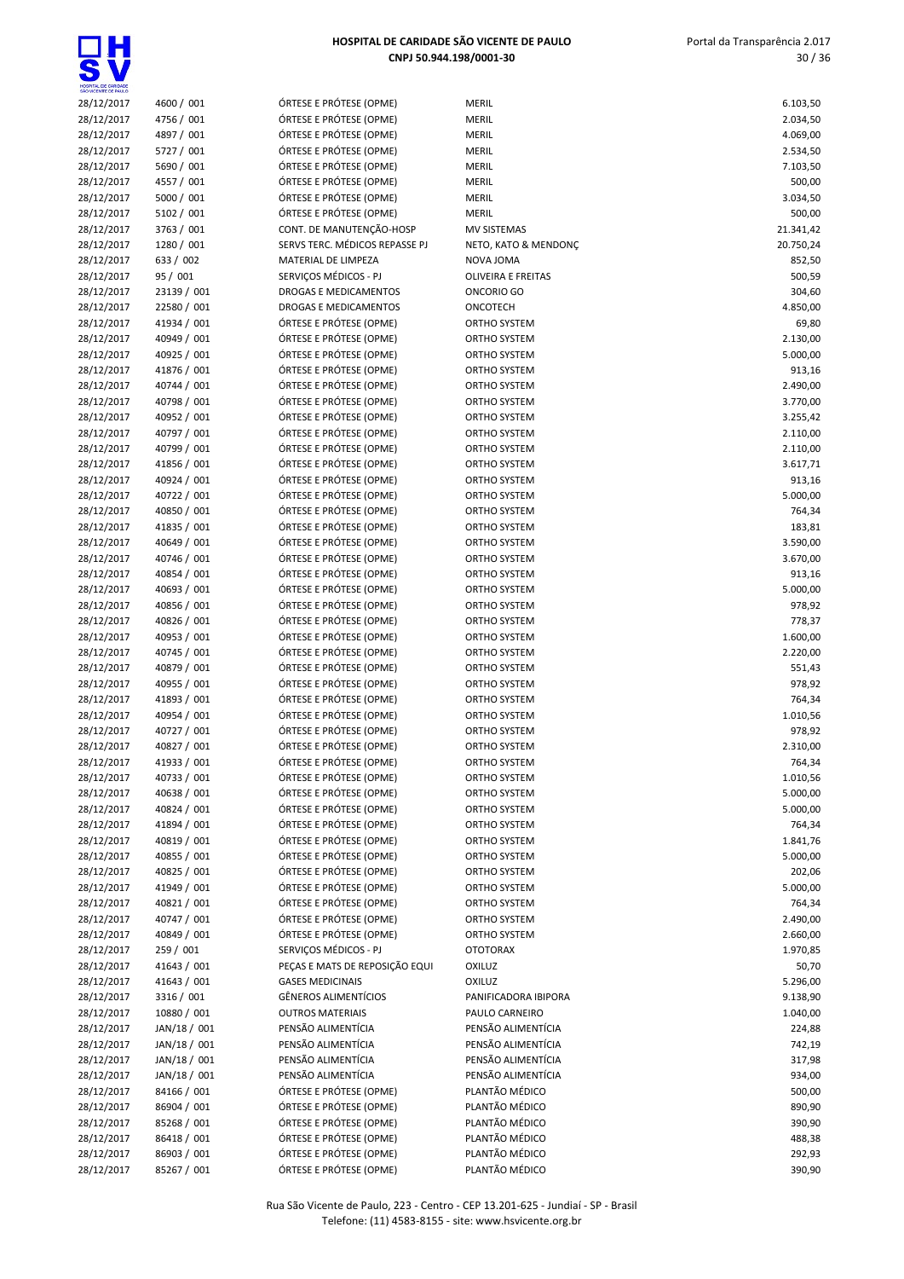| HOSPITAL DE CARIDADE<br>SÃO VICENTE DE PAULO |                            |                                                    |                                         |                      |
|----------------------------------------------|----------------------------|----------------------------------------------------|-----------------------------------------|----------------------|
| 28/12/2017                                   | 4600 / 001                 | ÓRTESE E PRÓTESE (OPME)                            | <b>MERIL</b>                            | 6.103,50             |
| 28/12/2017                                   | 4756 / 001                 | ÓRTESE E PRÓTESE (OPME)                            | <b>MERIL</b>                            | 2.034,50             |
| 28/12/2017<br>28/12/2017                     | 4897 / 001<br>5727 / 001   | ÓRTESE E PRÓTESE (OPME)<br>ÓRTESE E PRÓTESE (OPME) | <b>MERIL</b><br><b>MERIL</b>            | 4.069,00<br>2.534,50 |
| 28/12/2017                                   | 5690 / 001                 | ÓRTESE E PRÓTESE (OPME)                            | <b>MERIL</b>                            | 7.103,50             |
| 28/12/2017                                   | 4557 / 001                 | ÓRTESE E PRÓTESE (OPME)                            | <b>MERIL</b>                            | 500,00               |
| 28/12/2017                                   | 5000 / 001                 | ÓRTESE E PRÓTESE (OPME)                            | <b>MERIL</b>                            | 3.034,50             |
| 28/12/2017                                   | 5102 / 001                 | ÓRTESE E PRÓTESE (OPME)                            | <b>MERIL</b>                            | 500,00               |
| 28/12/2017                                   | 3763 / 001                 | CONT. DE MANUTENÇÃO-HOSP                           | <b>MV SISTEMAS</b>                      | 21.341,42            |
| 28/12/2017                                   | 1280 / 001                 | SERVS TERC. MÉDICOS REPASSE PJ                     | NETO, KATO & MENDONÇ                    | 20.750,24            |
| 28/12/2017                                   | 633 / 002                  | MATERIAL DE LIMPEZA                                | NOVA JOMA                               | 852,50               |
| 28/12/2017                                   | 95 / 001<br>23139 / 001    | SERVICOS MÉDICOS - PJ                              | <b>OLIVEIRA E FREITAS</b><br>ONCORIO GO | 500,59<br>304,60     |
| 28/12/2017<br>28/12/2017                     | 22580 / 001                | DROGAS E MEDICAMENTOS<br>DROGAS E MEDICAMENTOS     | ONCOTECH                                | 4.850,00             |
| 28/12/2017                                   | 41934 / 001                | ÓRTESE E PRÓTESE (OPME)                            | ORTHO SYSTEM                            | 69,80                |
| 28/12/2017                                   | 40949 / 001                | ÓRTESE E PRÓTESE (OPME)                            | ORTHO SYSTEM                            | 2.130,00             |
| 28/12/2017                                   | 40925 / 001                | ÓRTESE E PRÓTESE (OPME)                            | ORTHO SYSTEM                            | 5.000,00             |
| 28/12/2017                                   | 41876 / 001                | ÓRTESE E PRÓTESE (OPME)                            | ORTHO SYSTEM                            | 913,16               |
| 28/12/2017                                   | 40744 / 001                | ÓRTESE E PRÓTESE (OPME)                            | ORTHO SYSTEM                            | 2.490,00             |
| 28/12/2017                                   | 40798 / 001                | ÓRTESE E PRÓTESE (OPME)                            | ORTHO SYSTEM                            | 3.770,00             |
| 28/12/2017                                   | 40952 / 001                | ÓRTESE E PRÓTESE (OPME)                            | ORTHO SYSTEM                            | 3.255,42             |
| 28/12/2017                                   | 40797 / 001                | ÓRTESE E PRÓTESE (OPME)                            | ORTHO SYSTEM                            | 2.110,00             |
| 28/12/2017<br>28/12/2017                     | 40799 / 001<br>41856 / 001 | ÓRTESE E PRÓTESE (OPME)<br>ÓRTESE E PRÓTESE (OPME) | ORTHO SYSTEM<br>ORTHO SYSTEM            | 2.110,00<br>3.617,71 |
| 28/12/2017                                   | 40924 / 001                | ÓRTESE E PRÓTESE (OPME)                            | ORTHO SYSTEM                            | 913,16               |
| 28/12/2017                                   | 40722 / 001                | ÓRTESE E PRÓTESE (OPME)                            | ORTHO SYSTEM                            | 5.000,00             |
| 28/12/2017                                   | 40850 / 001                | ÓRTESE E PRÓTESE (OPME)                            | ORTHO SYSTEM                            | 764,34               |
| 28/12/2017                                   | 41835 / 001                | ÓRTESE E PRÓTESE (OPME)                            | ORTHO SYSTEM                            | 183,81               |
| 28/12/2017                                   | 40649 / 001                | ÓRTESE E PRÓTESE (OPME)                            | ORTHO SYSTEM                            | 3.590,00             |
| 28/12/2017                                   | 40746 / 001                | ÓRTESE E PRÓTESE (OPME)                            | ORTHO SYSTEM                            | 3.670,00             |
| 28/12/2017                                   | 40854 / 001                | ÓRTESE E PRÓTESE (OPME)                            | ORTHO SYSTEM                            | 913,16               |
| 28/12/2017                                   | 40693 / 001                | ÓRTESE E PRÓTESE (OPME)                            | ORTHO SYSTEM                            | 5.000,00             |
| 28/12/2017                                   | 40856 / 001<br>40826 / 001 | ÓRTESE E PRÓTESE (OPME)                            | ORTHO SYSTEM                            | 978,92               |
| 28/12/2017<br>28/12/2017                     | 40953 / 001                | ÓRTESE E PRÓTESE (OPME)<br>ÓRTESE E PRÓTESE (OPME) | ORTHO SYSTEM<br>ORTHO SYSTEM            | 778,37<br>1.600,00   |
| 28/12/2017                                   | 40745 / 001                | ÓRTESE E PRÓTESE (OPME)                            | ORTHO SYSTEM                            | 2.220,00             |
| 28/12/2017                                   | 40879 / 001                | ÓRTESE E PRÓTESE (OPME)                            | ORTHO SYSTEM                            | 551,43               |
| 28/12/2017                                   | 40955 / 001                | ÓRTESE E PRÓTESE (OPME)                            | ORTHO SYSTEM                            | 978,92               |
| 28/12/2017                                   | 41893 / 001                | ÓRTESE E PRÓTESE (OPME)                            | ORTHO SYSTEM                            | 764,34               |
| 28/12/2017                                   | 40954 / 001                | ÓRTESE E PRÓTESE (OPME)                            | ORTHO SYSTEM                            | 1.010,56             |
| 28/12/2017                                   | 40727 / 001                | ÓRTESE E PRÓTESE (OPME)                            | ORTHO SYSTEM                            | 978,92               |
| 28/12/2017                                   | 40827 / 001                | ÓRTESE E PRÓTESE (OPME)                            | ORTHO SYSTEM                            | 2.310,00             |
| 28/12/2017                                   | 41933 / 001                | ÓRTESE E PRÓTESE (OPME)                            | <b>ORTHO SYSTEM</b>                     | 764,34               |
| 28/12/2017<br>28/12/2017                     | 40733 / 001<br>40638 / 001 | ÓRTESE E PRÓTESE (OPME)<br>ÓRTESE E PRÓTESE (OPME) | ORTHO SYSTEM<br>ORTHO SYSTEM            | 1.010,56<br>5.000,00 |
| 28/12/2017                                   | 40824 / 001                | ÓRTESE E PRÓTESE (OPME)                            | ORTHO SYSTEM                            | 5.000,00             |
| 28/12/2017                                   | 41894 / 001                | ÓRTESE E PRÓTESE (OPME)                            | ORTHO SYSTEM                            | 764,34               |
| 28/12/2017                                   | 40819 / 001                | ÓRTESE E PRÓTESE (OPME)                            | ORTHO SYSTEM                            | 1.841,76             |
| 28/12/2017                                   | 40855 / 001                | ÓRTESE E PRÓTESE (OPME)                            | ORTHO SYSTEM                            | 5.000,00             |
| 28/12/2017                                   | 40825 / 001                | ÓRTESE E PRÓTESE (OPME)                            | ORTHO SYSTEM                            | 202,06               |
| 28/12/2017                                   | 41949 / 001                | ÓRTESE E PRÓTESE (OPME)                            | ORTHO SYSTEM                            | 5.000,00             |
| 28/12/2017                                   | 40821 / 001                | ÓRTESE E PRÓTESE (OPME)                            | ORTHO SYSTEM                            | 764,34               |
| 28/12/2017                                   | 40747 / 001                | ÓRTESE E PRÓTESE (OPME)                            | ORTHO SYSTEM                            | 2.490,00             |
| 28/12/2017                                   | 40849 / 001                | ÓRTESE E PRÓTESE (OPME)<br>SERVICOS MÉDICOS - PJ   | ORTHO SYSTEM                            | 2.660,00             |
| 28/12/2017<br>28/12/2017                     | 259 / 001<br>41643 / 001   | PEÇAS E MATS DE REPOSIÇÃO EQUI                     | <b>OTOTORAX</b><br><b>OXILUZ</b>        | 1.970,85<br>50,70    |
| 28/12/2017                                   | 41643 / 001                | <b>GASES MEDICINAIS</b>                            | OXILUZ                                  | 5.296,00             |
| 28/12/2017                                   | 3316 / 001                 | <b>GÊNEROS ALIMENTÍCIOS</b>                        | PANIFICADORA IBIPORA                    | 9.138,90             |
| 28/12/2017                                   | 10880 / 001                | <b>OUTROS MATERIAIS</b>                            | PAULO CARNEIRO                          | 1.040,00             |
| 28/12/2017                                   | JAN/18 / 001               | PENSÃO ALIMENTÍCIA                                 | PENSÃO ALIMENTÍCIA                      | 224,88               |
| 28/12/2017                                   | JAN/18 / 001               | PENSÃO ALIMENTÍCIA                                 | PENSÃO ALIMENTÍCIA                      | 742,19               |
| 28/12/2017                                   | JAN/18 / 001               | PENSÃO ALIMENTÍCIA                                 | PENSÃO ALIMENTÍCIA                      | 317,98               |
| 28/12/2017                                   | JAN/18 / 001               | PENSÃO ALIMENTÍCIA                                 | PENSÃO ALIMENTÍCIA                      | 934,00               |
| 28/12/2017                                   | 84166 / 001                | ÓRTESE E PRÓTESE (OPME)                            | PLANTÃO MÉDICO                          | 500,00               |
| 28/12/2017                                   | 86904 / 001                | ÓRTESE E PRÓTESE (OPME)                            | PLANTÃO MÉDICO                          | 890,90               |
| 28/12/2017<br>28/12/2017                     | 85268 / 001<br>86418 / 001 | ÓRTESE E PRÓTESE (OPME)<br>ÓRTESE E PRÓTESE (OPME) | PLANTÃO MÉDICO<br>PLANTÃO MÉDICO        | 390,90<br>488,38     |
| 28/12/2017                                   | 86903 / 001                | ÓRTESE E PRÓTESE (OPME)                            | PLANTÃO MÉDICO                          | 292,93               |
| 28/12/2017                                   | 85267 / 001                | ÓRTESE E PRÓTESE (OPME)                            | PLANTÃO MÉDICO                          | 390,90               |
|                                              |                            |                                                    |                                         |                      |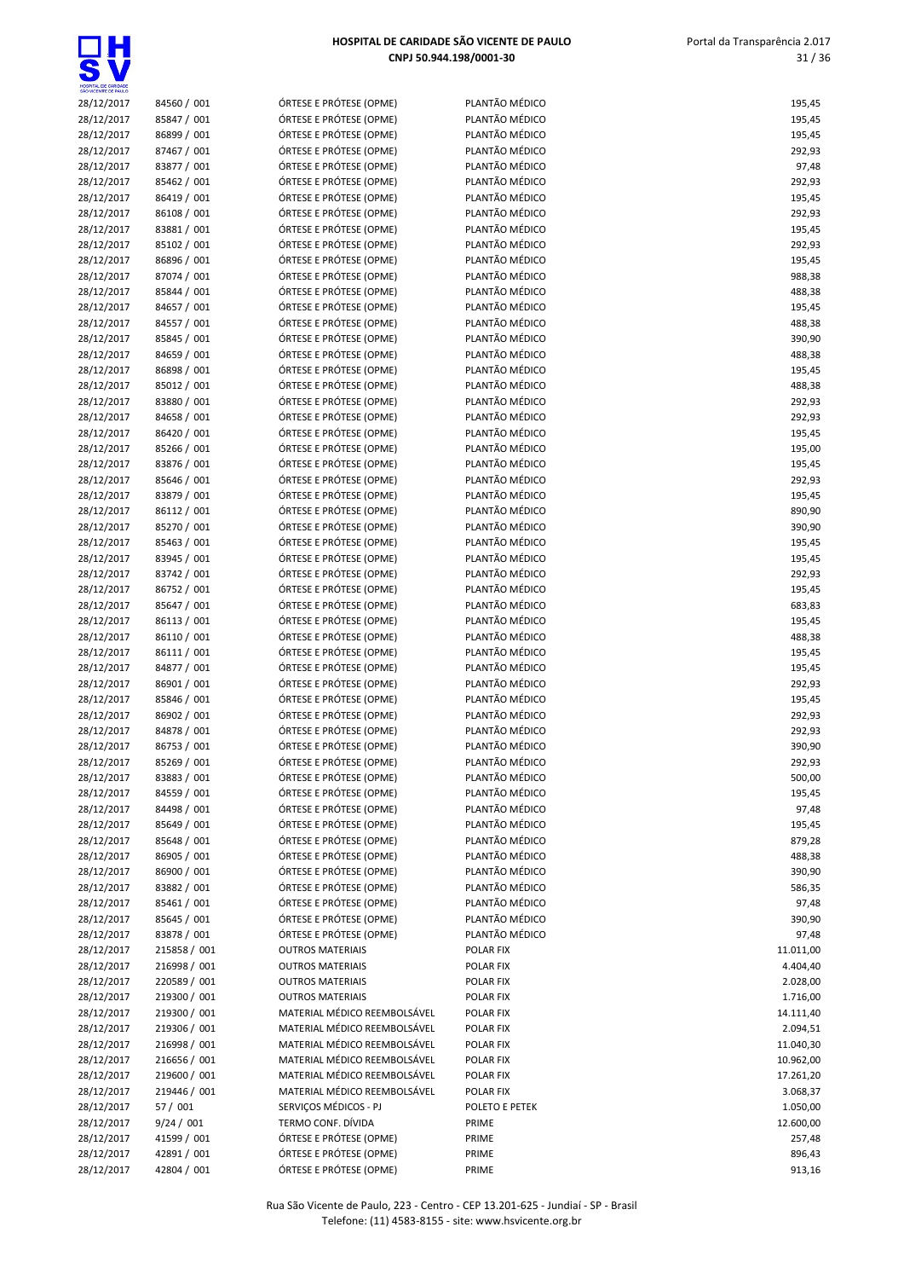

| HOSPITAL DE CARIDADE<br>SÃO VICENTE DE PAULO |                            |                                                    |                                  |                  |
|----------------------------------------------|----------------------------|----------------------------------------------------|----------------------------------|------------------|
| 28/12/2017                                   | 84560 / 001                | ÓRTESE E PRÓTESE (OPME)                            | PLANTÃO MÉDICO                   | 195,45           |
| 28/12/2017                                   | 85847 / 001                | ÓRTESE E PRÓTESE (OPME)                            | PLANTÃO MÉDICO                   | 195,45           |
| 28/12/2017                                   | 86899 / 001                | ÓRTESE E PRÓTESE (OPME)                            | PLANTÃO MÉDICO                   | 195,45           |
| 28/12/2017                                   | 87467 / 001                | ÓRTESE E PRÓTESE (OPME)                            | PLANTÃO MÉDICO                   | 292,93           |
| 28/12/2017                                   | 83877 / 001                | ÓRTESE E PRÓTESE (OPME)<br>ÓRTESE E PRÓTESE (OPME) | PLANTÃO MÉDICO<br>PLANTÃO MÉDICO | 97,48<br>292,93  |
| 28/12/2017<br>28/12/2017                     | 85462 / 001<br>86419 / 001 | ÓRTESE E PRÓTESE (OPME)                            | PLANTÃO MÉDICO                   | 195,45           |
| 28/12/2017                                   | 86108 / 001                | ÓRTESE E PRÓTESE (OPME)                            | PLANTÃO MÉDICO                   | 292,93           |
| 28/12/2017                                   | 83881 / 001                | ÓRTESE E PRÓTESE (OPME)                            | PLANTÃO MÉDICO                   | 195,45           |
| 28/12/2017                                   | 85102 / 001                | ÓRTESE E PRÓTESE (OPME)                            | PLANTÃO MÉDICO                   | 292,93           |
| 28/12/2017                                   | 86896 / 001                | ÓRTESE E PRÓTESE (OPME)                            | PLANTÃO MÉDICO                   | 195,45           |
| 28/12/2017                                   | 87074 / 001                | ÓRTESE E PRÓTESE (OPME)                            | PLANTÃO MÉDICO                   | 988,38           |
| 28/12/2017                                   | 85844 / 001                | ÓRTESE E PRÓTESE (OPME)                            | PLANTÃO MÉDICO                   | 488,38           |
| 28/12/2017                                   | 84657 / 001                | ÓRTESE E PRÓTESE (OPME)                            | PLANTÃO MÉDICO                   | 195,45           |
| 28/12/2017                                   | 84557 / 001                | ÓRTESE E PRÓTESE (OPME)                            | PLANTÃO MÉDICO                   | 488,38           |
| 28/12/2017                                   | 85845 / 001                | ÓRTESE E PRÓTESE (OPME)                            | PLANTÃO MÉDICO                   | 390,90           |
| 28/12/2017                                   | 84659 / 001                | ÓRTESE E PRÓTESE (OPME)                            | PLANTÃO MÉDICO                   | 488,38           |
| 28/12/2017                                   | 86898 / 001                | ÓRTESE E PRÓTESE (OPME)                            | PLANTÃO MÉDICO                   | 195,45           |
| 28/12/2017                                   | 85012 / 001                | ÓRTESE E PRÓTESE (OPME)                            | PLANTÃO MÉDICO                   | 488,38           |
| 28/12/2017                                   | 83880 / 001                | ÓRTESE E PRÓTESE (OPME)                            | PLANTÃO MÉDICO<br>PLANTÃO MÉDICO | 292,93           |
| 28/12/2017<br>28/12/2017                     | 84658 / 001<br>86420 / 001 | ÓRTESE E PRÓTESE (OPME)<br>ÓRTESE E PRÓTESE (OPME) | PLANTÃO MÉDICO                   | 292,93<br>195,45 |
| 28/12/2017                                   | 85266 / 001                | ÓRTESE E PRÓTESE (OPME)                            | PLANTÃO MÉDICO                   | 195,00           |
| 28/12/2017                                   | 83876 / 001                | ÓRTESE E PRÓTESE (OPME)                            | PLANTÃO MÉDICO                   | 195,45           |
| 28/12/2017                                   | 85646 / 001                | ÓRTESE E PRÓTESE (OPME)                            | PLANTÃO MÉDICO                   | 292,93           |
| 28/12/2017                                   | 83879 / 001                | ÓRTESE E PRÓTESE (OPME)                            | PLANTÃO MÉDICO                   | 195,45           |
| 28/12/2017                                   | 86112 / 001                | ÓRTESE E PRÓTESE (OPME)                            | PLANTÃO MÉDICO                   | 890,90           |
| 28/12/2017                                   | 85270 / 001                | ÓRTESE E PRÓTESE (OPME)                            | PLANTÃO MÉDICO                   | 390,90           |
| 28/12/2017                                   | 85463 / 001                | ÓRTESE E PRÓTESE (OPME)                            | PLANTÃO MÉDICO                   | 195,45           |
| 28/12/2017                                   | 83945 / 001                | ÓRTESE E PRÓTESE (OPME)                            | PLANTÃO MÉDICO                   | 195,45           |
| 28/12/2017                                   | 83742 / 001                | ÓRTESE E PRÓTESE (OPME)                            | PLANTÃO MÉDICO                   | 292,93           |
| 28/12/2017                                   | 86752 / 001                | ÓRTESE E PRÓTESE (OPME)                            | PLANTÃO MÉDICO                   | 195,45           |
| 28/12/2017                                   | 85647 / 001                | ÓRTESE E PRÓTESE (OPME)                            | PLANTÃO MÉDICO                   | 683,83           |
| 28/12/2017                                   | 86113 / 001                | ÓRTESE E PRÓTESE (OPME)                            | PLANTÃO MÉDICO                   | 195,45           |
| 28/12/2017                                   | 86110 / 001                | ÓRTESE E PRÓTESE (OPME)                            | PLANTÃO MÉDICO                   | 488,38           |
| 28/12/2017                                   | 86111 / 001                | ÓRTESE E PRÓTESE (OPME)                            | PLANTÃO MÉDICO                   | 195,45           |
| 28/12/2017                                   | 84877 / 001                | ÓRTESE E PRÓTESE (OPME)                            | PLANTÃO MÉDICO<br>PLANTÃO MÉDICO | 195,45           |
| 28/12/2017<br>28/12/2017                     | 86901 / 001<br>85846 / 001 | ÓRTESE E PRÓTESE (OPME)<br>ÓRTESE E PRÓTESE (OPME) | PLANTÃO MÉDICO                   | 292,93<br>195,45 |
| 28/12/2017                                   | 86902 / 001                | ÓRTESE E PRÓTESE (OPME)                            | PLANTÃO MÉDICO                   | 292,93           |
| 28/12/2017                                   | 84878 / 001                | ÓRTESE E PRÓTESE (OPME)                            | PLANTÃO MÉDICO                   | 292,93           |
| 28/12/2017                                   | 86753 / 001                | ÓRTESE E PRÓTESE (OPME)                            | PLANTÃO MÉDICO                   | 390,90           |
| 28/12/2017                                   | 85269 / 001                | ÓRTESE E PRÓTESE (OPME)                            | PLANTÃO MÉDICO                   | 292,93           |
| 28/12/2017                                   | 83883 / 001                | ÓRTESE E PRÓTESE (OPME)                            | PLANTÃO MÉDICO                   | 500,00           |
| 28/12/2017                                   | 84559 / 001                | ÓRTESE E PRÓTESE (OPME)                            | PLANTÃO MÉDICO                   | 195,45           |
| 28/12/2017                                   | 84498 / 001                | ÓRTESE E PRÓTESE (OPME)                            | PLANTÃO MÉDICO                   | 97,48            |
| 28/12/2017                                   | 85649 / 001                | ÓRTESE E PRÓTESE (OPME)                            | PLANTÃO MÉDICO                   | 195,45           |
| 28/12/2017                                   | 85648 / 001                | ÓRTESE E PRÓTESE (OPME)                            | PLANTÃO MÉDICO                   | 879,28           |
| 28/12/2017                                   | 86905 / 001                | ÓRTESE E PRÓTESE (OPME)                            | PLANTÃO MÉDICO                   | 488,38           |
| 28/12/2017                                   | 86900 / 001                | ÓRTESE E PRÓTESE (OPME)                            | PLANTÃO MÉDICO                   | 390,90           |
| 28/12/2017                                   | 83882 / 001                | ÓRTESE E PRÓTESE (OPME)                            | PLANTÃO MÉDICO                   | 586,35           |
| 28/12/2017                                   | 85461 / 001<br>85645 / 001 | ÓRTESE E PRÓTESE (OPME)<br>ÓRTESE E PRÓTESE (OPME) | PLANTÃO MÉDICO<br>PLANTÃO MÉDICO | 97,48            |
| 28/12/2017<br>28/12/2017                     | 83878 / 001                | ÓRTESE E PRÓTESE (OPME)                            | PLANTÃO MÉDICO                   | 390,90<br>97,48  |
| 28/12/2017                                   | 215858 / 001               | <b>OUTROS MATERIAIS</b>                            | POLAR FIX                        | 11.011,00        |
| 28/12/2017                                   | 216998 / 001               | <b>OUTROS MATERIAIS</b>                            | POLAR FIX                        | 4.404,40         |
| 28/12/2017                                   | 220589 / 001               | <b>OUTROS MATERIAIS</b>                            | POLAR FIX                        | 2.028,00         |
| 28/12/2017                                   | 219300 / 001               | <b>OUTROS MATERIAIS</b>                            | POLAR FIX                        | 1.716,00         |
| 28/12/2017                                   | 219300 / 001               | MATERIAL MÉDICO REEMBOLSÁVEL                       | POLAR FIX                        | 14.111,40        |
| 28/12/2017                                   | 219306 / 001               | MATERIAL MÉDICO REEMBOLSÁVEL                       | <b>POLAR FIX</b>                 | 2.094,51         |
| 28/12/2017                                   | 216998 / 001               | MATERIAL MÉDICO REEMBOLSÁVEL                       | POLAR FIX                        | 11.040,30        |
| 28/12/2017                                   | 216656 / 001               | MATERIAL MÉDICO REEMBOLSÁVEL                       | POLAR FIX                        | 10.962,00        |
| 28/12/2017                                   | 219600 / 001               | MATERIAL MÉDICO REEMBOLSÁVEL                       | POLAR FIX                        | 17.261,20        |
| 28/12/2017                                   | 219446 / 001               | MATERIAL MÉDICO REEMBOLSÁVEL                       | POLAR FIX                        | 3.068,37         |
| 28/12/2017                                   | 57 / 001                   | SERVIÇOS MÉDICOS - PJ                              | POLETO E PETEK                   | 1.050,00         |
| 28/12/2017                                   | 9/24 / 001                 | TERMO CONF. DÍVIDA                                 | PRIME                            | 12.600,00        |
| 28/12/2017                                   | 41599 / 001                | ÓRTESE E PRÓTESE (OPME)                            | PRIME                            | 257,48           |
| 28/12/2017                                   | 42891 / 001                | ÓRTESE E PRÓTESE (OPME)                            | PRIME                            | 896,43           |

| 28/12/2017               | 84560 / 001                | ÓRTESE E PRÓTESE (OPME)                            | PLANT.           |
|--------------------------|----------------------------|----------------------------------------------------|------------------|
| 28/12/2017               | 85847 / 001                | ÓRTESE E PRÓTESE (OPME)                            | PLANT.           |
| 28/12/2017               | 86899 / 001                | ÓRTESE E PRÓTESE (OPME)                            | PLANT.           |
| 28/12/2017               | 87467 / 001                | ÓRTESE E PRÓTESE (OPME)                            | PLANT.           |
| 28/12/2017               | 83877 / 001                | ÓRTESE E PRÓTESE (OPME)                            | PLANT.           |
| 28/12/2017               | 85462 / 001                | ÓRTESE E PRÓTESE (OPME)                            | PLANT.           |
| 28/12/2017               | 86419 / 001                | ÓRTESE E PRÓTESE (OPME)                            | PLANT.           |
| 28/12/2017               | 86108 / 001                | ÓRTESE E PRÓTESE (OPME)                            | PLANT.           |
| 28/12/2017               | 83881 / 001                | ÓRTESE E PRÓTESE (OPME)                            | PLANT.           |
| 28/12/2017               | 85102 / 001                | ÓRTESE E PRÓTESE (OPME)                            | PLANT.           |
| 28/12/2017               | 86896 / 001                | ÓRTESE E PRÓTESE (OPME)                            | PLANT.           |
| 28/12/2017               | 87074 / 001                | ÓRTESE E PRÓTESE (OPME)                            | PLANT.           |
| 28/12/2017               | 85844 / 001                | ÓRTESE E PRÓTESE (OPME)                            | PLANT.           |
| 28/12/2017               | 84657 / 001                | ÓRTESE E PRÓTESE (OPME)                            | PLANT.           |
| 28/12/2017               | 84557 / 001                | ÓRTESE E PRÓTESE (OPME)                            | PLANT.           |
| 28/12/2017               | 85845 / 001                | ÓRTESE E PRÓTESE (OPME)                            | PLANT.           |
| 28/12/2017               | 84659 / 001                | ÓRTESE E PRÓTESE (OPME)                            | PLANT.           |
| 28/12/2017               | 86898 / 001                | ÓRTESE E PRÓTESE (OPME)                            | PLANT.           |
| 28/12/2017               | 85012 / 001                | ÓRTESE E PRÓTESE (OPME)                            | PLANT.           |
| 28/12/2017               | 83880 / 001                | ÓRTESE E PRÓTESE (OPME)                            | PLANT.           |
| 28/12/2017               | 84658 / 001                | ÓRTESE E PRÓTESE (OPME)                            | PLANT.           |
| 28/12/2017               | 86420 / 001                | ÓRTESE E PRÓTESE (OPME)                            | PLANT.           |
| 28/12/2017               | 85266 / 001                | ÓRTESE E PRÓTESE (OPME)                            | PLANT.           |
| 28/12/2017               | 83876 / 001                | ÓRTESE E PRÓTESE (OPME)                            | PLANT.           |
| 28/12/2017               | 85646 / 001                | ÓRTESE E PRÓTESE (OPME)                            | PLANT.           |
| 28/12/2017               | 83879 / 001                | ÓRTESE E PRÓTESE (OPME)                            | PLANT.           |
| 28/12/2017               | 86112 / 001                | ÓRTESE E PRÓTESE (OPME)                            | PLANT.           |
| 28/12/2017               | 85270 / 001                | ÓRTESE E PRÓTESE (OPME)                            | PLANT.           |
| 28/12/2017               | 85463 / 001                | ÓRTESE E PRÓTESE (OPME)                            | PLANT.           |
| 28/12/2017               | 83945 / 001                | ÓRTESE E PRÓTESE (OPME)                            | PLANT.           |
| 28/12/2017               | 83742 / 001                | ÓRTESE E PRÓTESE (OPME)                            | PLANT.           |
| 28/12/2017               | 86752 / 001                | ÓRTESE E PRÓTESE (OPME)                            | PLANT.           |
| 28/12/2017               | 85647 / 001                | ÓRTESE E PRÓTESE (OPME)                            | PLANT.           |
| 28/12/2017               | 86113 / 001                | ÓRTESE E PRÓTESE (OPME)                            | PLANT.           |
| 28/12/2017               | 86110 / 001                | ÓRTESE E PRÓTESE (OPME)                            | PLANT.           |
| 28/12/2017               | 86111 / 001                | ÓRTESE E PRÓTESE (OPME)                            | PLANT.           |
| 28/12/2017               | 84877 / 001                | ÓRTESE E PRÓTESE (OPME)                            | PLANT.           |
| 28/12/2017               | 86901 / 001                | ÓRTESE E PRÓTESE (OPME)                            | PLANT.           |
| 28/12/2017<br>28/12/2017 | 85846 / 001<br>86902 / 001 | ÓRTESE E PRÓTESE (OPME)<br>ÓRTESE E PRÓTESE (OPME) | PLANT.<br>PLANT. |
| 28/12/2017               | 84878 / 001                | ÓRTESE E PRÓTESE (OPME)                            | PLANT.           |
| 28/12/2017               | 86753 / 001                | ÓRTESE E PRÓTESE (OPME)                            | PLANT.           |
| 28/12/2017               | 85269 / 001                | ÓRTESE E PRÓTESE (OPME)                            | PLANT.           |
| 28/12/2017               | 83883 / 001                | ORTESE E PROTESE (OPME)                            | PLANT.           |
| 28/12/2017               | 84559 / 001                | ÓRTESE E PRÓTESE (OPME)                            | PLANT.           |
| 28/12/2017               | 84498 / 001                | ÓRTESE E PRÓTESE (OPME)                            | PLANT.           |
| 28/12/2017               | 85649 / 001                | ÓRTESE E PRÓTESE (OPME)                            | PLANT.           |
| 28/12/2017               | 85648 / 001                | ÓRTESE E PRÓTESE (OPME)                            | PLANT.           |
| 28/12/2017               | 86905 / 001                | ÓRTESE E PRÓTESE (OPME)                            | PLANT.           |
| 28/12/2017               | 86900 / 001                | ÓRTESE E PRÓTESE (OPME)                            | PLANT.           |
| 28/12/2017               | 83882 / 001                | ÓRTESE E PRÓTESE (OPME)                            | PLANT.           |
| 28/12/2017               | 85461 / 001                | ÓRTESE E PRÓTESE (OPME)                            | PLANT.           |
| 28/12/2017               | 85645 / 001                | ÓRTESE E PRÓTESE (OPME)                            | PLANT.           |
| 28/12/2017               | 83878 / 001                | ÓRTESE E PRÓTESE (OPME)                            | PLANT.           |
| 28/12/2017               | 215858 / 001               | <b>OUTROS MATERIAIS</b>                            | POLAR            |
| 28/12/2017               | 216998 / 001               | <b>OUTROS MATERIAIS</b>                            | POLAR            |
| 28/12/2017               | 220589 / 001               | <b>OUTROS MATERIAIS</b>                            | POLAR            |
| 28/12/2017               | 219300 / 001               | <b>OUTROS MATERIAIS</b>                            | <b>POLAR</b>     |
| 28/12/2017               | 219300 / 001               | MATERIAL MÉDICO REEMBOLSÁVEL                       | POLAR            |
| 28/12/2017               | 219306 / 001               | MATERIAL MÉDICO REEMBOLSÁVEL                       | POLAR            |
| 28/12/2017               | 216998 / 001               | MATERIAL MÉDICO REEMBOLSÁVEL                       | POLAR            |
| 28/12/2017               | 216656 / 001               | MATERIAL MÉDICO REEMBOLSÁVEL                       | POLAR            |
| 28/12/2017               | 219600 / 001               | MATERIAL MÉDICO REEMBOLSÁVEL                       | POLAR            |
| 28/12/2017               | 219446 / 001               | MATERIAL MÉDICO REEMBOLSÁVEL                       | POLAR            |
| 28/12/2017               | 57 / 001                   | SERVIÇOS MÉDICOS - PJ                              | <b>POLET</b>     |
| 28/12/2017               | 9/24 / 001                 | TERMO CONF. DÍVIDA                                 | PRIME            |
| 28/12/2017               | 41599 / 001                | ÓRTESE E PRÓTESE (OPME)                            | PRIME            |
| 28/12/2017               | 42891 / 001                | ÓRTESE E PRÓTESE (OPME)                            | PRIME            |
| 28/12/2017               | 42804 / 001                | ÓRTESE E PRÓTESE (OPME)                            | PRIME            |

| LANTÃO MÉDICO                           |
|-----------------------------------------|
| LANTÃO MÉDIC<br>C.                      |
| LANTÃO MÉDICO                           |
| LANTÃO MÉDICO                           |
| LANTÃO MÉDIC<br>C.                      |
| LANTÃO MÉDICO                           |
| LANTÃO MÉDICO                           |
| LANTÃO MÉDICO                           |
| LANTÃO MÉDIO<br>C<br>)<br>LANTÃO MÉDICO |
| LANTÃO MÉDICO                           |
| LANTÃO MÉDIC<br>Ċ.                      |
| LANTÃO MÉDICO                           |
| LANTÃO MÉDICO                           |
| LANTÃO MÉDICO                           |
| LANTÃO MÉDICO                           |
| LANTÃO MÉDICO                           |
| LANTÃO MÉDICO                           |
| LANTÃO MÉDICO                           |
| LANTÃO MÉDIC<br>C.                      |
| LANTÃO MÉDICO                           |
| LANTÃO MÉDICO                           |
| LANTÃO MÉDICO                           |
| LANTÃO MÉDICO                           |
| LANTÃO MÉDICO<br>LANTÃO MÉDICO          |
| LANTÃO MÉDIC<br>۲C<br>J                 |
| LANTÃO MÉDICO                           |
| LANTÃO MÉDICO                           |
| LANTÃO MÉDIC<br>C.                      |
| LANTÃO MÉDICO                           |
| LANTÃO MÉDICO                           |
| LANTÃO MÉDICO                           |
| LANTÃO MÉDIC<br>C<br>)                  |
| LANTÃO MÉDICO                           |
| LANTÃO MÉDICO                           |
| LANTÃO MÉDICO                           |
| LANTÃO MÉDICO                           |
| LANTÃO MÉDICO                           |
| LANTÃO MÉDICO                           |
| LANTÃO MÉDICO                           |
| LANTÃO MÉDICO<br>LANTÃO MÉDICO          |
| LANTÃO MÉDICO                           |
| LANTÃO MÉDIO<br>C.                      |
| LANTÃO MÉDICO                           |
| LANTÃO MÉDICO                           |
| LANTÃO MÉDIO<br>$\dot{a}$<br>J          |
| LANTÃO MÉDICO                           |
| LANTÃO MÉDICO                           |
| LANTÃO MÉDIC<br>Ċ.                      |
| LANTÃO MÉDIC<br>C<br>℩                  |
| LANTÃO MÉDICO                           |
| LANTÃO MÉDICO                           |
| <b>OLAR FIX</b>                         |
| OLAR FIX                                |
| OLAR FIX<br>OLAR FIX                    |
| OLAR FIX                                |
| <b>OLAR FIX</b>                         |
| OLAR FIX                                |
| OLAR FIX                                |
| <b>OLAR FIX</b>                         |
| OLAR FIX                                |
| <b>OLETO E PETEK</b>                    |
| RIME                                    |
| RIME                                    |
| RIME                                    |
|                                         |

 Portal da Transparência 2.017 31 / 36

| 195,45                      |
|-----------------------------|
| 195,45                      |
| 195,45                      |
| 292,93                      |
| 97.48                       |
| 292,93<br>195,45            |
| 292,93                      |
| 195,45                      |
| 292,93                      |
| 195,45                      |
| 988,38<br>488,38            |
| 195,45                      |
| 488,38                      |
| 390,90                      |
| 488,38                      |
| 195,45<br>488,38            |
| 292,93                      |
| 292,93                      |
| 195,45                      |
| 195,00                      |
| 195,45                      |
| 292,93<br>195,45            |
| 890,90                      |
| 390,90                      |
| 195,45                      |
| 195,45                      |
| 292,93                      |
| 195,45<br>683,83            |
| 195,45                      |
| 488,38                      |
| 195,45                      |
| 195,45                      |
| 292,93<br>195,45            |
| 292,93                      |
| 292,93                      |
| 390,90                      |
| 292,93                      |
| 500,00<br>195,45            |
| 97,48                       |
| 195,45                      |
| 879,28                      |
| 488,38                      |
| 390,90<br>586.35            |
| 97,48                       |
| 390,90                      |
| 97,48                       |
| 11.011,00                   |
| 4.404,40                    |
| 2.028,00<br>1.716,00<br>J   |
| 14.111,40                   |
| 2.094,51                    |
| 11.040,30                   |
| 10.962,00<br>J<br>17.261,20 |
| 3.068,37                    |
| 1.050,00                    |
| 12.600,00                   |
| 257,48                      |
| 896,43                      |
| 913,16                      |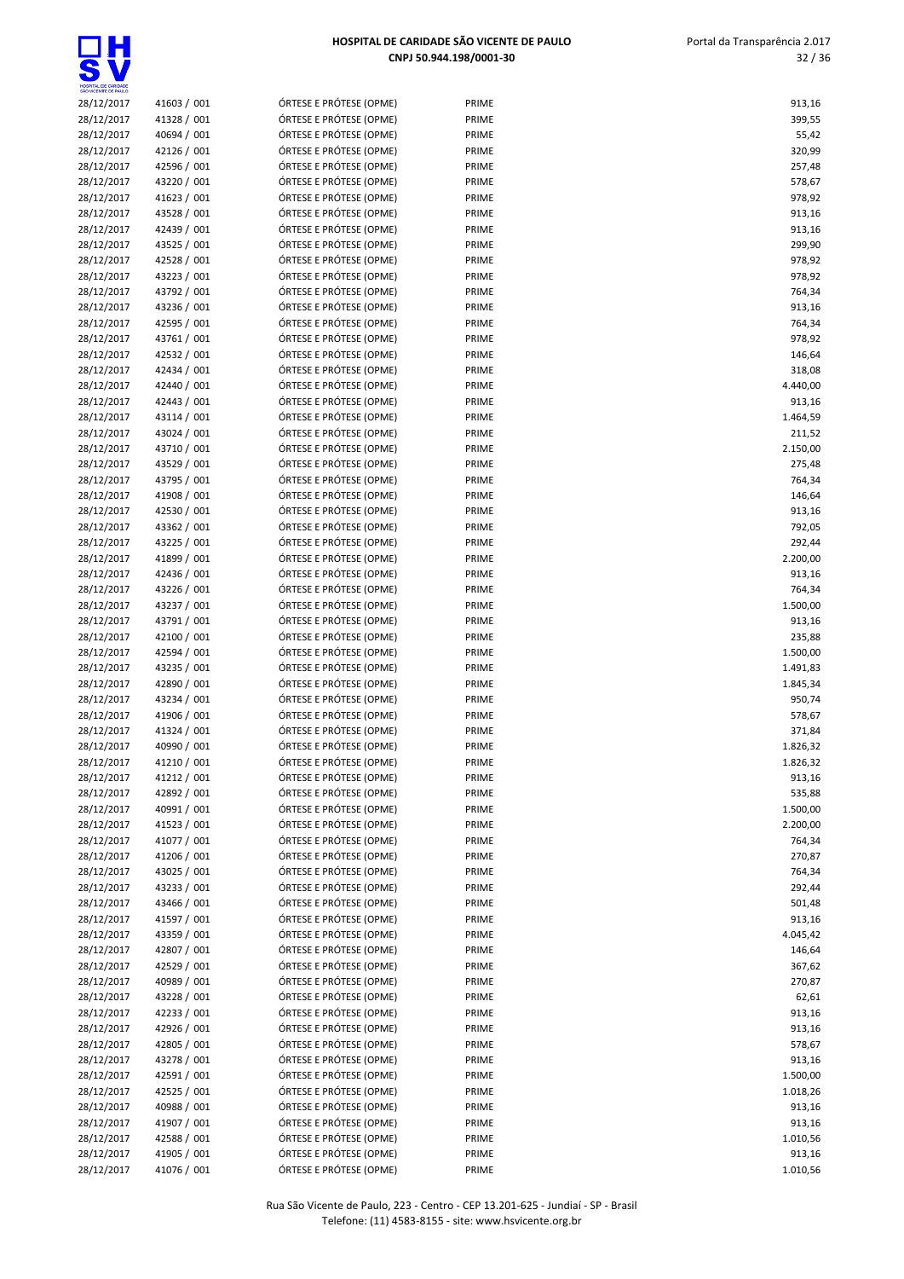32 / 36



| HOSPITAL DE CARIDADE<br>SÃO VICENTE DE PAULO |             |                         |       |          |
|----------------------------------------------|-------------|-------------------------|-------|----------|
| 28/12/2017                                   | 41603 / 001 | ÓRTESE E PRÓTESE (OPME) | PRIME | 913,16   |
| 28/12/2017                                   | 41328 / 001 | ÓRTESE E PRÓTESE (OPME) | PRIME | 399,55   |
| 28/12/2017                                   | 40694 / 001 | ÓRTESE E PRÓTESE (OPME) | PRIME | 55,42    |
| 28/12/2017                                   | 42126 / 001 | ÓRTESE E PRÓTESE (OPME) | PRIME | 320,99   |
| 28/12/2017                                   | 42596 / 001 | ÓRTESE E PRÓTESE (OPME) | PRIME | 257,48   |
| 28/12/2017                                   | 43220 / 001 | ÓRTESE E PRÓTESE (OPME) | PRIME | 578,67   |
| 28/12/2017                                   | 41623 / 001 | ÓRTESE E PRÓTESE (OPME) | PRIME | 978,92   |
| 28/12/2017                                   | 43528 / 001 | ÓRTESE E PRÓTESE (OPME) | PRIME | 913,16   |
| 28/12/2017                                   | 42439 / 001 | ÓRTESE E PRÓTESE (OPME) | PRIME | 913,16   |
| 28/12/2017                                   | 43525 / 001 | ÓRTESE E PRÓTESE (OPME) | PRIME |          |
|                                              |             | ÓRTESE E PRÓTESE (OPME) |       | 299,90   |
| 28/12/2017                                   | 42528 / 001 |                         | PRIME | 978,92   |
| 28/12/2017                                   | 43223 / 001 | ÓRTESE E PRÓTESE (OPME) | PRIME | 978,92   |
| 28/12/2017                                   | 43792 / 001 | ÓRTESE E PRÓTESE (OPME) | PRIME | 764,34   |
| 28/12/2017                                   | 43236 / 001 | ÓRTESE E PRÓTESE (OPME) | PRIME | 913,16   |
| 28/12/2017                                   | 42595 / 001 | ÓRTESE E PRÓTESE (OPME) | PRIME | 764,34   |
| 28/12/2017                                   | 43761 / 001 | ÓRTESE E PRÓTESE (OPME) | PRIME | 978,92   |
| 28/12/2017                                   | 42532 / 001 | ÓRTESE E PRÓTESE (OPME) | PRIME | 146,64   |
| 28/12/2017                                   | 42434 / 001 | ÓRTESE E PRÓTESE (OPME) | PRIME | 318,08   |
| 28/12/2017                                   | 42440 / 001 | ÓRTESE E PRÓTESE (OPME) | PRIME | 4.440,00 |
| 28/12/2017                                   | 42443 / 001 | ÓRTESE E PRÓTESE (OPME) | PRIME | 913,16   |
| 28/12/2017                                   | 43114 / 001 | ÓRTESE E PRÓTESE (OPME) | PRIME | 1.464,59 |
| 28/12/2017                                   | 43024 / 001 | ÓRTESE E PRÓTESE (OPME) | PRIME | 211,52   |
| 28/12/2017                                   | 43710 / 001 | ÓRTESE E PRÓTESE (OPME) | PRIME | 2.150,00 |
| 28/12/2017                                   | 43529 / 001 | ÓRTESE E PRÓTESE (OPME) | PRIME | 275,48   |
| 28/12/2017                                   | 43795 / 001 | ÓRTESE E PRÓTESE (OPME) | PRIME | 764,34   |
| 28/12/2017                                   | 41908 / 001 | ÓRTESE E PRÓTESE (OPME) | PRIME | 146,64   |
| 28/12/2017                                   | 42530 / 001 | ÓRTESE E PRÓTESE (OPME) | PRIME | 913,16   |
| 28/12/2017                                   | 43362 / 001 | ÓRTESE E PRÓTESE (OPME) | PRIME | 792,05   |
| 28/12/2017                                   | 43225 / 001 | ÓRTESE E PRÓTESE (OPME) | PRIME | 292,44   |
| 28/12/2017                                   | 41899 / 001 | ÓRTESE E PRÓTESE (OPME) | PRIME | 2.200,00 |
|                                              | 42436 / 001 | ÓRTESE E PRÓTESE (OPME) | PRIME | 913,16   |
| 28/12/2017                                   |             |                         |       |          |
| 28/12/2017                                   | 43226 / 001 | ÓRTESE E PRÓTESE (OPME) | PRIME | 764,34   |
| 28/12/2017                                   | 43237 / 001 | ÓRTESE E PRÓTESE (OPME) | PRIME | 1.500,00 |
| 28/12/2017                                   | 43791 / 001 | ÓRTESE E PRÓTESE (OPME) | PRIME | 913,16   |
| 28/12/2017                                   | 42100 / 001 | ÓRTESE E PRÓTESE (OPME) | PRIME | 235,88   |
| 28/12/2017                                   | 42594 / 001 | ÓRTESE E PRÓTESE (OPME) | PRIME | 1.500,00 |
| 28/12/2017                                   | 43235 / 001 | ÓRTESE E PRÓTESE (OPME) | PRIME | 1.491,83 |
| 28/12/2017                                   | 42890 / 001 | ÓRTESE E PRÓTESE (OPME) | PRIME | 1.845,34 |
| 28/12/2017                                   | 43234 / 001 | ÓRTESE E PRÓTESE (OPME) | PRIME | 950,74   |
| 28/12/2017                                   | 41906 / 001 | ÓRTESE E PRÓTESE (OPME) | PRIME | 578,67   |
| 28/12/2017                                   | 41324 / 001 | ÓRTESE E PRÓTESE (OPME) | PRIME | 371,84   |
| 28/12/2017                                   | 40990 / 001 | ÓRTESE E PRÓTESE (OPME) | PRIME | 1.826,32 |
| 28/12/2017                                   | 41210 / 001 | ÓRTESE E PRÓTESE (OPME) | PRIME | 1.826,32 |
| 28/12/2017                                   | 41212 / 001 | ÓRTESE E PRÓTESE (OPME) | PRIME | 913,16   |
| 28/12/2017                                   | 42892 / 001 | ÓRTESE E PRÓTESE (OPME) | PRIME | 535,88   |
| 28/12/2017                                   | 40991 / 001 | ÓRTESE E PRÓTESE (OPME) | PRIME | 1.500,00 |
| 28/12/2017                                   | 41523 / 001 | ÓRTESE E PRÓTESE (OPME) | PRIME | 2.200,00 |
| 28/12/2017                                   | 41077 / 001 | ÓRTESE E PRÓTESE (OPME) | PRIME | 764,34   |
| 28/12/2017                                   | 41206 / 001 | ÓRTESE E PRÓTESE (OPME) | PRIME | 270,87   |
| 28/12/2017                                   | 43025 / 001 | ÓRTESE E PRÓTESE (OPME) | PRIME | 764,34   |
|                                              |             |                         |       |          |
| 28/12/2017                                   | 43233 / 001 | ÓRTESE E PRÓTESE (OPME) | PRIME | 292,44   |
| 28/12/2017                                   | 43466 / 001 | ÓRTESE E PRÓTESE (OPME) | PRIME | 501,48   |
| 28/12/2017                                   | 41597 / 001 | ÓRTESE E PRÓTESE (OPME) | PRIME | 913,16   |
| 28/12/2017                                   | 43359 / 001 | ÓRTESE E PRÓTESE (OPME) | PRIME | 4.045,42 |
| 28/12/2017                                   | 42807 / 001 | ÓRTESE E PRÓTESE (OPME) | PRIME | 146,64   |
| 28/12/2017                                   | 42529 / 001 | ÓRTESE E PRÓTESE (OPME) | PRIME | 367,62   |
| 28/12/2017                                   | 40989 / 001 | ÓRTESE E PRÓTESE (OPME) | PRIME | 270,87   |
| 28/12/2017                                   | 43228 / 001 | ÓRTESE E PRÓTESE (OPME) | PRIME | 62,61    |
| 28/12/2017                                   | 42233 / 001 | ÓRTESE E PRÓTESE (OPME) | PRIME | 913,16   |
| 28/12/2017                                   | 42926 / 001 | ÓRTESE E PRÓTESE (OPME) | PRIME | 913,16   |
| 28/12/2017                                   | 42805 / 001 | ÓRTESE E PRÓTESE (OPME) | PRIME | 578,67   |
| 28/12/2017                                   | 43278 / 001 | ÓRTESE E PRÓTESE (OPME) | PRIME | 913,16   |
| 28/12/2017                                   | 42591 / 001 | ÓRTESE E PRÓTESE (OPME) | PRIME | 1.500,00 |
| 28/12/2017                                   | 42525 / 001 | ÓRTESE E PRÓTESE (OPME) | PRIME | 1.018,26 |
| 28/12/2017                                   | 40988 / 001 | ÓRTESE E PRÓTESE (OPME) | PRIME | 913,16   |
| 28/12/2017                                   | 41907 / 001 | ÓRTESE E PRÓTESE (OPME) | PRIME | 913,16   |
| 28/12/2017                                   | 42588 / 001 | ÓRTESE E PRÓTESE (OPME) | PRIME | 1.010,56 |
| 28/12/2017                                   | 41905 / 001 | ÓRTESE E PRÓTESE (OPME) | PRIME | 913,16   |
| 28/12/2017                                   | 41076 / 001 | ÓRTESE E PRÓTESE (OPME) | PRIME | 1.010,56 |
|                                              |             |                         |       |          |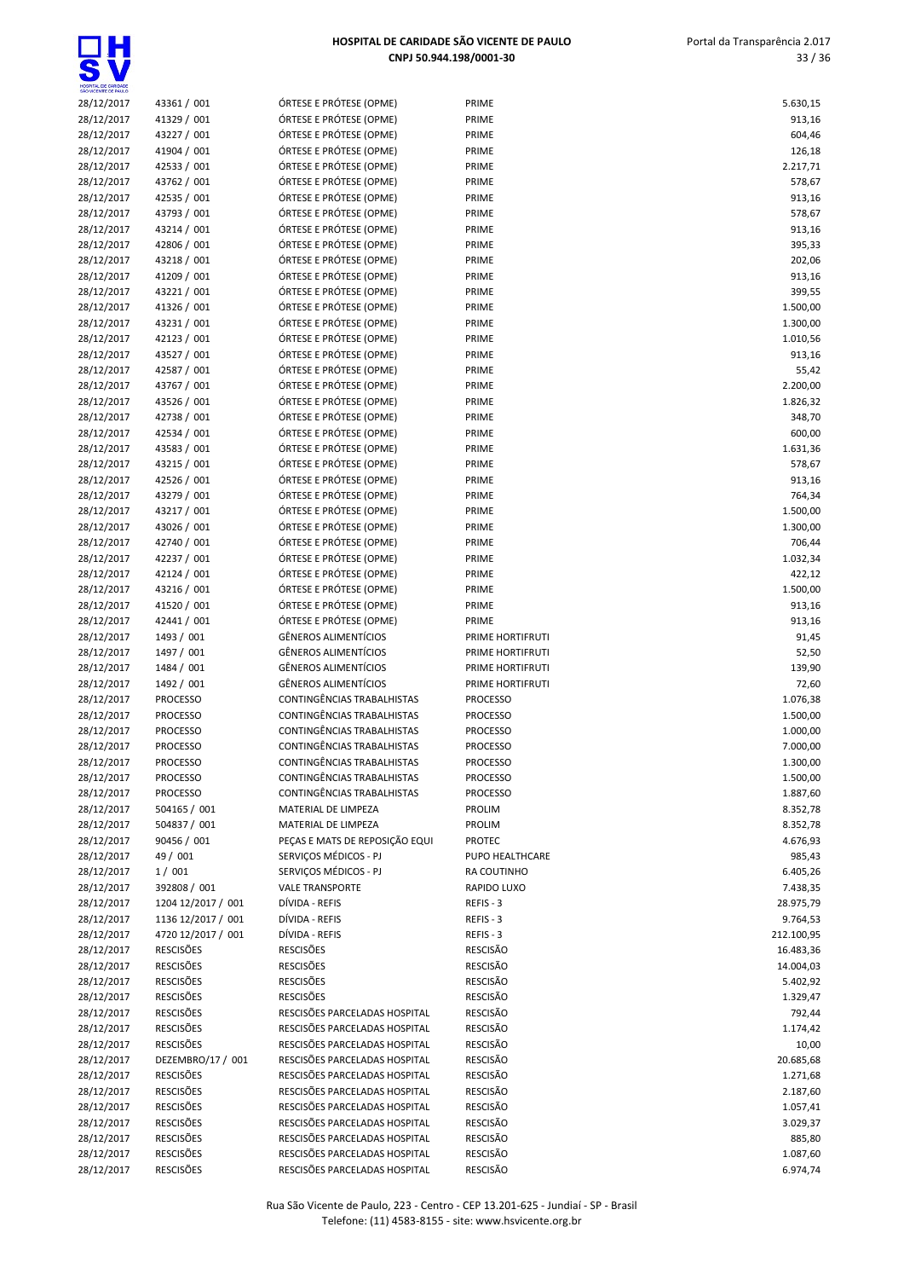

| HOSPITAL DE CARIDADE<br>SÃO VICENTE DE PAULO |                            |                                                    |                  |                  |
|----------------------------------------------|----------------------------|----------------------------------------------------|------------------|------------------|
| 28/12/2017                                   | 43361 / 001                | ÓRTESE E PRÓTESE (OPME)                            | PRIME            | 5.630,15         |
| 28/12/2017                                   | 41329 / 001                | ÓRTESE E PRÓTESE (OPME)                            | PRIME            | 913,16           |
| 28/12/2017                                   | 43227 / 001                | ÓRTESE E PRÓTESE (OPME)                            | PRIME            | 604,46           |
| 28/12/2017                                   | 41904 / 001                | ÓRTESE E PRÓTESE (OPME)                            | PRIME            | 126,18           |
| 28/12/2017                                   | 42533 / 001                | ÓRTESE E PRÓTESE (OPME)                            | PRIME            | 2.217,71         |
| 28/12/2017                                   | 43762 / 001                | ÓRTESE E PRÓTESE (OPME)                            | PRIME            | 578,67           |
| 28/12/2017                                   | 42535 / 001                | ÓRTESE E PRÓTESE (OPME)                            | PRIME            | 913,16           |
| 28/12/2017                                   | 43793 / 001                | ÓRTESE E PRÓTESE (OPME)                            | PRIME            | 578,67           |
| 28/12/2017                                   | 43214 / 001                | ÓRTESE E PRÓTESE (OPME)                            | PRIME            | 913,16           |
| 28/12/2017                                   | 42806 / 001                | ÓRTESE E PRÓTESE (OPME)                            | PRIME            | 395,33           |
| 28/12/2017                                   | 43218 / 001                | ÓRTESE E PRÓTESE (OPME)                            | PRIME            | 202,06           |
| 28/12/2017                                   | 41209 / 001                | ÓRTESE E PRÓTESE (OPME)                            | PRIME            | 913,16           |
| 28/12/2017                                   | 43221 / 001                | ÓRTESE E PRÓTESE (OPME)                            | PRIME            | 399,55           |
| 28/12/2017                                   | 41326 / 001                | ÓRTESE E PRÓTESE (OPME)                            | PRIME            | 1.500,00         |
| 28/12/2017                                   | 43231 / 001                | ÓRTESE E PRÓTESE (OPME)                            | PRIME            | 1.300,00         |
| 28/12/2017                                   | 42123 / 001                | ÓRTESE E PRÓTESE (OPME)                            | PRIME            | 1.010,56         |
| 28/12/2017                                   | 43527 / 001                | ÓRTESE E PRÓTESE (OPME)                            | PRIME            | 913,16           |
| 28/12/2017                                   | 42587 / 001                | ÓRTESE E PRÓTESE (OPME)                            | PRIME            | 55,42            |
| 28/12/2017                                   | 43767 / 001                | ÓRTESE E PRÓTESE (OPME)                            | PRIME            | 2.200,00         |
| 28/12/2017                                   | 43526 / 001                | ÓRTESE E PRÓTESE (OPME)                            | PRIME            | 1.826,32         |
| 28/12/2017                                   | 42738 / 001                | ÓRTESE E PRÓTESE (OPME)                            | PRIME            | 348,70           |
| 28/12/2017<br>28/12/2017                     | 42534 / 001<br>43583 / 001 | ÓRTESE E PRÓTESE (OPME)                            | PRIME            | 600,00           |
|                                              |                            | ÓRTESE E PRÓTESE (OPME)                            | PRIME            | 1.631,36         |
| 28/12/2017<br>28/12/2017                     | 43215 / 001<br>42526 / 001 | ÓRTESE E PRÓTESE (OPME)<br>ÓRTESE E PRÓTESE (OPME) | PRIME<br>PRIME   | 578,67<br>913,16 |
|                                              | 43279 / 001                | ÓRTESE E PRÓTESE (OPME)                            | PRIME            | 764,34           |
| 28/12/2017<br>28/12/2017                     | 43217 / 001                | ÓRTESE E PRÓTESE (OPME)                            | PRIME            | 1.500,00         |
| 28/12/2017                                   | 43026 / 001                | ÓRTESE E PRÓTESE (OPME)                            | PRIME            | 1.300,00         |
| 28/12/2017                                   | 42740 / 001                | ÓRTESE E PRÓTESE (OPME)                            | PRIME            | 706,44           |
| 28/12/2017                                   | 42237 / 001                | ÓRTESE E PRÓTESE (OPME)                            | PRIME            | 1.032,34         |
| 28/12/2017                                   | 42124 / 001                | ÓRTESE E PRÓTESE (OPME)                            | PRIME            | 422,12           |
| 28/12/2017                                   | 43216 / 001                | ÓRTESE E PRÓTESE (OPME)                            | PRIME            | 1.500,00         |
| 28/12/2017                                   | 41520 / 001                | ÓRTESE E PRÓTESE (OPME)                            | PRIME            | 913,16           |
| 28/12/2017                                   | 42441 / 001                | ÓRTESE E PRÓTESE (OPME)                            | PRIME            | 913,16           |
| 28/12/2017                                   | 1493 / 001                 | <b>GÊNEROS ALIMENTÍCIOS</b>                        | PRIME HORTIFRUTI | 91,45            |
| 28/12/2017                                   | 1497 / 001                 | <b>GÊNEROS ALIMENTÍCIOS</b>                        | PRIME HORTIFRUTI | 52,50            |
| 28/12/2017                                   | 1484 / 001                 | <b>GÊNEROS ALIMENTÍCIOS</b>                        | PRIME HORTIFRUTI | 139,90           |
| 28/12/2017                                   | 1492 / 001                 | <b>GÊNEROS ALIMENTÍCIOS</b>                        | PRIME HORTIFRUTI | 72,60            |
| 28/12/2017                                   | <b>PROCESSO</b>            | CONTINGÊNCIAS TRABALHISTAS                         | <b>PROCESSO</b>  | 1.076,38         |
| 28/12/2017                                   | <b>PROCESSO</b>            | CONTINGÊNCIAS TRABALHISTAS                         | <b>PROCESSO</b>  | 1.500,00         |
| 28/12/2017                                   | <b>PROCESSO</b>            | CONTINGÊNCIAS TRABALHISTAS                         | <b>PROCESSO</b>  | 1.000,00         |
| 28/12/2017                                   | <b>PROCESSO</b>            | CONTINGÊNCIAS TRABALHISTAS                         | <b>PROCESSO</b>  | 7.000,00         |
| 28/12/2017                                   | <b>PROCESSO</b>            | CONTINGÊNCIAS TRABALHISTAS                         | <b>PROCESSO</b>  | 1.300,00         |
| 28/12/2017                                   | <b>PROCESSO</b>            | CONTINGÊNCIAS TRABALHISTAS                         | <b>PROCESSO</b>  | 1.500,00         |
| 28/12/2017                                   | <b>PROCESSO</b>            | CONTINGÊNCIAS TRABALHISTAS                         | <b>PROCESSO</b>  | 1.887,60         |
| 28/12/2017                                   | 504165 / 001               | MATERIAL DE LIMPEZA                                | PROLIM           | 8.352,78         |
| 28/12/2017                                   | 504837 / 001               | MATERIAL DE LIMPEZA                                | <b>PROLIM</b>    | 8.352,78         |
| 28/12/2017                                   | 90456 / 001                | PEÇAS E MATS DE REPOSIÇÃO EQUI                     | <b>PROTEC</b>    | 4.676,93         |
| 28/12/2017                                   | 49 / 001                   | SERVIÇOS MÉDICOS - PJ                              | PUPO HEALTHCARE  | 985,43           |
| 28/12/2017                                   | 1/001                      | SERVIÇOS MÉDICOS - PJ                              | RA COUTINHO      | 6.405,26         |
| 28/12/2017                                   | 392808 / 001               | <b>VALE TRANSPORTE</b>                             | RAPIDO LUXO      | 7.438,35         |
| 28/12/2017                                   | 1204 12/2017 / 001         | DÍVIDA - REFIS                                     | REFIS - 3        | 28.975,79        |
| 28/12/2017                                   | 1136 12/2017 / 001         | DÍVIDA - REFIS                                     | REFIS-3          | 9.764,53         |
| 28/12/2017                                   | 4720 12/2017 / 001         | DÍVIDA - REFIS                                     | REFIS - 3        | 212.100,95       |
| 28/12/2017                                   | <b>RESCISÕES</b>           | <b>RESCISÕES</b>                                   | <b>RESCISÃO</b>  | 16.483,36        |
| 28/12/2017                                   | <b>RESCISÕES</b>           | <b>RESCISÕES</b>                                   | <b>RESCISÃO</b>  | 14.004,03        |
| 28/12/2017                                   | <b>RESCISÕES</b>           | <b>RESCISÕES</b>                                   | <b>RESCISÃO</b>  | 5.402,92         |
| 28/12/2017                                   | <b>RESCISÕES</b>           | <b>RESCISÕES</b>                                   | <b>RESCISÃO</b>  | 1.329,47         |
| 28/12/2017                                   | <b>RESCISÕES</b>           | RESCISÕES PARCELADAS HOSPITAL                      | RESCISÃO         | 792,44           |
| 28/12/2017                                   | <b>RESCISÕES</b>           | RESCISÕES PARCELADAS HOSPITAL                      | RESCISÃO         | 1.174,42         |
| 28/12/2017                                   | <b>RESCISÕES</b>           | RESCISÕES PARCELADAS HOSPITAL                      | RESCISÃO         | 10,00            |
| 28/12/2017                                   | DEZEMBRO/17 / 001          | RESCISÕES PARCELADAS HOSPITAL                      | RESCISÃO         | 20.685,68        |
| 28/12/2017                                   | <b>RESCISÕES</b>           | RESCISÕES PARCELADAS HOSPITAL                      | <b>RESCISÃO</b>  | 1.271,68         |
| 28/12/2017                                   | <b>RESCISÕES</b>           | RESCISÕES PARCELADAS HOSPITAL                      | <b>RESCISÃO</b>  | 2.187,60         |
| 28/12/2017                                   | <b>RESCISÕES</b>           | RESCISÕES PARCELADAS HOSPITAL                      | <b>RESCISÃO</b>  | 1.057,41         |
| 28/12/2017                                   | <b>RESCISÕES</b>           | RESCISÕES PARCELADAS HOSPITAL                      | <b>RESCISÃO</b>  | 3.029,37         |
| 28/12/2017                                   | <b>RESCISÕES</b>           | RESCISÕES PARCELADAS HOSPITAL                      | <b>RESCISÃO</b>  | 885,80           |
| 28/12/2017                                   | <b>RESCISÕES</b>           | RESCISÕES PARCELADAS HOSPITAL                      | <b>RESCISÃO</b>  | 1.087,60         |
| 28/12/2017                                   | <b>RESCISÕES</b>           | RESCISÕES PARCELADAS HOSPITAL                      | RESCISÃO         | 6.974,74         |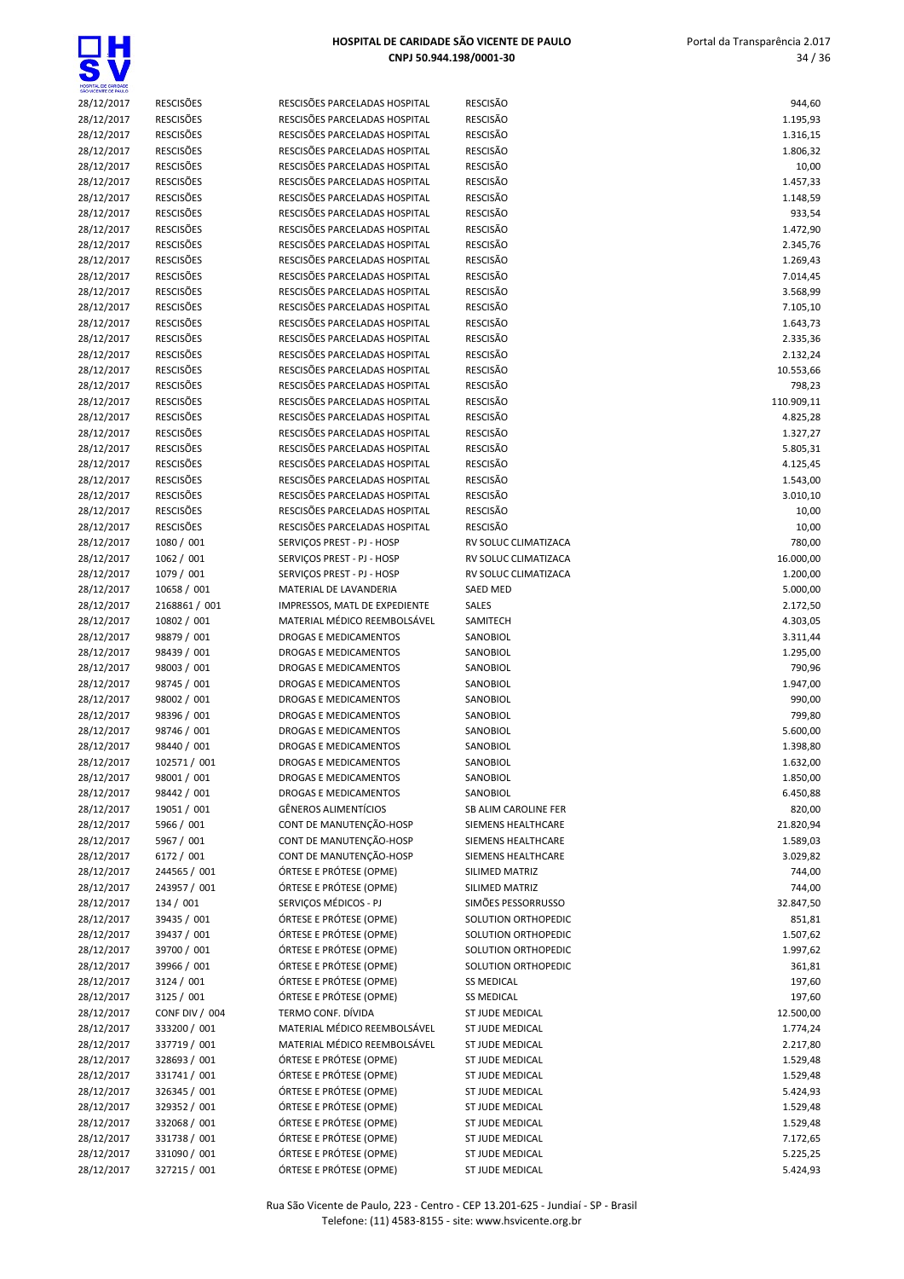| SÃO VICENTE DE PAULO |                  |                               |                      |            |
|----------------------|------------------|-------------------------------|----------------------|------------|
| 28/12/2017           | <b>RESCISÕES</b> | RESCISÕES PARCELADAS HOSPITAL | <b>RESCISÃO</b>      | 944,60     |
| 28/12/2017           | <b>RESCISÕES</b> | RESCISÕES PARCELADAS HOSPITAL | <b>RESCISÃO</b>      | 1.195,93   |
| 28/12/2017           | <b>RESCISÕES</b> | RESCISÕES PARCELADAS HOSPITAL | <b>RESCISÃO</b>      | 1.316,15   |
| 28/12/2017           | <b>RESCISÕES</b> | RESCISÕES PARCELADAS HOSPITAL | <b>RESCISÃO</b>      | 1.806,32   |
| 28/12/2017           | <b>RESCISÕES</b> | RESCISÕES PARCELADAS HOSPITAL | <b>RESCISÃO</b>      | 10,00      |
| 28/12/2017           | <b>RESCISÕES</b> | RESCISÕES PARCELADAS HOSPITAL | <b>RESCISÃO</b>      | 1.457,33   |
| 28/12/2017           | <b>RESCISÕES</b> | RESCISÕES PARCELADAS HOSPITAL | <b>RESCISÃO</b>      | 1.148,59   |
| 28/12/2017           | <b>RESCISÕES</b> | RESCISÕES PARCELADAS HOSPITAL | <b>RESCISÃO</b>      | 933,54     |
| 28/12/2017           | <b>RESCISÕES</b> | RESCISÕES PARCELADAS HOSPITAL | <b>RESCISÃO</b>      | 1.472,90   |
| 28/12/2017           | <b>RESCISÕES</b> | RESCISÕES PARCELADAS HOSPITAL | <b>RESCISÃO</b>      | 2.345,76   |
| 28/12/2017           | <b>RESCISÕES</b> | RESCISÕES PARCELADAS HOSPITAL | <b>RESCISÃO</b>      | 1.269,43   |
| 28/12/2017           | <b>RESCISÕES</b> | RESCISÕES PARCELADAS HOSPITAL | <b>RESCISÃO</b>      | 7.014,45   |
|                      | <b>RESCISÕES</b> |                               |                      |            |
| 28/12/2017           |                  | RESCISÕES PARCELADAS HOSPITAL | <b>RESCISÃO</b>      | 3.568,99   |
| 28/12/2017           | <b>RESCISÕES</b> | RESCISÕES PARCELADAS HOSPITAL | <b>RESCISÃO</b>      | 7.105,10   |
| 28/12/2017           | <b>RESCISÕES</b> | RESCISÕES PARCELADAS HOSPITAL | <b>RESCISÃO</b>      | 1.643,73   |
| 28/12/2017           | <b>RESCISÕES</b> | RESCISÕES PARCELADAS HOSPITAL | <b>RESCISÃO</b>      | 2.335,36   |
| 28/12/2017           | <b>RESCISÕES</b> | RESCISÕES PARCELADAS HOSPITAL | <b>RESCISÃO</b>      | 2.132,24   |
| 28/12/2017           | <b>RESCISÕES</b> | RESCISÕES PARCELADAS HOSPITAL | <b>RESCISÃO</b>      | 10.553,66  |
| 28/12/2017           | <b>RESCISÕES</b> | RESCISÕES PARCELADAS HOSPITAL | <b>RESCISÃO</b>      | 798,23     |
| 28/12/2017           | <b>RESCISÕES</b> | RESCISÕES PARCELADAS HOSPITAL | <b>RESCISÃO</b>      | 110.909,11 |
| 28/12/2017           | <b>RESCISÕES</b> | RESCISÕES PARCELADAS HOSPITAL | <b>RESCISÃO</b>      | 4.825,28   |
| 28/12/2017           | <b>RESCISÕES</b> | RESCISÕES PARCELADAS HOSPITAL | <b>RESCISÃO</b>      | 1.327,27   |
| 28/12/2017           | <b>RESCISÕES</b> | RESCISÕES PARCELADAS HOSPITAL | <b>RESCISÃO</b>      | 5.805,31   |
| 28/12/2017           | <b>RESCISÕES</b> | RESCISÕES PARCELADAS HOSPITAL | <b>RESCISÃO</b>      | 4.125,45   |
| 28/12/2017           | <b>RESCISÕES</b> | RESCISÕES PARCELADAS HOSPITAL | <b>RESCISÃO</b>      | 1.543,00   |
| 28/12/2017           | <b>RESCISÕES</b> | RESCISÕES PARCELADAS HOSPITAL | <b>RESCISÃO</b>      | 3.010,10   |
|                      | <b>RESCISÕES</b> | RESCISÕES PARCELADAS HOSPITAL | <b>RESCISÃO</b>      |            |
| 28/12/2017           |                  |                               |                      | 10,00      |
| 28/12/2017           | <b>RESCISÕES</b> | RESCISÕES PARCELADAS HOSPITAL | <b>RESCISÃO</b>      | 10,00      |
| 28/12/2017           | 1080 / 001       | SERVIÇOS PREST - PJ - HOSP    | RV SOLUC CLIMATIZACA | 780,00     |
| 28/12/2017           | 1062 / 001       | SERVIÇOS PREST - PJ - HOSP    | RV SOLUC CLIMATIZACA | 16.000,00  |
| 28/12/2017           | 1079 / 001       | SERVIÇOS PREST - PJ - HOSP    | RV SOLUC CLIMATIZACA | 1.200,00   |
| 28/12/2017           | 10658 / 001      | MATERIAL DE LAVANDERIA        | SAED MED             | 5.000,00   |
| 28/12/2017           | 2168861 / 001    | IMPRESSOS, MATL DE EXPEDIENTE | SALES                | 2.172,50   |
| 28/12/2017           | 10802 / 001      | MATERIAL MÉDICO REEMBOLSÁVEL  | SAMITECH             | 4.303,05   |
| 28/12/2017           | 98879 / 001      | <b>DROGAS E MEDICAMENTOS</b>  | SANOBIOL             | 3.311,44   |
| 28/12/2017           | 98439 / 001      | <b>DROGAS E MEDICAMENTOS</b>  | SANOBIOL             | 1.295,00   |
| 28/12/2017           | 98003 / 001      | <b>DROGAS E MEDICAMENTOS</b>  | SANOBIOL             | 790,96     |
| 28/12/2017           | 98745 / 001      | <b>DROGAS E MEDICAMENTOS</b>  | SANOBIOL             | 1.947,00   |
| 28/12/2017           | 98002 / 001      | <b>DROGAS E MEDICAMENTOS</b>  | SANOBIOL             | 990,00     |
| 28/12/2017           | 98396 / 001      | <b>DROGAS E MEDICAMENTOS</b>  | SANOBIOL             | 799,80     |
| 28/12/2017           | 98746 / 001      | DROGAS E MEDICAMENTOS         | SANOBIOL             | 5.600,00   |
| 28/12/2017           | 98440 / 001      | <b>DROGAS E MEDICAMENTOS</b>  | SANOBIOL             | 1.398,80   |
|                      |                  |                               |                      |            |
| 28/12/2017           | 102571 / 001     | DROGAS E MEDICAMENTOS         | SANOBIOL             | 1.632,00   |
| 28/12/2017           | 98001 / 001      | DROGAS E MEDICAMENTOS         | SANOBIOL             | 1.850,00   |
| 28/12/2017           | 98442 / 001      | DROGAS E MEDICAMENTOS         | SANOBIOL             | 6.450,88   |
| 28/12/2017           | 19051 / 001      | <b>GÊNEROS ALIMENTÍCIOS</b>   | SB ALIM CAROLINE FER | 820,00     |
| 28/12/2017           | 5966 / 001       | CONT DE MANUTENÇÃO-HOSP       | SIEMENS HEALTHCARE   | 21.820,94  |
| 28/12/2017           | 5967 / 001       | CONT DE MANUTENÇÃO-HOSP       | SIEMENS HEALTHCARE   | 1.589,03   |
| 28/12/2017           | 6172 / 001       | CONT DE MANUTENÇÃO-HOSP       | SIEMENS HEALTHCARE   | 3.029,82   |
| 28/12/2017           | 244565 / 001     | ÓRTESE E PRÓTESE (OPME)       | SILIMED MATRIZ       | 744,00     |
| 28/12/2017           | 243957 / 001     | ÓRTESE E PRÓTESE (OPME)       | SILIMED MATRIZ       | 744,00     |
| 28/12/2017           | 134 / 001        | SERVIÇOS MÉDICOS - PJ         | SIMÕES PESSORRUSSO   | 32.847,50  |
| 28/12/2017           | 39435 / 001      | ÓRTESE E PRÓTESE (OPME)       | SOLUTION ORTHOPEDIC  | 851,81     |
| 28/12/2017           | 39437 / 001      | ÓRTESE E PRÓTESE (OPME)       | SOLUTION ORTHOPEDIC  | 1.507,62   |
| 28/12/2017           | 39700 / 001      | ÓRTESE E PRÓTESE (OPME)       | SOLUTION ORTHOPEDIC  | 1.997,62   |
| 28/12/2017           | 39966 / 001      | ÓRTESE E PRÓTESE (OPME)       | SOLUTION ORTHOPEDIC  | 361,81     |
| 28/12/2017           | 3124 / 001       | ÓRTESE E PRÓTESE (OPME)       | <b>SS MEDICAL</b>    | 197,60     |
|                      | 3125 / 001       | ÓRTESE E PRÓTESE (OPME)       | <b>SS MEDICAL</b>    |            |
| 28/12/2017           |                  |                               |                      | 197,60     |
| 28/12/2017           | CONF DIV / 004   | TERMO CONF. DÍVIDA            | ST JUDE MEDICAL      | 12.500,00  |
| 28/12/2017           | 333200 / 001     | MATERIAL MÉDICO REEMBOLSÁVEL  | ST JUDE MEDICAL      | 1.774,24   |
| 28/12/2017           | 337719 / 001     | MATERIAL MÉDICO REEMBOLSÁVEL  | ST JUDE MEDICAL      | 2.217,80   |
| 28/12/2017           | 328693 / 001     | ÓRTESE E PRÓTESE (OPME)       | ST JUDE MEDICAL      | 1.529,48   |
| 28/12/2017           | 331741 / 001     | ÓRTESE E PRÓTESE (OPME)       | ST JUDE MEDICAL      | 1.529,48   |
| 28/12/2017           | 326345 / 001     | ÓRTESE E PRÓTESE (OPME)       | ST JUDE MEDICAL      | 5.424,93   |
| 28/12/2017           | 329352 / 001     | ÓRTESE E PRÓTESE (OPME)       | ST JUDE MEDICAL      | 1.529,48   |
| 28/12/2017           | 332068 / 001     | ÓRTESE E PRÓTESE (OPME)       | ST JUDE MEDICAL      | 1.529,48   |
| 28/12/2017           | 331738 / 001     | ÓRTESE E PRÓTESE (OPME)       | ST JUDE MEDICAL      | 7.172,65   |
| 28/12/2017           | 331090 / 001     | ÓRTESE E PRÓTESE (OPME)       | ST JUDE MEDICAL      | 5.225,25   |
| 28/12/2017           | 327215 / 001     | ÓRTESE E PRÓTESE (OPME)       | ST JUDE MEDICAL      | 5.424,93   |
|                      |                  |                               |                      |            |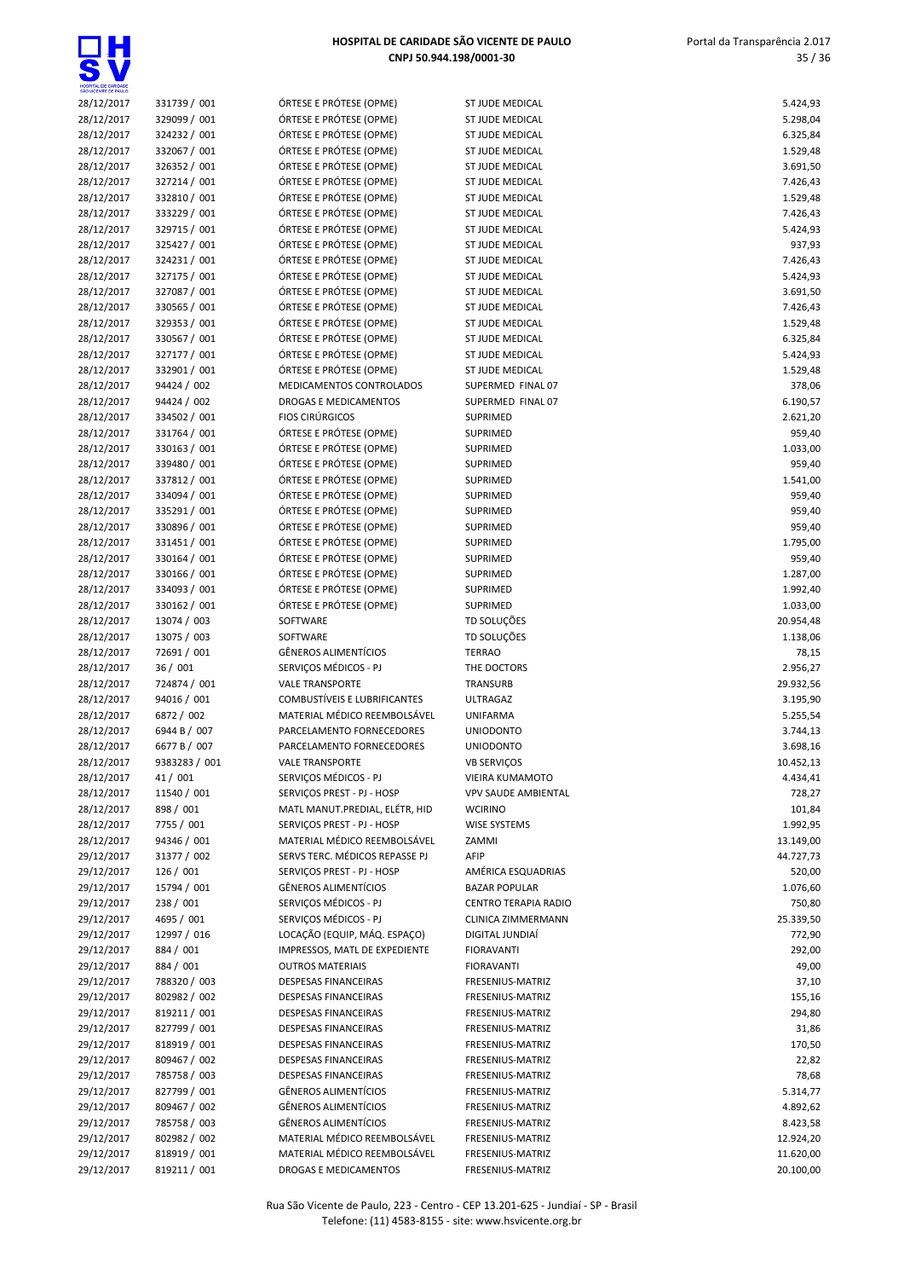| HOSPITAL DE CARIDADE<br>SÃO VICENTE DE PAULO |               |
|----------------------------------------------|---------------|
| 28/12/2017                                   | 331739 / 001  |
| 28/12/2017                                   | 329099 / 001  |
| 28/12/2017                                   | 324232 / 001  |
| 28/12/2017                                   | 332067 / 001  |
|                                              |               |
| 28/12/2017                                   | 326352 / 001  |
| 28/12/2017                                   | 327214 / 001  |
| 28/12/2017                                   | 332810 / 001  |
| 28/12/2017                                   | 333229 / 001  |
| 28/12/2017                                   | 329715 / 001  |
| 28/12/2017                                   | 325427 / 001  |
| 28/12/2017                                   | 324231 / 001  |
| 28/12/2017                                   | 327175 / 001  |
|                                              | 327087 / 001  |
| 28/12/2017                                   |               |
| 28/12/2017                                   | 330565 / 001  |
| 28/12/2017                                   | 329353 / 001  |
| 28/12/2017                                   | 330567 / 001  |
| 28/12/2017                                   | 327177 / 001  |
| 28/12/2017                                   | 332901/001    |
| 28/12/2017                                   | 94424 / 002   |
| 28/12/2017                                   | 94424 / 002   |
| 28/12/2017                                   | 334502 / 001  |
| 28/12/2017                                   | 331764 / 001  |
|                                              |               |
| 28/12/2017                                   | 330163 / 001  |
| 28/12/2017                                   | 339480 / 001  |
| 28/12/2017                                   | 337812 / 001  |
| 28/12/2017                                   | 334094 / 001  |
| 28/12/2017                                   | 335291 / 001  |
| 28/12/2017                                   | 330896 / 001  |
| 28/12/2017                                   | 331451 / 001  |
| 28/12/2017                                   | 330164 / 001  |
| 28/12/2017                                   | 330166/001    |
| 28/12/2017                                   | 334093 / 001  |
|                                              |               |
| 28/12/2017                                   | 330162 / 001  |
| 28/12/2017                                   | 13074 / 003   |
| 28/12/2017                                   | 13075 / 003   |
| 28/12/2017                                   | 72691 / 001   |
| 28/12/2017                                   | 36 / 001      |
| 28/12/2017                                   | 724874 / 001  |
| 28/12/2017                                   | 94016 / 001   |
| 28/12/2017                                   | 6872 / 002    |
| 28/12/2017                                   | 6944 B / 007  |
| 28/12/2017                                   | 6677 B / 007  |
|                                              |               |
| 28/12/2017                                   | 9383283 / 001 |
| 28/12/2017                                   | 41/001        |
| 28/12/2017                                   | 11540 / 001   |
| 28/12/2017                                   | 898 / 001     |
| 28/12/2017                                   | 7755 / 001    |
| 28/12/2017                                   | 94346 / 001   |
| 29/12/2017                                   | 31377 / 002   |
| 29/12/2017                                   | 126 / 001     |
| 29/12/2017                                   | 15794 / 001   |
| 29/12/2017                                   | 238 / 001     |
| 29/12/2017                                   | 4695 / 001    |
|                                              |               |
| 29/12/2017                                   | 12997 / 016   |
| 29/12/2017                                   | 884 / 001     |
| 29/12/2017                                   | 884 / 001     |
| 29/12/2017                                   | 788320 / 003  |
| 29/12/2017                                   | 802982 / 002  |
| 29/12/2017                                   | 819211 / 001  |
| 29/12/2017                                   | 827799 / 001  |
| 29/12/2017                                   | 818919 / 001  |
| 29/12/2017                                   | 809467 / 002  |
| 29/12/2017                                   | 785758 / 003  |
|                                              |               |
| 29/12/2017                                   | 827799 / 001  |
| 29/12/2017                                   | 809467 / 002  |
| 29/12/2017                                   | 785758 / 003  |
| 29/12/2017                                   | 802982 / 002  |
| 29/12/2017                                   | 818919 / 001  |

| DRTESE E PROTESE (OPME)                                                                                                                                                                                                                                                                                                                                                                                                                              |
|------------------------------------------------------------------------------------------------------------------------------------------------------------------------------------------------------------------------------------------------------------------------------------------------------------------------------------------------------------------------------------------------------------------------------------------------------|
| ÓRTESE E PRÓTESE (OPME)                                                                                                                                                                                                                                                                                                                                                                                                                              |
| ÓRTESE E PRÓTESE (OPME)                                                                                                                                                                                                                                                                                                                                                                                                                              |
| ÓRTESE E PRÓTESE (OPME)                                                                                                                                                                                                                                                                                                                                                                                                                              |
| ÓRTESE E PRÓTESE (OPME)                                                                                                                                                                                                                                                                                                                                                                                                                              |
| ÓRTESE E PRÓTESE (OPME)                                                                                                                                                                                                                                                                                                                                                                                                                              |
| ÓRTESE E PRÓTESE (OPME)                                                                                                                                                                                                                                                                                                                                                                                                                              |
| ÓRTESE E PRÓTESE (OPME)                                                                                                                                                                                                                                                                                                                                                                                                                              |
| ÓRTESE E PRÓTESE (OPME)                                                                                                                                                                                                                                                                                                                                                                                                                              |
| ÓRTESE E PRÓTESE (OPME)                                                                                                                                                                                                                                                                                                                                                                                                                              |
| ÓRTESE E PRÓTESE (OPME)                                                                                                                                                                                                                                                                                                                                                                                                                              |
| ÓRTESE E PRÓTESE (OPME)                                                                                                                                                                                                                                                                                                                                                                                                                              |
| ÓRTESE E PRÓTESE (OPME)                                                                                                                                                                                                                                                                                                                                                                                                                              |
| ÓRTESE E PRÓTESE (OPME)                                                                                                                                                                                                                                                                                                                                                                                                                              |
| ÓRTESE E PRÓTESE (OPME)                                                                                                                                                                                                                                                                                                                                                                                                                              |
| ÓRTESE E PRÓTESE (OPME)                                                                                                                                                                                                                                                                                                                                                                                                                              |
| ÓRTESE E PRÓTESE (OPME)                                                                                                                                                                                                                                                                                                                                                                                                                              |
|                                                                                                                                                                                                                                                                                                                                                                                                                                                      |
| ÓRTESE E PRÓTESE (OPME)                                                                                                                                                                                                                                                                                                                                                                                                                              |
| <b>MEDICAMENTOS CONTROLADOS</b>                                                                                                                                                                                                                                                                                                                                                                                                                      |
| DROGAS E MEDICAMENTOS                                                                                                                                                                                                                                                                                                                                                                                                                                |
| IOS CIRÚRGICOS                                                                                                                                                                                                                                                                                                                                                                                                                                       |
| ÓRTESE E PRÓTESE (OPME)                                                                                                                                                                                                                                                                                                                                                                                                                              |
| ÓRTESE E PRÓTESE (OPME)                                                                                                                                                                                                                                                                                                                                                                                                                              |
| ÓRTESE E PRÓTESE (OPME)                                                                                                                                                                                                                                                                                                                                                                                                                              |
| ÓRTESE E PRÓTESE (OPME)                                                                                                                                                                                                                                                                                                                                                                                                                              |
| ÓRTESE E PRÓTESE (OPME)                                                                                                                                                                                                                                                                                                                                                                                                                              |
| ÓRTESE E PRÓTESE (OPME)                                                                                                                                                                                                                                                                                                                                                                                                                              |
| ÓRTESE E PRÓTESE (OPME)                                                                                                                                                                                                                                                                                                                                                                                                                              |
| ÓRTESE E PRÓTESE (OPME)                                                                                                                                                                                                                                                                                                                                                                                                                              |
| ÓRTESE E PRÓTESE (OPME)                                                                                                                                                                                                                                                                                                                                                                                                                              |
| ÓRTESE E PRÓTESE (OPME)                                                                                                                                                                                                                                                                                                                                                                                                                              |
| ÓRTESE E PRÓTESE (OPME)                                                                                                                                                                                                                                                                                                                                                                                                                              |
| ÓRTESE E PRÓTESE (OPME)                                                                                                                                                                                                                                                                                                                                                                                                                              |
| <b>OFTWARE</b>                                                                                                                                                                                                                                                                                                                                                                                                                                       |
|                                                                                                                                                                                                                                                                                                                                                                                                                                                      |
|                                                                                                                                                                                                                                                                                                                                                                                                                                                      |
|                                                                                                                                                                                                                                                                                                                                                                                                                                                      |
|                                                                                                                                                                                                                                                                                                                                                                                                                                                      |
|                                                                                                                                                                                                                                                                                                                                                                                                                                                      |
|                                                                                                                                                                                                                                                                                                                                                                                                                                                      |
|                                                                                                                                                                                                                                                                                                                                                                                                                                                      |
|                                                                                                                                                                                                                                                                                                                                                                                                                                                      |
|                                                                                                                                                                                                                                                                                                                                                                                                                                                      |
|                                                                                                                                                                                                                                                                                                                                                                                                                                                      |
|                                                                                                                                                                                                                                                                                                                                                                                                                                                      |
|                                                                                                                                                                                                                                                                                                                                                                                                                                                      |
|                                                                                                                                                                                                                                                                                                                                                                                                                                                      |
|                                                                                                                                                                                                                                                                                                                                                                                                                                                      |
|                                                                                                                                                                                                                                                                                                                                                                                                                                                      |
|                                                                                                                                                                                                                                                                                                                                                                                                                                                      |
|                                                                                                                                                                                                                                                                                                                                                                                                                                                      |
| <b>OFTWARE</b><br>GÊNEROS ALIMENTÍCIOS<br>ERVIÇOS MÉDICOS - PJ<br><b>/ALE TRANSPORTE</b><br>COMBUSTÍVEIS E LUBRIFICANTES<br>MATERIAL MÉDICO REEMBOLSÁVEL<br>ARCELAMENTO FORNECEDORES<br>ARCELAMENTO FORNECEDORES<br>ALE TRANSPORTE<br>ERVIÇOS MÉDICOS - PJ<br>ERVIÇOS PREST - PJ - HOSP<br>MATL MANUT.PREDIAL, ELÉTR, HID<br>ERVIÇOS PREST - PJ - HOSP<br>MATERIAL MÉDICO REEMBOLSÁVEL<br>ERVS TERC. MÉDICOS REPASSE PJ<br>ERVIÇOS PREST - PJ - HOSP |
| GÊNEROS ALIMENTÍCIOS                                                                                                                                                                                                                                                                                                                                                                                                                                 |
| <b>ERVICOS MÉDICOS - PJ</b>                                                                                                                                                                                                                                                                                                                                                                                                                          |
| <b>ERVICOS MÉDICOS - PJ</b>                                                                                                                                                                                                                                                                                                                                                                                                                          |
| OCAÇÃO (EQUIP, MÁQ. ESPAÇO)                                                                                                                                                                                                                                                                                                                                                                                                                          |
|                                                                                                                                                                                                                                                                                                                                                                                                                                                      |
| MPRESSOS, MATL DE EXPEDIENTE                                                                                                                                                                                                                                                                                                                                                                                                                         |
| <b>DUTROS MATERIAIS</b>                                                                                                                                                                                                                                                                                                                                                                                                                              |
| DESPESAS FINANCEIRAS                                                                                                                                                                                                                                                                                                                                                                                                                                 |
| DESPESAS FINANCEIRAS                                                                                                                                                                                                                                                                                                                                                                                                                                 |
| <b>DESPESAS FINANCEIRAS</b>                                                                                                                                                                                                                                                                                                                                                                                                                          |
| DESPESAS FINANCEIRAS                                                                                                                                                                                                                                                                                                                                                                                                                                 |
| DESPESAS FINANCEIRAS                                                                                                                                                                                                                                                                                                                                                                                                                                 |
| DESPESAS FINANCEIRAS                                                                                                                                                                                                                                                                                                                                                                                                                                 |
| DESPESAS FINANCEIRAS                                                                                                                                                                                                                                                                                                                                                                                                                                 |
| GÊNEROS ALIMENTÍCIOS                                                                                                                                                                                                                                                                                                                                                                                                                                 |
| GÊNEROS ALIMENTÍCIOS                                                                                                                                                                                                                                                                                                                                                                                                                                 |
| GÊNEROS ALIMENTÍCIOS<br>MATERIAL MÉDICO REEMBOLSÁVEL                                                                                                                                                                                                                                                                                                                                                                                                 |

| HOSPITAL DE CARIDADE<br>SÃO VICENTE DE PAULO |                              |                                                    |                                      |                      |
|----------------------------------------------|------------------------------|----------------------------------------------------|--------------------------------------|----------------------|
| 28/12/2017                                   | 331739 / 001                 | ÓRTESE E PRÓTESE (OPME)                            | ST JUDE MEDICAL                      | 5.424,93             |
| 28/12/2017                                   | 329099 / 001                 | ÓRTESE E PRÓTESE (OPME)                            | ST JUDE MEDICAL                      | 5.298,04             |
| 28/12/2017                                   | 324232 / 001                 | ÓRTESE E PRÓTESE (OPME)                            | ST JUDE MEDICAL                      | 6.325,84             |
| 28/12/2017                                   | 332067 / 001                 | ÓRTESE E PRÓTESE (OPME)                            | ST JUDE MEDICAL                      | 1.529,48             |
| 28/12/2017                                   | 326352 / 001                 | ÓRTESE E PRÓTESE (OPME)                            | ST JUDE MEDICAL                      | 3.691,50             |
| 28/12/2017                                   | 327214 / 001                 | ÓRTESE E PRÓTESE (OPME)                            | ST JUDE MEDICAL                      | 7.426,43             |
| 28/12/2017                                   | 332810 / 001                 | ÓRTESE E PRÓTESE (OPME)                            | ST JUDE MEDICAL                      | 1.529,48             |
| 28/12/2017                                   | 333229 / 001                 | ÓRTESE E PRÓTESE (OPME)                            | ST JUDE MEDICAL                      | 7.426,43             |
| 28/12/2017                                   | 329715 / 001                 | ÓRTESE E PRÓTESE (OPME)                            | ST JUDE MEDICAL                      | 5.424,93             |
| 28/12/2017                                   | 325427 / 001                 | ÓRTESE E PRÓTESE (OPME)                            | ST JUDE MEDICAL                      | 937,93               |
| 28/12/2017                                   | 324231 / 001                 | ÓRTESE E PRÓTESE (OPME)<br>ÓRTESE E PRÓTESE (OPME) | ST JUDE MEDICAL                      | 7.426,43             |
| 28/12/2017                                   | 327175 / 001                 |                                                    | ST JUDE MEDICAL                      | 5.424,93             |
| 28/12/2017                                   | 327087 / 001                 | ÓRTESE E PRÓTESE (OPME)                            | ST JUDE MEDICAL<br>ST JUDE MEDICAL   | 3.691,50             |
| 28/12/2017<br>28/12/2017                     | 330565 / 001<br>329353 / 001 | ÓRTESE E PRÓTESE (OPME)<br>ÓRTESE E PRÓTESE (OPME) | ST JUDE MEDICAL                      | 7.426,43             |
| 28/12/2017                                   | 330567 / 001                 | ÓRTESE E PRÓTESE (OPME)                            | ST JUDE MEDICAL                      | 1.529,48             |
| 28/12/2017                                   | 327177 / 001                 | ÓRTESE E PRÓTESE (OPME)                            | ST JUDE MEDICAL                      | 6.325,84<br>5.424,93 |
| 28/12/2017                                   | 332901 / 001                 | ÓRTESE E PRÓTESE (OPME)                            | ST JUDE MEDICAL                      | 1.529,48             |
| 28/12/2017                                   | 94424 / 002                  | MEDICAMENTOS CONTROLADOS                           | SUPERMED FINAL 07                    | 378,06               |
| 28/12/2017                                   | 94424 / 002                  | DROGAS E MEDICAMENTOS                              | SUPERMED FINAL 07                    | 6.190,57             |
| 28/12/2017                                   | 334502 / 001                 | <b>FIOS CIRÚRGICOS</b>                             | SUPRIMED                             | 2.621,20             |
| 28/12/2017                                   | 331764 / 001                 | ÓRTESE E PRÓTESE (OPME)                            | SUPRIMED                             | 959,40               |
| 28/12/2017                                   | 330163 / 001                 | ÓRTESE E PRÓTESE (OPME)                            | SUPRIMED                             | 1.033,00             |
| 28/12/2017                                   | 339480 / 001                 | ÓRTESE E PRÓTESE (OPME)                            | <b>SUPRIMED</b>                      | 959,40               |
| 28/12/2017                                   | 337812 / 001                 | ÓRTESE E PRÓTESE (OPME)                            | SUPRIMED                             | 1.541,00             |
| 28/12/2017                                   | 334094 / 001                 | ÓRTESE E PRÓTESE (OPME)                            | SUPRIMED                             | 959,40               |
| 28/12/2017                                   | 335291 / 001                 | ÓRTESE E PRÓTESE (OPME)                            | SUPRIMED                             | 959,40               |
| 28/12/2017                                   | 330896 / 001                 | ÓRTESE E PRÓTESE (OPME)                            | SUPRIMED                             | 959,40               |
| 28/12/2017                                   | 331451 / 001                 | ÓRTESE E PRÓTESE (OPME)                            | SUPRIMED                             | 1.795,00             |
| 28/12/2017                                   | 330164 / 001                 | ÓRTESE E PRÓTESE (OPME)                            | SUPRIMED                             | 959,40               |
| 28/12/2017                                   | 330166 / 001                 | ÓRTESE E PRÓTESE (OPME)                            | SUPRIMED                             | 1.287,00             |
| 28/12/2017                                   | 334093 / 001                 | ÓRTESE E PRÓTESE (OPME)                            | <b>SUPRIMED</b>                      | 1.992,40             |
| 28/12/2017                                   | 330162 / 001                 | ÓRTESE E PRÓTESE (OPME)                            | SUPRIMED                             | 1.033,00             |
| 28/12/2017                                   | 13074 / 003                  | SOFTWARE                                           | TD SOLUÇÕES                          | 20.954,48            |
| 28/12/2017                                   | 13075 / 003                  | SOFTWARE                                           | TD SOLUÇÕES                          | 1.138,06             |
| 28/12/2017                                   | 72691 / 001                  | <b>GÊNEROS ALIMENTÍCIOS</b>                        | <b>TERRAO</b>                        | 78,15                |
| 28/12/2017                                   | 36/001                       | SERVIÇOS MÉDICOS - PJ                              | THE DOCTORS                          | 2.956,27             |
| 28/12/2017                                   | 724874 / 001                 | <b>VALE TRANSPORTE</b>                             | TRANSURB                             | 29.932,56            |
| 28/12/2017                                   | 94016 / 001                  | COMBUSTÍVEIS E LUBRIFICANTES                       | ULTRAGAZ                             | 3.195,90             |
| 28/12/2017                                   | 6872 / 002                   | MATERIAL MÉDICO REEMBOLSÁVEL                       | <b>UNIFARMA</b>                      | 5.255,54             |
| 28/12/2017                                   | 6944 B / 007                 | PARCELAMENTO FORNECEDORES                          | <b>UNIODONTO</b>                     | 3.744,13             |
| 28/12/2017                                   | 6677 B / 007                 | PARCELAMENTO FORNECEDORES                          | <b>UNIODONTO</b>                     | 3.698,16             |
| 28/12/2017                                   | 9383283 / 001                | <b>VALE TRANSPORTE</b>                             | VB SERVIÇOS                          | 10.452,13            |
| 28/12/2017                                   | 41 / 001                     | SERVIÇOS MÉDICOS - PJ                              | VIEIRA KUMAMOTO                      | 4.434,41             |
| 28/12/2017                                   | 11540 / 001                  | SERVIÇOS PREST - PJ - HOSP                         | <b>VPV SAUDE AMBIENTAL</b>           | 728,27               |
| 28/12/2017                                   | 898 / 001                    | MATL MANUT.PREDIAL, ELÉTR, HID                     | <b>WCIRINO</b>                       | 101,84               |
| 28/12/2017                                   | 7755 / 001                   | SERVIÇOS PREST - PJ - HOSP                         | <b>WISE SYSTEMS</b>                  | 1.992,95             |
| 28/12/2017                                   | 94346 / 001                  | MATERIAL MÉDICO REEMBOLSÁVEL                       | ZAMMI                                | 13.149,00            |
| 29/12/2017                                   | 31377 / 002                  | SERVS TERC. MÉDICOS REPASSE PJ                     | AFIP                                 | 44.727,73            |
| 29/12/2017                                   | 126 / 001                    | SERVIÇOS PREST - PJ - HOSP                         | AMÉRICA ESQUADRIAS                   | 520,00               |
| 29/12/2017                                   | 15794 / 001                  | <b>GÊNEROS ALIMENTÍCIOS</b>                        | <b>BAZAR POPULAR</b>                 | 1.076,60             |
| 29/12/2017                                   | 238 / 001                    | SERVIÇOS MÉDICOS - PJ                              | <b>CENTRO TERAPIA RADIO</b>          | 750,80               |
| 29/12/2017                                   | 4695 / 001                   | SERVIÇOS MÉDICOS - PJ                              | CLINICA ZIMMERMANN                   | 25.339,50            |
| 29/12/2017                                   | 12997 / 016                  | LOCAÇÃO (EQUIP, MÁQ. ESPAÇO)                       | DIGITAL JUNDIAÍ                      | 772,90               |
| 29/12/2017                                   | 884 / 001                    | IMPRESSOS, MATL DE EXPEDIENTE                      | <b>FIORAVANTI</b>                    | 292,00               |
| 29/12/2017                                   | 884 / 001                    | <b>OUTROS MATERIAIS</b>                            | <b>FIORAVANTI</b>                    | 49,00                |
| 29/12/2017                                   | 788320 / 003                 | DESPESAS FINANCEIRAS                               | FRESENIUS-MATRIZ                     | 37,10                |
| 29/12/2017                                   | 802982 / 002                 | DESPESAS FINANCEIRAS                               | FRESENIUS-MATRIZ                     | 155,16               |
| 29/12/2017                                   | 819211 / 001                 | DESPESAS FINANCEIRAS                               | FRESENIUS-MATRIZ                     | 294,80               |
| 29/12/2017<br>29/12/2017                     | 827799 / 001<br>818919 / 001 | DESPESAS FINANCEIRAS<br>DESPESAS FINANCEIRAS       | FRESENIUS-MATRIZ                     | 31,86                |
|                                              | 809467 / 002                 |                                                    | FRESENIUS-MATRIZ                     | 170,50               |
| 29/12/2017<br>29/12/2017                     | 785758 / 003                 | DESPESAS FINANCEIRAS<br>DESPESAS FINANCEIRAS       | FRESENIUS-MATRIZ<br>FRESENIUS-MATRIZ | 22,82<br>78,68       |
|                                              | 827799 / 001                 | <b>GÊNEROS ALIMENTÍCIOS</b>                        | FRESENIUS-MATRIZ                     |                      |
| 29/12/2017                                   | 809467 / 002                 | GÊNEROS ALIMENTÍCIOS                               |                                      | 5.314,77             |
| 29/12/2017<br>29/12/2017                     | 785758 / 003                 | <b>GÊNEROS ALIMENTÍCIOS</b>                        | FRESENIUS-MATRIZ<br>FRESENIUS-MATRIZ | 4.892,62<br>8.423,58 |
|                                              | 802982 / 002                 | MATERIAL MÉDICO REEMBOLSÁVEL                       |                                      |                      |
| 29/12/2017                                   |                              | MATERIAL MÉDICO REEMBOLSÁVEL                       | FRESENIUS-MATRIZ                     | 12.924,20            |
| 29/12/2017                                   | 818919 / 001                 |                                                    | FRESENIUS-MATRIZ                     | 11.620,00            |
| 29/12/2017                                   | 819211 / 001                 | DROGAS E MEDICAMENTOS                              | FRESENIUS-MATRIZ                     | 20.100,00            |